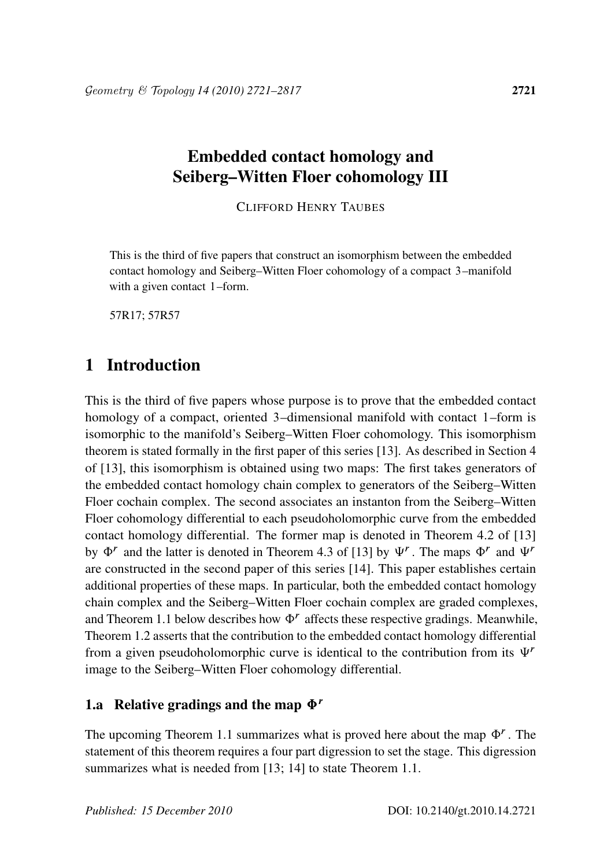# Embedded contact homology and Seiberg–Witten Floer cohomology III

CLIFFORD HENRY TAUBES

This is the third of five papers that construct an isomorphism between the embedded contact homology and Seiberg–Witten Floer cohomology of a compact 3–manifold with a given contact 1–form.

57R17; 57R57

## 1 Introduction

This is the third of five papers whose purpose is to prove that the embedded contact homology of a compact, oriented 3–dimensional manifold with contact 1–form is isomorphic to the manifold's Seiberg–Witten Floer cohomology. This isomorphism theorem is stated formally in the first paper of this series [13]. As described in Section 4 of [13], this isomorphism is obtained using two maps: The first takes generators of the embedded contact homology chain complex to generators of the Seiberg–Witten Floer cochain complex. The second associates an instanton from the Seiberg–Witten Floer cohomology differential to each pseudoholomorphic curve from the embedded contact homology differential. The former map is denoted in Theorem 4.2 of [13] by  $\Phi^r$  and the latter is denoted in Theorem 4.3 of [13] by  $\Psi^r$ . The maps  $\Phi^r$  and  $\Psi^r$ are constructed in the second paper of this series [14]. This paper establishes certain additional properties of these maps. In particular, both the embedded contact homology chain complex and the Seiberg–Witten Floer cochain complex are graded complexes, and Theorem 1.1 below describes how  $\Phi^r$  affects these respective gradings. Meanwhile, Theorem 1.2 asserts that the contribution to the embedded contact homology differential from a given pseudoholomorphic curve is identical to the contribution from its  $\Psi^r$ image to the Seiberg–Witten Floer cohomology differential.

#### 1.a Relative gradings and the map  $\Phi^r$

The upcoming Theorem 1.1 summarizes what is proved here about the map  $\Phi^r$ . The statement of this theorem requires a four part digression to set the stage. This digression summarizes what is needed from [13; 14] to state Theorem 1.1.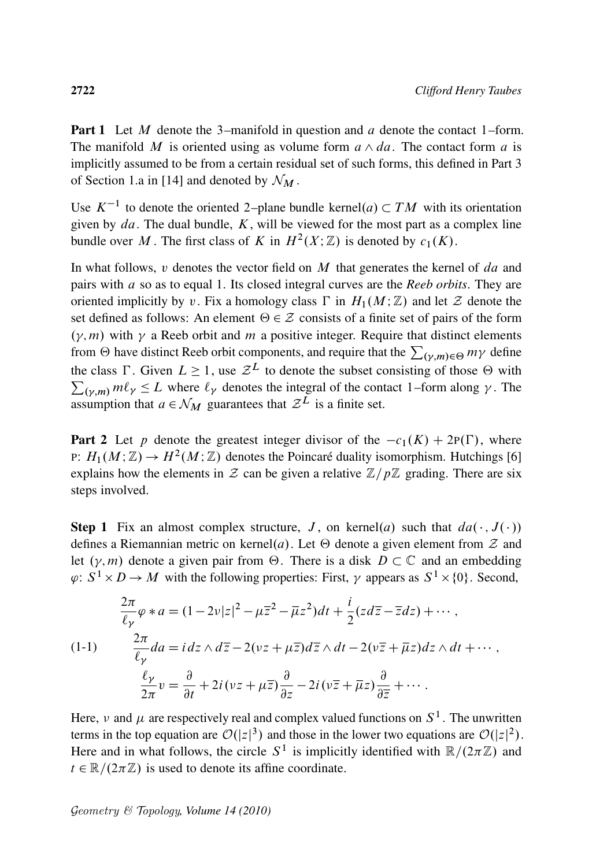**Part 1** Let M denote the 3-manifold in question and a denote the contact 1-form. The manifold M is oriented using as volume form  $a \wedge da$ . The contact form a is implicitly assumed to be from a certain residual set of such forms, this defined in Part 3 of Section 1.a in [14] and denoted by  $\mathcal{N}_M$ .

Use  $K^{-1}$  to denote the oriented 2-plane bundle kernel $(a) \subset TM$  with its orientation given by  $da$ . The dual bundle,  $K$ , will be viewed for the most part as a complex line bundle over M. The first class of K in  $H^2(X; \mathbb{Z})$  is denoted by  $c_1(K)$ .

In what follows,  $v$  denotes the vector field on  $M$  that generates the kernel of  $da$  and pairs with a so as to equal 1. Its closed integral curves are the *Reeb orbits*. They are oriented implicitly by v. Fix a homology class  $\Gamma$  in  $H_1(M;\mathbb{Z})$  and let  $\mathcal Z$  denote the set defined as follows: An element  $\Theta \in \mathcal{Z}$  consists of a finite set of pairs of the form  $(\gamma, m)$  with  $\gamma$  a Reeb orbit and m a positive integer. Require that distinct elements from  $\Theta$  have distinct Reeb orbit components, and require that the  $\sum_{(\gamma,m)\in\Theta} m\gamma$  define the class  $\Gamma$ . Given  $L \geq 1$ , use  $\mathcal{Z}^L$  to denote the subset consisting of those  $\Theta$  with  $\sum_{(\gamma,m)} m\ell_{\gamma} \leq L$  where  $\ell_{\gamma}$  denotes the integral of the contact 1–form along  $\gamma$ . The assumption that  $a \in \mathcal{N}_M$  guarantees that  $\mathcal{Z}^L$  is a finite set.

**Part 2** Let p denote the greatest integer divisor of the  $-c_1(K) + 2P(\Gamma)$ , where P:  $H_1(M; \mathbb{Z}) \to H^2(M; \mathbb{Z})$  denotes the Poincaré duality isomorphism. Hutchings [6] explains how the elements in  $\mathcal Z$  can be given a relative  $\mathbb Z/p\mathbb Z$  grading. There are six steps involved.

**Step 1** Fix an almost complex structure, J, on kernel(a) such that  $da(\cdot, J(\cdot))$ defines a Riemannian metric on kernel(a). Let  $\Theta$  denote a given element from  $\mathcal Z$  and let  $(\gamma, m)$  denote a given pair from  $\Theta$ . There is a disk  $D \subset \mathbb{C}$  and an embedding  $\varphi: S^1 \times D \to M$  with the following properties: First,  $\gamma$  appears as  $S^1 \times \{0\}$ . Second,

$$
\frac{2\pi}{\ell_{\gamma}}\varphi * a = (1 - 2\nu|z|^2 - \mu\overline{z}^2 - \overline{\mu}z^2)dt + \frac{i}{2}(zd\overline{z} - \overline{z}dz) + \cdots,
$$
\n
$$
(1-1) \qquad \frac{2\pi}{\ell_{\gamma}}da = i dz \wedge d\overline{z} - 2(\nu z + \mu\overline{z})d\overline{z} \wedge dt - 2(\nu\overline{z} + \overline{\mu}z)dz \wedge dt + \cdots,
$$
\n
$$
\frac{\ell_{\gamma}}{2\pi}\nu = \frac{\partial}{\partial t} + 2i(\nu z + \mu\overline{z})\frac{\partial}{\partial z} - 2i(\nu\overline{z} + \overline{\mu}z)\frac{\partial}{\partial \overline{z}} + \cdots.
$$

Here,  $\nu$  and  $\mu$  are respectively real and complex valued functions on  $S^1$ . The unwritten terms in the top equation are  $\mathcal{O}(|z|^3)$  and those in the lower two equations are  $\mathcal{O}(|z|^2)$ . Here and in what follows, the circle  $S^1$  is implicitly identified with  $\mathbb{R}/(2\pi\mathbb{Z})$  and  $t \in \mathbb{R}/(2\pi\mathbb{Z})$  is used to denote its affine coordinate.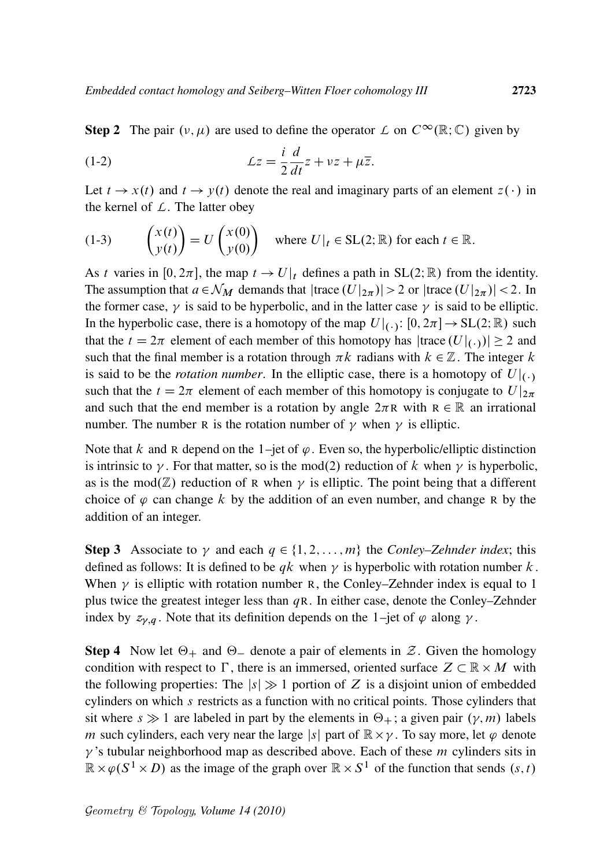**Step 2** The pair  $(v, \mu)$  are used to define the operator  $\mathcal{L}$  on  $C^{\infty}(\mathbb{R}; \mathbb{C})$  given by

(1-2) 
$$
\mathcal{L}z = \frac{i}{2}\frac{d}{dt}z + vz + \mu\overline{z}.
$$

Let  $t \to x(t)$  and  $t \to y(t)$  denote the real and imaginary parts of an element  $z(\cdot)$  in the kernel of *L*. The latter obey

(1-3) 
$$
\begin{pmatrix} x(t) \\ y(t) \end{pmatrix} = U \begin{pmatrix} x(0) \\ y(0) \end{pmatrix} \text{ where } U|_t \in SL(2; \mathbb{R}) \text{ for each } t \in \mathbb{R}.
$$

As t varies in [0,  $2\pi$ ], the map  $t \to U|_t$  defines a path in SL(2; R) from the identity. The assumption that  $a \in \mathcal{N}_M$  demands that  $|trace(U|_{2\pi})| > 2$  or  $|trace(U|_{2\pi})| < 2$ . In the former case,  $\gamma$  is said to be hyperbolic, and in the latter case  $\gamma$  is said to be elliptic. In the hyperbolic case, there is a homotopy of the map  $U|_{(\cdot)}: [0, 2\pi] \to SL(2;\mathbb{R})$  such that the  $t = 2\pi$  element of each member of this homotopy has  $|\text{trace}(U|_{(\cdot)})| \geq 2$  and such that the final member is a rotation through  $\pi k$  radians with  $k \in \mathbb{Z}$ . The integer k is said to be the *rotation number*. In the elliptic case, there is a homotopy of  $U|_{(.)}$ such that the  $t = 2\pi$  element of each member of this homotopy is conjugate to  $U |_{2\pi}$ and such that the end member is a rotation by angle  $2\pi R$  with  $R \in \mathbb{R}$  an irrational number. The number R is the rotation number of  $\gamma$  when  $\gamma$  is elliptic.

Note that k and R depend on the 1–jet of  $\varphi$ . Even so, the hyperbolic/elliptic distinction is intrinsic to  $\gamma$ . For that matter, so is the mod(2) reduction of k when  $\gamma$  is hyperbolic, as is the mod $(\mathbb{Z})$  reduction of R when  $\gamma$  is elliptic. The point being that a different choice of  $\varphi$  can change k by the addition of an even number, and change R by the addition of an integer.

**Step 3** Associate to  $\gamma$  and each  $q \in \{1, 2, ..., m\}$  the *Conley–Zehnder index*; this defined as follows: It is defined to be  $qk$  when  $\gamma$  is hyperbolic with rotation number k. When  $\gamma$  is elliptic with rotation number R, the Conley–Zehnder index is equal to 1 plus twice the greatest integer less than  $qR$ . In either case, denote the Conley–Zehnder index by  $z_{\gamma,q}$ . Note that its definition depends on the 1–jet of  $\varphi$  along  $\gamma$ .

**Step 4** Now let  $\Theta_+$  and  $\Theta_-$  denote a pair of elements in  $\mathcal{Z}$ . Given the homology condition with respect to  $\Gamma$ , there is an immersed, oriented surface  $Z \subset \mathbb{R} \times M$  with the following properties: The  $|s| \gg 1$  portion of Z is a disjoint union of embedded cylinders on which s restricts as a function with no critical points. Those cylinders that sit where  $s \gg 1$  are labeled in part by the elements in  $\Theta_+$ ; a given pair  $(\gamma, m)$  labels m such cylinders, each very near the large |s| part of  $\mathbb{R} \times \gamma$ . To say more, let  $\varphi$  denote  $\gamma$ 's tubular neighborhood map as described above. Each of these *m* cylinders sits in  $\mathbb{R} \times \varphi(S^1 \times D)$  as the image of the graph over  $\mathbb{R} \times S^1$  of the function that sends  $(s, t)$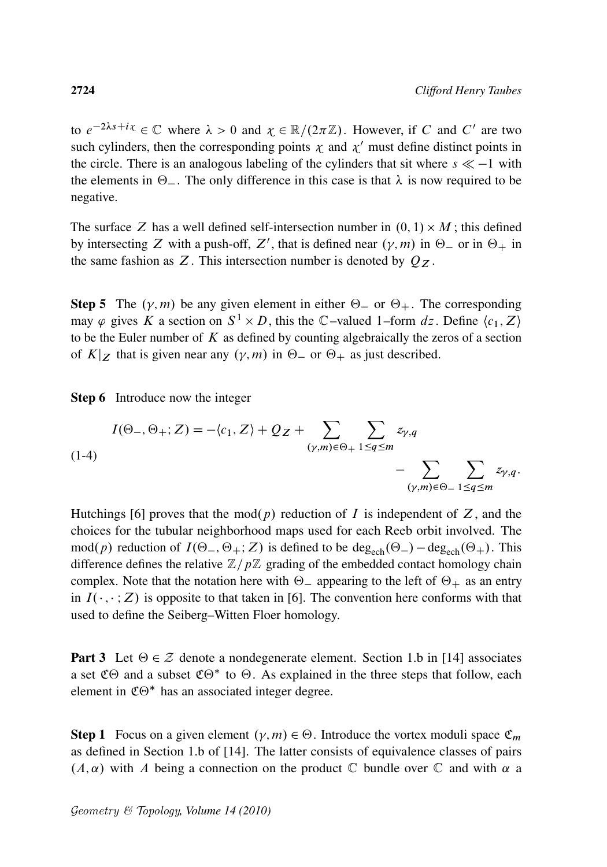to  $e^{-2\lambda s + i\chi} \in \mathbb{C}$  where  $\lambda > 0$  and  $\chi \in \mathbb{R}/(2\pi \mathbb{Z})$ . However, if C and C' are two such cylinders, then the corresponding points  $\chi$  and  $\chi'$  must define distinct points in the circle. There is an analogous labeling of the cylinders that sit where  $s \ll -1$  with the elements in  $\Theta_{-}$ . The only difference in this case is that  $\lambda$  is now required to be negative.

The surface Z has a well defined self-intersection number in  $(0, 1) \times M$ ; this defined by intersecting Z with a push-off, Z', that is defined near  $(\gamma, m)$  in  $\Theta$  or in  $\Theta$  in the same fashion as Z. This intersection number is denoted by  $Q_Z$ .

**Step 5** The  $(\gamma, m)$  be any given element in either  $\Theta$  or  $\Theta$ +. The corresponding may  $\varphi$  gives K a section on  $S^1 \times D$ , this the C-valued 1-form dz. Define  $\langle c_1, Z \rangle$ to be the Euler number of  $K$  as defined by counting algebraically the zeros of a section of  $K|_Z$  that is given near any  $(\gamma, m)$  in  $\Theta_-$  or  $\Theta_+$  as just described.

Step 6 Introduce now the integer

$$
I(\Theta_{-}, \Theta_{+}; Z) = -\langle c_1, Z \rangle + Q_Z + \sum_{(\gamma,m) \in \Theta_{+}} \sum_{1 \le q \le m} z_{\gamma,q}
$$
  

$$
- \sum_{(\gamma,m) \in \Theta_{-}} \sum_{1 \le q \le m} z_{\gamma,q}.
$$

Hutchings [6] proves that the mod(p) reduction of I is independent of Z, and the choices for the tubular neighborhood maps used for each Reeb orbit involved. The mod(p) reduction of  $I(\Theta_-, \Theta_+; Z)$  is defined to be deg<sub>ech</sub> $(\Theta_-)$  - deg<sub>ech</sub> $(\Theta_+)$ . This difference defines the relative  $\mathbb{Z}/p\mathbb{Z}$  grading of the embedded contact homology chain complex. Note that the notation here with  $\Theta$  appearing to the left of  $\Theta$  as an entry in  $I(\cdot, \cdot; Z)$  is opposite to that taken in [6]. The convention here conforms with that used to define the Seiberg–Witten Floer homology.

**Part 3** Let  $\Theta \in \mathcal{Z}$  denote a nondegenerate element. Section 1.b in [14] associates a set  $\mathfrak{C}\Theta$  and a subset  $\mathfrak{C}\Theta^*$  to  $\Theta$ . As explained in the three steps that follow, each element in  $\mathfrak{C}\Theta^*$  has an associated integer degree.

**Step 1** Focus on a given element  $(\gamma, m) \in \Theta$ . Introduce the vortex moduli space  $\mathfrak{C}_m$ as defined in Section 1.b of [14]. The latter consists of equivalence classes of pairs  $(A,\alpha)$  with A being a connection on the product C bundle over C and with  $\alpha$  a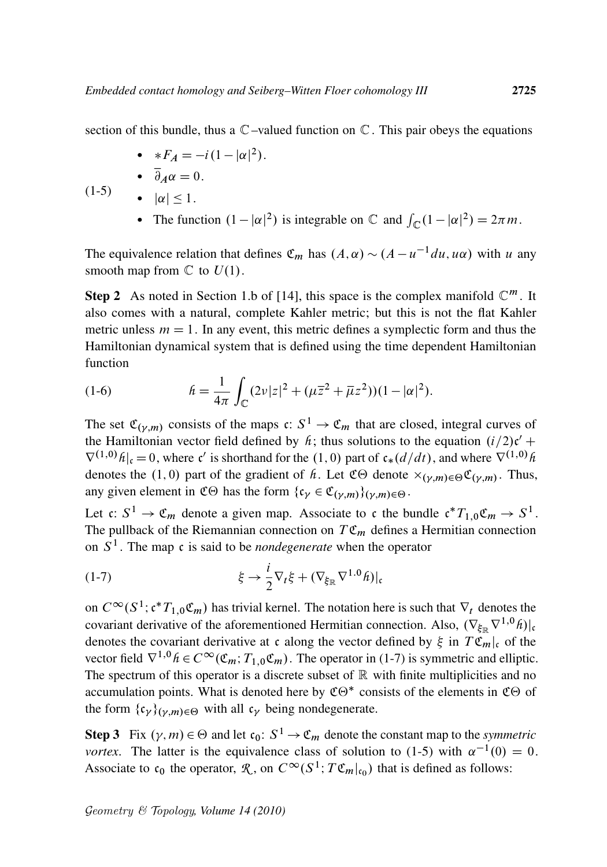section of this bundle, thus a  $\mathbb{C}$  –valued function on  $\mathbb{C}$ . This pair obeys the equations

- $*F_A = -i(1 |\alpha|^2).$
- $\overline{\partial}_A \alpha = 0.$ •  $|\alpha| \leq 1$ .

 $(1-5)$ 

• The function  $(1 - |\alpha|^2)$  is integrable on  $\mathbb C$  and  $\int_{\mathbb C} (1 - |\alpha|^2) = 2\pi m$ .

The equivalence relation that defines  $\mathfrak{C}_m$  has  $(A, \alpha) \sim (A - u^{-1} du, u\alpha)$  with u any smooth map from  $\mathbb C$  to  $U(1)$ .

**Step 2** As noted in Section 1.b of [14], this space is the complex manifold  $\mathbb{C}^m$ . It also comes with a natural, complete Kahler metric; but this is not the flat Kahler metric unless  $m = 1$ . In any event, this metric defines a symplectic form and thus the Hamiltonian dynamical system that is defined using the time dependent Hamiltonian function

(1-6) 
$$
h = \frac{1}{4\pi} \int_{\mathbb{C}} (2\nu |z|^2 + (\mu \overline{z}^2 + \overline{\mu} z^2)) (1 - |\alpha|^2).
$$

The set  $\mathfrak{C}_{(\gamma,m)}$  consists of the maps  $\mathfrak{c}: S^1 \to \mathfrak{C}_m$  that are closed, integral curves of the Hamiltonian vector field defined by  $h$ ; thus solutions to the equation  $(i/2)c'$  +  $\nabla^{(1,0)}\hat{h}|_{c}=0$ , where c' is shorthand for the (1,0) part of  $c_*(d/dt)$ , and where  $\nabla^{(1,0)}\hat{h}$ denotes the (1,0) part of the gradient of  $h$ . Let  $\mathfrak{C}\Theta$  denote  $\times_{(\gamma,m)\in\Theta}\mathfrak{C}_{(\gamma,m)}$ . Thus, any given element in C $\Theta$  has the form  $\{c_{\gamma} \in C(\gamma,m)\}\{(\gamma,m)\in \Theta\}$ .

Let c:  $S^1 \to \mathfrak{C}_m$  denote a given map. Associate to c the bundle  $\mathfrak{c}^* T_{1,0} \mathfrak{C}_m \to S^1$ . The pullback of the Riemannian connection on  $T \mathfrak{C}_m$  defines a Hermitian connection on  $S<sup>1</sup>$ . The map c is said to be *nondegenerate* when the operator

$$
(1-7) \t\t\t \xi \to \frac{i}{2} \nabla_t \xi + (\nabla_{\xi_{\mathbb{R}}} \nabla^{1.0} \hat{h})|_{c}
$$

on  $C^{\infty}(S^1; c^*T_{1,0} \mathfrak{C}_m)$  has trivial kernel. The notation here is such that  $\nabla_t$  denotes the covariant derivative of the aforementioned Hermitian connection. Also,  $(\nabla_{\xi_{\mathbb{R}}} \nabla^{1,0} h)|_{c}$ denotes the covariant derivative at c along the vector defined by  $\xi$  in  $T \mathfrak{C}_m|_c$  of the vector field  $\nabla^{1,0}$   $h \in C^\infty(\mathfrak{C}_m; T_{1,0}\mathfrak{C}_m)$ . The operator in (1-7) is symmetric and elliptic. The spectrum of this operator is a discrete subset of  $\mathbb R$  with finite multiplicities and no accumulation points. What is denoted here by  $\mathfrak{CO}^*$  consists of the elements in  $\mathfrak{CO}$  of the form  $\{c_{\gamma}\}_{(\gamma,m)\in\Theta}$  with all  $c_{\gamma}$  being nondegenerate.

**Step 3** Fix  $(\gamma, m) \in \Theta$  and let  $c_0: S^1 \to \mathfrak{C}_m$  denote the constant map to the *symmetric vortex*. The latter is the equivalence class of solution to (1-5) with  $\alpha^{-1}(0) = 0$ . Associate to  $\mathfrak{c}_0$  the operator,  $\mathcal{R}$ , on  $C^{\infty}(S^1; T\mathfrak{C}_m|_{\mathfrak{c}_0})$  that is defined as follows: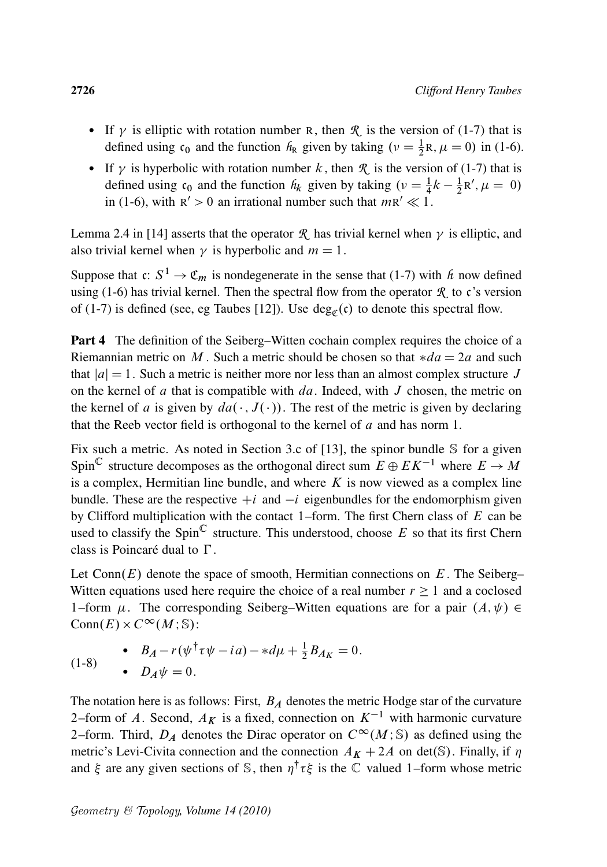- If  $\gamma$  is elliptic with rotation number R, then  $\mathcal R$  is the version of (1-7) that is defined using  $c_0$  and the function  $h_R$  given by taking  $(\nu = \frac{1}{2}R, \mu = 0)$  in (1-6).
- If  $\gamma$  is hyperbolic with rotation number k, then  $\mathcal{R}$  is the version of (1-7) that is defined using  $c_0$  and the function  $h_k$  given by taking  $(v = \frac{1}{4}k - \frac{1}{2})$  $\frac{1}{2}R', \mu = 0$ in (1-6), with  $R' > 0$  an irrational number such that  $mR' \ll 1$ .

Lemma 2.4 in [14] asserts that the operator  $\mathcal{R}$  has trivial kernel when  $\gamma$  is elliptic, and also trivial kernel when  $\gamma$  is hyperbolic and  $m = 1$ .

Suppose that  $c: S^1 \to \mathfrak{C}_m$  is nondegenerate in the sense that (1-7) with *h* now defined using (1-6) has trivial kernel. Then the spectral flow from the operator  $\mathcal{R}$  to c's version of (1-7) is defined (see, eg Taubes [12]). Use  $deg_{\mathfrak{C}}(\mathfrak{c})$  to denote this spectral flow.

Part 4 The definition of the Seiberg–Witten cochain complex requires the choice of a Riemannian metric on M. Such a metric should be chosen so that  $*da = 2a$  and such that  $|a| = 1$ . Such a metric is neither more nor less than an almost complex structure J on the kernel of  $a$  that is compatible with  $da$ . Indeed, with  $J$  chosen, the metric on the kernel of a is given by  $da(\cdot, J(\cdot))$ . The rest of the metric is given by declaring that the Reeb vector field is orthogonal to the kernel of  $a$  and has norm 1.

Fix such a metric. As noted in Section 3.c of [13], the spinor bundle  $S$  for a given Spin<sup>C</sup> structure decomposes as the orthogonal direct sum  $E \oplus E K^{-1}$  where  $E \to M$ is a complex, Hermitian line bundle, and where  $K$  is now viewed as a complex line bundle. These are the respective  $+i$  and  $-i$  eigenbundles for the endomorphism given by Clifford multiplication with the contact 1–form. The first Chern class of  $E$  can be used to classify the Spin<sup>C</sup> structure. This understood, choose E so that its first Chern class is Poincaré dual to  $\Gamma$ .

Let  $Conn(E)$  denote the space of smooth, Hermitian connections on E. The Seiberg– Witten equations used here require the choice of a real number  $r \ge 1$  and a coclosed 1–form  $\mu$ . The corresponding Seiberg–Witten equations are for a pair  $(A, \psi) \in$ Conn $(E) \times C^{\infty}(M; \mathbb{S})$ :

(1-8)   
**6** 
$$
B_A - r(\psi^{\dagger} \tau \psi - ia) - *d\mu + \frac{1}{2}B_{A_K} = 0.
$$
  
**7 a**  $D_A \psi = 0.$ 

The notation here is as follows: First,  $B_A$  denotes the metric Hodge star of the curvature 2–form of A. Second,  $A_K$  is a fixed, connection on  $K^{-1}$  with harmonic curvature 2–form. Third,  $D_A$  denotes the Dirac operator on  $C^{\infty}(M;S)$  as defined using the metric's Levi-Civita connection and the connection  $A_K + 2A$  on det(S). Finally, if  $\eta$ and  $\xi$  are any given sections of S, then  $\eta^{\dagger} \tau \xi$  is the C valued 1–form whose metric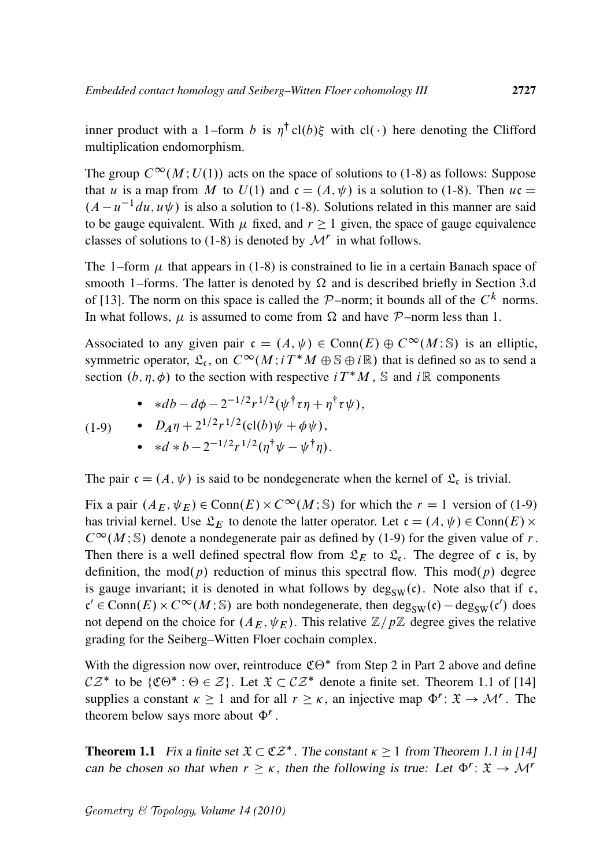inner product with a 1–form b is  $\eta^{\dagger}$  cl(b) $\xi$  with cl(·) here denoting the Clifford multiplication endomorphism.

The group  $C^{\infty}(M; U(1))$  acts on the space of solutions to (1-8) as follows: Suppose that u is a map from M to  $U(1)$  and  $c = (A, \psi)$  is a solution to (1-8). Then  $uc =$  $(A - u^{-1}du, u\psi)$  is also a solution to (1-8). Solutions related in this manner are said to be gauge equivalent. With  $\mu$  fixed, and  $r \ge 1$  given, the space of gauge equivalence classes of solutions to (1-8) is denoted by  $\mathcal{M}^r$  in what follows.

The 1–form  $\mu$  that appears in (1-8) is constrained to lie in a certain Banach space of smooth 1–forms. The latter is denoted by  $\Omega$  and is described briefly in Section 3.d of [13]. The norm on this space is called the  $P$ -norm; it bounds all of the  $C<sup>k</sup>$  norms. In what follows,  $\mu$  is assumed to come from  $\Omega$  and have P–norm less than 1.

Associated to any given pair  $\mathfrak{c} = (A, \psi) \in \text{Conn}(E) \oplus C^{\infty}(M; \mathbb{S})$  is an elliptic, symmetric operator,  $\mathfrak{L}_{c}$ , on  $C^{\infty}(M; i T^*M \oplus \mathbb{S} \oplus i\mathbb{R})$  that is defined so as to send a section  $(b, \eta, \phi)$  to the section with respective  $i T^* M$ , S and  $i \mathbb{R}$  components

• 
$$
\ast db - d\phi - 2^{-1/2}r^{1/2}(\psi^{\dagger}\tau\eta + \eta^{\dagger}\tau\psi),
$$

(1-9) • 
$$
D_A \eta + 2^{1/2} r^{1/2} (\text{cl}(b) \psi + \phi \psi),
$$

• 
$$
*d * b - 2^{-1/2}r^{1/2}(\eta^{\dagger}\psi - \psi^{\dagger}\eta).
$$

The pair  $\mathfrak{c} = (A, \psi)$  is said to be nondegenerate when the kernel of  $\mathfrak{L}_{\mathfrak{c}}$  is trivial.

Fix a pair  $(A_E, \psi_E) \in \text{Conn}(E) \times C^{\infty}(M; \mathbb{S})$  for which the  $r = 1$  version of (1-9) has trivial kernel. Use  $\mathfrak{L}_E$  to denote the latter operator. Let  $\mathfrak{c} = (A, \psi) \in \text{Conn}(E) \times$  $C^{\infty}(M; \mathbb{S})$  denote a nondegenerate pair as defined by (1-9) for the given value of r. Then there is a well defined spectral flow from  $\mathcal{L}_E$  to  $\mathcal{L}_c$ . The degree of c is, by definition, the mod(p) reduction of minus this spectral flow. This mod(p) degree is gauge invariant; it is denoted in what follows by  $deg_{SW}(c)$ . Note also that if c,  $c' \in \text{Conn}(E) \times C^{\infty}(M; \mathbb{S})$  are both nondegenerate, then  $\deg_{SW}(c) - \deg_{SW}(c')$  does not depend on the choice for  $(A_E, \psi_E)$ . This relative  $\mathbb{Z}/p\mathbb{Z}$  degree gives the relative grading for the Seiberg–Witten Floer cochain complex.

With the digression now over, reintroduce  $\mathfrak{CO}^*$  from Step 2 in Part 2 above and define  $CZ^*$  to be  $\{C\Theta^*: \Theta \in \mathcal{Z}\}\$ . Let  $\mathfrak{X} \subset CZ^*$  denote a finite set. Theorem 1.1 of [14] supplies a constant  $\kappa \ge 1$  and for all  $r \ge \kappa$ , an injective map  $\Phi^r : \mathfrak{X} \to \mathcal{M}^r$ . The theorem below says more about  $\Phi^r$ .

**Theorem 1.1** Fix a finite set  $\mathfrak{X} \subset \mathfrak{CZ}^*$ . The constant  $\kappa \geq 1$  from Theorem 1.1 in [14] can be chosen so that when  $r \geq \kappa$ , then the following is true: Let  $\Phi^r : \mathfrak{X} \to \mathcal{M}^r$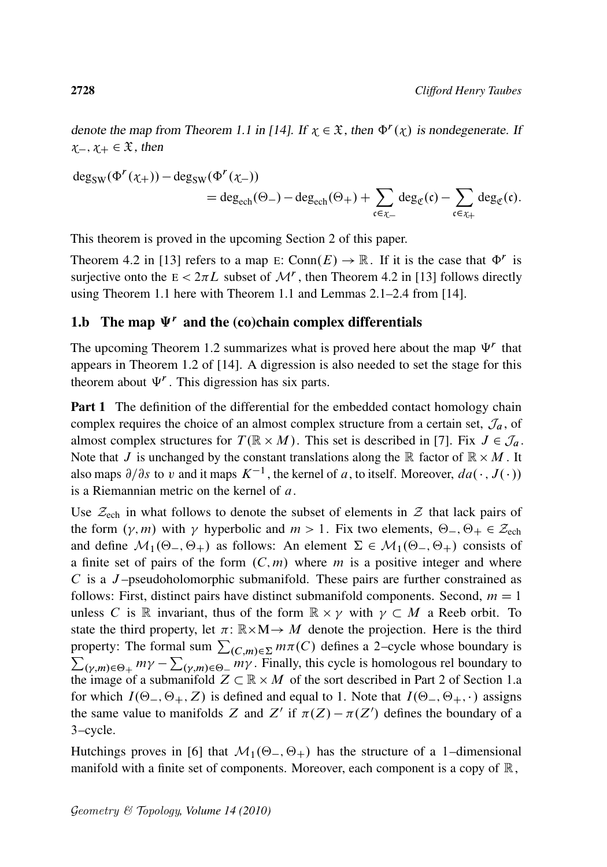denote the map from Theorem 1.1 in [14]. If  $x \in \mathfrak{X}$ , then  $\Phi^r(x)$  is nondegenerate. If  $x_-, x_+ \in \mathfrak{X}$ , then

$$
\begin{aligned} \text{deg}_{\text{SW}}(\Phi^r(\chi_+)) - \text{deg}_{\text{SW}}(\Phi^r(\chi_-)) \\ = \text{deg}_{\text{ech}}(\Theta_-) - \text{deg}_{\text{ech}}(\Theta_+) + \sum_{\mathfrak{c} \in \chi_-} \text{deg}_{\mathfrak{C}}(\mathfrak{c}) - \sum_{\mathfrak{c} \in \chi_+} \text{deg}_{\mathfrak{C}}(\mathfrak{c}). \end{aligned}
$$

This theorem is proved in the upcoming Section 2 of this paper.

Theorem 4.2 in [13] refers to a map E: Conn $(E) \rightarrow \mathbb{R}$ . If it is the case that  $\Phi^r$  is surjective onto the  $E < 2\pi L$  subset of  $\mathcal{M}^r$ , then Theorem 4.2 in [13] follows directly using Theorem 1.1 here with Theorem 1.1 and Lemmas 2.1–2.4 from [14].

#### 1.b The map  $\Psi^r$  and the (co)chain complex differentials

The upcoming Theorem 1.2 summarizes what is proved here about the map  $\Psi^r$  that appears in Theorem 1.2 of [14]. A digression is also needed to set the stage for this theorem about  $\Psi^r$ . This digression has six parts.

**Part 1** The definition of the differential for the embedded contact homology chain complex requires the choice of an almost complex structure from a certain set,  $\mathcal{J}_a$ , of almost complex structures for  $T(\mathbb{R} \times M)$ . This set is described in [7]. Fix  $J \in \mathcal{J}_a$ . Note that J is unchanged by the constant translations along the  $\mathbb R$  factor of  $\mathbb R \times M$ . It also maps  $\partial/\partial s$  to v and it maps  $K^{-1}$ , the kernel of a, to itself. Moreover,  $da(\cdot, J(\cdot))$ is a Riemannian metric on the kernel of  $a$ .

Use  $\mathcal{Z}_{ech}$  in what follows to denote the subset of elements in  $\mathcal Z$  that lack pairs of the form  $(\gamma, m)$  with  $\gamma$  hyperbolic and  $m > 1$ . Fix two elements,  $\Theta_-, \Theta_+ \in \mathcal{Z}_{\text{ech}}$ and define  $\mathcal{M}_1(\Theta_-, \Theta_+)$  as follows: An element  $\Sigma \in \mathcal{M}_1(\Theta_-, \Theta_+)$  consists of a finite set of pairs of the form  $(C, m)$  where m is a positive integer and where C is a J –pseudoholomorphic submanifold. These pairs are further constrained as follows: First, distinct pairs have distinct submanifold components. Second,  $m = 1$ unless C is R invariant, thus of the form  $\mathbb{R} \times \gamma$  with  $\gamma \subset M$  a Reeb orbit. To state the third property, let  $\pi: \mathbb{R} \times M \rightarrow M$  denote the projection. Here is the third property: The formal sum  $\sum_{(C,m)\in\Sigma} m\pi(C)$  defines a 2–cycle whose boundary is  $\sum_{(\gamma,m)\in\Theta_+} m\gamma - \sum_{(\gamma,m)\in\Theta_-} m\gamma$ . Finally, this cycle is homologous rel boundary to the image of a submanifold  $Z \subset \mathbb{R} \times M$  of the sort described in Part 2 of Section 1.a for which  $I(\Theta_-, \Theta_+, Z)$  is defined and equal to 1. Note that  $I(\Theta_-, \Theta_+, \cdot)$  assigns the same value to manifolds Z and Z' if  $\pi(Z) - \pi(Z')$  defines the boundary of a 3–cycle.

Hutchings proves in [6] that  $\mathcal{M}_1(\Theta_-, \Theta_+)$  has the structure of a 1–dimensional manifold with a finite set of components. Moreover, each component is a copy of  $\mathbb{R}$ ,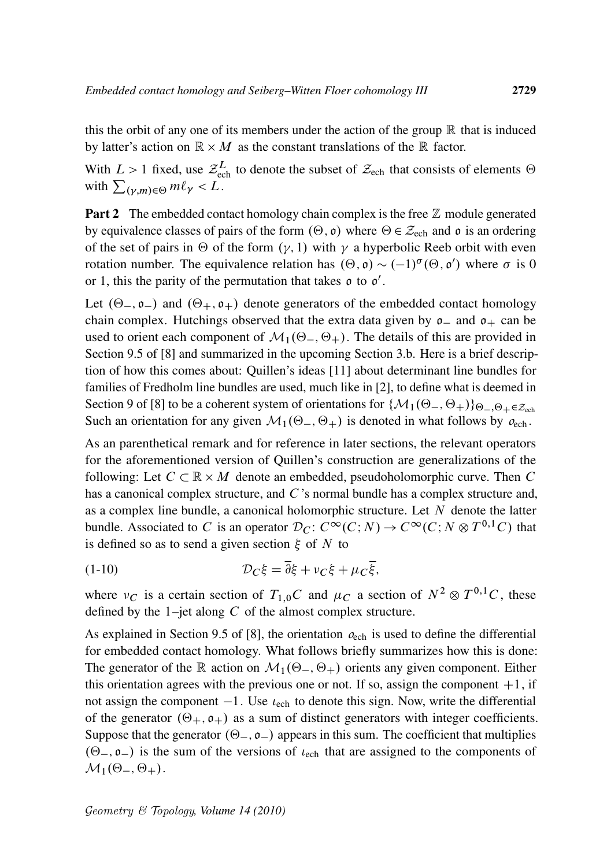this the orbit of any one of its members under the action of the group  $\mathbb R$  that is induced by latter's action on  $\mathbb{R} \times M$  as the constant translations of the  $\mathbb R$  factor.

With  $L > 1$  fixed, use  $\mathcal{Z}_{ech}^L$  to denote the subset of  $\mathcal{Z}_{ech}$  that consists of elements  $\Theta$ with  $\sum_{(\gamma,m)\in\Theta} m\ell_{\gamma} < L$ .

**Part 2** The embedded contact homology chain complex is the free  $\mathbb{Z}$  module generated by equivalence classes of pairs of the form  $(\Theta, \mathfrak{o})$  where  $\Theta \in \mathcal{Z}_{ech}$  and  $\mathfrak{o}$  is an ordering of the set of pairs in  $\Theta$  of the form  $(\gamma, 1)$  with  $\gamma$  a hyperbolic Reeb orbit with even rotation number. The equivalence relation has  $(\Theta, \mathfrak{o}) \sim (-1)^{\sigma}(\Theta, \mathfrak{o}')$  where  $\sigma$  is 0 or 1, this the parity of the permutation that takes  $\rho$  to  $\rho'$ .

Let  $(\Theta_-, \mathfrak{o}_-)$  and  $(\Theta_+, \mathfrak{o}_+)$  denote generators of the embedded contact homology chain complex. Hutchings observed that the extra data given by  $o_-\$  and  $o_+\$  can be used to orient each component of  $\mathcal{M}_1(\Theta_-, \Theta_+)$ . The details of this are provided in Section 9.5 of [8] and summarized in the upcoming Section 3.b. Here is a brief description of how this comes about: Quillen's ideas [11] about determinant line bundles for families of Fredholm line bundles are used, much like in [2], to define what is deemed in Section 9 of [8] to be a coherent system of orientations for  $\{M_1(\Theta_-, \Theta_+)\}_{\Theta_-, \Theta_+\in \mathcal{Z}_{\text{ech}}}$ Such an orientation for any given  $\mathcal{M}_1(\Theta_-, \Theta_+)$  is denoted in what follows by  $o_{\text{ech}}$ .

As an parenthetical remark and for reference in later sections, the relevant operators for the aforementioned version of Quillen's construction are generalizations of the following: Let  $C \subset \mathbb{R} \times M$  denote an embedded, pseudoholomorphic curve. Then C has a canonical complex structure, and C's normal bundle has a complex structure and, as a complex line bundle, a canonical holomorphic structure. Let  $N$  denote the latter bundle. Associated to C is an operator  $\mathcal{D}_C$ :  $C^{\infty}(C;N) \to C^{\infty}(C;N \otimes T^{0,1}C)$  that is defined so as to send a given section  $\xi$  of N to

(1-10) 
$$
\mathcal{D}_C \xi = \overline{\partial} \xi + v_C \xi + \mu_C \overline{\xi},
$$

where  $\nu_C$  is a certain section of  $T_{1,0}C$  and  $\mu_C$  a section of  $N^2 \otimes T^{0,1}C$ , these defined by the  $1$ –jet along  $C$  of the almost complex structure.

As explained in Section 9.5 of [8], the orientation  $o_{\text{ech}}$  is used to define the differential for embedded contact homology. What follows briefly summarizes how this is done: The generator of the R action on  $\mathcal{M}_1(\Theta_-, \Theta_+)$  orients any given component. Either this orientation agrees with the previous one or not. If so, assign the component  $+1$ , if not assign the component  $-1$ . Use  $\iota_{\text{ech}}$  to denote this sign. Now, write the differential of the generator  $(\Theta_+, \mathfrak{o}_+)$  as a sum of distinct generators with integer coefficients. Suppose that the generator  $(\Theta_-, \mathfrak{o}_-)$  appears in this sum. The coefficient that multiplies  $(\Theta_-, \mathfrak{o}_-)$  is the sum of the versions of  $\iota_{\text{ech}}$  that are assigned to the components of  $\mathcal{M}_1(\Theta_-, \Theta_+).$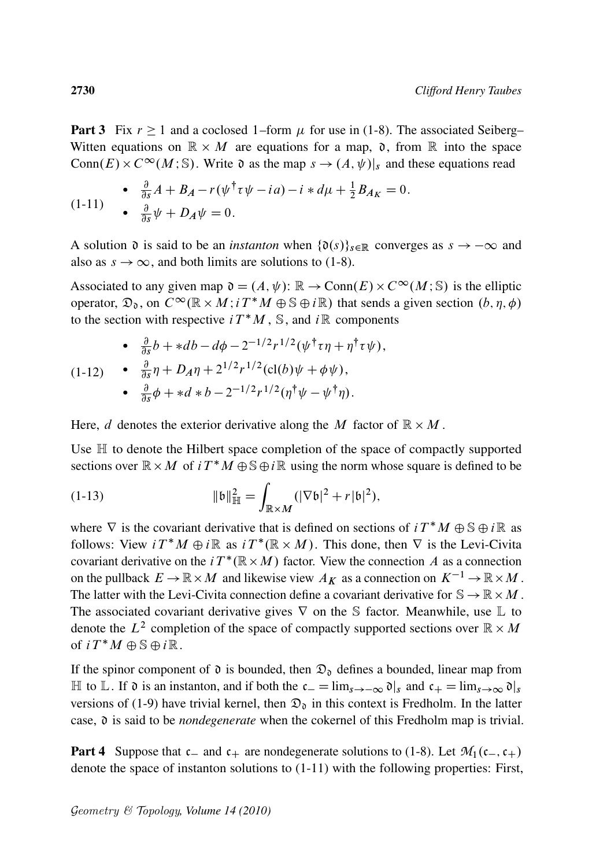**Part 3** Fix  $r \ge 1$  and a coclosed 1–form  $\mu$  for use in (1-8). The associated Seiberg– Witten equations on  $\mathbb{R} \times M$  are equations for a map,  $\mathfrak{d}$ , from  $\mathbb R$  into the space Conn $(E) \times C^{\infty}(M; S)$ . Write  $\mathfrak d$  as the map  $s \to (A, \psi)|_s$  and these equations read

$$
\begin{array}{ll}\n\bullet & \frac{\partial}{\partial s}A + B_A - r(\psi^\dagger \tau \psi - ia) - i \ast d\mu + \frac{1}{2}B_{A_K} = 0. \\
\bullet & \frac{\partial}{\partial s} \psi + D_A \psi = 0.\n\end{array}
$$

A solution  $\mathfrak d$  is said to be an *instanton* when  $\{\mathfrak d(s)\}_{s\in\mathbb R}$  converges as  $s \to -\infty$  and also as  $s \to \infty$ , and both limits are solutions to (1-8).

Associated to any given map  $\mathfrak{d} = (A, \psi) : \mathbb{R} \to \text{Conn}(E) \times C^{\infty}(M; \mathbb{S})$  is the elliptic operator,  $\mathfrak{D}_0$ , on  $C^{\infty}(\mathbb{R} \times M; i T^*M \oplus \mathbb{S} \oplus i\mathbb{R})$  that sends a given section  $(b, \eta, \phi)$ to the section with respective  $i T^* M$ , S, and  $i \mathbb{R}$  components

$$
\begin{array}{lll}\n\bullet & \frac{\partial}{\partial s}b + *db - d\phi - 2^{-1/2}r^{1/2}(\psi^{\dagger}\tau\eta + \eta^{\dagger}\tau\psi), \\
(1\text{-}12) & \bullet & \frac{\partial}{\partial s}\eta + D_A\eta + 2^{1/2}r^{1/2}(\text{cl}(b)\psi + \phi\psi), \\
\bullet & \frac{\partial}{\partial s}\phi + *d * b - 2^{-1/2}r^{1/2}(\eta^{\dagger}\psi - \psi^{\dagger}\eta).\n\end{array}
$$

Here, d denotes the exterior derivative along the M factor of  $\mathbb{R} \times M$ .

Use  $\mathbb H$  to denote the Hilbert space completion of the space of compactly supported sections over  $\mathbb{R} \times M$  of  $i T^* M \oplus \mathbb{S} \oplus i \mathbb{R}$  using the norm whose square is defined to be

(1-13) 
$$
\|b\|_{\mathbb{H}}^2 = \int_{\mathbb{R}^{\times}M} (|\nabla b|^2 + r|b|^2),
$$

where  $\nabla$  is the covariant derivative that is defined on sections of  $i T^* M \oplus \mathbb{S} \oplus i\mathbb{R}$  as follows: View  $i T^* M \oplus i \mathbb{R}$  as  $i T^* (\mathbb{R} \times M)$ . This done, then  $\nabla$  is the Levi-Civita covariant derivative on the  $i T^*(\mathbb{R} \times M)$  factor. View the connection A as a connection on the pullback  $E \to \mathbb{R} \times M$  and likewise view  $A_K$  as a connection on  $K^{-1} \to \mathbb{R} \times M$ . The latter with the Levi-Civita connection define a covariant derivative for  $\mathbb{S} \to \mathbb{R} \times M$ . The associated covariant derivative gives  $\nabla$  on the S factor. Meanwhile, use  $\mathbb L$  to denote the  $L^2$  completion of the space of compactly supported sections over  $\mathbb{R} \times M$ of  $i T^* M \oplus \mathbb{S} \oplus i \mathbb{R}$ .

If the spinor component of  $\mathfrak d$  is bounded, then  $\mathfrak D_{\mathfrak d}$  defines a bounded, linear map from  $\mathbb H$  to  $\mathbb L$ . If  $\mathfrak d$  is an instanton, and if both the  $c_- = \lim_{s \to -\infty} \mathfrak d|_s$  and  $c_+ = \lim_{s \to \infty} \mathfrak d|_s$ versions of (1-9) have trivial kernel, then  $\mathcal{D}_0$  in this context is Fredholm. In the latter case, d is said to be *nondegenerate* when the cokernel of this Fredholm map is trivial.

**Part 4** Suppose that  $c_{-}$  and  $c_{+}$  are nondegenerate solutions to (1-8). Let  $\mathcal{M}_1(c_{-},c_{+})$ denote the space of instanton solutions to (1-11) with the following properties: First,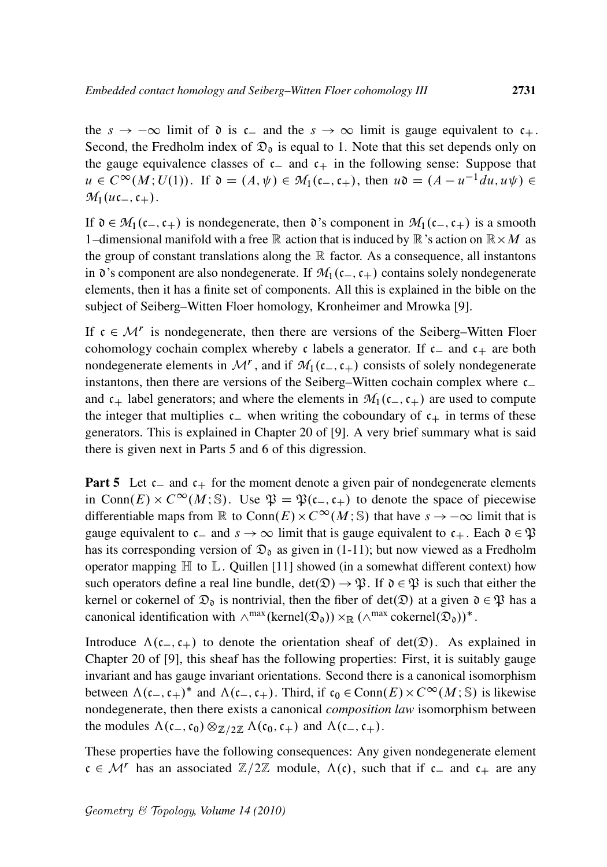the  $s \to -\infty$  limit of  $\mathfrak d$  is  $\mathfrak c$  and the  $s \to \infty$  limit is gauge equivalent to  $\mathfrak c_+$ . Second, the Fredholm index of  $\mathfrak{D}_0$  is equal to 1. Note that this set depends only on the gauge equivalence classes of  $c_$  and  $c_+$  in the following sense: Suppose that  $u \in C^{\infty}(M; U(1))$ . If  $\mathfrak{d} = (A, \psi) \in M_1(\mathfrak{c}_-, \mathfrak{c}_+)$ , then  $u\mathfrak{d} = (A - u^{-1} du, u\psi) \in$  $M_1(u\mathfrak{c}_-, \mathfrak{c}_+).$ 

If  $\mathfrak{d} \in \mathcal{M}_1(\mathfrak{c}_-,\mathfrak{c}_+)$  is nondegenerate, then  $\mathfrak{d}$ 's component in  $\mathcal{M}_1(\mathfrak{c}_-,\mathfrak{c}_+)$  is a smooth 1-dimensional manifold with a free  $\mathbb R$  action that is induced by  $\mathbb R$  's action on  $\mathbb R \times M$  as the group of constant translations along the  $\mathbb R$  factor. As a consequence, all instantons in  $\mathfrak d$ 's component are also nondegenerate. If  $\mathcal M_1(c_-,c_+)$  contains solely nondegenerate elements, then it has a finite set of components. All this is explained in the bible on the subject of Seiberg–Witten Floer homology, Kronheimer and Mrowka [9].

If  $c \in \mathcal{M}^r$  is nondegenerate, then there are versions of the Seiberg–Witten Floer cohomology cochain complex whereby c labels a generator. If  $c_{-}$  and  $c_{+}$  are both nondegenerate elements in  $\mathcal{M}^r$ , and if  $\mathcal{M}_1(c_-,c_+)$  consists of solely nondegenerate instantons, then there are versions of the Seiberg–Witten cochain complex where  $c_{-}$ and  $c_{+}$  label generators; and where the elements in  $M_1(c_{-}, c_{+})$  are used to compute the integer that multiplies  $c_$  when writing the coboundary of  $c_+$  in terms of these generators. This is explained in Chapter 20 of [9]. A very brief summary what is said there is given next in Parts 5 and 6 of this digression.

**Part 5** Let  $c_{-}$  and  $c_{+}$  for the moment denote a given pair of nondegenerate elements in Conn(E)  $\times$  C<sup> $\infty$ </sup>(M; S). Use  $\mathfrak{P} = \mathfrak{P}(\mathfrak{c}_-,\mathfrak{c}_+)$  to denote the space of piecewise differentiable maps from  $\mathbb R$  to  $\text{Conn}(E) \times C^{\infty}(M; \mathbb S)$  that have  $s \to -\infty$  limit that is gauge equivalent to  $c_{-}$  and  $s \rightarrow \infty$  limit that is gauge equivalent to  $c_{+}$ . Each  $\mathfrak{d} \in \mathfrak{P}$ has its corresponding version of  $\mathfrak{D}_0$  as given in (1-11); but now viewed as a Fredholm operator mapping  $\mathbb H$  to  $\mathbb L$ . Quillen [11] showed (in a somewhat different context) how such operators define a real line bundle,  $det(\mathfrak{D}) \rightarrow \mathfrak{P}$ . If  $\mathfrak{d} \in \mathfrak{P}$  is such that either the kernel or cokernel of  $\mathfrak{D}_0$  is nontrivial, then the fiber of det( $\mathfrak{D}$ ) at a given  $\mathfrak{d} \in \mathfrak{P}$  has a canonical identification with  $\wedge^{max}(\text{kernel}(\mathfrak{D}_\mathfrak{d})) \times_{\mathbb{R}} (\wedge^{max} \text{cokernel}(\mathfrak{D}_\mathfrak{d}))^*$ .

Introduce  $\Lambda(c_-,c_+)$  to denote the orientation sheaf of det $(\mathfrak{D})$ . As explained in Chapter 20 of [9], this sheaf has the following properties: First, it is suitably gauge invariant and has gauge invariant orientations. Second there is a canonical isomorphism between  $\Lambda(c_-, c_+)^*$  and  $\Lambda(c_-, c_+)$ . Third, if  $c_0 \in \text{Conn}(E) \times C^\infty(M; \mathbb{S})$  is likewise nondegenerate, then there exists a canonical *composition law* isomorphism between the modules  $\Lambda(c_-,c_0)\otimes_{\mathbb{Z}/2\mathbb{Z}} \Lambda(c_0,c_+)$  and  $\Lambda(c_-,c_+).$ 

These properties have the following consequences: Any given nondegenerate element  $c \in \mathcal{M}^r$  has an associated  $\mathbb{Z}/2\mathbb{Z}$  module,  $\Lambda(c)$ , such that if  $c_{-}$  and  $c_{+}$  are any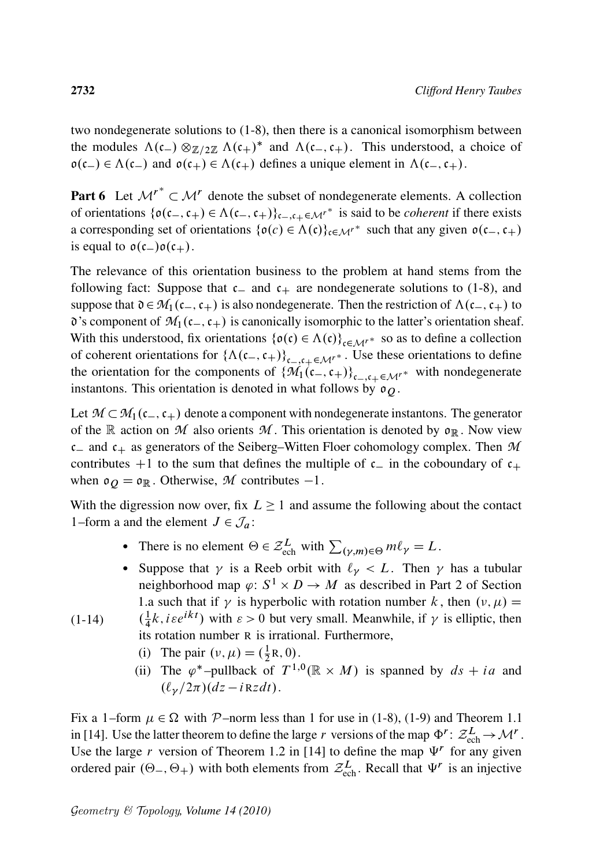two nondegenerate solutions to (1-8), then there is a canonical isomorphism between the modules  $\Lambda(c_-) \otimes_{\mathbb{Z}/2\mathbb{Z}} \Lambda(c_+)^*$  and  $\Lambda(c_-, c_+)$ . This understood, a choice of  $o(c_{-}) \in \Lambda(c_{-})$  and  $o(c_{+}) \in \Lambda(c_{+})$  defines a unique element in  $\Lambda(c_{-}, c_{+})$ .

**Part 6** Let  $\mathcal{M}^r \subset \mathcal{M}^r$  denote the subset of nondegenerate elements. A collection of orientations  $\{o(c_-, c_+) \in \Lambda(c_-, c_+) \}_{c_-, c_+ \in \mathcal{M}^r}$  is said to be *coherent* if there exists a corresponding set of orientations  $\{\mathfrak{o}(c) \in \Lambda(c)\}_{c \in \mathcal{M}^r}$  such that any given  $\mathfrak{o}(c_-, c_+)$ is equal to  $o(c_-)o(c_+)$ .

The relevance of this orientation business to the problem at hand stems from the following fact: Suppose that  $c_{-}$  and  $c_{+}$  are nondegenerate solutions to (1-8), and suppose that  $\mathfrak{d}\in\mathcal{M}_1(c_-,c_+)$  is also nondegenerate. Then the restriction of  $\Lambda(c_-,c_+)$  to  $\delta$ 's component of  $\mathcal{M}_1(c_-,c_+)$  is canonically isomorphic to the latter's orientation sheaf. With this understood, fix orientations  $\{\mathfrak{o}(c) \in \Lambda(c)\}_{c \in \mathcal{M}^{r^*}}$  so as to define a collection of coherent orientations for  $\{\Lambda(c_-, c_+)\}_{c_-,c_+\in\mathcal{M}'}^*$ . Use these orientations to define the orientation for the components of  $\{\mathcal{M}_1(\mathfrak{c}_-,\mathfrak{c}_+)\}_{\mathfrak{c}_-,\mathfrak{c}_+\in\mathcal{M}^r}$  with nondegenerate instantons. This orientation is denoted in what follows by  $\mathfrak{o}_0$ .

Let  $\mathcal{M} \subset \mathcal{M}_1(c_-,c_+)$  denote a component with nondegenerate instantons. The generator of the R action on  $M$  also orients  $M$ . This orientation is denoted by  $\mathfrak{o}_R$ . Now view  $c_{-}$  and  $c_{+}$  as generators of the Seiberg–Witten Floer cohomology complex. Then  $M$ contributes  $+1$  to the sum that defines the multiple of  $c_{-}$  in the coboundary of  $c_{+}$ when  $\mathfrak{o}_Q = \mathfrak{o}_\mathbb{R}$ . Otherwise, *M* contributes  $-1$ .

With the digression now over, fix  $L \geq 1$  and assume the following about the contact 1–form a and the element  $J \in \mathcal{J}_a$ :

- There is no element  $\Theta \in \mathcal{Z}_{\text{ech}}^L$  with  $\sum_{(\gamma,m)\in\Theta} m\ell_{\gamma} = L$ .
- Suppose that  $\gamma$  is a Reeb orbit with  $\ell_{\gamma} < L$ . Then  $\gamma$  has a tubular neighborhood map  $\varphi: S^1 \times D \to M$  as described in Part 2 of Section 1.a such that if  $\gamma$  is hyperbolic with rotation number k, then  $(v, \mu)$  =

 $(1-14)$  $\left(\frac{1}{4}\right)$  $\frac{1}{4}k$ , *i*  $\epsilon e^{ikt}$ ) with  $\epsilon > 0$  but very small. Meanwhile, if  $\gamma$  is elliptic, then its rotation number R is irrational. Furthermore,

- (i) The pair  $(v, \mu) = (\frac{1}{2})$  $\frac{1}{2}R, 0).$
- (ii) The  $\varphi^*$ -pullback of  $T^{1,0}(\mathbb{R} \times M)$  is spanned by  $ds + ia$  and  $(\ell_{\nu}/2\pi)(dz - iRzdt)$ .

Fix a 1–form  $\mu \in \Omega$  with P–norm less than 1 for use in (1-8), (1-9) and Theorem 1.1 in [14]. Use the latter theorem to define the large r versions of the map  $\Phi^r: \mathcal{Z}_{ech}^L \to \mathcal{M}^r$ . Use the large r version of Theorem 1.2 in [14] to define the map  $\Psi^r$  for any given ordered pair  $(\Theta_-, \Theta_+)$  with both elements from  $\mathcal{Z}_{ech}^L$ . Recall that  $\Psi^r$  is an injective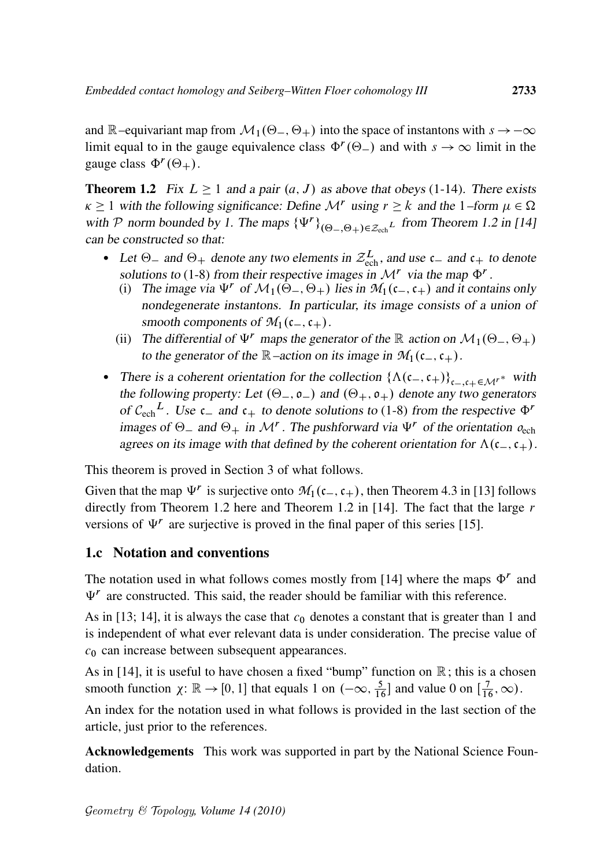and R–equivariant map from  $\mathcal{M}_1(\Theta_-, \Theta_+)$  into the space of instantons with  $s \to -\infty$ limit equal to in the gauge equivalence class  $\Phi^r(\Theta_-)$  and with  $s \to \infty$  limit in the gauge class  $\Phi^r(\Theta_+).$ 

**Theorem 1.2** Fix  $L \ge 1$  and a pair  $(a, J)$  as above that obeys (1-14). There exists  $\kappa \geq 1$  with the following significance: Define  $\mathcal{M}^r$  using  $r \geq k$  and the 1–form  $\mu \in \Omega$ with P norm bounded by 1. The maps  $\{\Psi^r\}_{(\Theta_-, \Theta_+) \in \mathcal{Z}_{\text{ech}}^L}$  from Theorem 1.2 in [14] can be constructed so that:

- Let  $\Theta_-$  and  $\Theta_+$  denote any two elements in  $\mathcal{Z}_{ech}^L$ , and use  $c_-$  and  $c_+$  to denote solutions to (1-8) from their respective images in  $\mathcal{M}^r$  via the map  $\Phi^r$ .
	- (i) The image via  $\Psi^r$  of  $\mathcal{M}_1(\Theta_-, \Theta_+)$  lies in  $\mathcal{M}_1(c_-,c_+)$  and it contains only nondegenerate instantons. In particular, its image consists of a union of smooth components of  $\mathcal{M}_1(c_-,c_+).$
	- (ii) The differential of  $\Psi^r$  maps the generator of the R action on  $\mathcal{M}_1(\Theta_-, \Theta_+)$ to the generator of the  $\mathbb{R}$ –action on its image in  $\mathcal{M}_1(c_-,c_+).$
- There is a coherent orientation for the collection  $\{\Lambda(c_-, c_+)\}_{c_-,c_+\in\mathcal{M}^*}$  with the following property: Let  $(\Theta_-, \mathfrak{o}_-)$  and  $(\Theta_+, \mathfrak{o}_+)$  denote any two generators of  $C_{\text{ech}}^L$ . Use  $c_{-}$  and  $c_{+}$  to denote solutions to (1-8) from the respective  $\Phi^r$ images of  $\Theta$ <sub>-</sub> and  $\Theta$ <sub>+</sub> in M<sup>r</sup>. The pushforward via  $\Psi$ <sup>r</sup> of the orientation  $o_{ech}$ agrees on its image with that defined by the coherent orientation for  $\Lambda(c_-,c_+).$

This theorem is proved in Section 3 of what follows.

Given that the map  $\Psi^r$  is surjective onto  $M_1(c_-,c_+)$ , then Theorem 4.3 in [13] follows directly from Theorem 1.2 here and Theorem 1.2 in [14]. The fact that the large  $r$ versions of  $\Psi^r$  are surjective is proved in the final paper of this series [15].

#### 1.c Notation and conventions

The notation used in what follows comes mostly from [14] where the maps  $\Phi^r$  and  $\Psi$ <sup>r</sup> are constructed. This said, the reader should be familiar with this reference.

As in [13; 14], it is always the case that  $c_0$  denotes a constant that is greater than 1 and is independent of what ever relevant data is under consideration. The precise value of  $c_0$  can increase between subsequent appearances.

As in [14], it is useful to have chosen a fixed "bump" function on  $\mathbb{R}$ ; this is a chosen smooth function  $\chi: \mathbb{R} \to [0, 1]$  that equals 1 on  $(-\infty, \frac{5}{16}]$  and value 0 on  $[\frac{7}{16}, \infty)$ .

An index for the notation used in what follows is provided in the last section of the article, just prior to the references.

Acknowledgements This work was supported in part by the National Science Foundation.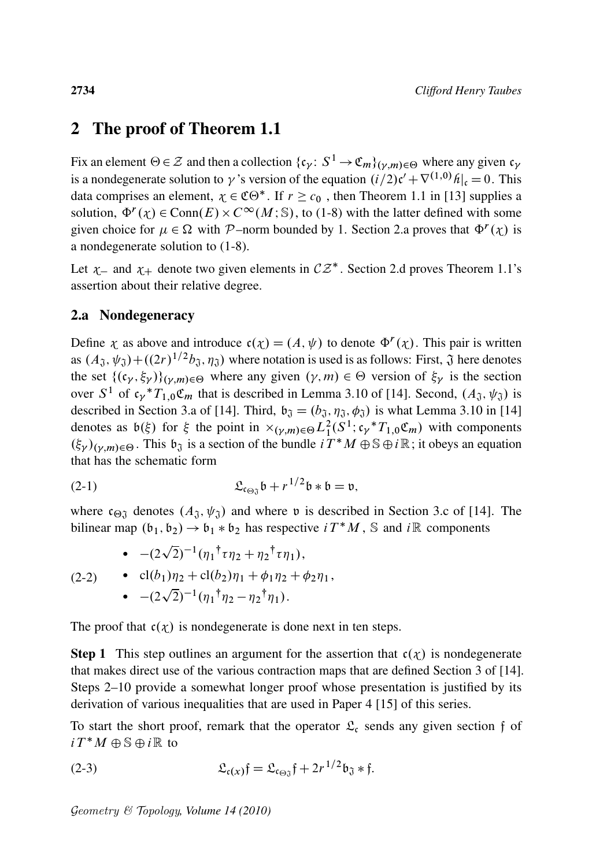### 2 The proof of Theorem 1.1

Fix an element  $\Theta \in \mathcal{Z}$  and then a collection  $\{\mathfrak{c}_{\gamma} \colon S^1 \to \mathfrak{C}_m\}_{(\gamma,m)\in\Theta}$  where any given  $\mathfrak{c}_{\gamma}$ is a nondegenerate solution to  $\gamma$  's version of the equation  $(i/2)c' + \nabla^{(1,0)}h|_c = 0$ . This data comprises an element,  $\chi \in \mathfrak{CO}^*$ . If  $r \geq c_0$ , then Theorem 1.1 in [13] supplies a solution,  $\Phi^r(\chi) \in \text{Conn}(E) \times C^\infty(M; \mathbb{S})$ , to (1-8) with the latter defined with some given choice for  $\mu \in \Omega$  with P-norm bounded by 1. Section 2.a proves that  $\Phi^r(\chi)$  is a nondegenerate solution to (1-8).

Let  $\chi$  and  $\chi$  denote two given elements in  $CZ^*$ . Section 2.d proves Theorem 1.1's assertion about their relative degree.

#### 2.a Nondegeneracy

Define  $\chi$  as above and introduce  $\mathfrak{c}(\chi) = (A, \psi)$  to denote  $\Phi^r(\chi)$ . This pair is written as  $(A_{\mathfrak{J}}, \psi_{\mathfrak{J}}) + ((2r)^{1/2}b_{\mathfrak{J}}, \eta_{\mathfrak{J}})$  where notation is used is as follows: First,  $\mathfrak{J}$  here denotes the set  $\{(\mathfrak{c}_{\gamma}, \xi_{\gamma})\}_{(\gamma,m)\in\Theta}$  where any given  $(\gamma, m) \in \Theta$  version of  $\xi_{\gamma}$  is the section over  $S^1$  of  $\mathfrak{c}_{\gamma}$ <sup>\*</sup> $T_{1,0}$  $\mathfrak{C}_m$  that is described in Lemma 3.10 of [14]. Second,  $(A_{\mathfrak{J}}, \psi_{\mathfrak{J}})$  is described in Section 3.a of [14]. Third,  $\mathfrak{b}_{\mathfrak{J}} = (b_{\mathfrak{J}}, \eta_{\mathfrak{J}}, \phi_{\mathfrak{J}})$  is what Lemma 3.10 in [14] denotes as  $b(\xi)$  for  $\xi$  the point in  $\times_{(\gamma,m)\in\Theta} L^2_1(S^1; c_\gamma * T_{1,0} \mathfrak{C}_m)$  with components  $(\xi_{\gamma})_{(\gamma,m)\in\Theta}$ . This  $\mathfrak{b}_{\mathfrak{J}}$  is a section of the bundle  $i T^*M \oplus \mathbb{S} \oplus i\mathbb{R}$ ; it obeys an equation that has the schematic form

(2-1) Lc'<sup>J</sup> b C r 1=2 b b D v;

where  $c_{\Theta}$  denotes  $(A_{\mathfrak{J}}, \psi_{\mathfrak{J}})$  and where v is described in Section 3.c of [14]. The bilinear map  $(b_1, b_2) \rightarrow b_1 * b_2$  has respective  $i T^* M$ , S and  $i \mathbb{R}$  components

(2-2)   
\n• 
$$
-(2\sqrt{2})^{-1}(\eta_1^{\dagger} \tau \eta_2 + \eta_2^{\dagger} \tau \eta_1),
$$
  
\n•  $-(2\sqrt{2})^{-1}(\eta_1^{\dagger} \eta_2 + \phi_1 \eta_2 + \phi_2 \eta_1),$   
\n•  $-(2\sqrt{2})^{-1}(\eta_1^{\dagger} \eta_2 - \eta_2^{\dagger} \eta_1).$ 

The proof that  $c(\chi)$  is nondegenerate is done next in ten steps.

**Step 1** This step outlines an argument for the assertion that  $c(\chi)$  is nondegenerate that makes direct use of the various contraction maps that are defined Section 3 of [14]. Steps 2–10 provide a somewhat longer proof whose presentation is justified by its derivation of various inequalities that are used in Paper 4 [15] of this series.

To start the short proof, remark that the operator  $\mathfrak{L}_{c}$  sends any given section f of  $i T^* M \oplus \mathbb{S} \oplus i \mathbb{R}$  to

$$
(2-3) \qquad \qquad \mathfrak{L}_{\mathfrak{c}(x)}\mathfrak{f} = \mathfrak{L}_{\mathfrak{c}_{\Theta\mathfrak{J}}} \mathfrak{f} + 2r^{1/2} \mathfrak{b}_{\mathfrak{J}} * \mathfrak{f}.
$$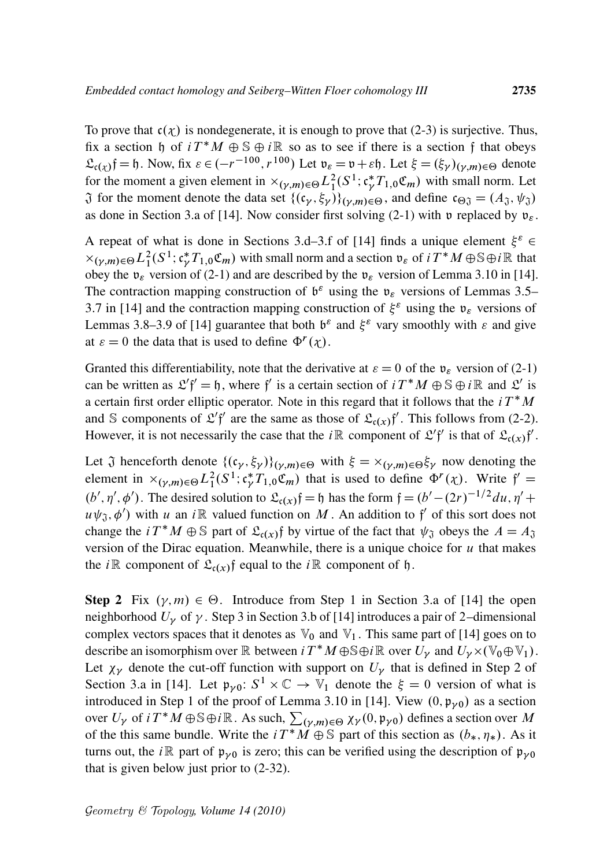To prove that  $c(\chi)$  is nondegenerate, it is enough to prove that (2-3) is surjective. Thus, fix a section h of  $i T^* M \oplus \mathbb{S} \oplus i \mathbb{R}$  so as to see if there is a section f that obeys  $\mathfrak{L}_{\mathfrak{c}(\chi)}$ f = h. Now, fix  $\varepsilon \in (-r^{-100}, r^{100})$  Let  $\mathfrak{v}_{\varepsilon} = \mathfrak{v} + \varepsilon \mathfrak{h}$ . Let  $\xi = (\xi_{\gamma})_{(\gamma,m) \in \Theta}$  denote for the moment a given element in  $\times_{(\gamma,m)\in\Theta} L^2_1(S^1; \mathfrak{c}_\gamma^* T_{1,0} \mathfrak{C}_m)$  with small norm. Let  $\tilde{J}$  for the moment denote the data set  $\{(c_{\gamma}, \xi_{\gamma})\}_{(\gamma,m)\in\Theta}$ , and define  $c_{\Theta\tilde{J}} = (A_{\tilde{J}}, \psi_{\tilde{J}})$ as done in Section 3.a of [14]. Now consider first solving (2-1) with v replaced by  $v_{\varepsilon}$ .

A repeat of what is done in Sections 3.d–3.f of [14] finds a unique element  $\xi^{\varepsilon}$   $\in$  $\times_{(\gamma,m)\in\Theta} L^2_1(S^1; \mathfrak{c}^*_\gamma T_{1,0}\mathfrak{C}_m)$  with small norm and a section  $\mathfrak{v}_\varepsilon$  of  $i \in T^*M \oplus \mathbb{S} \oplus i\mathbb{R}$  that obey the  $v_{\varepsilon}$  version of (2-1) and are described by the  $v_{\varepsilon}$  version of Lemma 3.10 in [14]. The contraction mapping construction of  $\mathfrak{b}^{\varepsilon}$  using the  $\mathfrak{v}_{\varepsilon}$  versions of Lemmas 3.5– 3.7 in [14] and the contraction mapping construction of  $\xi^{\varepsilon}$  using the  $v_{\varepsilon}$  versions of Lemmas 3.8–3.9 of [14] guarantee that both  $b^{\varepsilon}$  and  $\xi^{\varepsilon}$  vary smoothly with  $\varepsilon$  and give at  $\varepsilon = 0$  the data that is used to define  $\Phi^r(\chi)$ .

Granted this differentiability, note that the derivative at  $\varepsilon = 0$  of the  $\mathfrak{v}_{\varepsilon}$  version of (2-1) can be written as  $\mathcal{L}'f' = \mathfrak{h}$ , where f' is a certain section of  $i T^* M \oplus \mathbb{S} \oplus i \mathbb{R}$  and  $\mathcal{L}'$  is a certain first order elliptic operator. Note in this regard that it follows that the  $i T^* M$ and S components of  $\mathcal{L}'\mathfrak{f}'$  are the same as those of  $\mathcal{L}_{c(x)}\mathfrak{f}'$ . This follows from (2-2). However, it is not necessarily the case that the *i* $\mathbb R$  component of  $\mathfrak{L}'\mathfrak{f}'$  is that of  $\mathfrak{L}_{c(x)}\mathfrak{f}'.$ 

Let  $\tilde{J}$  henceforth denote  $\{(c_{\gamma}, \xi_{\gamma})\}_{(\gamma,m)\in\Theta}$  with  $\xi = \times_{(\gamma,m)\in\Theta} \xi_{\gamma}$  now denoting the element in  $\times_{(\gamma,m)\in\Theta} L^2_1(S^1; \mathfrak{c}^*_{\gamma}T_{1,0}\mathfrak{C}_m)$  that is used to define  $\Phi^r(\chi)$ . Write  $\mathfrak{f}' =$  $(b', \eta', \phi')$ . The desired solution to  $\mathfrak{L}_{c(x)}\mathfrak{f} = \mathfrak{h}$  has the form  $\mathfrak{f} = (b' - (2r)^{-1/2} du, \eta' +$  $u\psi_{\mathfrak{J}}, \phi'$ ) with u an i $\mathbb R$  valued function on M. An addition to f' of this sort does not change the  $i T^* M \oplus \mathbb{S}$  part of  $\mathfrak{L}_{c(x)}$  by virtue of the fact that  $\psi_{\mathfrak{J}}$  obeys the  $A = A_{\mathfrak{J}}$ version of the Dirac equation. Meanwhile, there is a unique choice for  $u$  that makes the *i* $\mathbb R$  component of  $\mathfrak{L}_{\mathfrak{c}(x)}$  f equal to the *i* $\mathbb R$  component of  $\mathfrak{h}$ .

**Step 2** Fix  $(\gamma, m) \in \Theta$ . Introduce from Step 1 in Section 3.a of [14] the open neighborhood  $U_{\gamma}$  of  $\gamma$ . Step 3 in Section 3.b of [14] introduces a pair of 2-dimensional complex vectors spaces that it denotes as  $\mathbb{V}_0$  and  $\mathbb{V}_1$ . This same part of [14] goes on to describe an isomorphism over  $\mathbb R$  between  $i T^* M \oplus \mathbb S \oplus i \mathbb R$  over  $\overline{U_\gamma}$  and  $U_\gamma \times (\mathbb V_0 \oplus \mathbb V_1)$ . Let  $\chi_{\gamma}$  denote the cut-off function with support on  $U_{\gamma}$  that is defined in Step 2 of Section 3.a in [14]. Let  $\mathfrak{p}_{\gamma 0}$ :  $S^1 \times \mathbb{C} \to \mathbb{V}_1$  denote the  $\xi = 0$  version of what is introduced in Step 1 of the proof of Lemma 3.10 in [14]. View  $(0, \mathfrak{p}_{\gamma 0})$  as a section over  $U_{\gamma}$  of  $i T^* M \oplus \mathbb{S} \oplus i \mathbb{R}$ . As such,  $\sum_{(\gamma,m) \in \Theta} \chi_{\gamma}(0, \mathfrak{p}_{\gamma 0})$  defines a section over M of the this same bundle. Write the  $i T^* \tilde{M} \oplus \tilde{S}$  part of this section as  $(b_*, \eta_*)$ . As it turns out, the *i* $\mathbb{R}$  part of  $\mathfrak{p}_{\nu 0}$  is zero; this can be verified using the description of  $\mathfrak{p}_{\nu 0}$ that is given below just prior to (2-32).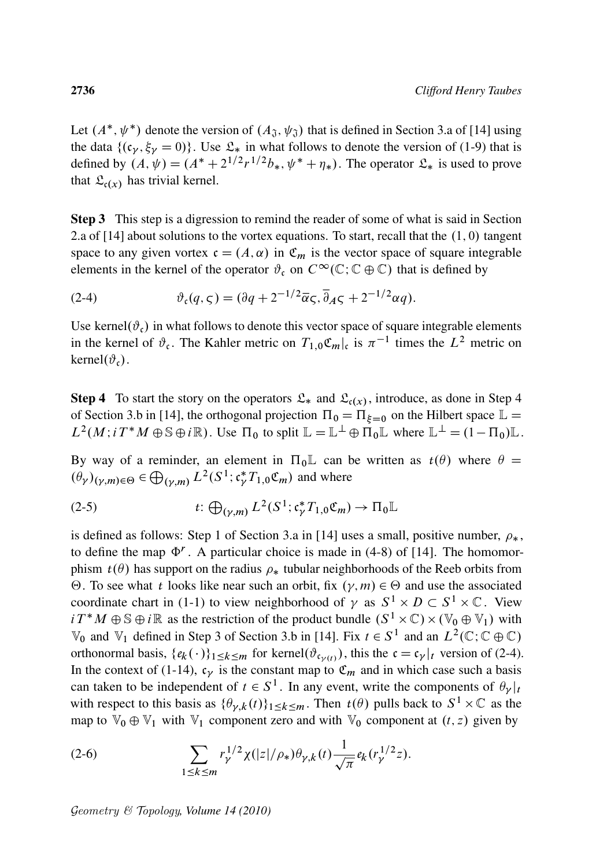Let  $(A^*, \psi^*)$  denote the version of  $(A_{\mathfrak{J}}, \psi_{\mathfrak{J}})$  that is defined in Section 3.a of [14] using the data  $\{(\mathfrak{c}_{\nu}, \xi_{\nu} = 0)\}\.$  Use  $\mathfrak{L}_*$  in what follows to denote the version of (1-9) that is defined by  $(A, \psi) = (A^* + 2^{1/2}r^{1/2}b_*, \psi^* + \eta_*)$ . The operator  $\mathfrak{L}_*$  is used to prove that  $\mathfrak{L}_{c(x)}$  has trivial kernel.

Step 3 This step is a digression to remind the reader of some of what is said in Section 2.a of  $[14]$  about solutions to the vortex equations. To start, recall that the  $(1, 0)$  tangent space to any given vortex  $c = (A, \alpha)$  in  $\mathfrak{C}_m$  is the vector space of square integrable elements in the kernel of the operator  $\vartheta_c$  on  $C^\infty(\mathbb{C}; \mathbb{C} \oplus \mathbb{C})$  that is defined by

(2-4) 
$$
\vartheta_{\mathfrak{c}}(q,\varsigma) = (\partial q + 2^{-1/2}\overline{\alpha}\varsigma, \overline{\partial}_A \varsigma + 2^{-1/2}\alpha q).
$$

Use kernel $(\vartheta_c)$  in what follows to denote this vector space of square integrable elements in the kernel of  $\vartheta_{\mathfrak{c}}$ . The Kahler metric on  $T_{1,0}\mathfrak{C}_{m}$ , is  $\pi^{-1}$  times the  $L^2$  metric on kernel $(\vartheta_{c})$ .

**Step 4** To start the story on the operators  $\mathcal{L}_*$  and  $\mathcal{L}_{c(x)}$ , introduce, as done in Step 4 of Section 3.b in [14], the orthogonal projection  $\Pi_0 = \Pi_{\xi=0}$  on the Hilbert space  $\mathbb{L} =$  $L^2(M; i T^*M \oplus \mathbb{S} \oplus i\mathbb{R})$ . Use  $\Pi_0$  to split  $\mathbb{L} = \mathbb{L}^{\perp} \oplus \Pi_0 \mathbb{L}$  where  $\mathbb{L}^{\perp} = (1 - \Pi_0) \mathbb{L}$ .

By way of a reminder, an element in  $\Pi_0\mathbb{L}$  can be written as  $t(\theta)$  where  $\theta =$  $(\theta_\gamma)_{(\gamma,m)\in\Theta} \in \bigoplus_{(\gamma,m)} L^2(S^1; \mathfrak{c}^*_\gamma T_{1,0} \mathfrak{C}_m)$  and where

(2-5) 
$$
t: \bigoplus_{(\gamma,m)} L^2(S^1; \mathfrak{c}_\gamma^* T_{1,0} \mathfrak{C}_m) \to \Pi_0 \mathbb{L}
$$

is defined as follows: Step 1 of Section 3.a in [14] uses a small, positive number,  $\rho_*$ , to define the map  $\Phi^r$ . A particular choice is made in (4-8) of [14]. The homomorphism  $t(\theta)$  has support on the radius  $\rho_*$  tubular neighborhoods of the Reeb orbits from  $\Theta$ . To see what *t* looks like near such an orbit, fix  $(\gamma, m) \in \Theta$  and use the associated coordinate chart in (1-1) to view neighborhood of  $\gamma$  as  $S^1 \times D \subset S^1 \times \mathbb{C}$ . View  $i T^* M \oplus \mathbb{S} \oplus i \mathbb{R}$  as the restriction of the product bundle  $(S^1 \times \mathbb{C}) \times (\mathbb{V}_0 \oplus \mathbb{V}_1)$  with  $\mathbb{V}_0$  and  $\mathbb{V}_1$  defined in Step 3 of Section 3.b in [14]. Fix  $t \in S^1$  and an  $L^2(\mathbb{C}; \mathbb{C} \oplus \mathbb{C})$ orthonormal basis,  $\{e_k(\cdot)\}_{1 \leq k \leq m}$  for kernel $(\vartheta_{\mathfrak{c}_{\gamma(t)}})$ , this the  $\mathfrak{c} = \mathfrak{c}_{\gamma}|_t$  version of (2-4). In the context of (1-14),  $c_V$  is the constant map to  $\mathfrak{C}_m$  and in which case such a basis can taken to be independent of  $t \in S^1$ . In any event, write the components of  $\theta_{\gamma}|_t$ with respect to this basis as  $\{\theta_{\gamma,k}(t)\}_{1 \leq k \leq m}$ . Then  $t(\theta)$  pulls back to  $S^1 \times \mathbb{C}$  as the map to  $\mathbb{V}_0 \oplus \mathbb{V}_1$  with  $\mathbb{V}_1$  component zero and with  $\mathbb{V}_0$  component at  $(t, z)$  given by

(2-6) 
$$
\sum_{1 \leq k \leq m} r_{\gamma}^{1/2} \chi(|z|/\rho_{*}) \theta_{\gamma,k}(t) \frac{1}{\sqrt{\pi}} e_{k}(r_{\gamma}^{1/2} z).
$$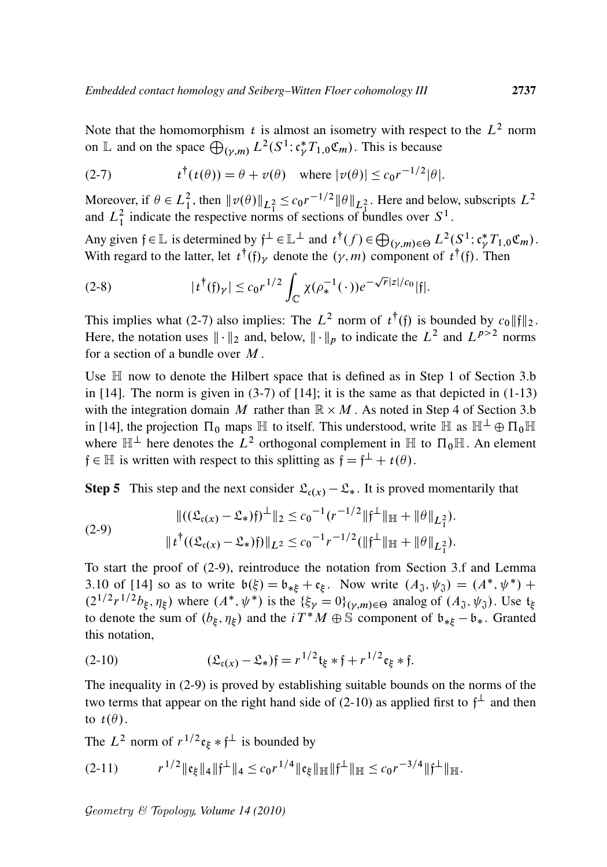Note that the homomorphism  $t$  is almost an isometry with respect to the  $L^2$  norm on L and on the space  $\bigoplus_{(\gamma,m)} L^2(S^1; \mathfrak{c}^*_{\gamma}T_{1,0}\mathfrak{C}_m)$ . This is because

(2-7) 
$$
t^{\dagger}(t(\theta)) = \theta + v(\theta) \quad \text{where } |v(\theta)| \leq c_0 r^{-1/2} |\theta|.
$$

Moreover, if  $\theta \in L_1^2$ , then  $\|\nu(\theta)\|_{L_1^2} \leq c_0 r^{-1/2} \|\theta\|_{L_1^2}$ . Here and below, subscripts  $L^2$ and  $L_1^2$  indicate the respective norms of sections of bundles over  $S^1$ .

Any given  $f \in \mathbb{L}$  is determined by  $f^{\perp} \in \mathbb{L}^{\perp}$  and  $t^{\dagger}(f) \in \bigoplus_{(\gamma,m) \in \Theta} L^{2}(S^{1}; \mathfrak{c}_{\gamma}^{*}T_{1,0}\mathfrak{C}_{m})$ . With regard to the latter, let  $t^{\dagger}(\mathfrak{f})_{\gamma}$  denote the  $(\gamma, m)$  component of  $t^{\dagger}(\mathfrak{f})$ . Then

(2-8) 
$$
|t^{\dagger}(\mathfrak{f})_{\gamma}| \leq c_0 r^{1/2} \int_{\mathbb{C}} \chi(\rho_*^{-1}(\cdot)) e^{-\sqrt{r}|z|/c_0} |\mathfrak{f}|.
$$

This implies what (2-7) also implies: The  $L^2$  norm of  $t^{\dagger}(\mathfrak{f})$  is bounded by  $c_0 \|\mathfrak{f}\|_2$ . Here, the notation uses  $\|\cdot\|_2$  and, below,  $\|\cdot\|_p$  to indicate the  $L^2$  and  $L^{p>2}$  norms for a section of a bundle over  $M$ .

Use  $\mathbb H$  now to denote the Hilbert space that is defined as in Step 1 of Section 3.b in  $[14]$ . The norm is given in  $(3-7)$  of  $[14]$ ; it is the same as that depicted in  $(1-13)$ with the integration domain M rather than  $\mathbb{R} \times M$ . As noted in Step 4 of Section 3.b in [14], the projection  $\Pi_0$  maps  $\mathbb H$  to itself. This understood, write  $\mathbb H$  as  $\mathbb H^{\perp} \oplus \Pi_0 \mathbb H$ where  $\mathbb{H}^{\perp}$  here denotes the  $\hat{L}^2$  orthogonal complement in  $\mathbb{H}$  to  $\Pi_0\mathbb{H}$ . An element  $f \in \mathbb{H}$  is written with respect to this splitting as  $f = f^{\perp} + t(\theta)$ .

**Step 5** This step and the next consider  $\mathcal{L}_{c}(x) - \mathcal{L}_{*}$ . It is proved momentarily that

(2-9) 
$$
\|((\mathfrak{L}_{\mathfrak{c}(x)} - \mathfrak{L}_*))^{\perp}\|_2 \leq c_0^{-1} (r^{-1/2} \|\mathfrak{f}^{\perp}\|_{\mathbb{H}} + \|\theta\|_{L_1^2}).
$$

$$
\|t^{\dagger}((\mathfrak{L}_{\mathfrak{c}(x)} - \mathfrak{L}_*))\|_{L^2} \leq c_0^{-1} r^{-1/2} (\|\mathfrak{f}^{\perp}\|_{\mathbb{H}} + \|\theta\|_{L_1^2}).
$$

To start the proof of (2-9), reintroduce the notation from Section 3.f and Lemma 3.10 of [14] so as to write  $b(\xi) = b_{* \xi} + c_{\xi}$ . Now write  $(A_{\mathfrak{J}}, \psi_{\mathfrak{J}}) = (A^*, \psi^*)$  +  $(2^{1/2}r^{1/2}b_{\xi}, \eta_{\xi})$  where  $(A^*, \psi^*)$  is the  $\{\xi_{\gamma} = 0\}_{(\gamma,m)\in\Theta}$  analog of  $(A_{\mathfrak{J}}, \psi_{\mathfrak{J}})$ . Use  $\mathfrak{t}_{\xi}$ to denote the sum of  $(b_{\xi}, \eta_{\xi})$  and the  $iT^*M \oplus \mathbb{S}$  component of  $b_{*\xi} - b_*$ . Granted this notation,

(2-10) 
$$
(\mathfrak{L}_{\mathfrak{c}(x)} - \mathfrak{L}_*)\mathfrak{f} = r^{1/2} \mathfrak{t}_{\xi} * \mathfrak{f} + r^{1/2} \mathfrak{e}_{\xi} * \mathfrak{f}.
$$

The inequality in (2-9) is proved by establishing suitable bounds on the norms of the two terms that appear on the right hand side of (2-10) as applied first to  $f^{\perp}$  and then to  $t(\theta)$ .

The  $L^2$  norm of  $r^{1/2} \mathfrak{e}_{\xi} * \mathfrak{f}^{\perp}$  is bounded by

$$
(2-11) \t\t r^{1/2} \|e_{\xi}\|_4 \|f^{\perp}\|_4 \leq c_0 r^{1/4} \|e_{\xi}\|_{\mathbb{H}} \|f^{\perp}\|_{\mathbb{H}} \leq c_0 r^{-3/4} \|f^{\perp}\|_{\mathbb{H}}.
$$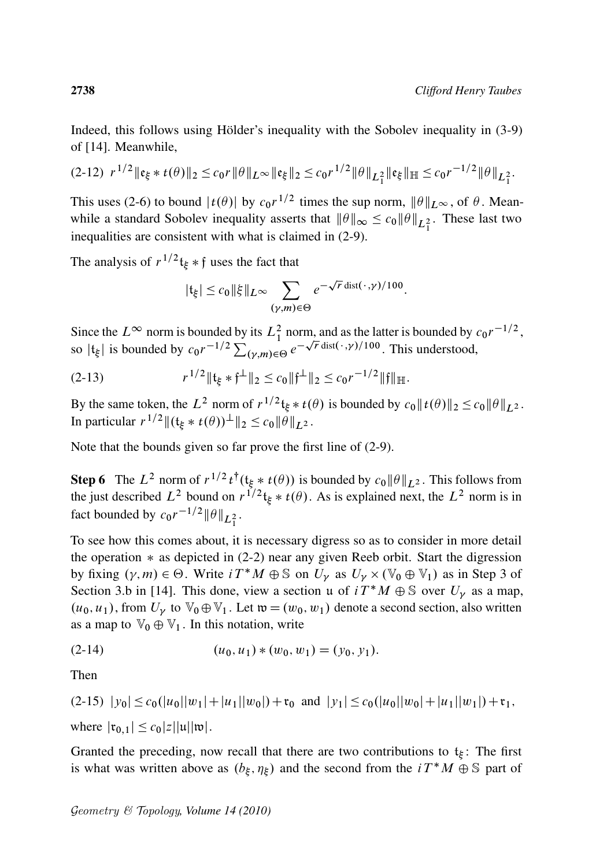Indeed, this follows using Hölder's inequality with the Sobolev inequality in  $(3-9)$ of [14]. Meanwhile,

$$
(2-12) \ r^{1/2} \|\mathfrak{e}_{\xi} * t(\theta)\|_2 \leq c_0 r \|\theta\|_{L^{\infty}} \|\mathfrak{e}_{\xi}\|_2 \leq c_0 r^{1/2} \|\theta\|_{L^2_1} \|\mathfrak{e}_{\xi}\|_{\mathbb{H}} \leq c_0 r^{-1/2} \|\theta\|_{L^2_1}.
$$

This uses (2-6) to bound  $|t(\theta)|$  by  $c_0r^{1/2}$  times the sup norm,  $\|\theta\|_{L^{\infty}}$ , of  $\theta$ . Meanwhile a standard Sobolev inequality asserts that  $\|\theta\|_{\infty} \le c_0 \|\theta\|_{L_1^2}$ . These last two inequalities are consistent with what is claimed in (2-9).

The analysis of  $r^{1/2}$ t<sub> $\xi$ </sub>  $*\$ f uses the fact that

$$
|\mathfrak{t}_{\xi}| \leq c_0 \|\xi\|_{L^{\infty}} \sum_{(\gamma,m)\in\Theta} e^{-\sqrt{r}\operatorname{dist}(\cdot,\gamma)/100}.
$$

Since the  $L^{\infty}$  norm is bounded by its  $L_1^2$  norm, and as the latter is bounded by  $c_0r^{-1/2}$ , since the  $L^{\infty}$  horm is bounded by its  $L_1$  horm, and as the latter is bounded by  $c_0 r^{-1/2} \sum_{(\gamma,m) \in \Theta} e^{-\sqrt{r} \operatorname{dist}(\cdot, \gamma)/100}$ . This understood,

 $(2-13)$  $e^{1/2}$  ||  $t_{\xi} * f^{\perp}$  ||  $_2 \leq c_0$  ||  $f^{\perp}$  ||  $_2 \leq c_0 r^{-1/2}$  ||  $f$ ||  $\mathbb{H}$ .

By the same token, the L<sup>2</sup> norm of  $r^{1/2}$ t<sub>ξ</sub> \*  $t(\theta)$  is bounded by  $c_0 || t(\theta) ||_2 \le c_0 ||\theta||_{L^2}$ . In particular  $r^{1/2}$   $\| (t_{\xi} * t(\theta))^{\perp} \|_2 \leq c_0 \| \theta \|_{L^2}$ .

Note that the bounds given so far prove the first line of (2-9).

**Step 6** The  $L^2$  norm of  $r^{1/2} t^{\dagger}$  ( $t_{\xi} * t(\theta)$ ) is bounded by  $c_0 ||\theta||_{L^2}$ . This follows from the just described  $L^2$  bound on  $r^{1/2}$ t<sub> $\xi * t(\theta)$ </sub>. As is explained next, the  $L^2$  norm is in fact bounded by  $c_0 r^{-1/2} ||\theta||_{L_1^2}$ .

To see how this comes about, it is necessary digress so as to consider in more detail the operation  $*$  as depicted in (2-2) near any given Reeb orbit. Start the digression by fixing  $(\gamma, m) \in \Theta$ . Write  $i T^* M \oplus \mathbb{S}$  on  $U_\gamma$  as  $U_\gamma \times (\mathbb{V}_0 \oplus \mathbb{V}_1)$  as in Step 3 of Section 3.b in [14]. This done, view a section u of  $iT^*M \oplus \mathbb{S}$  over  $U_{\gamma}$  as a map,  $(u_0, u_1)$ , from  $U_\nu$  to  $\mathbb{V}_0 \oplus \mathbb{V}_1$ . Let  $\mathfrak{w} = (w_0, w_1)$  denote a second section, also written as a map to  $\mathbb{V}_0 \oplus \mathbb{V}_1$ . In this notation, write

(2-14) 
$$
(u_0, u_1) * (w_0, w_1) = (y_0, y_1).
$$

Then

 $(2-15)$   $|y_0| \le c_0(|u_0||w_1|+|u_1||w_0|)+\tau_0$  and  $|y_1| \le c_0(|u_0||w_0|+|u_1||w_1|)+\tau_1$ , where  $|\mathfrak{r}_{0,1}| \leq c_0 |z| |u| |\mathfrak{w}|$ .

Granted the preceding, now recall that there are two contributions to  $t_{\xi}$ : The first is what was written above as  $(b_{\xi}, \eta_{\xi})$  and the second from the  $i T^* M \oplus \mathbb{S}$  part of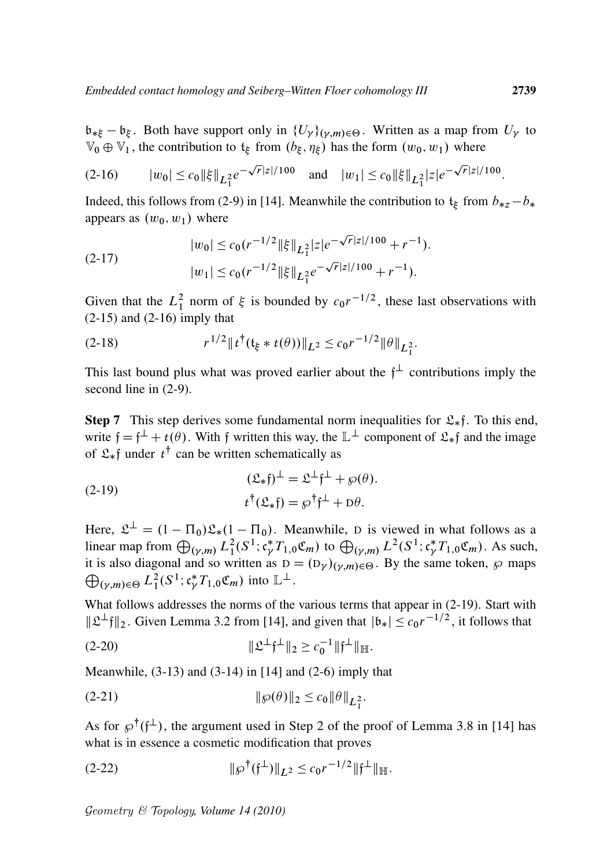$\mathfrak{b}_{*\xi} - \mathfrak{b}_{\xi}$ . Both have support only in  $\{U_{\gamma}\}_{(\gamma,m)\in\Theta}$ . Written as a map from  $U_{\gamma}$  to  $\mathbb{V}_0 \oplus \mathbb{V}_1$ , the contribution to  $\mathfrak{t}_\xi$  from  $(b_\xi, \eta_\xi)$  has the form  $(w_0, w_1)$  where

$$
(2-16) \t |w_0| \le c_0 \|\xi\|_{L_1^2} e^{-\sqrt{r}|z|/100} \quad \text{and} \quad |w_1| \le c_0 \|\xi\|_{L_1^2} |z| e^{-\sqrt{r}|z|/100}.
$$

Indeed, this follows from (2-9) in [14]. Meanwhile the contribution to  $t_{\xi}$  from  $b_{*z} - b_{*z}$ appears as  $(w_0, w_1)$  where

(2-17) 
$$
|w_0| \le c_0 (r^{-1/2} \|\xi\|_{L_1^2} |z| e^{-\sqrt{r}|z|/100} + r^{-1}).
$$

$$
|w_1| \le c_0 (r^{-1/2} \|\xi\|_{L_1^2} e^{-\sqrt{r}|z|/100} + r^{-1}).
$$

Given that the  $L_1^2$  norm of  $\xi$  is bounded by  $c_0r^{-1/2}$ , these last observations with  $(2-15)$  and  $(2-16)$  imply that

(2-18) 
$$
r^{1/2} \|t^{\dagger}(\mathfrak{t}_{\xi} * t(\theta))\|_{L^2} \leq c_0 r^{-1/2} \|\theta\|_{L_1^2}.
$$

This last bound plus what was proved earlier about the  $f^{\perp}$  contributions imply the second line in (2-9).

**Step 7** This step derives some fundamental norm inequalities for  $\mathcal{L}_{*}$  f. To this end, write  $f = f^{\perp} + t(\theta)$ . With f written this way, the  $\mathbb{L}^{\perp}$  component of  $\mathfrak{L}_{*}f$  and the image of  $\mathfrak{L}_*$ f under  $t^{\dagger}$  can be written schematically as

(2-19) 
$$
(\mathfrak{L}_{*}f)^{\perp} = \mathfrak{L}^{\perp}f^{\perp} + \wp(\theta).
$$

$$
t^{\dagger}(\mathfrak{L}_{*}f) = \wp^{\dagger}f^{\perp} + D\theta.
$$

Here,  $\mathfrak{L}^{\perp} = (1 - \Pi_0)\mathfrak{L}_*(1 - \Pi_0)$ . Meanwhile, D is viewed in what follows as a linear map from  $\bigoplus_{(\gamma,m)} L_1^2(S^1; \mathfrak{c}^*_\gamma T_{1,0} \mathfrak{C}_m)$  to  $\bigoplus_{(\gamma,m)} L^2(S^1; \mathfrak{c}^*_\gamma T_{1,0} \mathfrak{C}_m)$ . As such, it is also diagonal and so written as  $D = (D_{\gamma})_{(\gamma,m)\in\Theta}$ . By the same token,  $\wp$  maps  $\bigoplus_{(\gamma,m)\in\Theta} L_1^2(S^1; \mathfrak{c}^*_\gamma T_{1,0}\mathfrak{C}_m)$  into  $\mathbb{L}^\perp$ .

What follows addresses the norms of the various terms that appear in (2-19). Start with  $\|\mathfrak{L}^{\perp}\mathfrak{f}\|_2$ . Given Lemma 3.2 from [14], and given that  $|\mathfrak{b}_*| \leq c_0 r^{-1/2}$ , it follows that

(2-20) 
$$
\|\mathfrak{L}^{\perp}\mathfrak{f}^{\perp}\|_2 \geq c_0^{-1} \|\mathfrak{f}^{\perp}\|_{\mathbb{H}}.
$$

Meanwhile,  $(3-13)$  and  $(3-14)$  in [14] and  $(2-6)$  imply that

(2-21) 
$$
\|\wp(\theta)\|_2 \le c_0 \|\theta\|_{L_1^2}.
$$

As for  $\wp^{\dagger}(\mathfrak{f}^{\perp})$ , the argument used in Step 2 of the proof of Lemma 3.8 in [14] has what is in essence a cosmetic modification that proves

(2-22) 
$$
\|\wp^{\dagger}(\mathfrak{f}^{\perp})\|_{L^2} \leq c_0 r^{-1/2} \|\mathfrak{f}^{\perp}\|_{\mathbb{H}}.
$$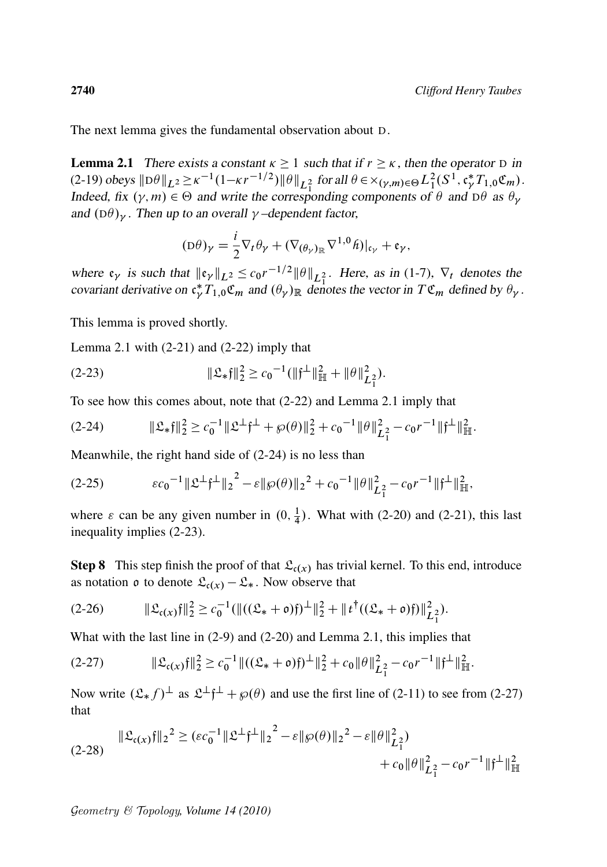The next lemma gives the fundamental observation about D.

**Lemma 2.1** There exists a constant  $\kappa \ge 1$  such that if  $r \ge \kappa$ , then the operator D in  $(2-19)$  obeys  $\|D\theta\|_{L^2} \ge \kappa^{-1}(1-\kappa r^{-1/2})\|\theta\|_{L_1^2}$  for all  $\theta \in \times_{(\gamma,m)\in\Theta} L_1^2(S^1, \mathfrak{c}_\gamma^* T_{1,0}\mathfrak{C}_m)$ . Indeed, fix  $(\gamma, m) \in \Theta$  and write the corresponding components of  $\theta$  and  $D\theta$  as  $\theta_{\gamma}$ and  $(D\theta)_{\gamma}$ . Then up to an overall  $\gamma$ -dependent factor,

$$
(\mathrm{D}\theta)_{\gamma} = \frac{i}{2} \nabla_t \theta_{\gamma} + (\nabla_{(\theta_{\gamma})_{\mathbb{R}}} \nabla^{1,0} \hat{h})|_{\mathfrak{c}_{\gamma}} + \mathfrak{e}_{\gamma},
$$

where  $\mathfrak{e}_{\gamma}$  is such that  $\|\mathfrak{e}_{\gamma}\|_{L^2} \leq c_0 r^{-1/2} \|\theta\|_{L^2_1}$ . Here, as in (1-7),  $\nabla_t$  denotes the covariant derivative on  $\mathfrak{c}_{\gamma}^*T_{1,0}^*\mathfrak{C}_m$  and  $(\theta_{\gamma})_{\mathbb{R}}$  denotes the vector in  $T\mathfrak{C}_m$  defined by  $\theta_{\gamma}$ .

This lemma is proved shortly.

Lemma 2.1 with  $(2-21)$  and  $(2-22)$  imply that

(2-23) 
$$
\|\mathfrak{L}_{*}\mathfrak{f}\|_{2}^{2} \geq c_{0}^{-1}(\|\mathfrak{f}^{\perp}\|_{\mathbb{H}}^{2} + \|\theta\|_{L_{1}^{2}}^{2}).
$$

To see how this comes about, note that (2-22) and Lemma 2.1 imply that

$$
(2-24) \t\t\t\t\|\mathfrak{L}_{*}\mathfrak{f}\|_{2}^{2} \geq c_{0}^{-1} \|\mathfrak{L}^{\perp}\mathfrak{f}^{\perp} + \wp(\theta)\|_{2}^{2} + c_{0}^{-1} \|\theta\|_{L_{1}^{2}}^{2} - c_{0} r^{-1} \|\mathfrak{f}^{\perp}\|_{\mathbb{H}}^{2}.
$$

Meanwhile, the right hand side of (2-24) is no less than

$$
(2-25) \t\t\t\t\varepsilon c_0^{-1} {\Vert \mathfrak{L}^{\perp} \mathfrak{f}^{\perp} \Vert}_2^2 - \varepsilon {\Vert \mathcal{P}(\theta) \Vert}_2^2 + c_0^{-1} {\Vert \theta \Vert}_{L_1^2}^2 - c_0 r^{-1} {\Vert \mathfrak{f}^{\perp} \Vert}_{\mathbb{H}}^2,
$$

where  $\varepsilon$  can be any given number in  $(0, \frac{1}{4})$  $\frac{1}{4}$ ). What with (2-20) and (2-21), this last inequality implies (2-23).

**Step 8** This step finish the proof of that  $\mathcal{L}_{c}(x)$  has trivial kernel. To this end, introduce as notation  $\rho$  to denote  $\mathfrak{L}_{c(x)} - \mathfrak{L}_{*}$ . Now observe that

$$
(2-26) \t\t\t\t\|\mathfrak{L}_{\mathfrak{c}(x)}\mathfrak{f}\|_{2}^{2} \geq c_{0}^{-1}(\|((\mathfrak{L}_{*}+\mathfrak{o})\mathfrak{f})^{\perp}\|_{2}^{2}+\|\mathfrak{t}^{\dagger}((\mathfrak{L}_{*}+\mathfrak{o})\mathfrak{f})\|_{L_{1}^{2}}^{2}).
$$

What with the last line in (2-9) and (2-20) and Lemma 2.1, this implies that

$$
(2-27) \t\t\t\t\|\mathfrak{L}_{\mathfrak{c}(x)}\mathfrak{f}\|_2^2 \geq c_0^{-1} \|((\mathfrak{L}_* + \mathfrak{o})\mathfrak{f})^\perp\|_2^2 + c_0 \|\theta\|_{L_1^2}^2 - c_0 r^{-1} \|\mathfrak{f}^\perp\|_{\mathbb{H}}^2.
$$

Now write  $(\mathfrak{L}_* f)^{\perp}$  as  $\mathfrak{L}^{\perp} f^{\perp} + \wp(\theta)$  and use the first line of (2-11) to see from (2-27) that

$$
\|\mathfrak{L}_{c(x)}\mathfrak{f}\|_{2}^{2} \geq (\varepsilon c_{0}^{-1} \|\mathfrak{L}^{\perp}\mathfrak{f}^{\perp}\|_{2}^{2} - \varepsilon \|\varphi(\theta)\|_{2}^{2} - \varepsilon \|\theta\|_{L_{1}^{2}}^{2}) + c_{0} \|\theta\|_{L_{1}^{2}}^{2} - c_{0} r^{-1} \|\mathfrak{f}^{\perp}\|_{\mathbb{H}}^{2}
$$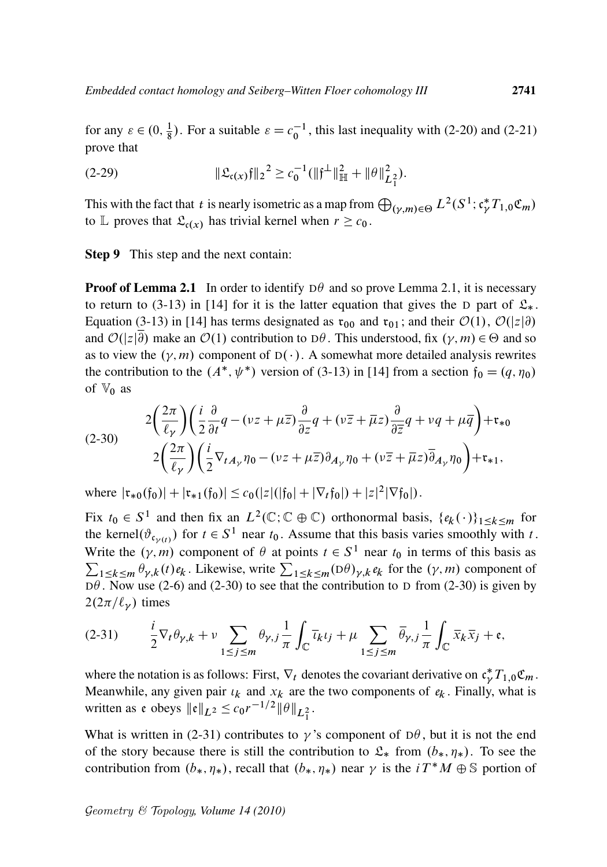for any  $\varepsilon \in (0, \frac{1}{8})$  $\frac{1}{8}$ ). For a suitable  $\varepsilon = c_0^{-1}$ , this last inequality with (2-20) and (2-21) prove that

(2-29) 
$$
\|\mathfrak{L}_{c(x)}\mathfrak{f}\|_2^2 \geq c_0^{-1}(\|\mathfrak{f}^\perp\|_{\mathbb{H}}^2 + \|\theta\|_{L_1^2}^2).
$$

This with the fact that *t* is nearly isometric as a map from  $\bigoplus_{(\gamma,m)\in\Theta} L^2(S^1; c_\gamma^* T_{1,0} \mathfrak{C}_m)$ to L proves that  $\mathfrak{L}_{c(x)}$  has trivial kernel when  $r \geq c_0$ .

Step 9 This step and the next contain:

**Proof of Lemma 2.1** In order to identify  $D\theta$  and so prove Lemma 2.1, it is necessary to return to (3-13) in [14] for it is the latter equation that gives the D part of  $\mathfrak{L}_*$ . Equation (3-13) in [14] has terms designated as  $\mathfrak{r}_{00}$  and  $\mathfrak{r}_{01}$ ; and their  $\mathcal{O}(1)$ ,  $\mathcal{O}(|z|\partial)$ and  $\mathcal{O}(|z|\partial)$  make an  $\mathcal{O}(1)$  contribution to D $\theta$ . This understood, fix  $(\gamma, m) \in \Theta$  and so as to view the  $(\gamma, m)$  component of  $D(\cdot)$ . A somewhat more detailed analysis rewrites the contribution to the  $(A^*, \psi^*)$  version of (3-13) in [14] from a section  $f_0 = (q, \eta_0)$ of  $\mathbb{V}_0$  as

(2-30) 
$$
2\left(\frac{2\pi}{\ell_{\gamma}}\right)\left(\frac{i}{2}\frac{\partial}{\partial t}q - (\nu z + \mu \overline{z})\frac{\partial}{\partial z}q + (\nu \overline{z} + \overline{\mu}z)\frac{\partial}{\partial \overline{z}}q + \nu q + \mu \overline{q}\right) + \mathfrak{r}_{*0}
$$

$$
2\left(\frac{2\pi}{\ell_{\gamma}}\right)\left(\frac{i}{2}\nabla_{tA_{\gamma}}\eta_{0} - (\nu z + \mu \overline{z})\partial_{A_{\gamma}}\eta_{0} + (\nu \overline{z} + \overline{\mu}z)\overline{\partial}_{A_{\gamma}}\eta_{0}\right) + \mathfrak{r}_{*1},
$$

where  $|\mathfrak{r}_{*0}(\mathfrak{f}_0)| + |\mathfrak{r}_{*1}(\mathfrak{f}_0)| \leq c_0(|z|(|\mathfrak{f}_0| + |\nabla_t \mathfrak{f}_0|) + |z|^2 |\nabla \mathfrak{f}_0|).$ 

Fix  $t_0 \in S^1$  and then fix an  $L^2(\mathbb{C}; \mathbb{C} \oplus \mathbb{C})$  orthonormal basis,  $\{e_k(\cdot)\}_{1 \leq k \leq m}$  for the kernel $(\vartheta_{\mathfrak{c}_{\gamma(t)}})$  for  $t \in S^1$  near  $t_0$ . Assume that this basis varies smoothly with t. Write the  $(\gamma, m)$  component of  $\theta$  at points  $t \in S^1$  near  $t_0$  in terms of this basis as  $\sum_{1 \leq k \leq m} \theta_{\gamma,k}(t) e_k$ . Likewise, write  $\sum_{1 \leq k \leq m} (D\theta)_{\gamma,k} e_k$  for the  $(\gamma, m)$  component of  $D\theta$ . Now use (2-6) and (2-30) to see that the contribution to D from (2-30) is given by  $2(2\pi/\ell_{\nu})$  times

$$
(2-31) \qquad \frac{i}{2}\nabla_t\theta_{\gamma,k} + \nu \sum_{1 \le j \le m} \theta_{\gamma,j} \frac{1}{\pi} \int_{\mathbb{C}} \overline{\iota_k} \iota_j + \mu \sum_{1 \le j \le m} \overline{\theta}_{\gamma,j} \frac{1}{\pi} \int_{\mathbb{C}} \overline{x}_k \overline{x}_j + \mathfrak{e},
$$

where the notation is as follows: First,  $\nabla_t$  denotes the covariant derivative on  $\mathfrak{c}_{\gamma}^*T_{1,0}\mathfrak{C}_m$ . Meanwhile, any given pair  $\iota_k$  and  $x_k$  are the two components of  $e_k$ . Finally, what is written as e obeys  $||e||_{L^2} \leq c_0 r^{-1/2} ||\theta||_{L_1^2}$ .

What is written in (2-31) contributes to  $\gamma$ 's component of D $\theta$ , but it is not the end of the story because there is still the contribution to  $\mathfrak{L}_*$  from  $(b_*, \eta_*)$ . To see the contribution from  $(b_*, \eta_*)$ , recall that  $(b_*, \eta_*)$  near  $\gamma$  is the  $i T^* M \oplus \mathbb{S}$  portion of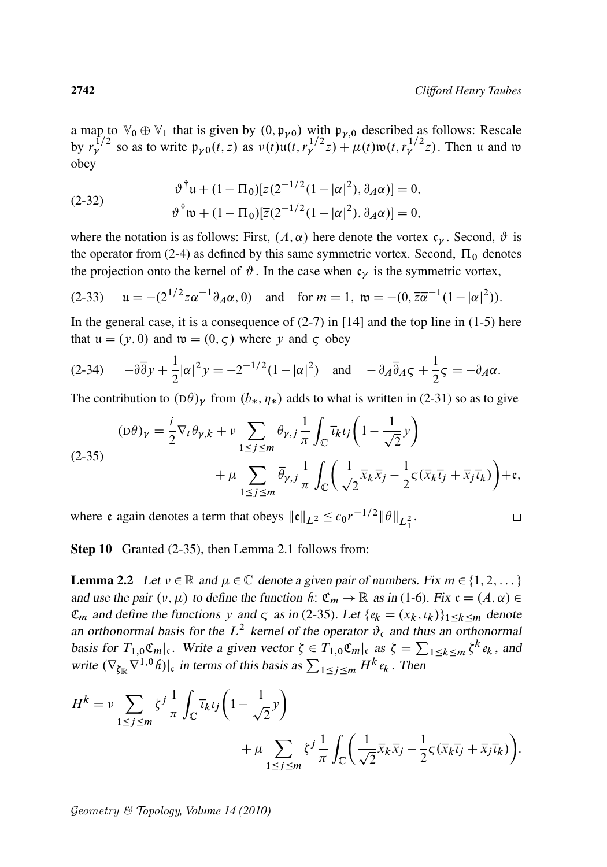a map to  $\mathbb{V}_0 \oplus \mathbb{V}_1$  that is given by  $(0, \mathfrak{p}_{\nu 0})$  with  $\mathfrak{p}_{\nu, 0}$  described as follows: Rescale by  $r_{\gamma}^{1/2}$  so as to write  $\mathfrak{p}_{\gamma 0}(t, z)$  as  $v(t)u(t, r_{\gamma}^{1/2}z) + \mu(t)\mathfrak{w}(t, r_{\gamma}^{1/2}z)$ . Then u and w obey

(2-32) 
$$
\vartheta^{\dagger} u + (1 - \Pi_0)[z(2^{-1/2}(1 - |\alpha|^2), \partial_A \alpha)] = 0, \n\vartheta^{\dagger} w + (1 - \Pi_0)[\overline{z}(2^{-1/2}(1 - |\alpha|^2), \partial_A \alpha)] = 0,
$$

where the notation is as follows: First,  $(A, \alpha)$  here denote the vortex  $c_{\gamma}$ . Second,  $\vartheta$  is the operator from (2-4) as defined by this same symmetric vortex. Second,  $\Pi_0$  denotes the projection onto the kernel of  $\vartheta$ . In the case when  $c_{\gamma}$  is the symmetric vortex,

(2-33) 
$$
\mathfrak{u} = -(2^{1/2} z \alpha^{-1} \partial_A \alpha, 0)
$$
 and for  $m = 1$ ,  $\mathfrak{w} = -(0, \overline{z} \overline{\alpha}^{-1} (1 - |\alpha|^2))$ .

In the general case, it is a consequence of  $(2-7)$  in [14] and the top line in  $(1-5)$  here that  $u = (y, 0)$  and  $\mathfrak{w} = (0, \varsigma)$  where y and  $\varsigma$  obey

$$
(2-34) \qquad -\partial\overline{\partial}y + \frac{1}{2}|\alpha|^2 y = -2^{-1/2}(1-|\alpha|^2) \quad \text{and} \quad -\partial_A\overline{\partial}A\zeta + \frac{1}{2}\zeta = -\partial_A\alpha.
$$

The contribution to  $(D\theta)_{\gamma}$  from  $(b_*, \eta_*)$  adds to what is written in (2-31) so as to give

$$
(D\theta)_\gamma = \frac{i}{2} \nabla_t \theta_{\gamma,k} + \nu \sum_{1 \le j \le m} \theta_{\gamma,j} \frac{1}{\pi} \int_{\mathbb{C}} \overline{\iota_k} \iota_j \left( 1 - \frac{1}{\sqrt{2}} \nu \right) + \mu \sum_{1 \le j \le m} \overline{\theta}_{\gamma,j} \frac{1}{\pi} \int_{\mathbb{C}} \left( \frac{1}{\sqrt{2}} \overline{x}_k \overline{x}_j - \frac{1}{2} \varsigma (\overline{x}_k \overline{\iota_j} + \overline{x}_j \overline{\iota_k}) \right) + \mathfrak{e},
$$

where e again denotes a term that obeys  $\|\mathfrak{e}\|_{L^2} \le c_0 r^{-1/2} \|\theta\|_{L_1^2}$ .

 $\Box$ 

Step 10 Granted (2-35), then Lemma 2.1 follows from:

**Lemma 2.2** Let  $v \in \mathbb{R}$  and  $\mu \in \mathbb{C}$  denote a given pair of numbers. Fix  $m \in \{1, 2, \dots\}$ and use the pair  $(v, \mu)$  to define the function *h*:  $\mathfrak{C}_m \to \mathbb{R}$  as in (1-6). Fix  $\mathfrak{c} = (A, \alpha) \in$  $\mathfrak{C}_m$  and define the functions y and  $\zeta$  as in (2-35). Let  $\{e_k = (x_k, t_k)\}_{1 \leq k \leq m}$  denote an orthonormal basis for the  $L^2$  kernel of the operator  $\vartheta_c$  and thus an orthonormal basis for  $T_{1,0}\mathfrak{C}_m|_{\mathfrak{c}}$ . Write a given vector  $\zeta \in T_{1,0}\mathfrak{C}_m|_{\mathfrak{c}}$  as  $\zeta = \sum_{1 \leq k \leq m} \zeta^k e_k$ , and write  $(\nabla_{\zeta_{\mathbb{R}}} \nabla^{1,0} \hat{h})|_{\mathfrak{c}}$  in terms of this basis as  $\sum_{1 \leq j \leq m} H^k e_k$ . Then

$$
H^{k} = \nu \sum_{1 \le j \le m} \zeta^{j} \frac{1}{\pi} \int_{\mathbb{C}} \overline{u}_{k} u_{j} \left( 1 - \frac{1}{\sqrt{2}} y \right) + \mu \sum_{1 \le j \le m} \zeta^{j} \frac{1}{\pi} \int_{\mathbb{C}} \left( \frac{1}{\sqrt{2}} \overline{x}_{k} \overline{x}_{j} - \frac{1}{2} \zeta (\overline{x}_{k} \overline{u}_{j} + \overline{x}_{j} \overline{u}_{k}) \right).
$$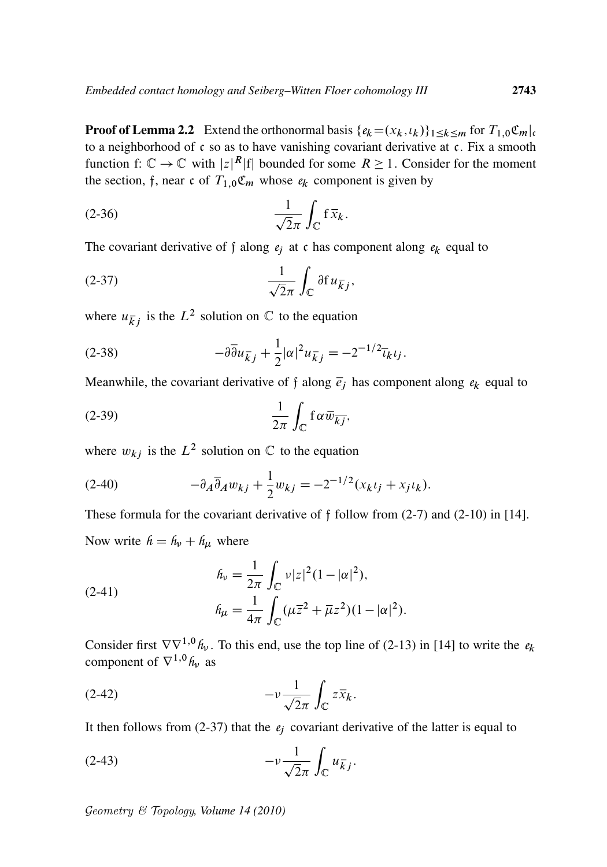**Proof of Lemma 2.2** Extend the orthonormal basis  $\{e_k = (x_k, t_k)\}_{1 \leq k \leq m}$  for  $T_{1,0} \mathfrak{C}_m|_{\mathfrak{c}}$ to a neighborhood of  $\zeta$  so as to have vanishing covariant derivative at  $\zeta$ . Fix a smooth function f:  $\mathbb{C} \to \mathbb{C}$  with  $|z|^R |f|$  bounded for some  $R \ge 1$ . Consider for the moment the section, f, near c of  $T_{1,0}\mathfrak{C}_m$  whose  $e_k$  component is given by

$$
\frac{1}{\sqrt{2}\pi} \int_{\mathbb{C}} f \, \overline{x}_k.
$$

The covariant derivative of f along  $e_j$  at c has component along  $e_k$  equal to

$$
\frac{1}{\sqrt{2}\pi} \int_{\mathbb{C}} \partial f u_{\overline{k}j},
$$

where  $u_{\overline{k}j}$  is the  $L^2$  solution on  $\mathbb C$  to the equation

(2-38) 
$$
-\partial \overline{\partial} u_{\overline{k}j} + \frac{1}{2} |\alpha|^2 u_{\overline{k}j} = -2^{-1/2} \overline{u}_{k} u_{j}.
$$

Meanwhile, the covariant derivative of f along  $\bar{e}_i$  has component along  $e_k$  equal to

$$
(2-39) \qquad \qquad \frac{1}{2\pi} \int_{\mathbb{C}} f \alpha \overline{w}_{\overline{k}j},
$$

where  $w_{kj}$  is the  $L^2$  solution on  $\mathbb C$  to the equation

(2-40) 
$$
-\partial_A \overline{\partial}_A w_{kj} + \frac{1}{2} w_{kj} = -2^{-1/2} (x_k t_j + x_j t_k).
$$

These formula for the covariant derivative of  $\hat{f}$  follow from (2-7) and (2-10) in [14]. Now write  $h = h_v + h_\mu$  where

(2-41)  

$$
h_{\nu} = \frac{1}{2\pi} \int_{\mathbb{C}} \nu |z|^2 (1 - |\alpha|^2),
$$

$$
h_{\mu} = \frac{1}{4\pi} \int_{\mathbb{C}} (\mu \overline{z}^2 + \overline{\mu} z^2)(1 - |\alpha|^2).
$$

Consider first  $\nabla \nabla^{1,0} h_{\nu}$ . To this end, use the top line of (2-13) in [14] to write the  $e_k$ component of  $\nabla^{1,0} h_{\nu}$  as

$$
(2-42) \t -\nu \frac{1}{\sqrt{2}\pi} \int_{\mathbb{C}} z \overline{x}_k.
$$

It then follows from  $(2-37)$  that the  $e_j$  covariant derivative of the latter is equal to

$$
(2-43) \t -\nu \frac{1}{\sqrt{2\pi}} \int_{\mathbb{C}} u_{\overline{k}j}.
$$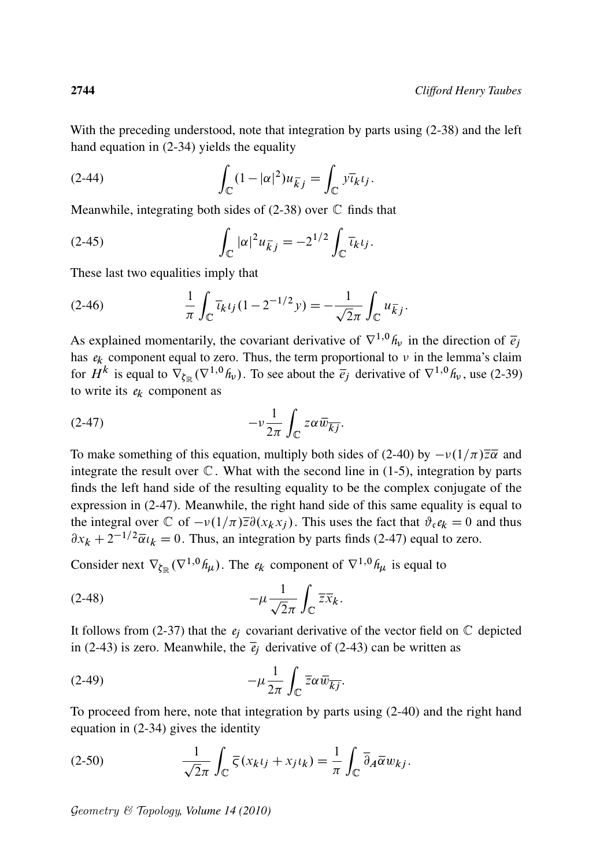With the preceding understood, note that integration by parts using (2-38) and the left hand equation in (2-34) yields the equality

(2-44) 
$$
\int_{\mathbb{C}} (1-|\alpha|^2) u_{\overline{k}j} = \int_{\mathbb{C}} \overline{v_{k}} v_{j}.
$$

Meanwhile, integrating both sides of  $(2-38)$  over  $\mathbb C$  finds that

(2-45) 
$$
\int_{\mathbb{C}} |\alpha|^2 u_{\bar{k}j} = -2^{1/2} \int_{\mathbb{C}} \bar{u}_{k} u_{j}.
$$

These last two equalities imply that

(2-46) 
$$
\frac{1}{\pi} \int_{\mathbb{C}} \overline{\iota}_{k} \iota_{j} (1 - 2^{-1/2} y) = -\frac{1}{\sqrt{2\pi}} \int_{\mathbb{C}} u_{\overline{k}j}.
$$

As explained momentarily, the covariant derivative of  $\nabla^{1,0} h_{\nu}$  in the direction of  $\bar{e}_j$ has  $e_k$  component equal to zero. Thus, the term proportional to  $\nu$  in the lemma's claim for  $H^k$  is equal to  $\nabla_{\zeta_{\mathbb{R}}}(\nabla^{1,0}h_\nu)$ . To see about the  $\bar{e}_j$  derivative of  $\nabla^{1,0}h_\nu$ , use (2-39) to write its  $e_k$  component as

$$
(2-47) \t -\nu \frac{1}{2\pi} \int_{\mathbb{C}} z \alpha \overline{w}_{\overline{k}j}.
$$

To make something of this equation, multiply both sides of (2-40) by  $-v(1/\pi)\overline{z}\overline{\alpha}$  and integrate the result over  $\mathbb C$ . What with the second line in (1-5), integration by parts finds the left hand side of the resulting equality to be the complex conjugate of the expression in (2-47). Meanwhile, the right hand side of this same equality is equal to the integral over  $\mathbb C$  of  $-v(1/\pi)\overline{z}\partial(x_kx_i)$ . This uses the fact that  $\partial_{\mathfrak c}e_k = 0$  and thus  $\partial x_k + 2^{-1/2} \overline{\alpha} u_k = 0$ . Thus, an integration by parts finds (2-47) equal to zero.

Consider next  $\nabla_{\xi_{\mathbb{R}}} (\nabla^{1,0} h_{\mu})$ . The  $e_k$  component of  $\nabla^{1,0} h_{\mu}$  is equal to

$$
(2-48) \t -\mu \frac{1}{\sqrt{2\pi}} \int_{\mathbb{C}} \overline{z} \overline{x}_k.
$$

It follows from (2-37) that the  $e_i$  covariant derivative of the vector field on  $\mathbb C$  depicted in (2-43) is zero. Meanwhile, the  $\overline{e}_i$  derivative of (2-43) can be written as

$$
(2-49) \t -\mu \frac{1}{2\pi} \int_{\mathbb{C}} \overline{z} \alpha \overline{w}_{\overline{kj}}.
$$

To proceed from here, note that integration by parts using (2-40) and the right hand equation in (2-34) gives the identity

(2-50) 
$$
\frac{1}{\sqrt{2}\pi} \int_{\mathbb{C}} \overline{\zeta}(x_k t_j + x_j t_k) = \frac{1}{\pi} \int_{\mathbb{C}} \overline{\partial}_A \overline{\alpha} w_{kj}.
$$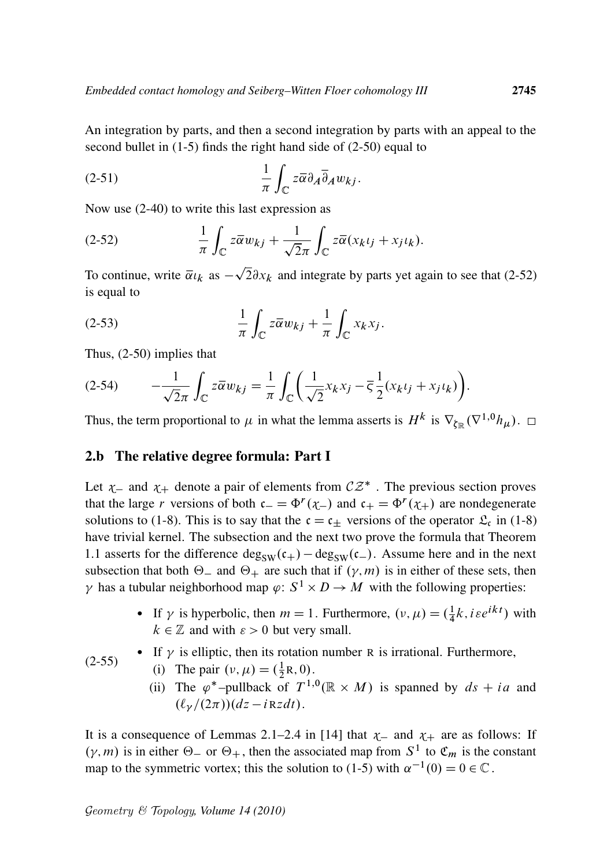An integration by parts, and then a second integration by parts with an appeal to the second bullet in (1-5) finds the right hand side of (2-50) equal to

$$
(2-51) \qquad \frac{1}{\pi} \int_{\mathbb{C}} z \overline{\alpha} \partial_A \overline{\partial}_A w_{kj}.
$$

Now use (2-40) to write this last expression as

(2-52) 
$$
\frac{1}{\pi} \int_{\mathbb{C}} z \overline{\alpha} w_{kj} + \frac{1}{\sqrt{2}\pi} \int_{\mathbb{C}} z \overline{\alpha} (x_k t_j + x_j t_k).
$$

To continue, write  $\bar{\alpha}_{k}$  as –  $2\partial x_k$  and integrate by parts yet again to see that (2-52) is equal to

(2-53) 
$$
\frac{1}{\pi} \int_{\mathbb{C}} z \overline{\alpha} w_{kj} + \frac{1}{\pi} \int_{\mathbb{C}} x_k x_j.
$$

Thus, (2-50) implies that

$$
(2-54) \qquad -\frac{1}{\sqrt{2}\pi} \int_{\mathbb{C}} z \overline{\alpha} w_{kj} = \frac{1}{\pi} \int_{\mathbb{C}} \left( \frac{1}{\sqrt{2}} x_k x_j - \overline{\varsigma} \frac{1}{2} (x_k t_j + x_j t_k) \right).
$$

Thus, the term proportional to  $\mu$  in what the lemma asserts is  $H^k$  is  $\nabla_{\zeta_{\mathbb{R}}} (\nabla^{1,0} h_{\mu}).$ 

#### 2.b The relative degree formula: Part I

Let  $\chi$  and  $\chi$  denote a pair of elements from  $CZ^*$ . The previous section proves that the large *r* versions of both  $c_{-} = \Phi^{r}(\chi_{-})$  and  $c_{+} = \Phi^{r}(\chi_{+})$  are nondegenerate solutions to (1-8). This is to say that the  $c = c_{\pm}$  versions of the operator  $\mathcal{L}_c$  in (1-8) have trivial kernel. The subsection and the next two prove the formula that Theorem 1.1 asserts for the difference  $\deg_{SW}(c_{+}) - \deg_{SW}(c_{-})$ . Assume here and in the next subsection that both  $\Theta$  and  $\Theta$  are such that if  $(\gamma, m)$  is in either of these sets, then  $\gamma$  has a tubular neighborhood map  $\varphi: S^1 \times D \to M$  with the following properties:

- If  $\gamma$  is hyperbolic, then  $m = 1$ . Furthermore,  $(\nu, \mu) = (\frac{1}{4})$  $\frac{1}{4}k$ , *i*  $\epsilon e^{ikt}$ ) with  $k \in \mathbb{Z}$  and with  $\varepsilon > 0$  but very small.
- $(2-55)$ • If  $\gamma$  is elliptic, then its rotation number R is irrational. Furthermore,
	- (i) The pair  $(v, \mu) = (\frac{1}{2}R, 0)$ . 2
	- (ii) The  $\varphi^*$ -pullback of  $T^{1,0}(\mathbb{R} \times M)$  is spanned by  $ds + ia$  and  $(\ell_{\nu}/(2\pi))(dz - iRzdt)$ .

It is a consequence of Lemmas 2.1–2.4 in [14] that  $\chi$  and  $\chi$  are as follows: If  $(\gamma, m)$  is in either  $\Theta_-$  or  $\Theta_+$ , then the associated map from  $S^1$  to  $\mathfrak{C}_m$  is the constant map to the symmetric vortex; this the solution to (1-5) with  $\alpha^{-1}(0) = 0 \in \mathbb{C}$ .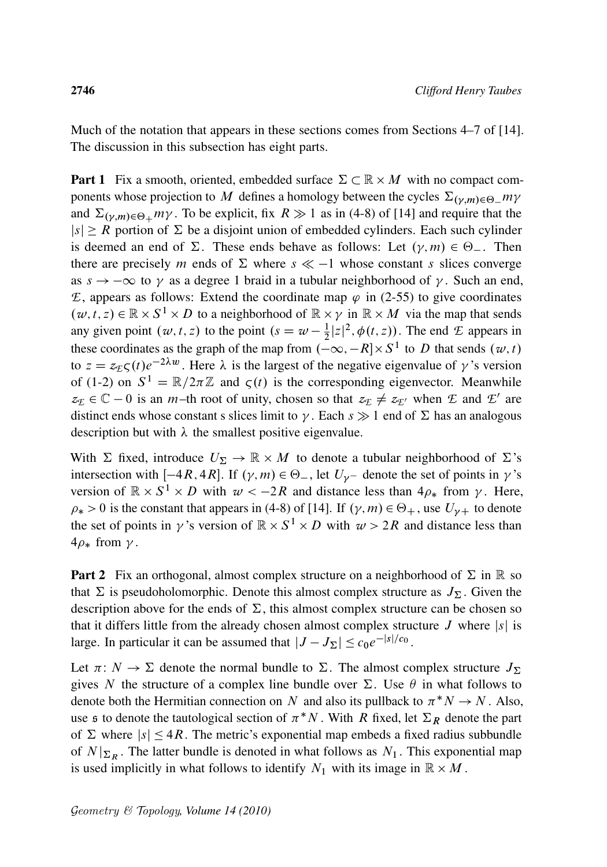Much of the notation that appears in these sections comes from Sections 4–7 of [14]. The discussion in this subsection has eight parts.

**Part 1** Fix a smooth, oriented, embedded surface  $\Sigma \subset \mathbb{R} \times M$  with no compact components whose projection to M defines a homology between the cycles  $\Sigma_{(\nu,m)\in\Theta}$  my and  $\Sigma_{(\gamma,m)\in\Theta_+}m\gamma$ . To be explicit, fix  $R\gg 1$  as in (4-8) of [14] and require that the  $|s| \ge R$  portion of  $\Sigma$  be a disjoint union of embedded cylinders. Each such cylinder is deemed an end of  $\Sigma$ . These ends behave as follows: Let  $(\gamma, m) \in \Theta_{-}$ . Then there are precisely m ends of  $\Sigma$  where  $s \ll -1$  whose constant s slices converge as  $s \to -\infty$  to  $\gamma$  as a degree 1 braid in a tubular neighborhood of  $\gamma$ . Such an end,  $E$ , appears as follows: Extend the coordinate map  $\varphi$  in (2-55) to give coordinates  $(w, t, z) \in \mathbb{R} \times S^1 \times D$  to a neighborhood of  $\mathbb{R} \times \gamma$  in  $\mathbb{R} \times M$  via the map that sends any given point  $(w, t, z)$  to the point  $(s = w - \frac{1}{2})$  $\frac{1}{2}|z|^2$ ,  $\phi(t, z)$ ). The end *E* appears in these coordinates as the graph of the map from  $\left(-\infty, -R\right] \times S^1$  to D that sends  $(w, t)$ to  $z = z_{\text{E}} \zeta(t) e^{-2\lambda w}$ . Here  $\lambda$  is the largest of the negative eigenvalue of  $\gamma$ 's version of (1-2) on  $S^1 = \mathbb{R}/2\pi\mathbb{Z}$  and  $\zeta(t)$  is the corresponding eigenvector. Meanwhile  $z_E \in \mathbb{C} - 0$  is an *m*-th root of unity, chosen so that  $z_E \neq z_{E'}$  when *E* and *E'* are distinct ends whose constant s slices limit to  $\gamma$ . Each  $s \gg 1$  end of  $\Sigma$  has an analogous description but with  $\lambda$  the smallest positive eigenvalue.

With  $\Sigma$  fixed, introduce  $U_{\Sigma} \to \mathbb{R} \times M$  to denote a tubular neighborhood of  $\Sigma$ 's intersection with  $[-4R, 4R]$ . If  $(\gamma, m) \in \Theta_{-}$ , let  $U_{\gamma}$  denote the set of points in  $\gamma$ 's version of  $\mathbb{R} \times S^1 \times D$  with  $w < -2R$  and distance less than  $4\rho_*$  from  $\gamma$ . Here,  $\rho_* > 0$  is the constant that appears in (4-8) of [14]. If  $(\gamma, m) \in \Theta_+$ , use  $U_{\gamma+}$  to denote the set of points in  $\gamma$ 's version of  $\mathbb{R} \times S^1 \times D$  with  $\omega > 2R$  and distance less than  $4\rho_*$  from  $\gamma$ .

**Part 2** Fix an orthogonal, almost complex structure on a neighborhood of  $\Sigma$  in  $\mathbb R$  so that  $\Sigma$  is pseudoholomorphic. Denote this almost complex structure as  $J_{\Sigma}$ . Given the description above for the ends of  $\Sigma$ , this almost complex structure can be chosen so that it differs little from the already chosen almost complex structure  $J$  where  $|s|$  is large. In particular it can be assumed that  $|J - J_{\Sigma}| \le c_0 e^{-|s|/c_0}$ .

Let  $\pi: N \to \Sigma$  denote the normal bundle to  $\Sigma$ . The almost complex structure  $J_{\Sigma}$ gives N the structure of a complex line bundle over  $\Sigma$ . Use  $\theta$  in what follows to denote both the Hermitian connection on N and also its pullback to  $\pi^* N \to N$ . Also, use  $\mathfrak s$  to denote the tautological section of  $\pi^*N$ . With  $\overline{R}$  fixed, let  $\Sigma_R$  denote the part of  $\Sigma$  where  $|s| \leq 4R$ . The metric's exponential map embeds a fixed radius subbundle of  $N|_{\Sigma_R}$ . The latter bundle is denoted in what follows as  $N_1$ . This exponential map is used implicitly in what follows to identify  $N_1$  with its image in  $\mathbb{R} \times M$ .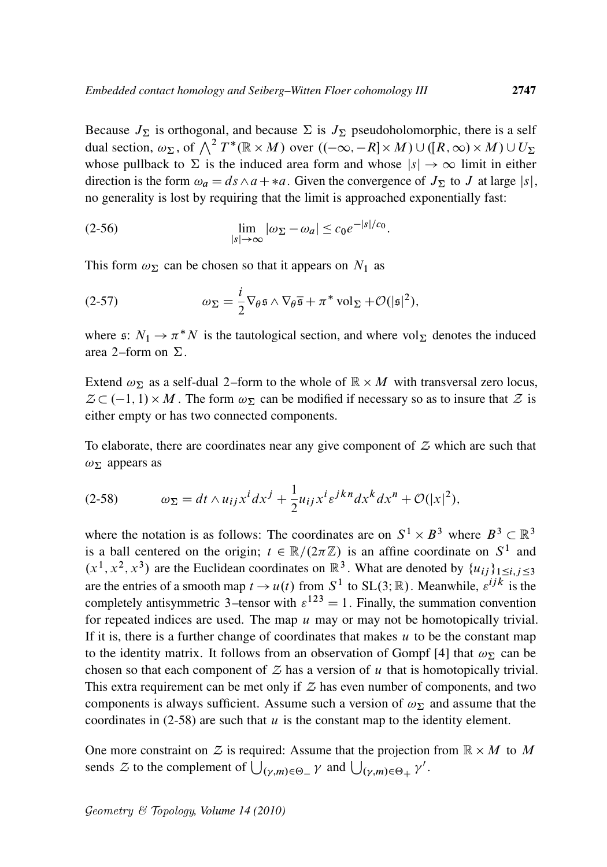Because  $J_{\Sigma}$  is orthogonal, and because  $\Sigma$  is  $J_{\Sigma}$  pseudoholomorphic, there is a self dual section,  $\omega_{\Sigma}$ , of  $\bigwedge^2 T^*(\mathbb{R} \times M)$  over  $((-\infty, -R] \times M) \cup ([R, \infty) \times M) \cup U_{\Sigma}$ whose pullback to  $\Sigma$  is the induced area form and whose  $|s| \to \infty$  limit in either direction is the form  $\omega_a = ds \wedge a + *a$ . Given the convergence of  $J_{\Sigma}$  to J at large  $|s|$ , no generality is lost by requiring that the limit is approached exponentially fast:

:

$$
\lim_{|s| \to \infty} |\omega_{\Sigma} - \omega_a| \le c_0 e^{-|s|/c_0}
$$

This form  $\omega_{\Sigma}$  can be chosen so that it appears on  $N_1$  as

(2-57) 
$$
\omega_{\Sigma} = \frac{i}{2} \nabla_{\theta} \mathfrak{s} \wedge \nabla_{\theta} \overline{\mathfrak{s}} + \pi^* \mathrm{vol}_{\Sigma} + \mathcal{O}(|\mathfrak{s}|^2),
$$

where  $\mathfrak{s}: N_1 \to \pi^* N$  is the tautological section, and where vol<sub> $\Sigma$ </sub> denotes the induced area 2–form on  $\Sigma$ .

Extend  $\omega_{\Sigma}$  as a self-dual 2–form to the whole of  $\mathbb{R} \times M$  with transversal zero locus,  $Z \subset (-1, 1) \times M$ . The form  $\omega_{\Sigma}$  can be modified if necessary so as to insure that Z is either empty or has two connected components.

To elaborate, there are coordinates near any give component of *Z* which are such that  $\omega_{\Sigma}$  appears as

$$
(2-58) \t\t \omega_{\Sigma} = dt \wedge u_{ij} x^{i} dx^{j} + \frac{1}{2} u_{ij} x^{i} \varepsilon^{jkn} dx^{k} dx^{n} + \mathcal{O}(|x|^{2}),
$$

where the notation is as follows: The coordinates are on  $S^1 \times B^3$  where  $B^3 \subset \mathbb{R}^3$ is a ball centered on the origin;  $t \in \mathbb{R}/(2\pi\mathbb{Z})$  is an affine coordinate on  $S^1$  and  $(x^1, x^2, x^3)$  are the Euclidean coordinates on  $\mathbb{R}^3$ . What are denoted by  $\{u_{ij}\}_{1 \le i, j \le 3}$ are the entries of a smooth map  $t \to u(t)$  from  $S^1$  to  $SL(3;\mathbb{R})$ . Meanwhile,  $\varepsilon^{ijk}$  is the completely antisymmetric 3–tensor with  $\varepsilon^{123} = 1$ . Finally, the summation convention for repeated indices are used. The map  $u$  may or may not be homotopically trivial. If it is, there is a further change of coordinates that makes  $u$  to be the constant map to the identity matrix. It follows from an observation of Gompf [4] that  $\omega_{\Sigma}$  can be chosen so that each component of  $Z$  has a version of  $u$  that is homotopically trivial. This extra requirement can be met only if  $Z$  has even number of components, and two components is always sufficient. Assume such a version of  $\omega_{\Sigma}$  and assume that the coordinates in  $(2-58)$  are such that u is the constant map to the identity element.

One more constraint on  $\mathcal Z$  is required: Assume that the projection from  $\mathbb R \times M$  to M sends Z to the complement of  $\bigcup_{(\gamma,m)\in\Theta_+} \gamma$  and  $\bigcup_{(\gamma,m)\in\Theta_+} \gamma'$ .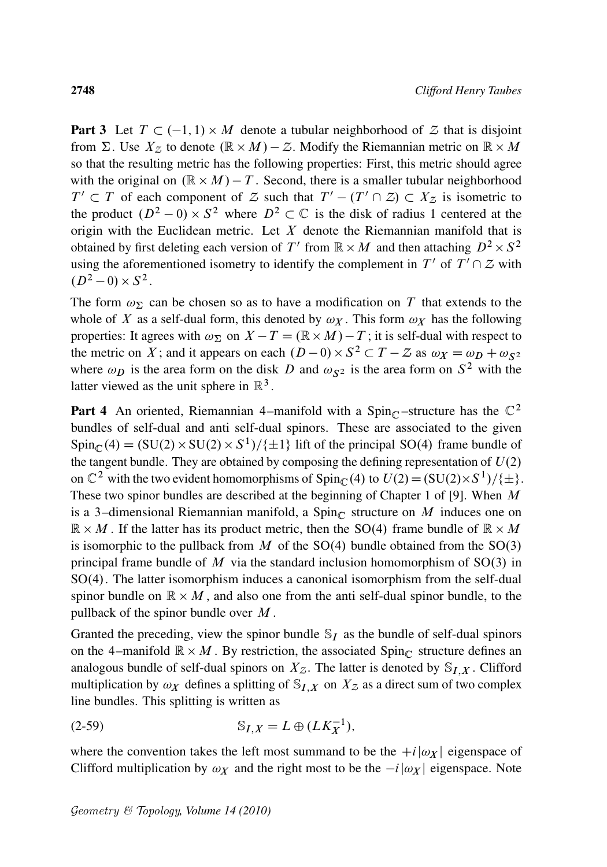**Part 3** Let  $T \subset (-1, 1) \times M$  denote a tubular neighborhood of  $Z$  that is disjoint from  $\Sigma$ . Use  $X_Z$  to denote  $(\mathbb{R} \times M) - \mathbb{Z}$ . Modify the Riemannian metric on  $\mathbb{R} \times M$ so that the resulting metric has the following properties: First, this metric should agree with the original on  $(\mathbb{R} \times M) - T$ . Second, there is a smaller tubular neighborhood  $T' \subset T$  of each component of *Z* such that  $T' - (T' \cap Z) \subset X_Z$  is isometric to the product  $(D^2 - 0) \times S^2$  where  $D^2 \subset \mathbb{C}$  is the disk of radius 1 centered at the origin with the Euclidean metric. Let  $X$  denote the Riemannian manifold that is obtained by first deleting each version of T' from  $\mathbb{R} \times M$  and then attaching  $D^2 \times S^2$ using the aforementioned isometry to identify the complement in  $T'$  of  $T' \cap Z$  with  $(D^2-0)\times S^2$ .

The form  $\omega_{\Sigma}$  can be chosen so as to have a modification on T that extends to the whole of X as a self-dual form, this denoted by  $\omega_X$ . This form  $\omega_X$  has the following properties: It agrees with  $\omega_{\Sigma}$  on  $X - T = (\mathbb{R} \times M) - T$ ; it is self-dual with respect to the metric on X; and it appears on each  $(D-0) \times S^2 \subset T - Z$  as  $\omega_X = \omega_D + \omega_{S^2}$ where  $\omega_D$  is the area form on the disk D and  $\omega_{S^2}$  is the area form on  $S^2$  with the latter viewed as the unit sphere in  $\mathbb{R}^3$ .

**Part 4** An oriented, Riemannian 4–manifold with a Spin<sub>C</sub>-structure has the  $\mathbb{C}^2$ bundles of self-dual and anti self-dual spinors. These are associated to the given  $Spin_{\mathbb{C}}(4) = (SU(2) \times SU(2) \times S^1)/{\{\pm 1\}}$  lift of the principal SO(4) frame bundle of the tangent bundle. They are obtained by composing the defining representation of  $U(2)$ on  $\mathbb{C}^2$  with the two evident homomorphisms of Spin<sub>C</sub>(4) to  $U(2) = (SU(2) \times S^1)/\{\pm\}.$ These two spinor bundles are described at the beginning of Chapter 1 of [9]. When  $M$ is a 3-dimensional Riemannian manifold, a Spin<sub>C</sub> structure on M induces one on  $\mathbb{R} \times M$ . If the latter has its product metric, then the SO(4) frame bundle of  $\mathbb{R} \times M$ is isomorphic to the pullback from  $M$  of the SO(4) bundle obtained from the SO(3) principal frame bundle of  $M$  via the standard inclusion homomorphism of SO(3) in SO(4). The latter isomorphism induces a canonical isomorphism from the self-dual spinor bundle on  $\mathbb{R} \times M$ , and also one from the anti self-dual spinor bundle, to the pullback of the spinor bundle over  $M$ .

Granted the preceding, view the spinor bundle  $\mathcal{S}_I$  as the bundle of self-dual spinors on the 4-manifold  $\mathbb{R} \times M$ . By restriction, the associated  $Spin_{\mathbb{C}}$  structure defines an analogous bundle of self-dual spinors on  $X_Z$ . The latter is denoted by  $\mathcal{S}_{I,X}$ . Clifford multiplication by  $\omega_X$  defines a splitting of  $\mathcal{S}_{I,X}$  on  $X_Z$  as a direct sum of two complex line bundles. This splitting is written as

$$
(2-59) \t\t S_{I,X} = L \oplus (LK_X^{-1}),
$$

where the convention takes the left most summand to be the  $+i|\omega_X|$  eigenspace of Clifford multiplication by  $\omega_X$  and the right most to be the  $-i|\omega_X|$  eigenspace. Note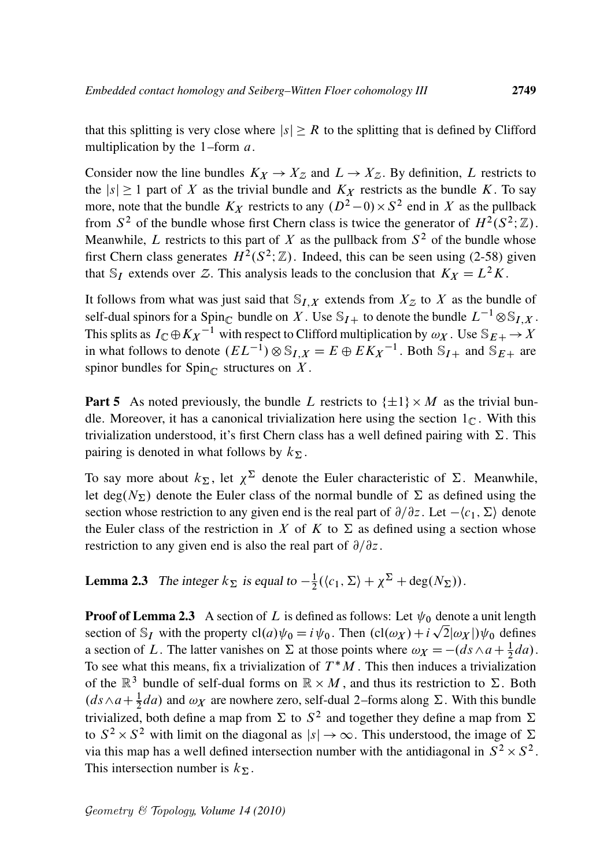that this splitting is very close where  $|s| \geq R$  to the splitting that is defined by Clifford multiplication by the  $1$ –form  $a$ .

Consider now the line bundles  $K_X \to X_Z$  and  $L \to X_Z$ . By definition, L restricts to the  $|s| \ge 1$  part of X as the trivial bundle and  $K_X$  restricts as the bundle K. To say more, note that the bundle  $K_X$  restricts to any  $(D^2-0) \times S^2$  end in X as the pullback from  $S^2$  of the bundle whose first Chern class is twice the generator of  $H^2(S^2; \mathbb{Z})$ . Meanwhile, L restricts to this part of X as the pullback from  $S^2$  of the bundle whose first Chern class generates  $H^2(S^2; \mathbb{Z})$ . Indeed, this can be seen using (2-58) given that S<sub>I</sub> extends over Z. This analysis leads to the conclusion that  $K_X = L^2K$ .

It follows from what was just said that  $S_{I,X}$  extends from  $X_Z$  to X as the bundle of self-dual spinors for a Spin<sub>C</sub> bundle on X. Use  $S_{I+}$  to denote the bundle  $L^{-1} \otimes S_{I,X}$ . This splits as  $I_{\mathbb{C}} \oplus K_X^{-1}$  with respect to Clifford multiplication by  $\omega_X$ . Use  $\mathbb{S}_{E+} \to X$ in what follows to denote  $(EL^{-1}) \otimes \mathbb{S}_{I,X} = E \oplus E \overline{K_X}^{-1}$ . Both  $\overline{\mathbb{S}}_{I+}$  and  $\overline{\mathbb{S}}_{E+}$  are spinor bundles for  $Spin_{\mathbb{C}}$  structures on X.

**Part 5** As noted previously, the bundle L restricts to  $\{\pm 1\} \times M$  as the trivial bundle. Moreover, it has a canonical trivialization here using the section  $1<sub>C</sub>$ . With this trivialization understood, it's first Chern class has a well defined pairing with  $\Sigma$ . This pairing is denoted in what follows by  $k_{\Sigma}$ .

To say more about  $k_{\Sigma}$ , let  $\chi^{\Sigma}$  denote the Euler characteristic of  $\Sigma$ . Meanwhile, let deg( $N_{\Sigma}$ ) denote the Euler class of the normal bundle of  $\Sigma$  as defined using the section whose restriction to any given end is the real part of  $\partial/\partial z$ . Let  $-\langle c_1, \Sigma \rangle$  denote the Euler class of the restriction in X of K to  $\Sigma$  as defined using a section whose restriction to any given end is also the real part of  $\partial/\partial z$ .

**Lemma 2.3** The integer  $k_{\Sigma}$  is equal to  $-\frac{1}{2}$  $\frac{1}{2}(\langle c_1, \Sigma \rangle + \chi^{\Sigma} + \deg(N_{\Sigma})).$ 

**Proof of Lemma 2.3** A section of L is defined as follows: Let  $\psi_0$  denote a unit length section of S<sub>I</sub> with the property  $cl(a)\psi_0 = i \psi_0$ . Then  $(cl(\omega_X) + i \sqrt{2} | \omega_X |)\psi_0$  defines a section of L. The latter vanishes on  $\Sigma$  at those points where  $\omega_X = -(ds \wedge a + \frac{1}{2}da)$ . To see what this means, fix a trivialization of  $T^*M$ . This then induces a trivialization of the  $\mathbb{R}^3$  bundle of self-dual forms on  $\mathbb{R} \times M$ , and thus its restriction to  $\Sigma$ . Both  $(ds \wedge a + \frac{1}{2}da)$  and  $\omega_X$  are nowhere zero, self-dual 2–forms along  $\Sigma$ . With this bundle trivialized, both define a map from  $\Sigma$  to  $S^2$  and together they define a map from  $\Sigma$ to  $S^2 \times S^2$  with limit on the diagonal as  $|s| \to \infty$ . This understood, the image of  $\Sigma$ via this map has a well defined intersection number with the antidiagonal in  $S^2 \times S^2$ . This intersection number is  $k_{\Sigma}$ .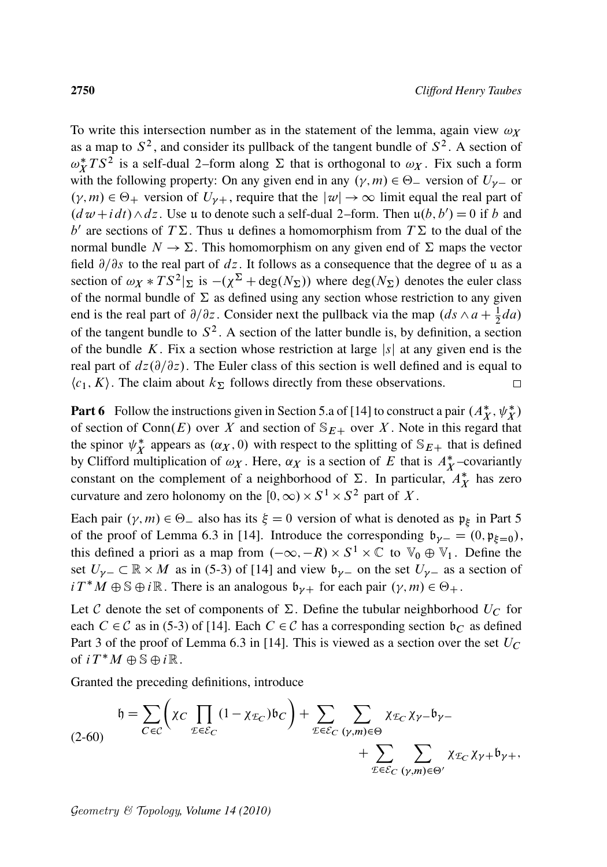To write this intersection number as in the statement of the lemma, again view  $\omega_X$ as a map to  $S^2$ , and consider its pullback of the tangent bundle of  $S^2$ . A section of  $\omega_X^*$  $X^*$  *TS*<sup>2</sup> is a self-dual 2–form along  $\Sigma$  that is orthogonal to  $\omega_X$ . Fix such a form with the following property: On any given end in any  $(\gamma, m) \in \Theta$  version of  $U_{\gamma}$  or  $(\gamma, m) \in \Theta_+$  version of  $U_{\gamma+}$ , require that the  $|\psi| \to \infty$  limit equal the real part of  $(d \omega + i dt) \wedge dz$ . Use u to denote such a self-dual 2–form. Then  $\mathfrak{u}(b, b') = 0$  if b and b' are sections of  $T\Sigma$ . Thus u defines a homomorphism from  $T\Sigma$  to the dual of the normal bundle  $N \to \Sigma$ . This homomorphism on any given end of  $\Sigma$  maps the vector field  $\partial/\partial s$  to the real part of dz. It follows as a consequence that the degree of u as a section of  $\omega_X * TS^2|_{\Sigma}$  is  $-(\chi^{\Sigma} + \text{deg}(N_{\Sigma}))$  where  $\text{deg}(N_{\Sigma})$  denotes the euler class of the normal bundle of  $\Sigma$  as defined using any section whose restriction to any given end is the real part of  $\partial/\partial z$ . Consider next the pullback via the map  $(ds \wedge a + \frac{1}{2}da)$ of the tangent bundle to  $S^2$ . A section of the latter bundle is, by definition, a section of the bundle K. Fix a section whose restriction at large  $|s|$  at any given end is the real part of  $dz(\partial/\partial z)$ . The Euler class of this section is well defined and is equal to  $\langle c_1, K \rangle$ . The claim about  $k_{\Sigma}$  follows directly from these observations.  $\Box$ 

**Part 6** Follow the instructions given in Section 5.a of [14] to construct a pair  $(A_X^*, \psi_X^*)$ of section of Conn $(E)$  over X and section of  $\mathbb{S}_{E+}$  over X. Note in this regard that the spinor  $\psi_X^*$  $X^*$  appears as  $(\alpha_X, 0)$  with respect to the splitting of  $\mathbb{S}_{E+}$  that is defined by Clifford multiplication of  $\omega_X$ . Here,  $\alpha_X$  is a section of E that is  $A_X^*$ -covariantly constant on the complement of a neighborhood of  $\Sigma$ . In particular,  $A_X^*$  has zero curvature and zero holonomy on the  $[0,\infty) \times S^1 \times S^2$  part of X.

Each pair  $(\gamma, m) \in \Theta$  also has its  $\xi = 0$  version of what is denoted as  $\mathfrak{p}_{\xi}$  in Part 5 of the proof of Lemma 6.3 in [14]. Introduce the corresponding  $\mathfrak{b}_{\gamma-} = (0, \mathfrak{p}_{\xi=0}),$ this defined a priori as a map from  $(-\infty, -R) \times S^1 \times \mathbb{C}$  to  $\mathbb{V}_0 \oplus \mathbb{V}_1$ . Define the set  $U_{\gamma-} \subset \mathbb{R} \times M$  as in (5-3) of [14] and view  $\mathfrak{b}_{\gamma-}$  on the set  $U_{\gamma-}$  as a section of  $i T^* M \oplus \mathbb{S} \oplus i \mathbb{R}$ . There is an analogous  $\mathfrak{b}_{\gamma+}$  for each pair  $(\gamma, m) \in \Theta_+$ .

Let C denote the set of components of  $\Sigma$ . Define the tubular neighborhood  $U_C$  for each  $C \in \mathcal{C}$  as in (5-3) of [14]. Each  $C \in \mathcal{C}$  has a corresponding section  $\mathfrak{b}_C$  as defined Part 3 of the proof of Lemma 6.3 in [14]. This is viewed as a section over the set  $U_C$ of  $i T^* M \oplus \mathbb{S} \oplus i \mathbb{R}$ .

Granted the preceding definitions, introduce

$$
\mathfrak{h} = \sum_{C \in \mathcal{C}} \left( \chi_C \prod_{\mathcal{E} \in \mathcal{E}_C} (1 - \chi_{\mathcal{E}_C}) \mathfrak{b}_C \right) + \sum_{\mathcal{E} \in \mathcal{E}_C} \sum_{(\gamma, m) \in \Theta} \chi_{\mathcal{E}_C} \chi_{\gamma -} \mathfrak{b}_{\gamma -} + \sum_{\mathcal{E} \in \mathcal{E}_C} \sum_{(\gamma, m) \in \Theta'} \chi_{\mathcal{E}_C} \chi_{\gamma +} \mathfrak{b}_{\gamma +},
$$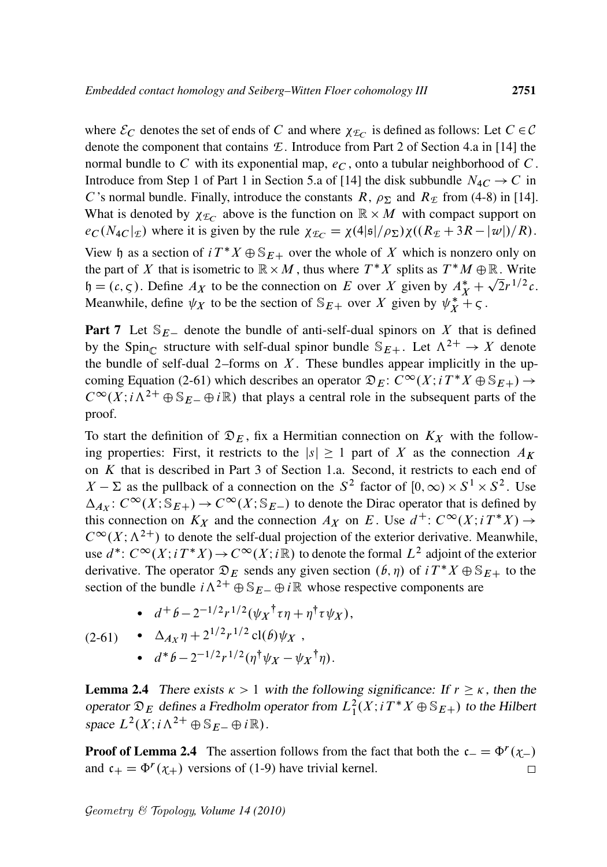where  $\mathcal{E}_C$  denotes the set of ends of C and where  $\chi_{\mathcal{E}_C}$  is defined as follows: Let  $C \in \mathcal{C}$ denote the component that contains *E* . Introduce from Part 2 of Section 4.a in [14] the normal bundle to C with its exponential map,  $e_C$ , onto a tubular neighborhood of C. Introduce from Step 1 of Part 1 in Section 5.a of [14] the disk subbundle  $N_{4C} \rightarrow C$  in C's normal bundle. Finally, introduce the constants R,  $\rho_{\Sigma}$  and R<sub>E</sub> from (4-8) in [14]. What is denoted by  $\chi_{\mathcal{L}_C}$  above is the function on  $\mathbb{R} \times M$  with compact support on  $e_C (N_{4C} |_{\mathcal{E}})$  where it is given by the rule  $\chi_{\mathcal{E}_C} = \chi(4|\mathfrak{s}|/\rho_{\Sigma}) \chi((R_{\mathcal{E}} + 3R - |\mathcal{w}|)/R)$ . View h as a section of  $i T^* X \oplus S_{E+}$  over the whole of X which is nonzero only on the part of X that is isometric to  $\mathbb{R} \times M$ , thus where  $T^*X$  splits as  $T^*M \oplus \mathbb{R}$ . Write  $\mathfrak{h} = (c, \varsigma)$ . Define  $A_X$  to be the connection on E over X given by  $A_X^* + \sqrt{2}r^{1/2}c$ . Meanwhile, define  $\psi_X$  to be the section of  $\mathbb{S}_{E+}$  over X given by  $\psi_X^* + \varsigma$ .

**Part 7** Let  $S_{E-}$  denote the bundle of anti-self-dual spinors on X that is defined by the Spin<sub>C</sub> structure with self-dual spinor bundle  $\mathcal{S}_{E+}$ . Let  $\Lambda^{2+} \to X$  denote the bundle of self-dual 2–forms on  $X$ . These bundles appear implicitly in the upcoming Equation (2-61) which describes an operator  $\mathfrak{D}_E: C^\infty(X; i T^* X \oplus \mathbb{S}_{E+}) \to$  $C^{\infty}(X;i\Lambda^{2+} \oplus \mathbb{S}_{E-} \oplus i\mathbb{R})$  that plays a central role in the subsequent parts of the proof.

To start the definition of  $\mathfrak{D}_E$ , fix a Hermitian connection on  $K_X$  with the following properties: First, it restricts to the  $|s| \geq 1$  part of X as the connection  $A_K$ on K that is described in Part 3 of Section 1.a. Second, it restricts to each end of  $X - \Sigma$  as the pullback of a connection on the  $S^2$  factor of  $[0, \infty) \times S^1 \times S^2$ . Use  $\Delta_{A_X}: C^{\infty}(X; \mathbb{S}_{E+}) \to C^{\infty}(X; \mathbb{S}_{E-})$  to denote the Dirac operator that is defined by this connection on  $K_X$  and the connection  $A_X$  on E. Use  $d^+$ :  $C^\infty(X; i T^* X) \to$  $C^{\infty}(X;\Lambda^{2+})$  to denote the self-dual projection of the exterior derivative. Meanwhile, use  $d^*$ :  $C^\infty(X; i T^*X) \to C^\infty(X; i\mathbb{R})$  to denote the formal  $L^2$  adjoint of the exterior derivative. The operator  $\mathfrak{D}_E$  sends any given section  $(\mathfrak{b}, \eta)$  of  $i T^* X \oplus \mathbb{S}_{E+}$  to the section of the bundle  $i\Lambda^{2+} \oplus S_{E-} \oplus i\mathbb{R}$  whose respective components are

• 
$$
d^+ b - 2^{-1/2} r^{1/2} (\psi_X^{\dagger} \tau \eta + \eta^{\dagger} \tau \psi_X),
$$

(2-61) • 
$$
\Delta_{A_X} \eta + 2^{1/2} r^{1/2} \text{cl}(b) \psi_X
$$
,  
•  $d^* b - 2^{-1/2} r^{1/2} (\eta^{\dagger} \psi_X - \psi_X^{\dagger} \eta)$ .

**Lemma 2.4** There exists  $\kappa > 1$  with the following significance: If  $r \geq \kappa$ , then the operator  $\mathfrak{D}_E$  defines a Fredholm operator from  $L_1^2(X; i T^*X \oplus \mathbb{S}_{E+})$  to the Hilbert space  $L^2(X; i \Lambda^{2+} \oplus \mathbb{S}_{E-} \oplus i \mathbb{R})$ .

**Proof of Lemma 2.4** The assertion follows from the fact that both the  $c = \Phi^r(\chi)$ . and  $c_+ = \Phi^r(\chi_+)$  versions of (1-9) have trivial kernel.  $\Box$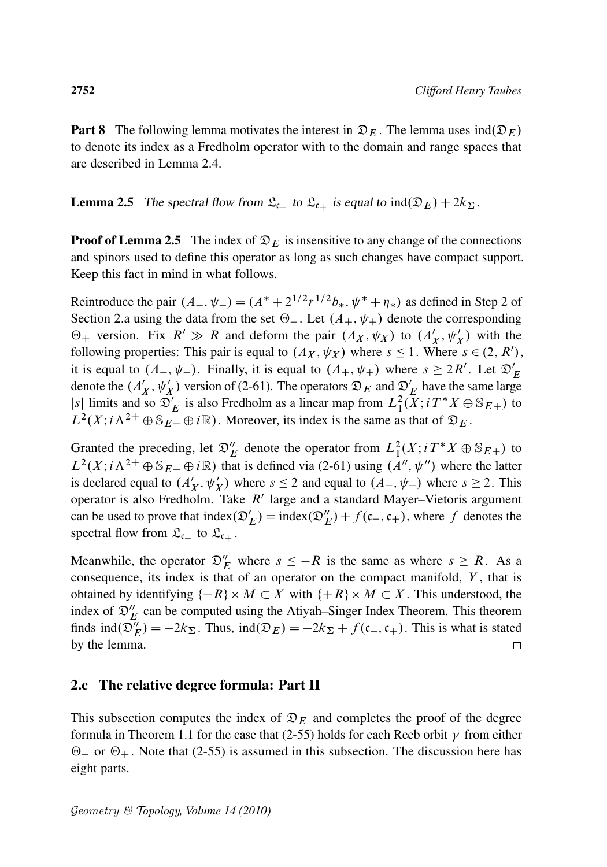**Part 8** The following lemma motivates the interest in  $\mathfrak{D}_E$ . The lemma uses  $\text{ind}(\mathfrak{D}_E)$ to denote its index as a Fredholm operator with to the domain and range spaces that are described in Lemma 2.4.

**Lemma 2.5** The spectral flow from  $\mathfrak{L}_{\mathfrak{c}_-}$  to  $\mathfrak{L}_{\mathfrak{c}_+}$  is equal to  $\text{ind}(\mathfrak{D}_E) + 2k_{\Sigma}$ .

**Proof of Lemma 2.5** The index of  $\mathfrak{D}_E$  is insensitive to any change of the connections and spinors used to define this operator as long as such changes have compact support. Keep this fact in mind in what follows.

Reintroduce the pair  $(A_-, \psi_-) = (A^* + 2^{1/2}r^{1/2}b_*, \psi^* + \eta_*)$  as defined in Step 2 of Section 2.a using the data from the set  $\Theta_-$ . Let  $(A_+, \psi_+)$  denote the corresponding  $\Theta_+$  version. Fix  $R' \gg R$  and deform the pair  $(A_X, \psi_X)$  to  $(A'_X, \psi'_X)$  with the following properties: This pair is equal to  $(A_X, \psi_X)$  where  $s \le 1$ . Where  $s \in (2, R')$ , it is equal to  $(A_-, \psi_-)$ . Finally, it is equal to  $(A_+, \psi_+)$  where  $s \geq 2R'$ . Let  $\mathfrak{D}'_E$ denote the  $(A'_X, \psi'_X)$  version of (2-61). The operators  $\mathfrak{D}_E$  and  $\mathfrak{D}'_E$  have the same large |s| limits and so  $\mathcal{D}'_E$  is also Fredholm as a linear map from  $L_1^2(X; i T^* X \oplus \mathbb{S}_{E+})$  to  $L^2(X; i\Lambda^{2+} \oplus \mathbb{S}_{E-} \oplus i\mathbb{R})$ . Moreover, its index is the same as that of  $\mathfrak{D}_E$ .

Granted the preceding, let  $\mathfrak{D}'_E$  denote the operator from  $L_1^2(X; i T^*X \oplus \mathbb{S}_{E+})$  to  $L^2(X; i\Lambda^{2+} \oplus \mathbb{S}_{E-} \oplus i\mathbb{R})$  that is defined via (2-61) using  $(A'', \psi'')$  where the latter is declared equal to  $(A'_X, \psi'_X)$  where  $s \le 2$  and equal to  $(A_-, \psi_-)$  where  $s \ge 2$ . This operator is also Fredholm. Take  $R'$  large and a standard Mayer–Vietoris argument can be used to prove that  $index(\mathcal{D}'_E) = index(\mathcal{D}''_E) + f(c_-, c_+)$ , where f denotes the spectral flow from  $\mathfrak{L}_{c}$  to  $\mathfrak{L}_{c}$ .

Meanwhile, the operator  $\mathcal{D}'_E$  where  $s \leq -R$  is the same as where  $s \geq R$ . As a consequence, its index is that of an operator on the compact manifold,  $Y$ , that is obtained by identifying  $\{-R\} \times M \subset X$  with  $\{+R\} \times M \subset X$ . This understood, the index of  $\mathfrak{D}'_E$  can be computed using the Atiyah–Singer Index Theorem. This theorem finds  $\text{ind}(\mathfrak{D}_E'') = -2k_{\Sigma}$ . Thus,  $\text{ind}(\mathfrak{D}_E) = -2k_{\Sigma} + f(\mathfrak{c}_-, \mathfrak{c}_+)$ . This is what is stated by the lemma.  $\Box$ 

#### 2.c The relative degree formula: Part II

This subsection computes the index of  $\mathfrak{D}_E$  and completes the proof of the degree formula in Theorem 1.1 for the case that (2-55) holds for each Reeb orbit  $\gamma$  from either  $\Theta$  or  $\Theta$ <sub>+</sub>. Note that (2-55) is assumed in this subsection. The discussion here has eight parts.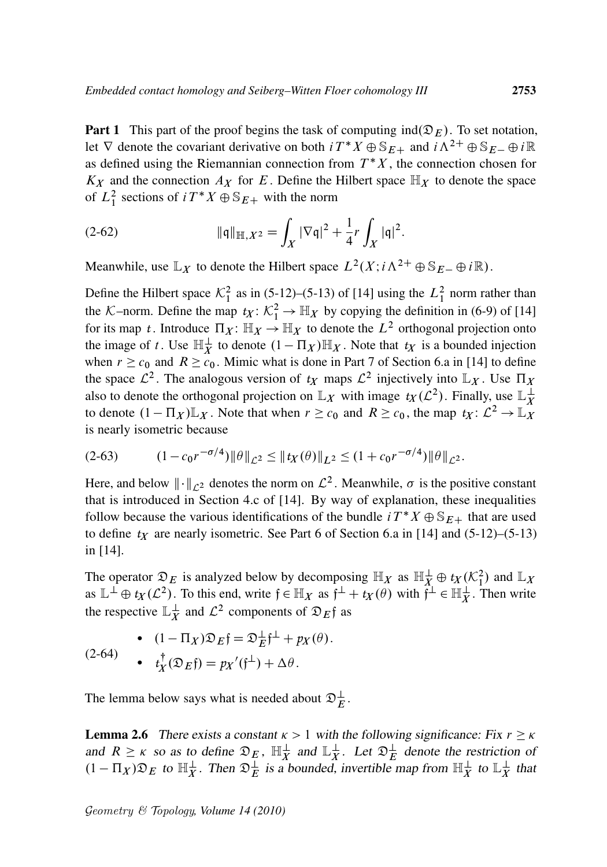**Part 1** This part of the proof begins the task of computing ind $(\mathcal{D}_E)$ . To set notation, let  $\nabla$  denote the covariant derivative on both  $i T^* X \oplus \mathbb{S}_{E+}$  and  $i \Lambda^{2+} \oplus \mathbb{S}_{E-} \oplus i \mathbb{R}$ as defined using the Riemannian connection from  $T^*X$ , the connection chosen for  $K_X$  and the connection  $A_X$  for E. Define the Hilbert space  $\mathbb{H}_X$  to denote the space of  $L_1^2$  sections of  $i T^* X \oplus \mathbb{S}_{E+}$  with the norm

(2-62) 
$$
\|\mathfrak{q}\|_{\mathbb{H},X^2} = \int_X |\nabla \mathfrak{q}|^2 + \frac{1}{4}r \int_X |\mathfrak{q}|^2.
$$

Meanwhile, use  $\mathbb{L}_X$  to denote the Hilbert space  $L^2(X; i \Lambda^{2+} \oplus \mathbb{S}_{E-} \oplus i \mathbb{R})$ .

Define the Hilbert space  $\mathcal{K}_1^2$  as in (5-12)–(5-13) of [14] using the  $L_1^2$  norm rather than the K–norm. Define the map  $t_X: \mathcal{K}_1^2 \to \mathbb{H}_X$  by copying the definition in (6-9) of [14] for its map *t*. Introduce  $\Pi_X: \mathbb{H}_X \to \mathbb{H}_X$  to denote the  $L^2$  orthogonal projection onto the image of t. Use  $\mathbb{H}_X^{\perp}$  to denote  $(1 - \Pi_X)\mathbb{H}_X$ . Note that  $t_X$  is a bounded injection when  $r \geq c_0$  and  $R \geq c_0$ . Mimic what is done in Part 7 of Section 6.a in [14] to define the space  $\mathcal{L}^2$ . The analogous version of  $t_X$  maps  $\mathcal{L}^2$  injectively into  $\mathbb{L}_X$ . Use  $\Pi_X$ also to denote the orthogonal projection on  $\mathbb{L}_X$  with image  $t_X(\mathcal{L}^2)$ . Finally, use  $\mathbb{L}_X^{\perp}$ X to denote  $(1 - \Pi_X)\mathbb{L}_X$ . Note that when  $r \geq c_0$  and  $R \geq c_0$ , the map  $t_X: \mathcal{L}^2 \to \mathbb{L}_X^2$ is nearly isometric because

$$
(2-63) \t(1-c_0r^{-\sigma/4})\|\theta\|_{\mathcal{L}^2} \leq \|t_X(\theta)\|_{L^2} \leq (1+c_0r^{-\sigma/4})\|\theta\|_{\mathcal{L}^2}.
$$

Here, and below  $\|\cdot\|_{\mathcal{L}^2}$  denotes the norm on  $\mathcal{L}^2$ . Meanwhile,  $\sigma$  is the positive constant that is introduced in Section 4.c of [14]. By way of explanation, these inequalities follow because the various identifications of the bundle  $i T^* X \oplus S_{E+}$  that are used to define  $t_X$  are nearly isometric. See Part 6 of Section 6.a in [14] and  $(5-12)$ – $(5-13)$ in [14].

The operator  $\mathfrak{D}_E$  is analyzed below by decomposing  $\mathbb{H}_X$  as  $\mathbb{H}_X^{\perp} \oplus t_X(\mathcal{K}_1^2)$  and  $\mathbb{L}_X$ as  $\mathbb{L}^{\perp} \oplus t_X(\mathcal{L}^2)$ . To this end, write  $f \in \mathbb{H}_X$  as  $f^{\perp} + t_X(\theta)$  with  $f^{\perp} \in \mathbb{H}_X^{\perp}$ . Then write the respective  $\mathbb{L}_X^{\perp}$  $\frac{1}{X}$  and  $\mathcal{L}^2$  components of  $\mathfrak{D}_E$  f as

(2-64) 
$$
(1 - \Pi_X)\mathfrak{D}_E \mathfrak{f} = \mathfrak{D}_E^{\perp} \mathfrak{f}^{\perp} + p_X(\theta).
$$

$$
(2-64) \qquad \bullet \quad t_X^{\dagger}(\mathfrak{D}_E \mathfrak{f}) = p_X'(\mathfrak{f}^{\perp}) + \Delta \theta.
$$

The lemma below says what is needed about  $\mathfrak{D}_{E}^{\perp}$ .

**Lemma 2.6** There exists a constant  $\kappa > 1$  with the following significance: Fix  $r \ge \kappa$ and  $R \ge \kappa$  so as to define  $\mathfrak{D}_E$ ,  $\mathbb{H}_X^{\perp}$  and  $\mathbb{L}_X^{\perp}$  $\frac{1}{X}$ . Let  $\mathfrak{D}_{E}^{\perp}$  denote the restriction of  $(1 - \Pi_X)\mathfrak{D}_E$  to  $\mathbb{H}_X^{\perp}$ . Then  $\mathfrak{D}_E^{\perp}$  is a bounded, invertible map from  $\mathbb{H}_X^{\perp}$  to  $\mathbb{L}_X^{\perp}$  $\frac{1}{X}$  that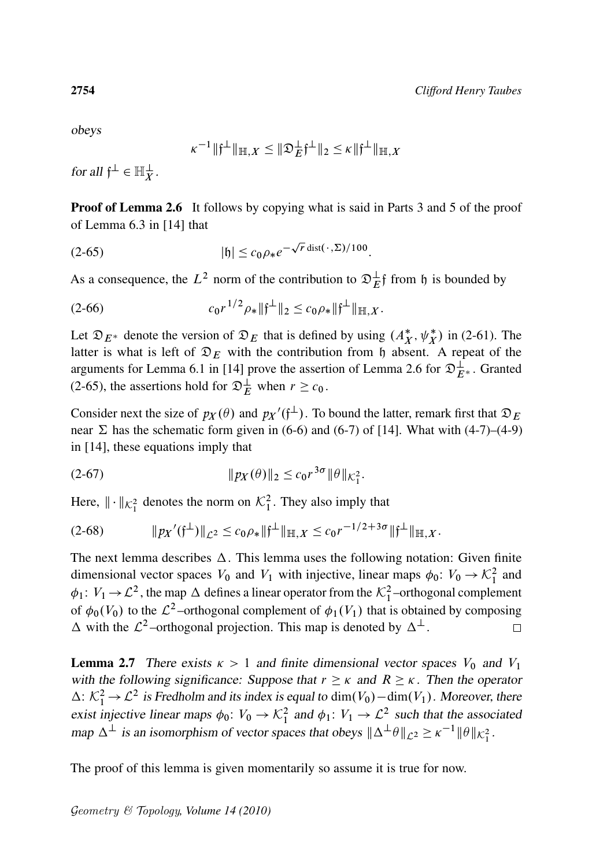obeys

$$
\kappa^{-1} \|\mathfrak{f}^{\perp}\|_{\mathbb{H},X} \leq \|\mathfrak{D}_E^{\perp}\mathfrak{f}^{\perp}\|_2 \leq \kappa \|\mathfrak{f}^{\perp}\|_{\mathbb{H},X}
$$

for all  $\mathfrak{f}^{\perp} \in \mathbb{H}_X^{\perp}$ .

**Proof of Lemma 2.6** It follows by copying what is said in Parts 3 and 5 of the proof of Lemma 6.3 in [14] that

$$
|{\mathfrak{h}}| \le c_0 \rho_* e^{-\sqrt{r} \operatorname{dist}(\,\cdot\,,\Sigma)/100}.
$$

As a consequence, the  $L^2$  norm of the contribution to  $\mathfrak{D}_{E}^{\perp}$  from h is bounded by

$$
(2-66) \t c_0 r^{1/2} \rho_* \| \mathfrak{f}^\perp \|_2 \le c_0 \rho_* \| \mathfrak{f}^\perp \|_{\mathbb{H},X}.
$$

Let  $\mathfrak{D}_{E^*}$  denote the version of  $\mathfrak{D}_E$  that is defined by using  $(A_X^*, \psi_X^*)$  in (2-61). The latter is what is left of  $\mathfrak{D}_E$  with the contribution from h absent. A repeat of the arguments for Lemma 6.1 in [14] prove the assertion of Lemma 2.6 for  $\mathfrak{D}_{E^*}^{\perp}$ . Granted (2-65), the assertions hold for  $\mathfrak{D}_{E}^{\perp}$  when  $r \geq c_0$ .

Consider next the size of  $p_X(\theta)$  and  $p_X'(\hat{f}^{\perp})$ . To bound the latter, remark first that  $\mathfrak{D}_E$ near  $\Sigma$  has the schematic form given in (6-6) and (6-7) of [14]. What with (4-7)–(4-9) in [14], these equations imply that

(2-67) 
$$
\|p_X(\theta)\|_2 \le c_0 r^{3\sigma} \|\theta\|_{K_1^2}.
$$

Here,  $\|\cdot\|_{\mathcal{K}_{1}^{2}}$  denotes the norm on  $\mathcal{K}_{1}^{2}$ . They also imply that

$$
(2-68) \t\t\t  $||px'(f^{\perp})||_{\mathcal{L}^{2}} \leq c_{0}\rho_{*}||f^{\perp}||_{\mathbb{H},X} \leq c_{0}r^{-1/2+3\sigma}||f^{\perp}||_{\mathbb{H},X}.$
$$

The next lemma describes  $\Delta$ . This lemma uses the following notation: Given finite dimensional vector spaces  $V_0$  and  $V_1$  with injective, linear maps  $\phi_0: V_0 \to \mathcal{K}_1^2$  and  $\phi_1: V_1 \to \mathcal{L}^2$ , the map  $\Delta$  defines a linear operator from the  $\mathcal{K}_1^2$ -orthogonal complement of  $\phi_0(V_0)$  to the  $\mathcal{L}^2$ -orthogonal complement of  $\phi_1(V_1)$  that is obtained by composing  $\Delta$  with the  $\mathcal{L}^2$ -orthogonal projection. This map is denoted by  $\Delta^{\perp}$ .  $\Box$ 

**Lemma 2.7** There exists  $\kappa > 1$  and finite dimensional vector spaces  $V_0$  and  $V_1$ with the following significance: Suppose that  $r \ge \kappa$  and  $R \ge \kappa$ . Then the operator  $\Delta: \mathcal{K}_1^2 \to \mathcal{L}^2$  is Fredholm and its index is equal to  $\dim(V_0) - \dim(V_1)$ . Moreover, there exist injective linear maps  $\phi_0: V_0 \to \mathcal{K}_1^2$  and  $\phi_1: V_1 \to \mathcal{L}^2$  such that the associated map  $\Delta^{\perp}$  is an isomorphism of vector spaces that obeys  $\|\Delta^{\perp}\theta\|_{\mathcal{L}^2} \ge \kappa^{-1} \|\theta\|_{\mathcal{K}_1^2}$ .

The proof of this lemma is given momentarily so assume it is true for now.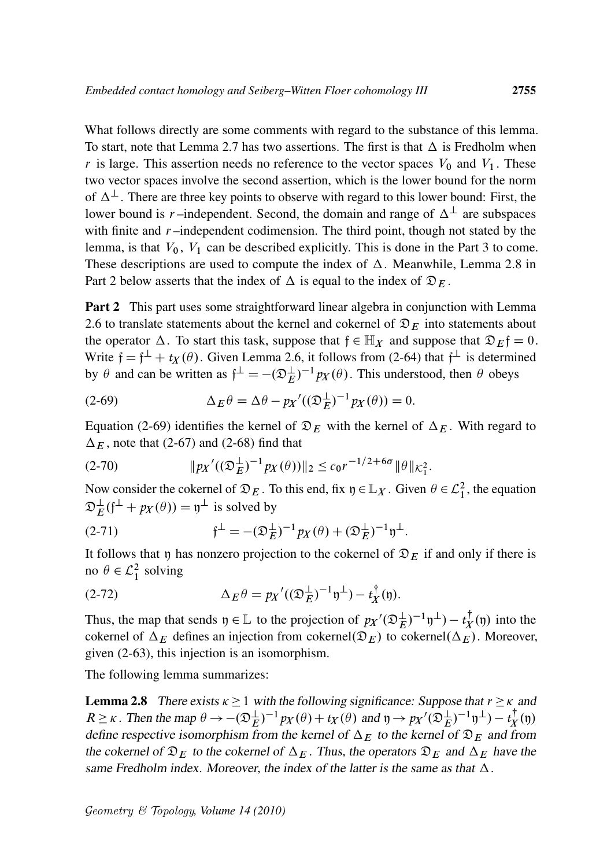What follows directly are some comments with regard to the substance of this lemma. To start, note that Lemma 2.7 has two assertions. The first is that  $\Delta$  is Fredholm when r is large. This assertion needs no reference to the vector spaces  $V_0$  and  $V_1$ . These two vector spaces involve the second assertion, which is the lower bound for the norm of  $\Delta^{\perp}$ . There are three key points to observe with regard to this lower bound: First, the lower bound is r-independent. Second, the domain and range of  $\Delta^{\perp}$  are subspaces with finite and  $r$ -independent codimension. The third point, though not stated by the lemma, is that  $V_0$ ,  $V_1$  can be described explicitly. This is done in the Part 3 to come. These descriptions are used to compute the index of  $\Delta$ . Meanwhile, Lemma 2.8 in Part 2 below asserts that the index of  $\Delta$  is equal to the index of  $\mathfrak{D}_E$ .

**Part 2** This part uses some straightforward linear algebra in conjunction with Lemma 2.6 to translate statements about the kernel and cokernel of  $\mathfrak{D}_E$  into statements about the operator  $\Delta$ . To start this task, suppose that  $\mathfrak{f} \in \mathbb{H}_X$  and suppose that  $\mathfrak{D}_E \mathfrak{f} = 0$ . Write  $f = f^{\perp} + t_X(\theta)$ . Given Lemma 2.6, it follows from (2-64) that  $f^{\perp}$  is determined by  $\theta$  and can be written as  $f^{\perp} = -(\mathfrak{D}_{E}^{\perp})^{-1} p_{X}(\theta)$ . This understood, then  $\theta$  obeys

(2-69) 
$$
\Delta_E \theta = \Delta \theta - p_X'((\mathfrak{D}_E^{\perp})^{-1} p_X(\theta)) = 0.
$$

Equation (2-69) identifies the kernel of  $\mathfrak{D}_E$  with the kernel of  $\Delta_E$ . With regard to  $\Delta_E$ , note that (2-67) and (2-68) find that

$$
(2-70) \t\t\t  $||px'((\mathfrak{D}_E^{\perp})^{-1}px(\theta))||_2 \le c_0 r^{-1/2+6\sigma} ||\theta||_{\mathcal{K}_1^2}.$
$$

Now consider the cokernel of  $\mathfrak{D}_E$ . To this end, fix  $\mathfrak{y} \in \mathbb{L}_X$ . Given  $\theta \in \mathcal{L}_1^2$ , the equation  $\mathfrak{D}_E^{\perp}(\mathfrak{f}^{\perp} + px(\theta)) = \mathfrak{y}^{\perp}$  is solved by

(2-71) 
$$
\mathfrak{f}^{\perp} = -(\mathfrak{D}_{E}^{\perp})^{-1} p_{X}(\theta) + (\mathfrak{D}_{E}^{\perp})^{-1} \mathfrak{y}^{\perp}.
$$

It follows that y has nonzero projection to the cokernel of  $\mathfrak{D}_E$  if and only if there is no  $\theta \in \mathcal{L}_1^2$  solving

(2-72) 
$$
\Delta_E \theta = p_X'((\mathfrak{D}_E^{\perp})^{-1} \mathfrak{y}^{\perp}) - t_X^{\dagger}(\mathfrak{y}).
$$

Thus, the map that sends  $\mathfrak{y} \in \mathbb{L}$  to the projection of  $p_X / (\mathfrak{D}_E^{\perp})^{-1} \mathfrak{y}^{\perp}) - t_X^{\dagger}$  $\mathfrak{t}^{\perp}_X(\mathfrak{y})$  into the cokernel of  $\Delta_E$  defines an injection from cokernel $(\mathfrak{D}_E)$  to cokernel $(\Delta_E)$ . Moreover, given (2-63), this injection is an isomorphism.

The following lemma summarizes:

**Lemma 2.8** There exists  $\kappa \ge 1$  with the following significance: Suppose that  $r \ge \kappa$  and  $R \ge \kappa$ . Then the map  $\theta \to -(\mathfrak{D}_{E}^{\perp})^{-1} p_X(\theta) + t_X(\theta)$  and  $\mathfrak{y} \to p_X'(\mathfrak{D}_{E}^{\perp})^{-1} \mathfrak{y}^{\perp}) - t_X^{\dagger}$  $\chi^{\dagger}(\mathfrak{y})$ define respective isomorphism from the kernel of  $\Delta_E$  to the kernel of  $\mathfrak{D}_E$  and from the cokernel of  $\mathfrak{D}_E$  to the cokernel of  $\Delta_E$ . Thus, the operators  $\mathfrak{D}_E$  and  $\Delta_E$  have the same Fredholm index. Moreover, the index of the latter is the same as that  $\Delta$ .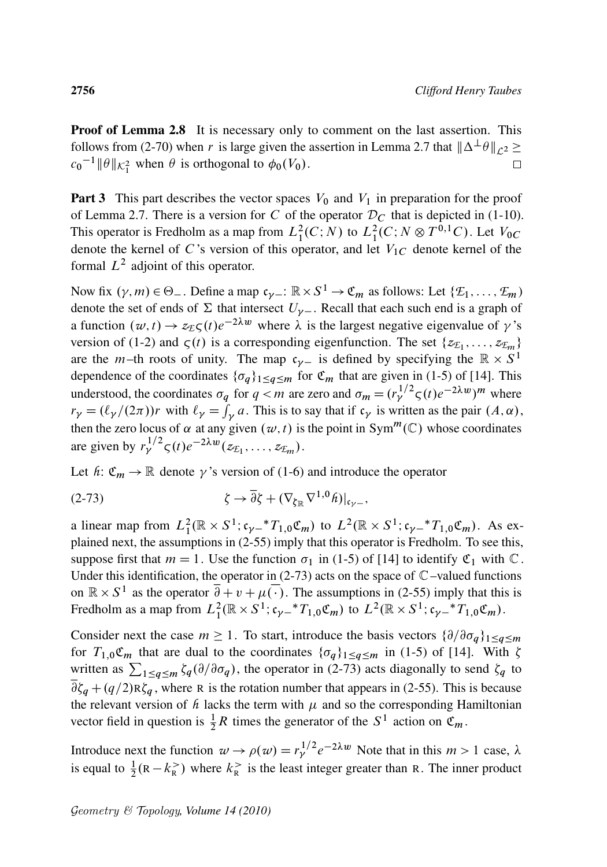Proof of Lemma 2.8 It is necessary only to comment on the last assertion. This follows from (2-70) when r is large given the assertion in Lemma 2.7 that  $\|\Delta^{\perp}\theta\|_{\mathcal{L}^2} \ge$  $c_0^{-1}$   $\|\theta\|_{\mathcal{K}_1^2}$  when  $\theta$  is orthogonal to  $\phi_0(V_0)$ .  $\Box$ 

**Part 3** This part describes the vector spaces  $V_0$  and  $V_1$  in preparation for the proof of Lemma 2.7. There is a version for C of the operator  $\mathcal{D}_C$  that is depicted in (1-10). This operator is Fredholm as a map from  $L_1^2(C;N)$  to  $L_1^2(C;N \otimes T^{0,1}C)$ . Let  $V_{0C}$ denote the kernel of C's version of this operator, and let  $V_{1C}$  denote kernel of the formal  $L^2$  adjoint of this operator.

Now fix  $(\gamma, m) \in \Theta_-$ . Define a map  $c_{\gamma-}: \mathbb{R} \times S^1 \to \mathfrak{C}_m$  as follows: Let  $\{\mathcal{E}_1, \ldots, \mathcal{E}_m\}$ denote the set of ends of  $\Sigma$  that intersect  $U_{\gamma-}$ . Recall that each such end is a graph of a function  $(w, t) \rightarrow z_E \zeta(t) e^{-2\lambda w}$  where  $\lambda$  is the largest negative eigenvalue of  $\gamma$ 's version of (1-2) and  $\zeta(t)$  is a corresponding eigenfunction. The set  $\{z_{\mathcal{E}_1}, \ldots, z_{\mathcal{E}_m}\}\$ are the *m*-th roots of unity. The map  $c_{\gamma-}$  is defined by specifying the  $\mathbb{R} \times S^1$ dependence of the coordinates  $\{\sigma_q\}_{1\leq q\leq m}$  for  $\mathfrak{C}_m$  that are given in (1-5) of [14]. This understood, the coordinates  $\sigma_q$  for  $q < m$  are zero and  $\sigma_m = (r_\gamma^{1/2} \zeta(t) e^{-2\lambda w})^m$  where  $r_{\gamma} = (\ell_{\gamma}/(2\pi))r$  with  $\ell_{\gamma} = \int_{\gamma} a$ . This is to say that if  $c_{\gamma}$  is written as the pair  $(A, \alpha)$ , then the zero locus of  $\alpha$  at any given  $(w, t)$  is the point in Sym<sup>m</sup>(C) whose coordinates are given by  $r_{\gamma}^{1/2} \zeta(t) e^{-2\lambda w} (z_{\mathcal{I}_1}, \dots, z_{\mathcal{I}_m}).$ 

Let  $h: \mathfrak{C}_m \to \mathbb{R}$  denote  $\gamma$ 's version of (1-6) and introduce the operator

(2-73) 
$$
\zeta \to \overline{\partial} \zeta + (\nabla_{\zeta_{\mathbb{R}}} \nabla^{1,0} \hat{h})|_{\mathfrak{c}_{\gamma-}},
$$

a linear map from  $L_1^2(\mathbb{R} \times S^1; \mathfrak{c}_{\gamma-} * T_{1,0} \mathfrak{C}_m)$  to  $L^2(\mathbb{R} \times S^1; \mathfrak{c}_{\gamma-} * T_{1,0} \mathfrak{C}_m)$ . As explained next, the assumptions in (2-55) imply that this operator is Fredholm. To see this, suppose first that  $m = 1$ . Use the function  $\sigma_1$  in (1-5) of [14] to identify  $\mathfrak{C}_1$  with  $\mathbb{C}$ . Under this identification, the operator in  $(2-73)$  acts on the space of  $\mathbb{C}$ -valued functions on  $\mathbb{R} \times S^1$  as the operator  $\overline{\partial} + v + \mu(\cdot)$ . The assumptions in (2-55) imply that this is Fredholm as a map from  $L_1^2(\mathbb{R} \times S^1; \mathfrak{c}_{\gamma-}^*T_{1,0}\mathfrak{C}_m)$  to  $L^2(\mathbb{R} \times S^1; \mathfrak{c}_{\gamma-}^*T_{1,0}\mathfrak{C}_m)$ .

Consider next the case  $m \ge 1$ . To start, introduce the basis vectors  $\{\partial/\partial \sigma_q\}_{1 \le q \le m}$ for  $T_{1,0}\mathfrak{C}_m$  that are dual to the coordinates  $\{\sigma_q\}_{1\leq q\leq m}$  in (1-5) of [14]. With  $\zeta$ written as  $\sum_{1 \le q \le m} \zeta_q(\partial/\partial \sigma_q)$ , the operator in (2-73) acts diagonally to send  $\zeta_q$  to  $\partial \zeta_q + (q/2)R\zeta_q$ , where R is the rotation number that appears in (2-55). This is because the relevant version of  $h$  lacks the term with  $\mu$  and so the corresponding Hamiltonian vector field in question is  $\frac{1}{2}R$  times the generator of the  $S^1$  action on  $\mathfrak{C}_m$ .

Introduce next the function  $w \to \rho(w) = r_\gamma^{1/2} e^{-2\lambda w}$  Note that in this  $m > 1$  case,  $\lambda$ is equal to  $\frac{1}{2}$ ( $R - k_R^>$ ) where  $k_R^>$  is the least integer greater than R. The inner product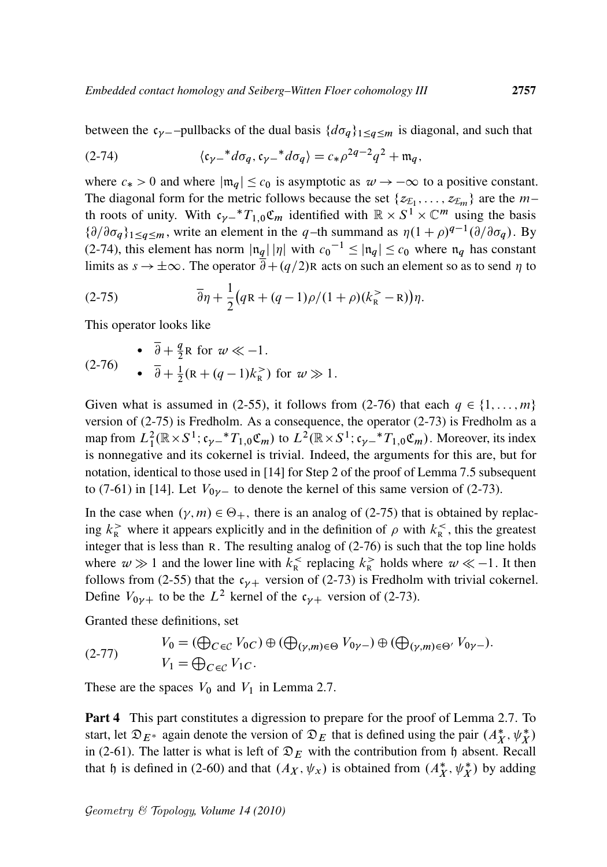between the  $c_{\gamma}$ -pullbacks of the dual basis  $\{d\sigma_q\}_{1\leq q\leq m}$  is diagonal, and such that

(2-74) 
$$
\langle c_{\gamma-} * d\sigma_q, c_{\gamma-} * d\sigma_q \rangle = c_* \rho^{2q-2} q^2 + \mathfrak{m}_q,
$$

where  $c_* > 0$  and where  $|\mathfrak{m}_q| \leq c_0$  is asymptotic as  $\omega \to -\infty$  to a positive constant. The diagonal form for the metric follows because the set  $\{z_{\mathcal{E}_1}, \ldots, z_{\mathcal{E}_m}\}\$  are the  $m$ th roots of unity. With  $c_{\gamma-}$ <sup>\*</sup> $T_{1,0}$ **C**<sub>m</sub> identified with  $\mathbb{R} \times S^1 \times \mathbb{C}^m$  using the basis  ${\partial/\partial \sigma_q}_{1 \leq q \leq m}$ , write an element in the q-th summand as  $\eta(1+\rho)^{q-1}(\partial/\partial \sigma_q)$ . By (2-74), this element has norm  $|\mathfrak{n}_q| |\eta|$  with  $c_0^{-1} \leq |\mathfrak{n}_q| \leq c_0$  where  $\mathfrak{n}_q$  has constant limits as  $s \to \pm \infty$ . The operator  $\partial + (q/2)R$  acts on such an element so as to send  $\eta$  to

$$
(2-75) \qquad \qquad \overline{\partial}\eta + \frac{1}{2}(qR + (q-1)\rho/(1+\rho)(k_{R}^{>}-R))\eta.
$$

This operator looks like

$$
\begin{array}{ll}\n\bullet & \overline{\partial} + \frac{q}{2} \text{R} \text{ for } w \ll -1. \\
\bullet & \overline{\partial} + \frac{1}{2} (\text{R} + (q-1)k_{\text{R}}^>) \text{ for } w \gg 1.\n\end{array}
$$

Given what is assumed in (2-55), it follows from (2-76) that each  $q \in \{1, \ldots, m\}$ version of (2-75) is Fredholm. As a consequence, the operator (2-73) is Fredholm as a map from  $L_1^2(\mathbb{R} \times S^1; c_{\gamma-} * T_{1,0} \mathfrak{C}_m)$  to  $L^2(\mathbb{R} \times S^1; c_{\gamma-} * T_{1,0} \mathfrak{C}_m)$ . Moreover, its index is nonnegative and its cokernel is trivial. Indeed, the arguments for this are, but for notation, identical to those used in [14] for Step 2 of the proof of Lemma 7.5 subsequent to (7-61) in [14]. Let  $V_{0\nu}$  to denote the kernel of this same version of (2-73).

In the case when  $(\gamma, m) \in \Theta_+$ , there is an analog of (2-75) that is obtained by replacing  $k_{\rm R}$  where it appears explicitly and in the definition of  $\rho$  with  $k_{\rm R}$ , this the greatest integer that is less than R. The resulting analog of (2-76) is such that the top line holds where  $w \gg 1$  and the lower line with  $k_R^{\lt}$  replacing  $k_R^{\gt}$  holds where  $w \ll -1$ . It then follows from (2-55) that the  $c_{\gamma+}$  version of (2-73) is Fredholm with trivial cokernel. Define  $V_{0\nu+}$  to be the  $L^2$  kernel of the  $c_{\nu+}$  version of (2-73).

Granted these definitions, set

(2-77) 
$$
V_0 = (\bigoplus_{C \in \mathcal{C}} V_{0C}) \oplus (\bigoplus_{(\gamma,m) \in \Theta} V_{0\gamma-}) \oplus (\bigoplus_{(\gamma,m) \in \Theta'} V_{0\gamma-}).
$$

$$
V_1 = \bigoplus_{C \in \mathcal{C}} V_1 C.
$$

These are the spaces  $V_0$  and  $V_1$  in Lemma 2.7.

Part 4 This part constitutes a digression to prepare for the proof of Lemma 2.7. To start, let  $\mathfrak{D}_{E^*}$  again denote the version of  $\mathfrak{D}_E$  that is defined using the pair  $(A_X^*, \psi_X^*)$ in (2-61). The latter is what is left of  $\mathfrak{D}_E$  with the contribution from h absent. Recall that h is defined in (2-60) and that  $(A_X, \psi_X)$  is obtained from  $(A_X^*, \psi_X^*)$  by adding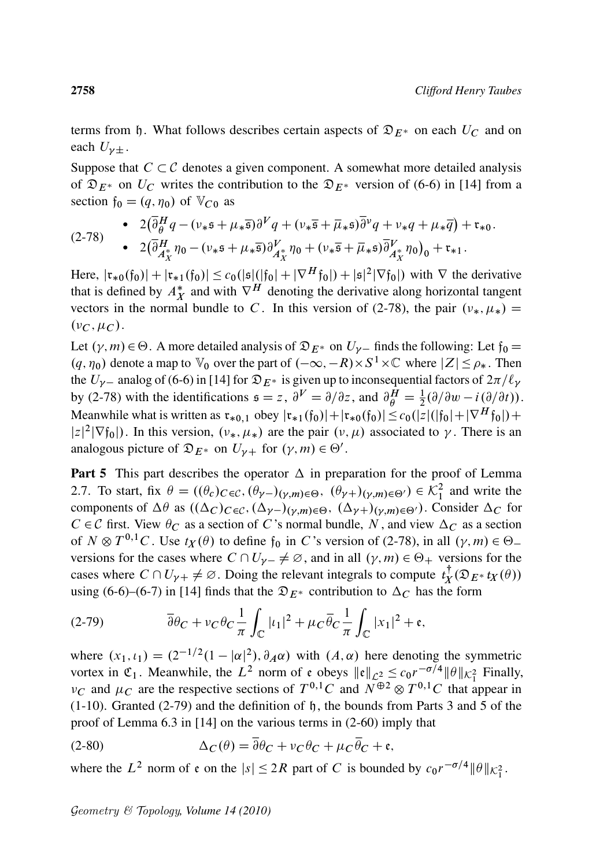terms from h. What follows describes certain aspects of  $\mathfrak{D}_{E^*}$  on each  $U_C$  and on each  $U_{\nu\pm}$ .

Suppose that  $C \subset \mathcal{C}$  denotes a given component. A somewhat more detailed analysis of  $\mathfrak{D}_{E^*}$  on  $U_C$  writes the contribution to the  $\mathfrak{D}_{E^*}$  version of (6-6) in [14] from a section  $f_0 = (q, \eta_0)$  of  $V_{C0}$  as

$$
(2-78) \qquad \bullet \quad 2(\overline{\partial}^H_{\theta}q - (\nu_*\mathfrak{s} + \mu_*\overline{\mathfrak{s}})\partial^V q + (\nu_*\overline{\mathfrak{s}} + \overline{\mu}_*\mathfrak{s})\overline{\partial}^{\nu}q + \nu_*q + \mu_*\overline{q}) + \mathfrak{r}_{*0}.
$$
  

$$
\bullet \quad 2(\overline{\partial}^H_{A_X^*}\eta_0 - (\nu_*\mathfrak{s} + \mu_*\overline{\mathfrak{s}})\partial^V_{A_X^*}\eta_0 + (\nu_*\overline{\mathfrak{s}} + \overline{\mu}_*\mathfrak{s})\overline{\partial}^V_{A_X^*}\eta_0)_0 + \mathfrak{r}_{*1}.
$$

Here,  $|\mathfrak{r}_{*0}(\mathfrak{f}_0)| + |\mathfrak{r}_{*1}(\mathfrak{f}_0)| \leq c_0 (|\mathfrak{s}|(|\mathfrak{f}_0| + |\nabla^H \mathfrak{f}_0|) + |\mathfrak{s}|^2 |\nabla \mathfrak{f}_0|)$  with  $\nabla$  the derivative that is defined by  $A_X^*$  and with  $\nabla^H$  denoting the derivative along horizontal tangent vectors in the normal bundle to C. In this version of (2-78), the pair  $(v_*, \mu_*)$  =  $(\nu_C, \mu_C)$ .

Let  $(\gamma, m) \in \Theta$ . A more detailed analysis of  $\mathfrak{D}_{E^*}$  on  $U_{\gamma-}$  finds the following: Let  $\mathfrak{f}_0 =$  $(q, \eta_0)$  denote a map to  $\mathbb{V}_0$  over the part of  $(-\infty, -R) \times S^1 \times \mathbb{C}$  where  $|Z| \le \rho_*$ . Then the  $U_{\gamma-}$  analog of (6-6) in [14] for  $\mathfrak{D}_{E^*}$  is given up to inconsequential factors of  $2\pi/\ell_{\gamma}$ by (2-78) with the identifications  $\mathfrak{s} = z$ ,  $\partial^V = \partial/\partial z$ , and  $\partial_{\theta}^H = \frac{1}{2}(\partial/\partial w - i(\partial/\partial t))$ . Meanwhile what is written as  $\mathfrak{r}_{*0,1}$  obey  $|\mathfrak{r}_{*1}(f_0)| + |\mathfrak{r}_{*0}(f_0)| \leq c_0(|z|(|f_0| + |\nabla^H f_0|) +$  $|z|^2 |\nabla f_0|$ ). In this version,  $(\nu_*, \mu_*)$  are the pair  $(\nu, \mu)$  associated to  $\gamma$ . There is an analogous picture of  $\mathfrak{D}_{E^*}$  on  $U_{\gamma+}$  for  $(\gamma, m) \in \Theta'$ .

**Part 5** This part describes the operator  $\Delta$  in preparation for the proof of Lemma 2.7. To start, fix  $\theta = ((\theta_c)_{C \in \mathcal{C}}, (\theta_{\gamma-})(\gamma,m) \in \Theta, (\theta_{\gamma+})(\gamma,m) \in \Theta') \in \mathcal{K}_1^2$  and write the components of  $\Delta\theta$  as  $((\Delta_C)_{C \in \mathcal{C}}, (\Delta_{\gamma-})_{(\gamma,m) \in \Theta}, (\Delta_{\gamma+})_{(\gamma,m) \in \Theta'})$ . Consider  $\Delta_C$  for  $C \in \mathcal{C}$  first. View  $\theta_C$  as a section of C's normal bundle, N, and view  $\Delta_C$  as a section of  $N \otimes T^{0,1}C$ . Use  $t_X(\theta)$  to define  $f_0$  in C's version of (2-78), in all  $(\gamma, m) \in \Theta$ . versions for the cases where  $C \cap U_{\gamma-1} \neq \emptyset$ , and in all  $(\gamma, m) \in \Theta_+$  versions for the cases where  $C \cap U_{\gamma+} \neq \emptyset$ . Doing the relevant integrals to compute  $t_X^{\dagger}$  $t_X^{\perp}(\mathfrak{D}_{E^*} t_X(\theta))$ using (6-6)–(6-7) in [14] finds that the  $\mathfrak{D}_{E^*}$  contribution to  $\Delta_C$  has the form

$$
(2-79) \qquad \qquad \overline{\partial}\theta_C + \nu_C \theta_C \frac{1}{\pi} \int_{\mathbb{C}} |t_1|^2 + \mu_C \overline{\theta}_C \frac{1}{\pi} \int_{\mathbb{C}} |x_1|^2 + \mathfrak{e},
$$

where  $(x_1, \iota_1) = (2^{-1/2}(1 - |\alpha|^2), \partial_A \alpha)$  with  $(A, \alpha)$  here denoting the symmetric vortex in  $\mathfrak{C}_1$ . Meanwhile, the  $L^2$  norm of  $\mathfrak{e}$  obeys  $\|\mathfrak{e}\|_{\mathcal{L}_2^2} \leq c_0 r^{-\sigma/4} \|\theta\|_{\mathcal{K}_1^2}$  Finally,  $\nu_C$  and  $\mu_C$  are the respective sections of  $T^{0,1}C$  and  $N^{\oplus 2} \otimes T^{0,1}C$  that appear in  $(1-10)$ . Granted  $(2-79)$  and the definition of h, the bounds from Parts 3 and 5 of the proof of Lemma 6.3 in [14] on the various terms in (2-60) imply that

(2-80) 
$$
\Delta_C(\theta) = \overline{\partial}\theta_C + v_C \theta_C + \mu_C \overline{\theta}_C + \mathfrak{e},
$$

where the  $L^2$  norm of  $\mathfrak{e}$  on the  $|s| \leq 2R$  part of C is bounded by  $c_0 r^{-\sigma/4} ||\theta||_{\mathcal{K}_1^2}$ .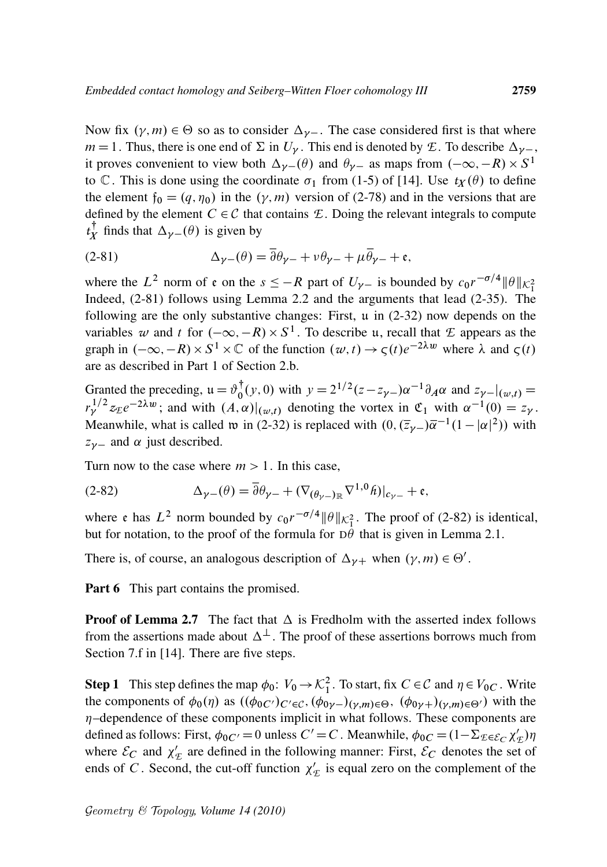Now fix  $(\gamma, m) \in \Theta$  so as to consider  $\Delta_{\gamma-}$ . The case considered first is that where  $m = 1$ . Thus, there is one end of  $\Sigma$  in  $U_{\gamma}$ . This end is denoted by *E*. To describe  $\Delta_{\gamma-}$ , it proves convenient to view both  $\Delta_{\gamma-}(\theta)$  and  $\theta_{\gamma-}$  as maps from  $(-\infty, -R) \times S^1$ to C. This is done using the coordinate  $\sigma_1$  from (1-5) of [14]. Use  $t_X(\theta)$  to define the element  $f_0 = (q, \eta_0)$  in the  $(\gamma, m)$  version of (2-78) and in the versions that are defined by the element  $C \in \mathcal{C}$  that contains  $\mathcal{E}$ . Doing the relevant integrals to compute  $t_X^{\dagger}$  $t_X^{\dagger}$  finds that  $\Delta_{\gamma-}(\theta)$  is given by

(2-81) 
$$
\Delta_{\gamma-}(\theta) = \overline{\partial} \theta_{\gamma-} + \nu \theta_{\gamma-} + \mu \overline{\theta}_{\gamma-} + \mathfrak{e},
$$

where the  $L^2$  norm of  $\epsilon$  on the  $s \leq -R$  part of  $U_{\gamma-}$  is bounded by  $c_0 r^{-\sigma/4} ||\theta||_{\mathcal{K}_1^2}$ Indeed, (2-81) follows using Lemma 2.2 and the arguments that lead (2-35). The following are the only substantive changes: First, u in (2-32) now depends on the variables w and t for  $(-\infty, -R) \times S^1$ . To describe u, recall that *E* appears as the graph in  $(-\infty, -R) \times S^1 \times \mathbb{C}$  of the function  $(w, t) \to \varsigma(t)e^{-2\lambda w}$  where  $\lambda$  and  $\varsigma(t)$ are as described in Part 1 of Section 2.b.

Granted the preceding,  $\mu = \vartheta_0^{\dagger}$  $\int_0^{\dagger} (y, 0)$  with  $y = 2^{1/2} (z - z_{\gamma -}) \alpha^{-1} \partial_A \alpha$  and  $z_{\gamma -}|_{(\omega, t)} =$  $r_{\gamma}^{1/2} z_{\mathcal{E}} e^{-2\lambda w}$ ; and with  $(A, \alpha)|_{(w,t)}$  denoting the vortex in  $\mathfrak{C}_1$  with  $\alpha^{-1}(0) = z_{\gamma}$ . Meanwhile, what is called to in (2-32) is replaced with  $(0, (\bar{z}_\gamma - \bar{\alpha}^{-1}(1 - |\alpha|^2))$  with  $z_{\nu-}$  and  $\alpha$  just described.

Turn now to the case where  $m > 1$ . In this case,

(2-82) 
$$
\Delta_{\gamma-}(\theta) = \overline{\partial} \theta_{\gamma-} + (\nabla_{(\theta_{\gamma-})_{\mathbb{R}}} \nabla^{1,0} \hat{h})|_{c_{\gamma-}} + \mathfrak{e},
$$

where e has  $L^2$  norm bounded by  $c_0 r^{-\sigma/4} ||\theta||_{\mathcal{K}_1^2}$ . The proof of (2-82) is identical, but for notation, to the proof of the formula for  $D\theta$  that is given in Lemma 2.1.

There is, of course, an analogous description of  $\Delta_{\gamma+}$  when  $(\gamma, m) \in \Theta'$ .

Part 6 This part contains the promised.

**Proof of Lemma 2.7** The fact that  $\Delta$  is Fredholm with the asserted index follows from the assertions made about  $\Delta^{\perp}$ . The proof of these assertions borrows much from Section 7.f in [14]. There are five steps.

**Step 1** This step defines the map  $\phi_0$ :  $V_0 \to \mathcal{K}_1^2$ . To start, fix  $C \in \mathcal{C}$  and  $\eta \in V_{0C}$ . Write the components of  $\phi_0(\eta)$  as  $((\phi_{0C'})_{C'\in\mathcal{C}}, (\phi_{0\gamma-})_{(\gamma,m)\in\Theta}, (\phi_{0\gamma+})_{(\gamma,m)\in\Theta'})$  with the  $\eta$ -dependence of these components implicit in what follows. These components are defined as follows: First,  $\phi_{0}C' = 0$  unless  $C' = C$ . Meanwhile,  $\phi_{0}C = (1 - \Sigma_{\mathcal{E} \in \mathcal{E}_C} \chi_2'$  $'_{\mathcal{I}}$ ) $\eta$ where  $\mathcal{E}_C$  and  $\chi'_9$  $E_E$  are defined in the following manner: First,  $\mathcal{E}_C$  denotes the set of ends of C. Second, the cut-off function  $\chi_0$  $\ell_{\mathcal{E}}'$  is equal zero on the complement of the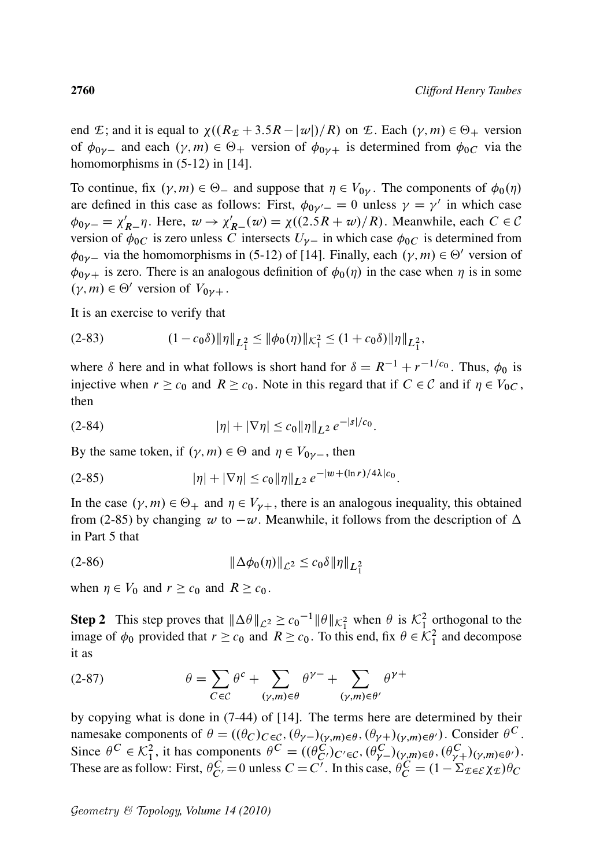end *E*; and it is equal to  $\chi((R_E + 3.5R - |w|)/R)$  on *E*. Each  $(\gamma, m) \in \Theta_+$  version of  $\phi_{0\gamma-}$  and each  $(\gamma, m) \in \Theta_+$  version of  $\phi_{0\gamma+}$  is determined from  $\phi_{0C}$  via the homomorphisms in  $(5-12)$  in [14].

To continue, fix  $(\gamma, m) \in \Theta_-$  and suppose that  $\eta \in V_{0\gamma}$ . The components of  $\phi_0(\eta)$ are defined in this case as follows: First,  $\phi_{0\gamma'} = 0$  unless  $\gamma = \gamma'$  in which case  $\phi_{0\gamma-} = \chi'_{R-}\eta$ . Here,  $w \to \chi'_{R-}(w) = \chi((2.5R + w)/R)$ . Meanwhile, each  $C \in \mathcal{C}$ version of  $\phi_{0C}$  is zero unless C intersects  $U_{\gamma-}$  in which case  $\phi_{0C}$  is determined from  $\phi_{0\gamma}$  via the homomorphisms in (5-12) of [14]. Finally, each  $(\gamma, m) \in \Theta'$  version of  $\phi_{0\gamma+}$  is zero. There is an analogous definition of  $\phi_0(\eta)$  in the case when  $\eta$  is in some  $(\gamma, m) \in \Theta'$  version of  $V_{0\gamma +}$ .

It is an exercise to verify that

$$
(2-83) \t(1-c_0\delta)\|\eta\|_{L_1^2} \le \|\phi_0(\eta)\|_{\mathcal{K}_1^2} \le (1+c_0\delta)\|\eta\|_{L_1^2},
$$

where  $\delta$  here and in what follows is short hand for  $\delta = R^{-1} + r^{-1/c_0}$ . Thus,  $\phi_0$  is injective when  $r \geq c_0$  and  $R \geq c_0$ . Note in this regard that if  $C \in \mathcal{C}$  and if  $\eta \in V_{0C}$ , then

jsj=c<sup>0</sup>

$$
(2-84) \t\t |\eta| + |\nabla \eta| \le c_0 \|\eta\|_{L^2} e^{-|s|/c_0}.
$$

By the same token, if  $(\gamma, m) \in \Theta$  and  $\eta \in V_{0\gamma-}$ , then

$$
(2-85) \t\t |\eta| + |\nabla \eta| \le c_0 \|\eta\|_{L^2} e^{-|w + (\ln r)/4\lambda|c_0}.
$$

In the case  $(\gamma, m) \in \Theta_+$  and  $\eta \in V_{\gamma+}$ , there is an analogous inequality, this obtained from (2-85) by changing  $w$  to  $-w$ . Meanwhile, it follows from the description of  $\Delta$ in Part 5 that

(2-86) 
$$
\|\Delta \phi_0(\eta)\|_{\mathcal{L}^2} \leq c_0 \delta \|\eta\|_{L_1^2}
$$

when  $\eta \in V_0$  and  $r \geq c_0$  and  $R \geq c_0$ .

**Step 2** This step proves that  $\|\Delta \theta\|_{\mathcal{L}^2} \ge c_0^{-1} \|\theta\|_{\mathcal{K}_1^2}$  when  $\theta$  is  $\mathcal{K}_1^2$  orthogonal to the image of  $\phi_0$  provided that  $r \geq c_0$  and  $R \geq c_0$ . To this end, fix  $\theta \in \mathcal{K}_1^2$  and decompose it as

(2-87) 
$$
\theta = \sum_{C \in \mathcal{C}} \theta^c + \sum_{(\gamma,m) \in \theta} \theta^{\gamma-} + \sum_{(\gamma,m) \in \theta'} \theta^{\gamma+}
$$

by copying what is done in (7-44) of [14]. The terms here are determined by their namesake components of  $\theta = ((\theta_C)_{C \in \mathcal{C}}, (\theta_{\gamma-})(\gamma,m) \in \theta, (\theta_{\gamma+})(\gamma,m) \in \theta')$ . Consider  $\theta^C$ . Since  $\theta^C \in \mathcal{K}_1^2$ , it has components  $\theta^C = ((\theta_{C'}^C)_{C' \in \mathcal{C}}, (\theta_{\gamma-}^C)_{(\gamma,m) \in \theta}, (\theta_{\gamma+}^C)_{(\gamma,m) \in \theta'})$ . These are as follow: First,  $\theta_{C'}^{\overline{C}} = 0$  unless  $C = C'$ . In this case,  $\theta_{C}^{\overline{C}} = (1 - \Sigma_{\mathcal{L} \in \mathcal{E}} \chi_{\mathcal{L}}) \theta_{C}$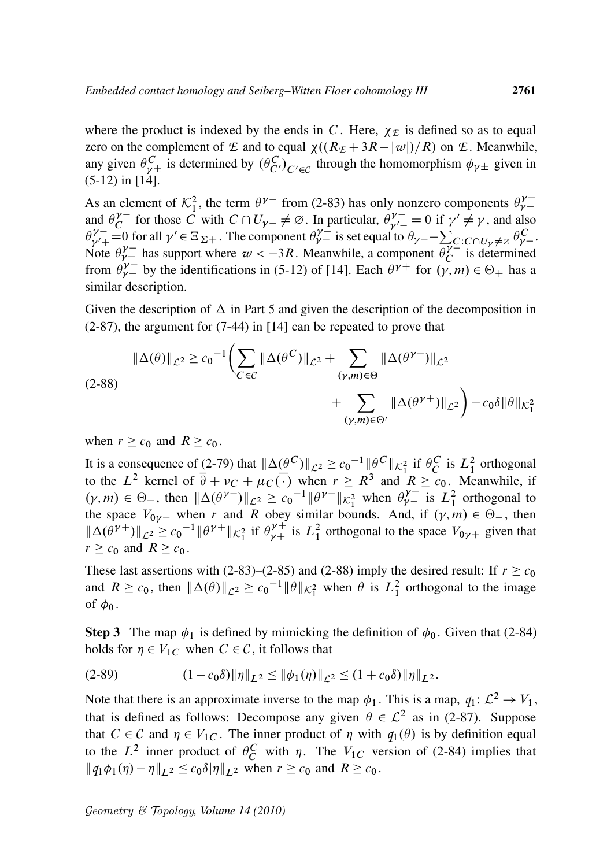where the product is indexed by the ends in C. Here,  $\chi_{\text{E}}$  is defined so as to equal zero on the complement of *E* and to equal  $\chi((R_E + 3R - |\omega|)/R)$  on *E*. Meanwhile, any given  $\theta_{\gamma\pm}^C$  is determined by  $(\theta_{C}^C)_{C'\in\mathcal{C}}$  through the homomorphism  $\phi_{\gamma\pm}$  given in (5-12) in [14].

As an element of  $\mathcal{K}_1^2$ , the term  $\theta^{\gamma-}$  from (2-83) has only nonzero components  $\theta_{\gamma-}^{\gamma-}$ and  $\theta_C^{\gamma-}$  $\int_{C}^{\gamma}$  for those C with  $C \cap U_{\gamma-} \neq \emptyset$ . In particular,  $\theta_{\gamma-}^{\gamma-}$  $\gamma^{\nu-}_{\nu'}=0$  if  $\gamma'\neq\gamma$ , and also  $\theta_{\nu'}^{\gamma-}$  $\gamma = 0$  for all  $\gamma' \in \Xi_{\Sigma +}$ . The component  $\theta_{\gamma-}^{\gamma-}$  is set equal to  $\theta_{\gamma-} - \sum_{C} C \cdot C \cdot \theta_{\gamma} \neq \emptyset \frac{\theta_{\gamma-}^C}{\gamma-}$ . Note  $\theta^{\gamma-}_{\gamma}$  has support where  $\alpha < -3R$ . Meanwhile, a component  $\theta^{\gamma-}_{C}$  $C^{\gamma-}$  is determined from  $\theta^{\gamma-}_{\gamma}$  by the identifications in (5-12) of [14]. Each  $\theta^{\gamma+}$  for  $(\gamma, m) \in \Theta_+$  has a similar description.

Given the description of  $\Delta$  in Part 5 and given the description of the decomposition in (2-87), the argument for (7-44) in [14] can be repeated to prove that

$$
\|\Delta(\theta)\|_{\mathcal{L}^2} \ge c_0^{-1} \Biggl( \sum_{C \in \mathcal{C}} \|\Delta(\theta^C)\|_{\mathcal{L}^2} + \sum_{(\gamma,m) \in \Theta} \|\Delta(\theta^{\gamma-})\|_{\mathcal{L}^2} + \sum_{(\gamma,m) \in \Theta'} \|\Delta(\theta^{\gamma+})\|_{\mathcal{L}^2} \Biggr) - c_0 \delta \|\theta\|_{\mathcal{K}_1^2}
$$

when  $r \geq c_0$  and  $R \geq c_0$ .

It is a consequence of (2-79) that  $\|\Delta(\theta^C)\|_{\mathcal{L}^2} \ge c_0^{-1} \|\theta^C\|_{\mathcal{K}_1^2}$  if  $\theta_C^C$  is  $L_1^2$  orthogonal to the  $L^2$  kernel of  $\overline{\partial} + v_C + \mu_C(\cdot)$  when  $r \geq R^3$  and  $R \geq c_0$ . Meanwhile, if  $(\gamma, m) \in \Theta_{-}$ , then  $\|\Delta(\theta^{\gamma-})\|_{\mathcal{L}^2} \ge c_0^{-1} \|\theta^{\gamma-}\|_{\mathcal{K}_1^2}$  when  $\theta_{\gamma-}^{\gamma-}$  is  $L_1^2$  orthogonal to the space  $V_{0y}$  when r and R obey similar bounds. And, if  $(y, m) \in \Theta_{-}$ , then  $\|\Delta(\theta^{\gamma+})\|_{\mathcal{L}^2} \ge c_0^{-1} \|\theta^{\gamma+}\|_{\mathcal{K}_1^2}$  if  $\theta^{\gamma+}_{\gamma+}$  is  $L_1^2$  orthogonal to the space  $V_{0\gamma+}$  given that  $r \geq c_0$  and  $R \geq c_0$ .

These last assertions with (2-83)–(2-85) and (2-88) imply the desired result: If  $r \geq c_0$ and  $R \ge c_0$ , then  $\|\Delta(\theta)\|_{\mathcal{L}^2} \ge c_0^{-1} \|\theta\|_{\mathcal{K}_1^2}$  when  $\theta$  is  $L_1^2$  orthogonal to the image of  $\phi_0$ .

**Step 3** The map  $\phi_1$  is defined by mimicking the definition of  $\phi_0$ . Given that (2-84) holds for  $\eta \in V_{1C}$  when  $C \in \mathcal{C}$ , it follows that

$$
(2-89) \t\t (1-c_0\delta)\|\eta\|_{L^2} \le \|\phi_1(\eta)\|_{\mathcal{L}^2} \le (1+c_0\delta)\|\eta\|_{L^2}.
$$

Note that there is an approximate inverse to the map  $\phi_1$ . This is a map,  $q_1: \mathcal{L}^2 \to V_1$ , that is defined as follows: Decompose any given  $\theta \in \mathcal{L}^2$  as in (2-87). Suppose that  $C \in \mathcal{C}$  and  $\eta \in V_{1C}$ . The inner product of  $\eta$  with  $q_1(\theta)$  is by definition equal to the  $L^2$  inner product of  $\theta_C^C$  with  $\eta$ . The  $V_{1C}$  version of (2-84) implies that  $\|\phi_1\phi_1(\eta) - \eta\|_{L^2} \leq c_0 \delta \|\eta\|_{L^2}$  when  $r \geq c_0$  and  $R \geq c_0$ .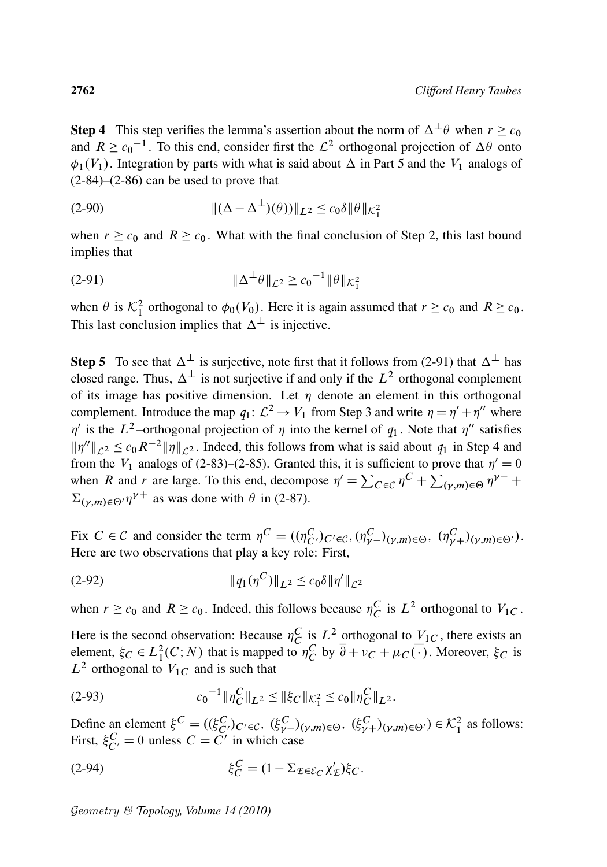**Step 4** This step verifies the lemma's assertion about the norm of  $\Delta^{\perp} \theta$  when  $r \geq c_0$ and  $R \ge c_0^{-1}$ . To this end, consider first the  $\mathcal{L}^2$  orthogonal projection of  $\Delta\theta$  onto  $\phi_1(V_1)$ . Integration by parts with what is said about  $\Delta$  in Part 5 and the  $V_1$  analogs of  $(2-84)$ – $(2-86)$  can be used to prove that

(2-90) 
$$
\|(\Delta - \Delta^{\perp})(\theta)\|_{L^2} \leq c_0 \delta \|\theta\|_{\mathcal{K}_1^2}
$$

when  $r \geq c_0$  and  $R \geq c_0$ . What with the final conclusion of Step 2, this last bound implies that

(2-91) 
$$
\|\Delta^{\perp}\theta\|_{\mathcal{L}^2} \ge c_0^{-1} \|\theta\|_{\mathcal{K}_1^2}
$$

when  $\theta$  is  $\mathcal{K}_1^2$  orthogonal to  $\phi_0(V_0)$ . Here it is again assumed that  $r \geq c_0$  and  $R \geq c_0$ . This last conclusion implies that  $\Delta^{\perp}$  is injective.

**Step 5** To see that  $\Delta^{\perp}$  is surjective, note first that it follows from (2-91) that  $\Delta^{\perp}$  has closed range. Thus,  $\Delta^{\perp}$  is not surjective if and only if the  $L^2$  orthogonal complement of its image has positive dimension. Let  $\eta$  denote an element in this orthogonal complement. Introduce the map  $q_1: \mathcal{L}^2 \to V_1$  from Step 3 and write  $\eta = \eta' + \eta''$  where  $\eta'$  is the L<sup>2</sup>-orthogonal projection of  $\eta$  into the kernel of  $q_1$ . Note that  $\eta''$  satisfies  $\|\eta''\|_{\mathcal{L}^2} \leq c_0 R^{-2} \|\eta\|_{\mathcal{L}^2}$ . Indeed, this follows from what is said about  $q_1$  in Step 4 and from the  $V_1$  analogs of (2-83)–(2-85). Granted this, it is sufficient to prove that  $\eta' = 0$ when R and r are large. To this end, decompose  $\eta' = \sum_{C \in \mathcal{C}} \eta^C + \sum_{(\gamma,m) \in \Theta} \eta^{\gamma-} +$  $\Sigma_{(\gamma,m)\in\Theta'}\eta^{\gamma+}$  as was done with  $\theta$  in (2-87).

Fix  $C \in \mathcal{C}$  and consider the term  $\eta^C = ((\eta^C_{C'})_{C' \in \mathcal{C}}, (\eta^C_{\gamma-})(\gamma,m) \in \Theta, (\eta^C_{\gamma+})(\gamma,m) \in \Theta').$ Here are two observations that play a key role: First,

(2-92) k*q*1.<sup>C</sup> /kL<sup>2</sup> c0ık 0 kL2

when  $r \ge c_0$  and  $R \ge c_0$ . Indeed, this follows because  $\eta_C^C$  is  $L^2$  orthogonal to  $V_{1C}$ .

Here is the second observation: Because  $\eta_C^C$  is  $L^2$  orthogonal to  $V_{1C}$ , there exists an element,  $\xi_C \in L_1^2(C;N)$  that is mapped to  $\eta_C^C$  by  $\overline{\partial} + v_C + \mu_C(\overline{\cdot})$ . Moreover,  $\xi_C$  is  $L^2$  orthogonal to  $V_{1C}$  and is such that

(2-93) 
$$
c_0^{-1} \|\eta_C^C\|_{L^2} \le \|\xi_C\|_{\mathcal{K}_1^2} \le c_0 \|\eta_C^C\|_{L^2}.
$$

Define an element  $\xi^C = ((\xi_C^C)_{C' \in \mathcal{C}}, (\xi_{\gamma-}^C)_{(\gamma,m) \in \Theta}, (\xi_{\gamma+}^C)_{(\gamma,m) \in \Theta'}) \in \mathcal{K}_1^2$  as follows: First,  $\xi_{C'}^C = 0$  unless  $C = C'$  in which case

(2-94) 
$$
\xi_C^C = (1 - \Sigma_{\mathcal{E} \in \mathcal{E}_C} \chi'_\mathcal{E}) \xi_C.
$$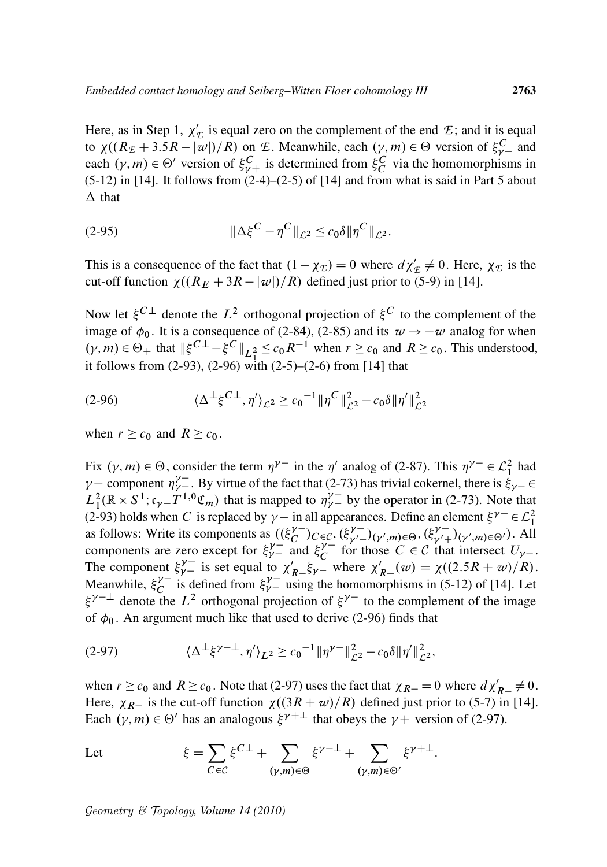Here, as in Step 1,  $\chi'$  $E_{\mathcal{E}}$  is equal zero on the complement of the end  $\mathcal{E}$ ; and it is equal to  $\chi((R_E + 3.5R - |\overline{w}|)/R)$  on *E*. Meanwhile, each  $(\gamma, m) \in \Theta$  version of  $\xi_{\gamma-}^C$  and each  $(\gamma, m) \in \Theta'$  version of  $\xi_{\gamma+}^C$  is determined from  $\xi_C^C$  via the homomorphisms in  $(5-12)$  in [14]. It follows from  $(2-4)-(2-5)$  of [14] and from what is said in Part 5 about  $\Delta$  that

(2-95) 
$$
\|\Delta \xi^{C} - \eta^{C}\|_{\mathcal{L}^{2}} \leq c_{0} \delta \|\eta^{C}\|_{\mathcal{L}^{2}}.
$$

This is a consequence of the fact that  $(1 - \chi_E) = 0$  where  $d\chi'_E \neq 0$ . Here,  $\chi_E$  is the cut-off function  $\chi((R_E + 3R - |\omega|)/R)$  defined just prior to (5-9) in [14].

Now let  $\xi^{C \perp}$  denote the  $L^2$  orthogonal projection of  $\xi^C$  to the complement of the image of  $\phi_0$ . It is a consequence of (2-84), (2-85) and its  $w \rightarrow -w$  analog for when  $(\gamma, m) \in \Theta_+$  that  $\|\xi^{C\perp} - \xi^C\|_{L^2_1} \leq c_0 R^{-1}$  when  $r \geq c_0$  and  $R \geq c_0$ . This understood, it follows from  $(2-93)$ ,  $(2-96)$  with  $(2-5)$ – $(2-6)$  from [14] that

(2-96) 
$$
\langle \Delta^{\perp} \xi^{C\perp}, \eta' \rangle_{\mathcal{L}^2} \ge c_0^{-1} \|\eta^C\|_{\mathcal{L}^2}^2 - c_0 \delta \|\eta'\|_{\mathcal{L}^2}^2
$$

when  $r \geq c_0$  and  $R \geq c_0$ .

Fix  $(\gamma, m) \in \Theta$ , consider the term  $\eta^{\gamma-}$  in the  $\eta'$  analog of (2-87). This  $\eta^{\gamma-} \in \mathcal{L}_1^2$  had  $\gamma$  – component  $\eta_{\gamma}^{\gamma}$ . By virtue of the fact that (2-73) has trivial cokernel, there is  $\xi_{\gamma}$  –  $\in$  $L_1^2(\mathbb{R} \times S^1; c_{\gamma-1}^T C^1, 0 \mathfrak{C}_m)$  that is mapped to  $\eta_{\gamma-}^{\gamma-}$  by the operator in (2-73). Note that (2-93) holds when C is replaced by  $\gamma$  in all appearances. Define an element  $\xi^{\gamma}$   $\in \mathcal{L}_1^2$ as follows: Write its components as  $((\xi_C^{\gamma})_{C \in C}, (\xi_{\gamma'}^{\gamma})_{(\gamma',m) \in \Theta}, (\xi_{\gamma'+}^{\gamma})_{(\gamma',m) \in \Theta'})$ . All components are zero except for  $\xi_{\gamma-}^{\gamma-}$  and  $\xi_C^{\gamma-}$  $\int_C^{\gamma}$  for those  $C \in C$  that intersect  $U_{\gamma-1}$ . The component  $\xi_{\gamma-}^{\gamma-}$  is set equal to  $\chi'_{R-} \xi_{\gamma-}$  where  $\chi'_{R-}(\omega) = \chi((2.5R + \omega)/R)$ . Meanwhile,  $\xi_C^{\gamma-}$  $\overline{C}$  is defined from  $\xi_{\gamma}^{\gamma}$  using the homomorphisms in (5-12) of [14]. Let  $\xi^{\gamma-1}$  denote the  $L^2$  orthogonal projection of  $\xi^{\gamma-}$  to the complement of the image of  $\phi_0$ . An argument much like that used to derive (2-96) finds that

(2-97) 
$$
\langle \Delta^{\perp} \xi^{\gamma - \perp}, \eta' \rangle_{L^2} \ge c_0^{-1} \|\eta^{\gamma -}\|_{\mathcal{L}^2}^2 - c_0 \delta \|\eta'\|_{\mathcal{L}^2}^2,
$$

when  $r \ge c_0$  and  $R \ge c_0$ . Note that (2-97) uses the fact that  $\chi_{R-} = 0$  where  $d\chi'_{R-} \ne 0$ . Here,  $\chi_{R-}$  is the cut-off function  $\chi((3R + w)/R)$  defined just prior to (5-7) in [14]. Each  $(\gamma, m) \in \Theta'$  has an analogous  $\xi^{\gamma+1}$  that obeys the  $\gamma +$  version of (2-97).

Let 
$$
\xi = \sum_{C \in \mathcal{C}} \xi^{C \perp} + \sum_{(\gamma,m) \in \Theta} \xi^{\gamma - \perp} + \sum_{(\gamma,m) \in \Theta'} \xi^{\gamma + \perp}.
$$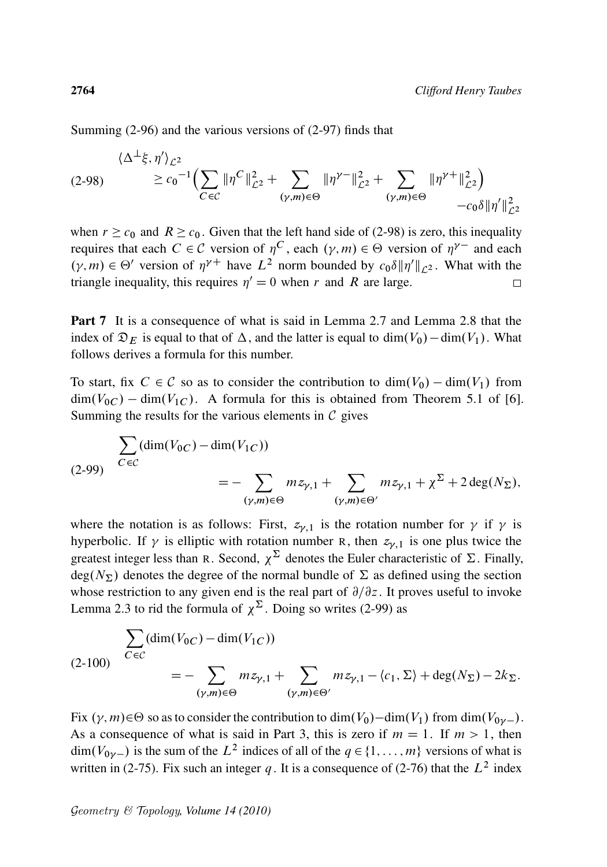Summing (2-96) and the various versions of (2-97) finds that

$$
(2-98) \qquad \leq c_0^{-1} \Big( \sum_{C \in \mathcal{C}} \| \eta^C \|_{\mathcal{L}^2}^2 + \sum_{(\gamma,m) \in \Theta} \| \eta^{\gamma-} \|_{\mathcal{L}^2}^2 + \sum_{(\gamma,m) \in \Theta} \| \eta^{\gamma+} \|_{\mathcal{L}^2}^2 \Big) \\ - c_0 \delta \| \eta' \|_{\mathcal{L}^2}^2
$$

when  $r \geq c_0$  and  $R \geq c_0$ . Given that the left hand side of (2-98) is zero, this inequality requires that each  $C \in \mathcal{C}$  version of  $\eta^C$ , each  $(\gamma, m) \in \Theta$  version of  $\eta^{\gamma-}$  and each  $(\gamma, m) \in \Theta'$  version of  $\eta^{\gamma+}$  have  $L^2$  norm bounded by  $c_0 \delta \|\eta'\|_{\mathcal{L}^2}$ . What with the triangle inequality, this requires  $\eta' = 0$  when r and R are large.  $\Box$ 

Part 7 It is a consequence of what is said in Lemma 2.7 and Lemma 2.8 that the index of  $\mathfrak{D}_E$  is equal to that of  $\Delta$ , and the latter is equal to dim $(V_0)$  – dim $(V_1)$ . What follows derives a formula for this number.

To start, fix  $C \in \mathcal{C}$  so as to consider the contribution to  $\dim(V_0) - \dim(V_1)$  from  $\dim(V_{0C}) - \dim(V_{1C})$ . A formula for this is obtained from Theorem 5.1 of [6]. Summing the results for the various elements in  $\mathcal C$  gives

$$
\sum_{C \in C} (\dim(V_{0C}) - \dim(V_{1C}))
$$
\n
$$
= - \sum_{(\gamma,m) \in \Theta} m z_{\gamma,1} + \sum_{(\gamma,m) \in \Theta'} m z_{\gamma,1} + \chi^{\Sigma} + 2 \deg(N_{\Sigma}),
$$

where the notation is as follows: First,  $z_{\gamma,1}$  is the rotation number for  $\gamma$  if  $\gamma$  is hyperbolic. If  $\gamma$  is elliptic with rotation number R, then  $z_{\gamma,1}$  is one plus twice the greatest integer less than R. Second,  $\chi^{\Sigma}$  denotes the Euler characteristic of  $\Sigma$ . Finally, deg( $N_{\Sigma}$ ) denotes the degree of the normal bundle of  $\Sigma$  as defined using the section whose restriction to any given end is the real part of  $\partial/\partial z$ . It proves useful to invoke Lemma 2.3 to rid the formula of  $\chi^{\Sigma}$ . Doing so writes (2-99) as

$$
\sum_{C \in \mathcal{C}} (\dim(V_{0C}) - \dim(V_{1C}))
$$
\n
$$
= - \sum_{(\gamma,m) \in \Theta} m z_{\gamma,1} + \sum_{(\gamma,m) \in \Theta'} m z_{\gamma,1} - \langle c_1, \Sigma \rangle + \deg(N_{\Sigma}) - 2k_{\Sigma}.
$$

Fix  $(\gamma, m) \in \Theta$  so as to consider the contribution to  $\dim(V_0) - \dim(V_1)$  from  $\dim(V_0) -$ . As a consequence of what is said in Part 3, this is zero if  $m = 1$ . If  $m > 1$ , then  $\dim(V_{0\gamma})$  is the sum of the  $L^2$  indices of all of the  $q \in \{1, \ldots, m\}$  versions of what is written in (2-75). Fix such an integer q. It is a consequence of (2-76) that the  $L^2$  index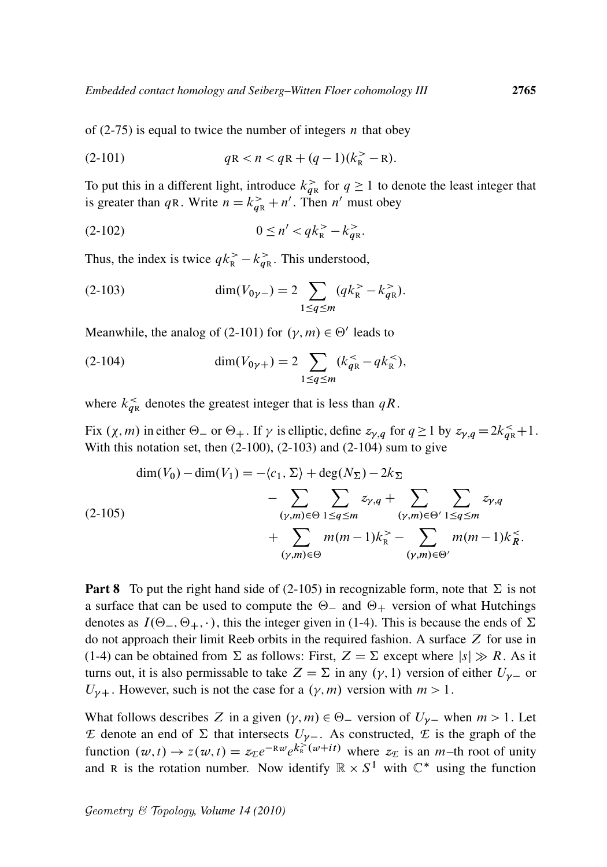of  $(2-75)$  is equal to twice the number of integers *n* that obey

(2-101) 
$$
qR < n < qR + (q-1)(k_R^+ - R).
$$

To put this in a different light, introduce  $k_{qR}^>$  for  $q \ge 1$  to denote the least integer that is greater than qR. Write  $n = k_{\text{qR}}^> + n'$ . Then n' must obey

$$
(2-102) \t\t 0 \le n' < qk_R^> - k_{qR}^>,
$$

Thus, the index is twice  $qk_{\rm R}^> - k_{q{\rm R}}^>$ . This understood,

(2-103) 
$$
\dim(V_{0\gamma-}) = 2 \sum_{1 \le q \le m} (qk_{\rm R}^> - k_{q{\rm R}}^>).
$$

Meanwhile, the analog of (2-101) for  $(\gamma, m) \in \Theta'$  leads to

(2-104) 
$$
\dim(V_{0\gamma+}) = 2 \sum_{1 \le q \le m} (k_{qR}^{\lt} - q k_{R}^{\lt})
$$

where  $k_{qR}^{\lt}$  denotes the greatest integer that is less than  $qR$ .

Fix  $(\chi, m)$  in either  $\Theta_-$  or  $\Theta_+$ . If  $\gamma$  is elliptic, define  $z_{\gamma,q}$  for  $q \ge 1$  by  $z_{\gamma,q} = 2k_{qR}^{\le 1} + 1$ . With this notation set, then  $(2-100)$ ,  $(2-103)$  and  $(2-104)$  sum to give

$$
\dim(V_0) - \dim(V_1) = -\langle c_1, \Sigma \rangle + \deg(N_{\Sigma}) - 2k_{\Sigma}
$$
\n
$$
- \sum_{(\gamma,m) \in \Theta} \sum_{1 \le q \le m} z_{\gamma,q} + \sum_{(\gamma,m) \in \Theta'} \sum_{1 \le q \le m} z_{\gamma,q}
$$
\n
$$
+ \sum_{(\gamma,m) \in \Theta} m(m-1)k_{\mathbb{R}}^{\geq} - \sum_{(\gamma,m) \in \Theta'} m(m-1)k_{\mathbb{R}}^{\geq}.
$$

**Part 8** To put the right hand side of (2-105) in recognizable form, note that  $\Sigma$  is not a surface that can be used to compute the  $\Theta$  and  $\Theta$  version of what Hutchings denotes as  $I(\Theta_-, \Theta_+, \cdot)$ , this the integer given in (1-4). This is because the ends of  $\Sigma$ do not approach their limit Reeb orbits in the required fashion. A surface  $Z$  for use in (1-4) can be obtained from  $\Sigma$  as follows: First,  $Z = \Sigma$  except where  $|s| \gg R$ . As it turns out, it is also permissable to take  $Z = \Sigma$  in any  $(\gamma, 1)$  version of either  $U_{\gamma-}$  or  $U_{\gamma+}$ . However, such is not the case for a  $(\gamma, m)$  version with  $m > 1$ .

What follows describes Z in a given  $(\gamma, m) \in \Theta$  version of  $U_{\gamma}$  when  $m > 1$ . Let *E* denote an end of  $\Sigma$  that intersects  $U_{\gamma-}$ . As constructed, *E* is the graph of the function  $(w, t) \rightarrow z(w, t) = z_\text{E}e^{-\text{R}w}e^{k_\text{R}^{\geq}(w+it)}$  where  $z_\text{E}$  is an *m*-th root of unity and R is the rotation number. Now identify  $\mathbb{R} \times S^1$  with  $\mathbb{C}^*$  using the function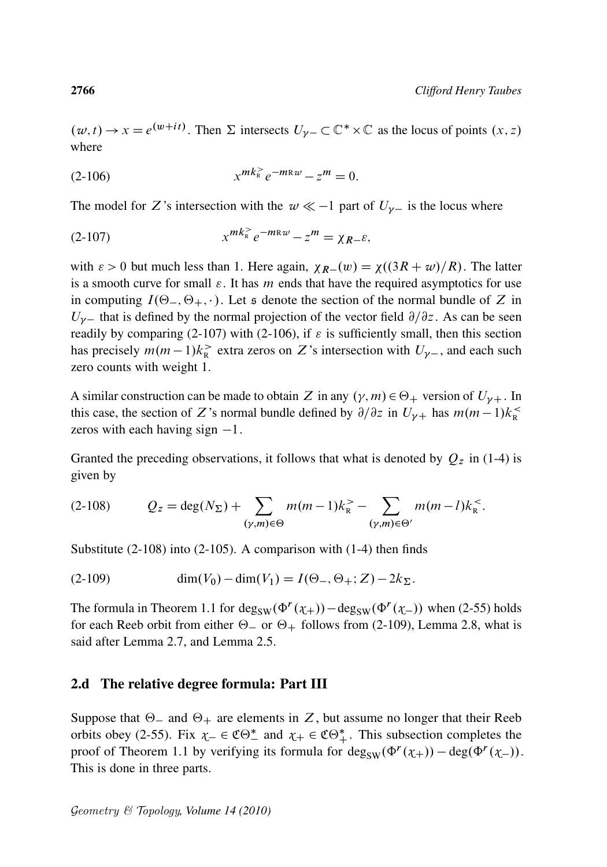$(w, t) \to x = e^{(w+it)}$ . Then  $\Sigma$  intersects  $U_{\gamma-} \subset \mathbb{C}^* \times \mathbb{C}$  as the locus of points  $(x, z)$ where

$$
(2-106) \t x^{mk_{R}^{>}} e^{-m_{R}w} - z^{m} = 0.
$$

The model for Z's intersection with the  $w \ll -1$  part of  $U_{\gamma-}$  is the locus where

(2-107) 
$$
x^{mk_k^>}e^{-m_k w} - z^m = \chi_{R-\varepsilon},
$$

with  $\varepsilon > 0$  but much less than 1. Here again,  $\chi_{R-}(w) = \chi((3R + w)/R)$ . The latter is a smooth curve for small  $\varepsilon$ . It has m ends that have the required asymptotics for use in computing  $I(\Theta_-, \Theta_+, \cdot)$ . Let s denote the section of the normal bundle of Z in  $U_{\gamma-}$  that is defined by the normal projection of the vector field  $\partial/\partial z$ . As can be seen readily by comparing (2-107) with (2-106), if  $\varepsilon$  is sufficiently small, then this section has precisely  $m(m-1)k_{\rm R}^>$  extra zeros on Z's intersection with  $U_{\gamma-}$ , and each such zero counts with weight 1.

A similar construction can be made to obtain Z in any  $(\gamma, m) \in \Theta_+$  version of  $U_{\gamma+}$ . In this case, the section of Z's normal bundle defined by  $\partial/\partial z$  in  $U_{\gamma+}$  has  $m(m-1)k_{R}^{\leq}$ zeros with each having sign  $-1$ .

Granted the preceding observations, it follows that what is denoted by  $Q_z$  in (1-4) is given by

$$
(2-108) \tQz = \deg(N_{\Sigma}) + \sum_{(\gamma,m) \in \Theta} m(m-1)k_{\rm R}^{>} - \sum_{(\gamma,m) \in \Theta'} m(m-l)k_{\rm R}^{<}.
$$

Substitute (2-108) into (2-105). A comparison with (1-4) then finds

(2-109) 
$$
\dim(V_0) - \dim(V_1) = I(\Theta_-, \Theta_+; Z) - 2k_{\Sigma}.
$$

The formula in Theorem 1.1 for  $deg_{SW}(\Phi^r(\chi_+)) - deg_{SW}(\Phi^r(\chi_-))$  when (2-55) holds for each Reeb orbit from either  $\Theta$  or  $\Theta$  follows from (2-109), Lemma 2.8, what is said after Lemma 2.7, and Lemma 2.5.

## 2.d The relative degree formula: Part III

Suppose that  $\Theta$  and  $\Theta$  are elements in Z, but assume no longer that their Reeb orbits obey (2-55). Fix  $\chi$   $\in \mathfrak{CO}_{-}^{*}$  and  $\chi$   $\in \mathfrak{CO}_{+}^{*}$ . This subsection completes the proof of Theorem 1.1 by verifying its formula for  $\deg_{SW}(\Phi^r(\chi_+)) - \deg(\Phi^r(\chi_-)).$ This is done in three parts.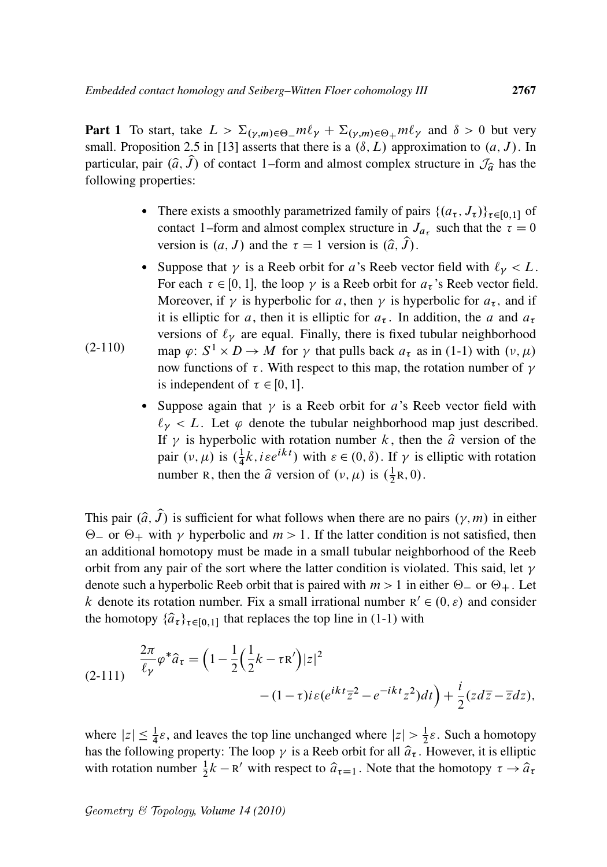**Part 1** To start, take  $L > \sum_{(\gamma,m)\in\Theta} m\ell_{\gamma} + \sum_{(\gamma,m)\in\Theta} m\ell_{\gamma}$  and  $\delta > 0$  but very small. Proposition 2.5 in [13] asserts that there is a  $(\delta, L)$  approximation to  $(a, J)$ . In particular, pair  $(\hat{a}, \hat{J})$  of contact 1–form and almost complex structure in  $\mathcal{J}_{\hat{a}}$  has the following properties:

- There exists a smoothly parametrized family of pairs  $\{(a_{\tau}, J_{\tau})\}_{\tau \in [0,1]}$  of contact 1–form and almost complex structure in  $J_{a_{\tau}}$  such that the  $\tau = 0$ version is  $(a, J)$  and the  $\tau = 1$  version is  $(\hat{a}, \hat{J})$ .
- (2-110) • Suppose that  $\gamma$  is a Reeb orbit for a's Reeb vector field with  $\ell_{\gamma} < L$ . For each  $\tau \in [0, 1]$ , the loop  $\gamma$  is a Reeb orbit for  $a_{\tau}$ 's Reeb vector field. Moreover, if  $\gamma$  is hyperbolic for a, then  $\gamma$  is hyperbolic for  $a_{\tau}$ , and if it is elliptic for a, then it is elliptic for  $a_{\tau}$ . In addition, the a and  $a_{\tau}$ versions of  $\ell_{\gamma}$  are equal. Finally, there is fixed tubular neighborhood map  $\varphi: S^1 \times D \to M$  for  $\gamma$  that pulls back  $a_{\tau}$  as in (1-1) with  $(\nu, \mu)$ now functions of  $\tau$ . With respect to this map, the rotation number of  $\gamma$ is independent of  $\tau \in [0, 1]$ .
	- Suppose again that  $\gamma$  is a Reeb orbit for a's Reeb vector field with  $\ell_{\nu} < L$ . Let  $\varphi$  denote the tubular neighborhood map just described. If  $\gamma$  is hyperbolic with rotation number k, then the  $\hat{a}$  version of the pair  $(\nu, \mu)$  is  $(\frac{1}{4})$  $\frac{1}{4}k$ , *i*  $\epsilon e^{ikt}$ ) with  $\epsilon \in (0, \delta)$ . If  $\gamma$  is elliptic with rotation number R, then the  $\hat{a}$  version of  $(v, \mu)$  is  $(\frac{1}{2})$  $\frac{1}{2}R, 0).$

This pair  $(\hat{a}, \hat{J})$  is sufficient for what follows when there are no pairs  $(\gamma, m)$  in either  $\Theta$  or  $\Theta$  with  $\gamma$  hyperbolic and  $m > 1$ . If the latter condition is not satisfied, then an additional homotopy must be made in a small tubular neighborhood of the Reeb orbit from any pair of the sort where the latter condition is violated. This said, let  $\gamma$ denote such a hyperbolic Reeb orbit that is paired with  $m > 1$  in either  $\Theta_{-}$  or  $\Theta_{+}$ . Let k denote its rotation number. Fix a small irrational number  $R' \in (0, \varepsilon)$  and consider the homotopy  $\{\hat{a}_{\tau}\}_{{\tau \in [0,1]}}$  that replaces the top line in (1-1) with

$$
(2-111) \quad \frac{2\pi}{\ell_{\gamma}} \varphi^* \hat{a}_{\tau} = \left(1 - \frac{1}{2} \left(\frac{1}{2}k - \tau R'\right)|z|^2 - (1-\tau)i\varepsilon(e^{ikt}\overline{z}^2 - e^{-ikt}z^2)dt\right) + \frac{i}{2}(z d\overline{z} - \overline{z}dz),
$$

where  $|z| \leq \frac{1}{4}\varepsilon$ , and leaves the top line unchanged where  $|z| > \frac{1}{2}$  $\frac{1}{2}\varepsilon$ . Such a homotopy has the following property: The loop  $\gamma$  is a Reeb orbit for all  $\hat{a}_{\tau}$ . However, it is elliptic with rotation number  $\frac{1}{2}k - R'$  with respect to  $\hat{a}_{\tau=1}$ . Note that the homotopy  $\tau \to \hat{a}_{\tau}$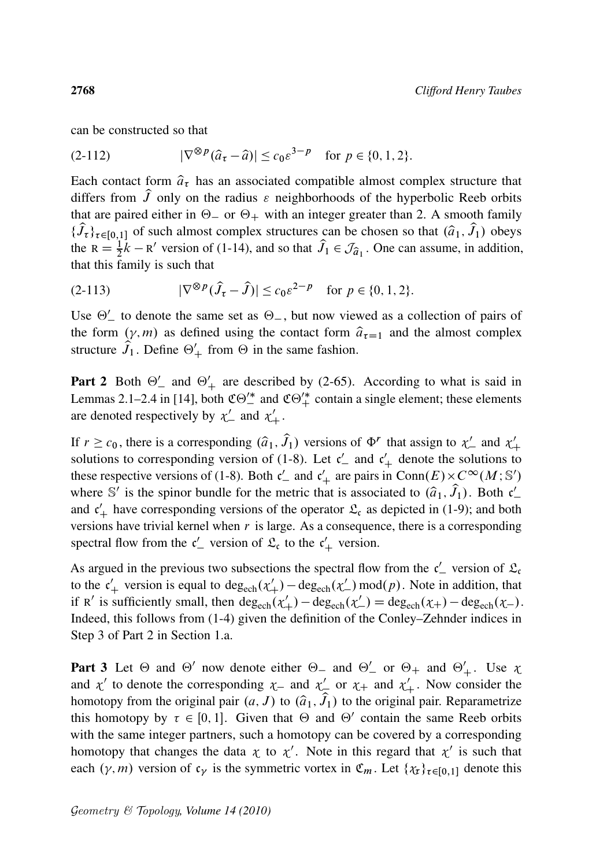can be constructed so that

(2-112) 
$$
|\nabla^{\otimes p}(\hat{a}_{\tau} - \hat{a})| \leq c_0 \varepsilon^{3-p} \text{ for } p \in \{0, 1, 2\}.
$$

Each contact form  $\hat{a}_{\tau}$  has an associated compatible almost complex structure that differs from  $\hat{J}$  only on the radius  $\varepsilon$  neighborhoods of the hyperbolic Reeb orbits that are paired either in  $\Theta$  or  $\Theta$  with an integer greater than 2. A smooth family  $\{\hat{J}_\tau\}_{\tau \in [0,1]}$  of such almost complex structures can be chosen so that  $(\hat{a}_1, \hat{J}_1)$  obeys the  $R = \frac{1}{2}k - R'$  version of (1-14), and so that  $\hat{J}_1 \in \mathcal{J}_{\hat{a}_1}$ . One can assume, in addition, that this family is such that

(2-113) 
$$
|\nabla^{\otimes p}(\hat{J}_{\tau} - \hat{J})| \leq c_0 \varepsilon^{2-p} \text{ for } p \in \{0, 1, 2\}.
$$

Use  $\Theta'$  to denote the same set as  $\Theta$ , but now viewed as a collection of pairs of the form  $(\gamma, m)$  as defined using the contact form  $\hat{a}_{\tau=1}$  and the almost complex structure  $\hat{J}_1$ . Define  $\Theta'_+$  from  $\Theta$  in the same fashion.

Part 2 Both  $\Theta'$  and  $\Theta'$  are described by (2-65). According to what is said in Lemmas 2.1–2.4 in [14], both  $\mathfrak{CO}_{-}^{\prime\ast}$  and  $\mathfrak{CO}_{+}^{\prime\ast}$  contain a single element; these elements are denoted respectively by  $\chi'$  and  $\chi'$ .

If  $r \ge c_0$ , there is a corresponding  $(\hat{a}_1, \hat{J}_1)$  versions of  $\Phi^r$  that assign to  $\chi'_{-}$  and  $\chi'_{+}$ solutions to corresponding version of (1-8). Let  $c'$  and  $c'$  denote the solutions to these respective versions of (1-8). Both  $c'_{-}$  and  $c'_{+}$  are pairs in Conn $(E) \times C^{\infty}(M; \mathbb{S}')$ where S' is the spinor bundle for the metric that is associated to  $(\hat{a}_1, \hat{J}_1)$ . Both  $c'_1$ and  $c'_{+}$  have corresponding versions of the operator  $\mathfrak{L}_{c}$  as depicted in (1-9); and both versions have trivial kernel when  $r$  is large. As a consequence, there is a corresponding spectral flow from the  $c'$  version of  $\mathfrak{L}_{c}$  to the  $c'$  version.

As argued in the previous two subsections the spectral flow from the  $c'$  version of  $\mathfrak{L}_c$ to the  $c'_+$  version is equal to  $\deg_{\text{ech}}(\chi'_+) - \deg_{\text{ech}}(\chi'_-) \mod (p)$ . Note in addition, that if R' is sufficiently small, then  $deg_{ech}(\chi'_+) - deg_{ech}(\chi'_-) = deg_{ech}(\chi_+) - deg_{ech}(\chi_-).$ Indeed, this follows from (1-4) given the definition of the Conley–Zehnder indices in Step 3 of Part 2 in Section 1.a.

Part 3 Let  $\Theta$  and  $\Theta'$  now denote either  $\Theta$  and  $\Theta'$  or  $\Theta$  and  $\Theta'$ . Use  $\chi$ and  $\chi'$  to denote the corresponding  $\chi$  and  $\chi'$  or  $\chi$  and  $\chi'$ . Now consider the homotopy from the original pair  $(a, J)$  to  $(\widehat{a}_1, \widehat{J}_1)$  to the original pair. Reparametrize this homotopy by  $\tau \in [0, 1]$ . Given that  $\Theta$  and  $\Theta'$  contain the same Reeb orbits with the same integer partners, such a homotopy can be covered by a corresponding homotopy that changes the data  $\chi$  to  $\chi'$ . Note in this regard that  $\chi'$  is such that each  $(\gamma, m)$  version of  $c_{\gamma}$  is the symmetric vortex in  $\mathfrak{C}_m$ . Let  $\{\chi_{\tau}\}_{{\tau \in [0,1]}}$  denote this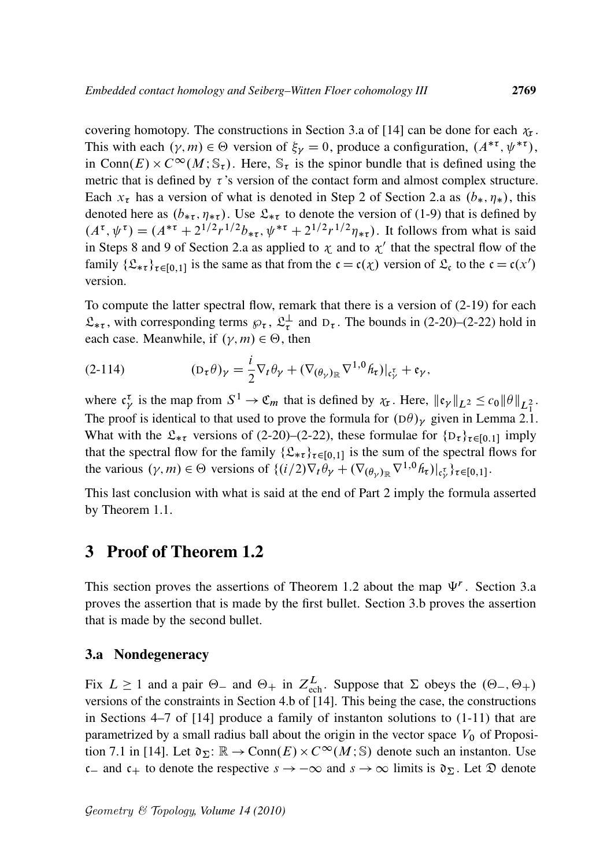covering homotopy. The constructions in Section 3.a of [14] can be done for each  $\chi_{\tau}$ . This with each  $(\gamma, m) \in \Theta$  version of  $\xi_{\gamma} = 0$ , produce a configuration,  $(A^{* \tau}, \psi^{* \tau})$ , in Conn $(E) \times C^{\infty}(M; \mathbb{S}_{\tau})$ . Here,  $\mathbb{S}_{\tau}$  is the spinor bundle that is defined using the metric that is defined by  $\tau$ 's version of the contact form and almost complex structure. Each  $x_{\tau}$  has a version of what is denoted in Step 2 of Section 2.a as  $(b_*, \eta_*)$ , this denoted here as  $(b_{\ast \tau}, \eta_{\ast \tau})$ . Use  $\mathfrak{L}_{\ast \tau}$  to denote the version of (1-9) that is defined by  $(A^{\tau}, \psi^{\tau}) = (A^{*\tau} + 2^{1/2}r^{1/2}b_{*\tau}, \psi^{*\tau} + 2^{1/2}r^{1/2}\eta_{*\tau}).$  It follows from what is said in Steps 8 and 9 of Section 2.a as applied to  $\chi$  and to  $\chi'$  that the spectral flow of the family  $\{\mathfrak{L}_{\ast\tau}\}_{{\tau \in [0,1]}}$  is the same as that from the  ${\mathfrak{c}} = {\mathfrak{c}}(\chi)$  version of  $\mathfrak{L}_{\mathfrak{c}}$  to the  ${\mathfrak{c}} = {\mathfrak{c}}(x')$ version.

To compute the latter spectral flow, remark that there is a version of (2-19) for each  $\mathfrak{L}_{*\tau}$ , with corresponding terms  $\wp_{\tau}$ ,  $\mathfrak{L}_{\tau}^{\perp}$  $\frac{1}{\tau}$  and D<sub>τ</sub>. The bounds in (2-20)–(2-22) hold in each case. Meanwhile, if  $(\gamma, m) \in \Theta$ , then

(2-114) 
$$
(D_{\tau}\theta)_{\gamma} = \frac{i}{2}\nabla_{t}\theta_{\gamma} + (\nabla_{(\theta_{\gamma})_{\mathbb{R}}}\nabla^{1,0}\hat{h}_{\tau})|_{c^{\tau}_{\gamma}} + \mathfrak{e}_{\gamma},
$$

where  $c^{\tau}_{\gamma}$  is the map from  $S^1 \to \mathfrak{C}_m$  that is defined by  $\chi_{\tau}$ . Here,  $\|\mathfrak{e}_{\gamma}\|_{L^2} \leq c_0 \|\theta\|_{L^2_1}$ . The proof is identical to that used to prove the formula for  $(D\theta)_\gamma$  given in Lemma 2.1. What with the  $\mathfrak{L}_{*_{\tau}}$  versions of (2-20)–(2-22), these formulae for  $\{D_{\tau}\}_{{\tau \in [0,1]}}$  imply that the spectral flow for the family  $\{\mathfrak{L}_{*\tau}\}_{{\tau \in [0,1]}}$  is the sum of the spectral flows for the various  $(\gamma, m) \in \Theta$  versions of  $\{(i/2)\nabla_t \dot{\theta}_\gamma + (\nabla_{(\theta_\gamma)} \nabla^{1,0} h_\tau)|_{\mathfrak{c}^{\tau}_\gamma}\}_{{\tau \in [0,1]}}.$ 

This last conclusion with what is said at the end of Part 2 imply the formula asserted by Theorem 1.1.

## 3 Proof of Theorem 1.2

This section proves the assertions of Theorem 1.2 about the map  $\Psi^r$ . Section 3.a proves the assertion that is made by the first bullet. Section 3.b proves the assertion that is made by the second bullet.

## 3.a Nondegeneracy

Fix  $L \ge 1$  and a pair  $\Theta$ - and  $\Theta$ + in  $Z_{ech}^L$ . Suppose that  $\Sigma$  obeys the  $(\Theta_-, \Theta_+)$ versions of the constraints in Section 4.b of [14]. This being the case, the constructions in Sections 4–7 of [14] produce a family of instanton solutions to (1-11) that are parametrized by a small radius ball about the origin in the vector space  $V_0$  of Proposition 7.1 in [14]. Let  $\mathfrak{d}_\Sigma$ :  $\mathbb{R} \to \text{Conn}(E) \times C^\infty(M; \mathbb{S})$  denote such an instanton. Use c and c<sub>+</sub> to denote the respective  $s \to -\infty$  and  $s \to \infty$  limits is  $\mathfrak{d}_{\Sigma}$ . Let  $\mathfrak{D}$  denote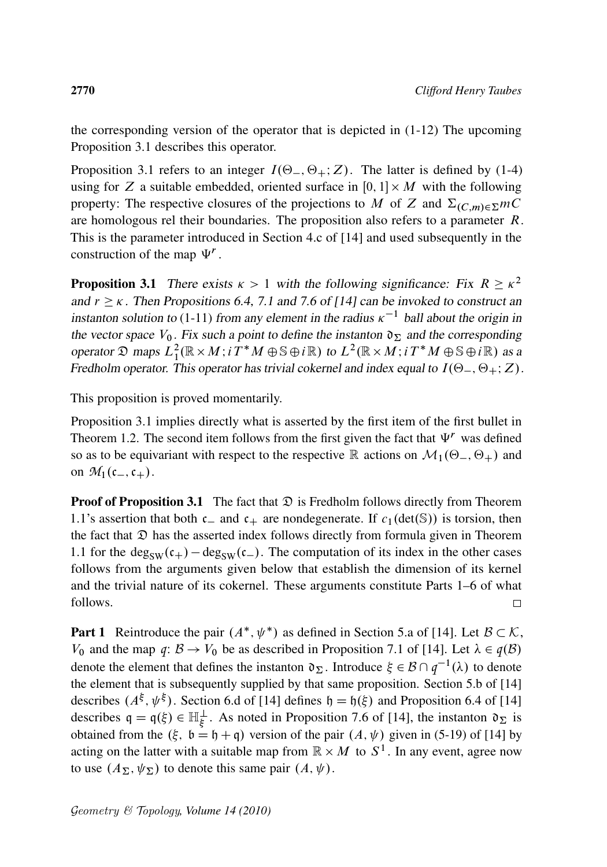the corresponding version of the operator that is depicted in (1-12) The upcoming Proposition 3.1 describes this operator.

Proposition 3.1 refers to an integer  $I(\Theta_-, \Theta_+; Z)$ . The latter is defined by (1-4) using for Z a suitable embedded, oriented surface in  $[0, 1] \times M$  with the following property: The respective closures of the projections to M of Z and  $\Sigma_{(C,m)\in\Sigma}mC$ are homologous rel their boundaries. The proposition also refers to a parameter  $R$ . This is the parameter introduced in Section 4.c of [14] and used subsequently in the construction of the map  $\Psi^r$ .

**Proposition 3.1** There exists  $\kappa > 1$  with the following significance: Fix  $R \ge \kappa^2$ and  $r \geq \kappa$ . Then Propositions 6.4, 7.1 and 7.6 of [14] can be invoked to construct an instanton solution to (1-11) from any element in the radius  $\kappa^{-1}$  ball about the origin in the vector space  $V_0$ . Fix such a point to define the instanton  $\mathfrak{d}_\Sigma$  and the corresponding operator  $\mathfrak D$  maps  $L^2_1(\mathbb R \times M; i\tilde T^*M \oplus \mathbb S \oplus i\mathbb R)$  to  $L^2(\mathbb R \times M; i\tilde T^*M \oplus \mathbb S \oplus i\mathbb R)$  as a Fredholm operator. This operator has trivial cokernel and index equal to  $I(\Theta_-, \Theta_+; Z)$ .

This proposition is proved momentarily.

Proposition 3.1 implies directly what is asserted by the first item of the first bullet in Theorem 1.2. The second item follows from the first given the fact that  $\Psi^r$  was defined so as to be equivariant with respect to the respective R actions on  $\mathcal{M}_1(\Theta_-, \Theta_+)$  and on  $\mathcal{M}_1(\mathfrak{c}_-,\mathfrak{c}_+).$ 

**Proof of Proposition 3.1** The fact that  $\mathcal{D}$  is Fredholm follows directly from Theorem 1.1's assertion that both  $c_{-}$  and  $c_{+}$  are nondegenerate. If  $c_1(\text{det}(\mathbb{S}))$  is torsion, then the fact that  $\mathfrak D$  has the asserted index follows directly from formula given in Theorem 1.1 for the deg<sub>SW</sub> $(c_{+})$  – deg<sub>SW</sub> $(c_{-})$ . The computation of its index in the other cases follows from the arguments given below that establish the dimension of its kernel and the trivial nature of its cokernel. These arguments constitute Parts 1–6 of what follows.  $\Box$ 

**Part 1** Reintroduce the pair  $(A^*, \psi^*)$  as defined in Section 5.a of [14]. Let  $B \subset K$ ,  $V_0$  and the map  $q: \mathcal{B} \to V_0$  be as described in Proposition 7.1 of [14]. Let  $\lambda \in q(\mathcal{B})$ denote the element that defines the instanton  $\mathfrak{d}_\Sigma$ . Introduce  $\xi \in \mathcal{B} \cap q^{-1}(\lambda)$  to denote the element that is subsequently supplied by that same proposition. Section 5.b of [14] describes  $(A^{\xi}, \psi^{\xi})$ . Section 6.d of [14] defines  $\mathfrak{h} = \mathfrak{h}(\xi)$  and Proposition 6.4 of [14] describes  $q = q(\xi) \in \mathbb{H}_{\xi}^{\perp}$ . As noted in Proposition 7.6 of [14], the instanton  $\mathfrak{d}_{\Sigma}$  is obtained from the  $(\xi, b = \mathfrak{h} + \mathfrak{q})$  version of the pair  $(A, \psi)$  given in (5-19) of [14] by acting on the latter with a suitable map from  $\mathbb{R} \times M$  to  $S^1$ . In any event, agree now to use  $(A_{\Sigma}, \psi_{\Sigma})$  to denote this same pair  $(A, \psi)$ .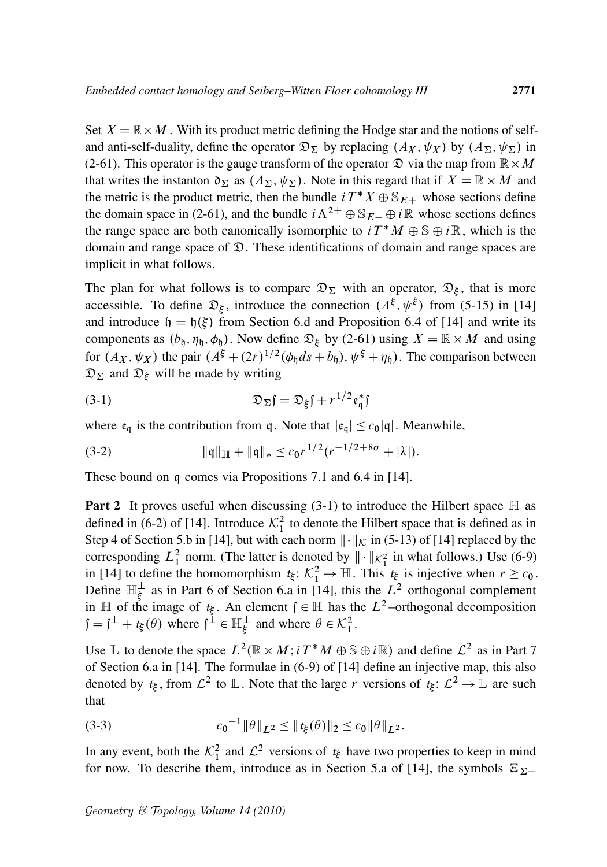Set  $X = \mathbb{R} \times M$ . With its product metric defining the Hodge star and the notions of selfand anti-self-duality, define the operator  $\mathfrak{D}_{\Sigma}$  by replacing  $(A_X, \psi_X)$  by  $(A_{\Sigma}, \psi_{\Sigma})$  in (2-61). This operator is the gauge transform of the operator  $\mathfrak D$  via the map from  $\mathbb R \times M$ that writes the instanton  $\mathfrak{d}_{\Sigma}$  as  $(A_{\Sigma}, \psi_{\Sigma})$ . Note in this regard that if  $X = \mathbb{R} \times M$  and the metric is the product metric, then the bundle  $i T^* X \oplus S_{E+}$  whose sections define the domain space in (2-61), and the bundle  $i\Lambda^{2+} \oplus S_{E-} \oplus i\mathbb{R}$  whose sections defines the range space are both canonically isomorphic to  $i T^* M \oplus \mathbb{S} \oplus i \mathbb{R}$ , which is the domain and range space of  $\mathfrak{D}$ . These identifications of domain and range spaces are implicit in what follows.

The plan for what follows is to compare  $\mathfrak{D}_{\Sigma}$  with an operator,  $\mathfrak{D}_{\xi}$ , that is more accessible. To define  $\mathfrak{D}_{\xi}$ , introduce the connection  $(A^{\xi}, \psi^{\xi})$  from (5-15) in [14] and introduce  $h = h(\xi)$  from Section 6.d and Proposition 6.4 of [14] and write its components as  $(b_1, \eta_1, \phi_1)$ . Now define  $\mathfrak{D}_{\xi}$  by (2-61) using  $X = \mathbb{R} \times M$  and using for  $(A_X, \psi_X)$  the pair  $(A^{\xi} + (2r)^{1/2}(\phi_0 ds + b_0), \psi^{\xi} + \eta_0)$ . The comparison between  $\mathfrak{D}_{\Sigma}$  and  $\mathfrak{D}_{\xi}$  will be made by writing

(3-1) 
$$
\mathfrak{D}_{\Sigma} \mathfrak{f} = \mathfrak{D}_{\xi} \mathfrak{f} + r^{1/2} \mathfrak{e}_{\mathfrak{q}}^* \mathfrak{f}
$$

where  $\mathfrak{e}_{q}$  is the contribution from q. Note that  $|\mathfrak{e}_{q}| \leq c_0 |q|$ . Meanwhile,

$$
(3-2) \t\t\t \|q\|_{\mathbb{H}} + \|q\|_{*} \leq c_0 r^{1/2} (r^{-1/2+8\sigma} + |\lambda|).
$$

These bound on q comes via Propositions 7.1 and 6.4 in [14].

**Part 2** It proves useful when discussing  $(3-1)$  to introduce the Hilbert space  $\mathbb{H}$  as defined in (6-2) of [14]. Introduce  $\mathcal{K}_1^2$  to denote the Hilbert space that is defined as in Step 4 of Section 5.b in [14], but with each norm  $\|\cdot\|_{\mathcal{K}}$  in (5-13) of [14] replaced by the corresponding  $L_1^2$  norm. (The latter is denoted by  $\|\cdot\|_{\mathcal{K}_1^2}$  in what follows.) Use (6-9) in [14] to define the homomorphism  $t_{\xi} \colon \mathcal{K}_1^2 \to \mathbb{H}$ . This  $t_{\xi}$  is injective when  $r \geq c_0$ . Define  $\mathbb{H}_{\xi}^{\perp}$  as in Part 6 of Section 6.a in [14], this the  $L^{2}$  orthogonal complement in  $\mathbb H$  of the image of  $t_{\xi}$ . An element  $f \in \mathbb H$  has the  $L^2$ -orthogonal decomposition  $f = f^{\perp} + t_{\xi}(\theta)$  where  $f^{\perp} \in \mathbb{H}_{\xi}^{\perp}$  and where  $\theta \in \mathcal{K}_{1}^{2}$ .

Use L to denote the space  $L^2(\mathbb{R} \times M; i T^*M \oplus \mathbb{S} \oplus i\mathbb{R})$  and define  $\mathcal{L}^2$  as in Part 7 of Section 6.a in [14]. The formulae in (6-9) of [14] define an injective map, this also denoted by  $t_{\xi}$ , from  $\mathcal{L}^2$  to L. Note that the large r versions of  $t_{\xi}$ :  $\mathcal{L}^2 \to \mathbb{L}$  are such that

(3-3) 
$$
c_0^{-1} \|\theta\|_{L^2} \leq \|t_{\xi}(\theta)\|_2 \leq c_0 \|\theta\|_{L^2}.
$$

In any event, both the  $\mathcal{K}_1^2$  and  $\mathcal{L}^2$  versions of  $t_{\xi}$  have two properties to keep in mind for now. To describe them, introduce as in Section 5.a of [14], the symbols  $\Xi_{\Sigma}$ .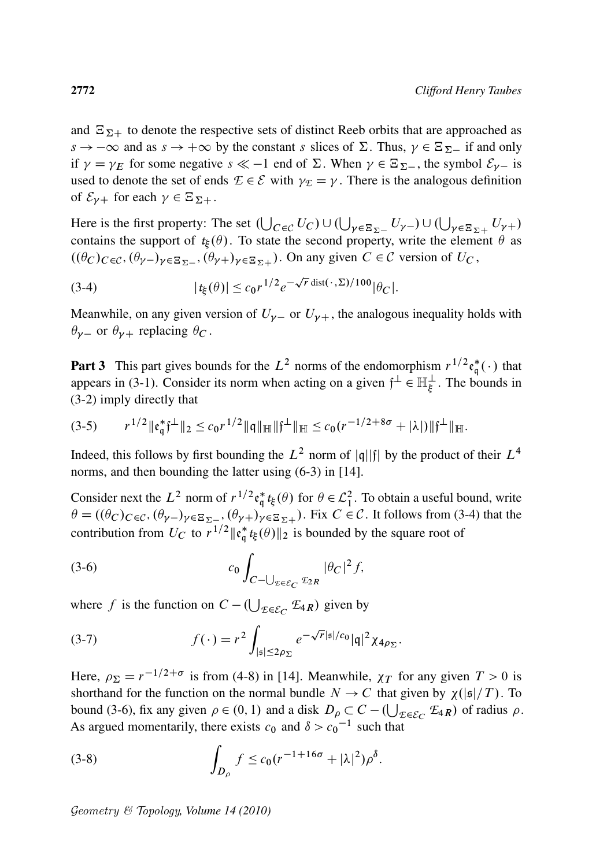and  $\mathbb{E}_{\Sigma+}$  to denote the respective sets of distinct Reeb orbits that are approached as  $s \to -\infty$  and as  $s \to +\infty$  by the constant s slices of  $\Sigma$ . Thus,  $\gamma \in \Xi_{\Sigma^-}$  if and only if  $\gamma = \gamma_E$  for some negative  $s \ll -1$  end of  $\Sigma$ . When  $\gamma \in \Xi_{\Sigma}$ , the symbol  $\mathcal{E}_{\gamma-}$  is used to denote the set of ends  $\mathcal{E} \in \mathcal{E}$  with  $\gamma_{\mathcal{E}} = \gamma$ . There is the analogous definition of  $\mathcal{E}_{\gamma+}$  for each  $\gamma \in \Xi_{\Sigma+}$ .

Here is the first property: The set  $(\bigcup_{C \in \mathcal{C}} U_C) \cup (\bigcup_{\gamma \in \Xi_{\Sigma^-}} U_{\gamma^-}) \cup (\bigcup_{\gamma \in \Xi_{\Sigma^+}} U_{\gamma^+})$ contains the support of  $t_{\xi}(\theta)$ . To state the second property, write the element  $\theta$  as  $((\theta_C)_{C \in \mathcal{C}}, (\theta_{\gamma-})_{\gamma \in \Xi_{\Sigma^{-}}}, (\theta_{\gamma+})_{\gamma \in \Xi_{\Sigma^{+}}})$ . On any given  $C \in \mathcal{C}$  version of  $U_C$ ,

(3-4) 
$$
|t_{\xi}(\theta)| \leq c_0 r^{1/2} e^{-\sqrt{r} \operatorname{dist}(\cdot, \Sigma)/100} |\theta_C|.
$$

Meanwhile, on any given version of  $U_{\gamma-}$  or  $U_{\gamma+}$ , the analogous inequality holds with  $\theta_{\gamma-}$  or  $\theta_{\gamma+}$  replacing  $\theta_C$ .

**Part 3** This part gives bounds for the  $L^2$  norms of the endomorphism  $r^{1/2}e_{\alpha}^*$  $_{q}^{*}(\cdot)$  that appears in (3-1). Consider its norm when acting on a given  $f^{\perp} \in \mathbb{H}_{\xi}^{\perp}$ . The bounds in (3-2) imply directly that

$$
(3-5) \t\t r^{1/2} \|\mathfrak{e}_{\mathfrak{q}}^*\mathfrak{f}^{\perp}\|_2 \leq c_0 r^{1/2} \|\mathfrak{q}\|_{\mathbb{H}} \|\mathfrak{f}^{\perp}\|_{\mathbb{H}} \leq c_0 (r^{-1/2+8\sigma} + |\lambda|) \|\mathfrak{f}^{\perp}\|_{\mathbb{H}}.
$$

Indeed, this follows by first bounding the  $L^2$  norm of |q||f| by the product of their  $L^4$ norms, and then bounding the latter using (6-3) in [14].

Consider next the  $L^2$  norm of  $r^{1/2}$  $e_{\alpha}^*$  $\phi_{\mathfrak{q}}^*$  *t*<sub>*i*</sub>( $\theta$ ) for  $\theta \in \mathcal{L}_1^2$ . To obtain a useful bound, write  $\theta = ((\theta_C)_{C \in \mathcal{C}}, (\theta_{\gamma-})_{\gamma \in \Xi_{\Sigma^{-}}}, (\theta_{\gamma+})_{\gamma \in \Xi_{\Sigma^{+}}} )$ . Fix  $C \in \mathcal{C}$ . It follows from (3-4) that the contribution from  $U_C$  to  $r^{1/2}$   $\| \mathfrak{e}_{\mathfrak{q}}^*$  $\frac{1}{q} t_{\xi}(\theta) \|_{2}$  is bounded by the square root of

$$
(3-6) \t\t c_0 \int_{C-\bigcup_{\mathcal{I}\in\mathcal{E}_C} E_{2R}} |\theta_C|^2 f,
$$

where f is the function on  $C - (\bigcup_{\mathcal{E} \in \mathcal{E}_C} \mathcal{E}_{4R})$  given by

(3-7) 
$$
f(\cdot) = r^2 \int_{|\mathfrak{s}| \leq 2\rho_{\Sigma}} e^{-\sqrt{r}|\mathfrak{s}|/c_0} |\mathfrak{q}|^2 \chi_{4\rho_{\Sigma}}.
$$

Here,  $\rho_{\Sigma} = r^{-1/2+\sigma}$  is from (4-8) in [14]. Meanwhile,  $\chi_T$  for any given  $T > 0$  is shorthand for the function on the normal bundle  $N \to C$  that given by  $\chi(|\mathfrak{s}|/T)$ . To bound (3-6), fix any given  $\rho \in (0, 1)$  and a disk  $D_{\rho} \subset C - (\bigcup_{\mathcal{E} \in \mathcal{E}_C} \mathcal{E}_{4R})$  of radius  $\rho$ . As argued momentarily, there exists  $c_0$  and  $\delta > c_0^{-1}$  such that

(3-8) 
$$
\int_{D_{\rho}} f \leq c_0 (r^{-1+16\sigma} + |\lambda|^2) \rho^{\delta}.
$$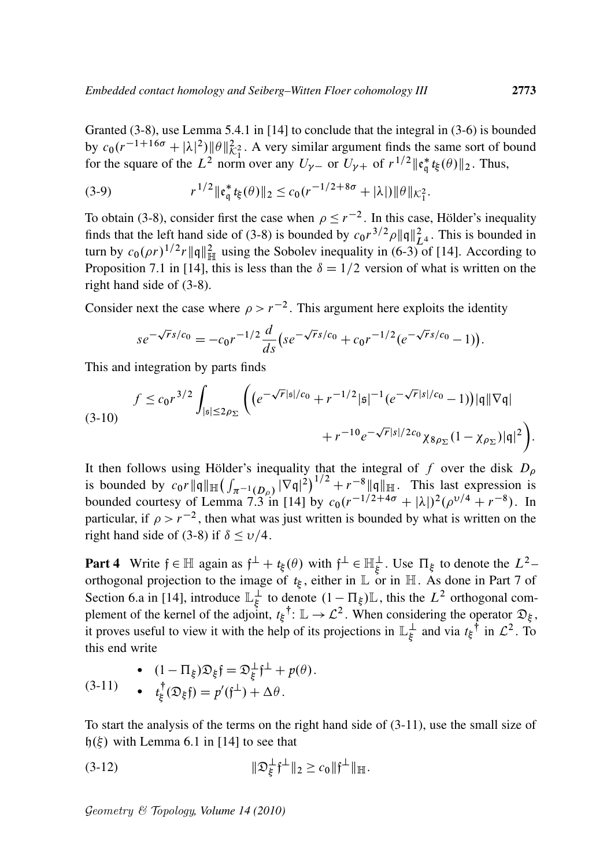Granted (3-8), use Lemma 5.4.1 in [14] to conclude that the integral in (3-6) is bounded by  $c_0(r^{-1+16\sigma} + |\lambda|^2) \|\theta\|_{\mathcal{K}_1^2}^2$ . A very similar argument finds the same sort of bound for the square of the  $L^2$  norm over any  $U_{\gamma-}$  or  $U_{\gamma+}$  of  $r^{1/2}$  || $\mathfrak{e}_\mathfrak{a}^*$  $_{q}^{*}$ *t*<sub>ξ</sub>( $\theta$ )||<sub>2</sub>. Thus,

(3-9) 
$$
r^{1/2} \|\mathfrak{e}_{\mathfrak{q}}^* t_{\xi}(\theta)\|_{2} \leq c_0 (r^{-1/2 + 8\sigma} + |\lambda|) \|\theta\|_{\mathcal{K}_{1}^{2}}.
$$

To obtain (3-8), consider first the case when  $\rho \le r^{-2}$ . In this case, Hölder's inequality finds that the left hand side of (3-8) is bounded by  $c_0 r^{3/2} \rho \|q\|_{L^4}^2$ . This is bounded in turn by  $c_0(\rho r)^{1/2} r ||\mathbf{q}||^2_{\mathbb{H}}$  using the Sobolev inequality in (6-3) of [14]. According to Proposition 7.1 in [14], this is less than the  $\delta = 1/2$  version of what is written on the right hand side of (3-8).

Consider next the case where  $\rho > r^{-2}$ . This argument here exploits the identity

$$
se^{-\sqrt{r}s/c_0} = -c_0 r^{-1/2} \frac{d}{ds} \left( se^{-\sqrt{r}s/c_0} + c_0 r^{-1/2} (e^{-\sqrt{r}s/c_0} - 1) \right).
$$

This and integration by parts finds

$$
(3-10) \int f \le c_0 r^{3/2} \int_{|\mathfrak{s}| \le 2\rho_{\Sigma}} \left( \left( e^{-\sqrt{r}|\mathfrak{s}|/c_0} + r^{-1/2}|\mathfrak{s}|^{-1} (e^{-\sqrt{r}|s|/c_0} - 1) \right) |\mathfrak{q}| |\nabla \mathfrak{q}| + r^{-10} e^{-\sqrt{r}|s|/2c_0} \chi_{8\rho_{\Sigma}} (1 - \chi_{\rho_{\Sigma}}) |\mathfrak{q}|^2 \right).
$$

It then follows using Hölder's inequality that the integral of f over the disk  $D_{\rho}$ is bounded by  $c_0 r \|\mathfrak{q}\|_{\mathbb{H}} \left( \int_{\pi^{-1}(D_\rho)} |\nabla \mathfrak{q}|^2 \right)^{1/2} + r^{-8} \|\mathfrak{q}\|_{\mathbb{H}}$ . This last expression is bounded courtesy of Lemma 7.3 in [14] by  $c_0(r^{-1/2+4\sigma} + |\lambda|)^2(\rho^{v/4} + r^{-8})$ . In particular, if  $\rho > r^{-2}$ , then what was just written is bounded by what is written on the right hand side of (3-8) if  $\delta \le v/4$ .

**Part 4** Write  $f \in \mathbb{H}$  again as  $f^{\perp} + t_{\xi}(\theta)$  with  $f^{\perp} \in \mathbb{H}_{\xi}^{\perp}$ . Use  $\Pi_{\xi}$  to denote the  $L^{2}$ orthogonal projection to the image of  $t_{\xi}$ , either in  $\mathbb{L}$  or in  $\mathbb{H}$ . As done in Part 7 of Section 6.a in [14], introduce  $\mathbb{L}_{\xi}^{\perp}$  $\frac{1}{\xi}$  to denote  $(1 - \Pi_{\xi}) \mathbb{L}$ , this the  $L^2$  orthogonal complement of the kernel of the adjoint,  $t_{\xi}$ <sup>†</sup>:  $\mathbb{L} \to \mathcal{L}^2$ . When considering the operator  $\mathfrak{D}_{\xi}$ , it proves useful to view it with the help of its projections in  $\mathbb{L}_{\xi}^{\perp}$  $\frac{1}{\xi}$  and via  $t_{\xi}$ <sup>†</sup> in  $\mathcal{L}^2$ . To this end write

(3-11) 
$$
\begin{aligned} (1 - \Pi_{\xi}) \mathfrak{D}_{\xi} \mathfrak{f} &= \mathfrak{D}_{\xi}^{\perp} \mathfrak{f}^{\perp} + p(\theta). \\ \bullet \quad t_{\xi}^{\dagger}(\mathfrak{D}_{\xi} \mathfrak{f}) &= p'(\mathfrak{f}^{\perp}) + \Delta \theta. \end{aligned}
$$

To start the analysis of the terms on the right hand side of (3-11), use the small size of  $h(\xi)$  with Lemma 6.1 in [14] to see that

(3-12) 
$$
\|\mathfrak{D}_{\xi}^{\perp}\mathfrak{f}^{\perp}\|_{2} \geq c_{0} \|\mathfrak{f}^{\perp}\|_{\mathbb{H}}.
$$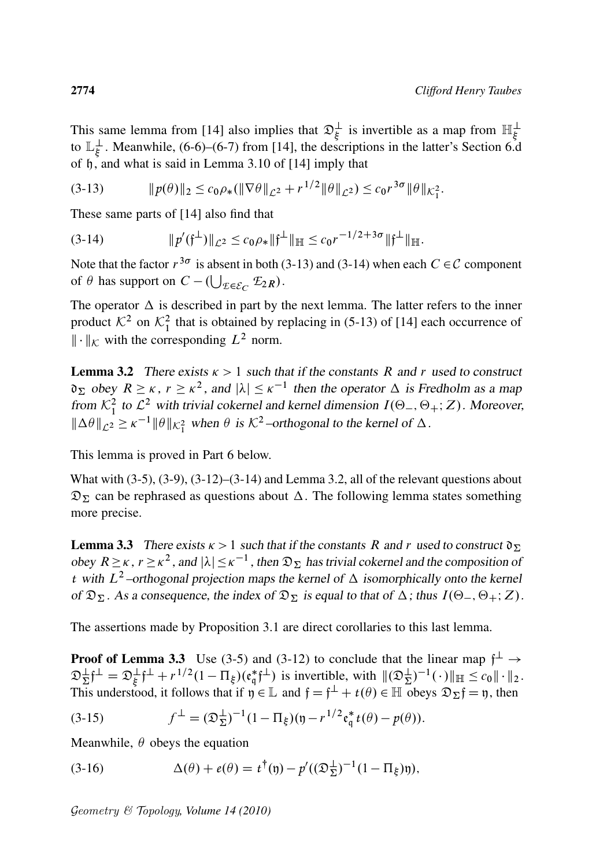This same lemma from [14] also implies that  $\mathfrak{D}_{\xi}^{\perp}$  is invertible as a map from  $\mathbb{H}_{\xi}^{\perp}$ to  $\mathbb{L}_{\xi}^{\perp}$  $\frac{1}{5}$ . Meanwhile, (6-6)–(6-7) from [14], the descriptions in the latter's Section 6.d of h, and what is said in Lemma 3.10 of [14] imply that

$$
(3-13) \t\t\t ||p(\theta)||_2 \leq c_0 \rho_*(\|\nabla \theta\|_{\mathcal{L}^2} + r^{1/2} \|\theta\|_{\mathcal{L}^2}) \leq c_0 r^{3\sigma} \|\theta\|_{\mathcal{K}_1^2}.
$$

These same parts of [14] also find that

$$
(3-14) \t\t\t ||p'(\mathfrak{f}^{\perp})||_{\mathcal{L}^2} \leq c_0 \rho_* ||\mathfrak{f}^{\perp}||_{\mathbb{H}} \leq c_0 r^{-1/2+3\sigma} ||\mathfrak{f}^{\perp}||_{\mathbb{H}}.
$$

Note that the factor  $r^{3\sigma}$  is absent in both (3-13) and (3-14) when each  $C \in \mathcal{C}$  component of  $\theta$  has support on  $C - (\bigcup_{\mathcal{E} \in \mathcal{E}_C} \mathcal{E}_{2R})$ .

The operator  $\Delta$  is described in part by the next lemma. The latter refers to the inner product  $\mathcal{K}^2$  on  $\mathcal{K}^2_1$  that is obtained by replacing in (5-13) of [14] each occurrence of  $\|\cdot\|_{\mathcal{K}}$  with the corresponding  $L^2$  norm.

**Lemma 3.2** There exists  $\kappa > 1$  such that if the constants R and r used to construct  $\mathfrak{d}_\Sigma$  obey  $R \geq \kappa$ ,  $r \geq \kappa^2$ , and  $|\lambda| \leq \kappa^{-1}$  then the operator  $\Delta$  is Fredholm as a map from  $\mathcal{K}_1^2$  to  $\mathcal{L}^2$  with trivial cokernel and kernel dimension  $I(\Theta_-, \Theta_+; Z)$ . Moreover,  $\|\Delta\theta\|_{\mathcal{L}^2} \ge \kappa^{-1} \|\theta\|_{\mathcal{K}^2_1}$  when  $\theta$  is  $\mathcal{K}^2$ -orthogonal to the kernel of  $\Delta$ .

This lemma is proved in Part 6 below.

What with  $(3-5)$ ,  $(3-9)$ ,  $(3-12)$ – $(3-14)$  and Lemma 3.2, all of the relevant questions about  $\mathfrak{D}_{\Sigma}$  can be rephrased as questions about  $\Delta$ . The following lemma states something more precise.

**Lemma 3.3** There exists  $\kappa > 1$  such that if the constants R and r used to construct  $\mathfrak{d}_{\Sigma}$ obey  $R \ge \kappa$ ,  $r \ge \kappa^2$ , and  $|\lambda| \le \kappa^{-1}$ , then  $\mathfrak{D}_{\Sigma}$  has trivial cokernel and the composition of *t* with  $L^2$ -orthogonal projection maps the kernel of  $\Delta$  isomorphically onto the kernel of  $\mathfrak{D}_{\Sigma}$ . As a consequence, the index of  $\mathfrak{D}_{\Sigma}$  is equal to that of  $\Delta$ ; thus  $I(\Theta_-, \Theta_+; Z)$ .

The assertions made by Proposition 3.1 are direct corollaries to this last lemma.

**Proof of Lemma 3.3** Use (3-5) and (3-12) to conclude that the linear map  $f^{\perp} \rightarrow$  $\mathfrak{D}_{\Sigma}^{\perp} \mathfrak{f}^{\perp} = \mathfrak{D}_{\xi}^{\perp} \mathfrak{f}^{\perp} + r^{1/2} (1 - \Pi_{\xi}) (\mathfrak{e}_{\mathfrak{q}}^*)$  $_{q}^{*}$  ( $\uparrow$  ) is invertible, with  $\|(\mathfrak{D}_{\Sigma}^{\perp})^{-1}(\cdot)\|_{\mathbb{H}} \leq c_{0} \|\cdot\|_{2}$ . This understood, it follows that if  $\mathfrak{y} \in \mathbb{L}$  and  $\mathfrak{f} = \mathfrak{f}^{\perp} + t(\theta) \in \mathbb{H}$  obeys  $\mathfrak{D}_{\Sigma}\mathfrak{f} = \mathfrak{y}$ , then

(3-15) 
$$
f^{\perp} = (\mathfrak{D}_{\Sigma}^{\perp})^{-1} (1 - \Pi_{\xi}) (\mathfrak{y} - r^{1/2} \mathfrak{e}_{\mathfrak{q}}^* t(\theta) - p(\theta)).
$$

Meanwhile,  $\theta$  obeys the equation

(3-16) 
$$
\Delta(\theta) + e(\theta) = t^{\dagger}(\mathfrak{y}) - p'((\mathfrak{D}_{\Sigma}^{\perp})^{-1}(1 - \Pi_{\xi})\mathfrak{y}),
$$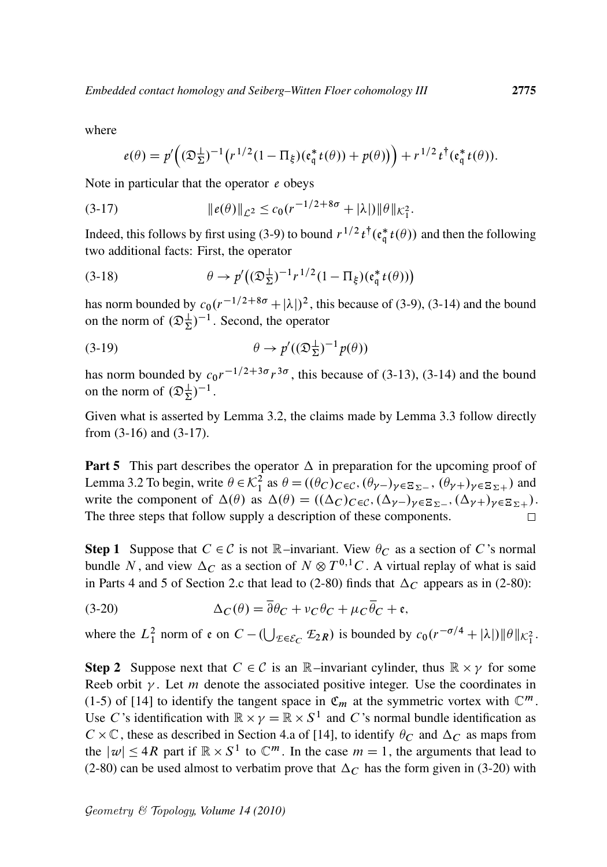where

$$
e(\theta) = p'\Big((\mathfrak{D}_{\Sigma}^{\perp})^{-1}\big(r^{1/2}(1-\Pi_{\xi})(\mathfrak{e}_{\mathfrak{q}}^*t(\theta))+p(\theta)\big)\Big) + r^{1/2}t^{\dagger}(\mathfrak{e}_{\mathfrak{q}}^*t(\theta)).
$$

Note in particular that the operator *e* obeys

(3-17) k*e*. /kL<sup>2</sup> c0.r 1=2C8 C jj/kkK<sup>2</sup> 1 :

Indeed, this follows by first using (3-9) to bound  $r^{1/2}t^{\dagger}$  ( $\epsilon_{\mathfrak{q}}^*$  $_{q}^{*}t(\theta)$ ) and then the following two additional facts: First, the operator

(3-18) 
$$
\theta \to p'((\mathfrak{D}_{\Sigma}^{\perp})^{-1}r^{1/2}(1-\Pi_{\xi})(\mathfrak{e}_{\mathfrak{q}}^*t(\theta)))
$$

has norm bounded by  $c_0(r^{-1/2+8\sigma} + |\lambda|)^2$ , this because of (3-9), (3-14) and the bound on the norm of  $(\mathfrak{D}_{\Sigma}^{\perp})^{-1}$ . Second, the operator

(3-19) 
$$
\theta \to p'((\mathfrak{D}_{\Sigma}^{\perp})^{-1}p(\theta))
$$

has norm bounded by  $c_0r^{-1/2+3\sigma}r^{3\sigma}$ , this because of (3-13), (3-14) and the bound on the norm of  $(\mathfrak{D}_{\Sigma}^{\perp})^{-1}$ .

Given what is asserted by Lemma 3.2, the claims made by Lemma 3.3 follow directly from (3-16) and (3-17).

**Part 5** This part describes the operator  $\Delta$  in preparation for the upcoming proof of Lemma 3.2 To begin, write  $\theta \in \mathcal{K}_1^2$  as  $\theta = ((\theta_C)_{C \in \mathcal{C}}, (\theta_{\gamma-})_{\gamma \in \Xi_{\Sigma^{-}}}, (\theta_{\gamma+})_{\gamma \in \Xi_{\Sigma^{+}}} )$  and write the component of  $\Delta(\theta)$  as  $\Delta(\theta) = ((\Delta_C)_{C \in \mathcal{C}}, (\Delta_{\gamma-})_{\gamma \in \Xi_{\Sigma-}}, (\Delta_{\gamma+})_{\gamma \in \Xi_{\Sigma+}}).$ The three steps that follow supply a description of these components.  $\Box$ 

**Step 1** Suppose that  $C \in \mathcal{C}$  is not  $\mathbb{R}$ –invariant. View  $\theta_C$  as a section of C's normal bundle N, and view  $\Delta_C$  as a section of  $N \otimes T^{0,1}C$ . A virtual replay of what is said in Parts 4 and 5 of Section 2.c that lead to (2-80) finds that  $\Delta_C$  appears as in (2-80):

(3-20) 
$$
\Delta_C(\theta) = \overline{\partial}\theta_C + v_C \theta_C + \mu_C \overline{\theta}_C + \mathfrak{e},
$$

where the  $L_1^2$  norm of  $\varepsilon$  on  $C - (\bigcup_{\mathcal{E} \in \mathcal{E}_C} \mathcal{E}_{2R})$  is bounded by  $c_0(r^{-\sigma/4} + |\lambda|) ||\theta||_{\mathcal{K}_1^2}$ .

**Step 2** Suppose next that  $C \in \mathcal{C}$  is an  $\mathbb{R}$ -invariant cylinder, thus  $\mathbb{R} \times \gamma$  for some Reeb orbit  $\gamma$ . Let m denote the associated positive integer. Use the coordinates in (1-5) of [14] to identify the tangent space in  $\mathfrak{C}_m$  at the symmetric vortex with  $\mathbb{C}^m$ . Use C's identification with  $\mathbb{R} \times \gamma = \mathbb{R} \times S^1$  and C's normal bundle identification as  $C \times \mathbb{C}$ , these as described in Section 4.a of [14], to identify  $\theta_C$  and  $\Delta_C$  as maps from the  $|w| \leq 4R$  part if  $\mathbb{R} \times S^1$  to  $\mathbb{C}^m$ . In the case  $m = 1$ , the arguments that lead to (2-80) can be used almost to verbatim prove that  $\Delta_C$  has the form given in (3-20) with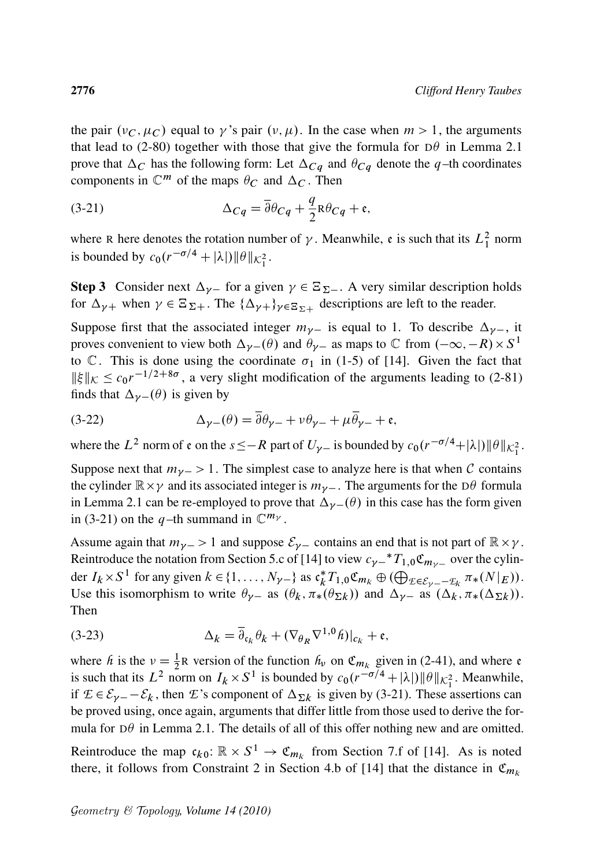the pair  $(v_C, \mu_C)$  equal to  $\gamma$ 's pair  $(v, \mu)$ . In the case when  $m > 1$ , the arguments that lead to (2-80) together with those that give the formula for  $D\theta$  in Lemma 2.1 prove that  $\Delta_C$  has the following form: Let  $\Delta_{Cq}$  and  $\theta_{Cq}$  denote the q-th coordinates components in  $\mathbb{C}^m$  of the maps  $\theta_C$  and  $\Delta_C$ . Then

(3-21) 
$$
\Delta_{Cq} = \overline{\partial} \theta_{Cq} + \frac{q}{2} R \theta_{Cq} + \mathfrak{e},
$$

where R here denotes the rotation number of  $\gamma$ . Meanwhile, e is such that its  $L_1^2$  norm is bounded by  $c_0(r^{-\sigma/4} + |\lambda|) ||\theta||_{\mathcal{K}_1^2}$ .

**Step 3** Consider next  $\Delta_{\gamma-}$  for a given  $\gamma \in \Xi_{\Sigma-}$ . A very similar description holds for  $\Delta_{\gamma+}$  when  $\gamma \in \Xi_{\Sigma+}$ . The  $\{\Delta_{\gamma+}\}_{\gamma \in \Xi_{\Sigma+}}$  descriptions are left to the reader.

Suppose first that the associated integer  $m_{\gamma-}$  is equal to 1. To describe  $\Delta_{\gamma-}$ , it proves convenient to view both  $\Delta_{\gamma-}(\theta)$  and  $\theta_{\gamma-}$  as maps to  $\mathbb C$  from  $(-\infty, -R) \times S^1$ to  $\mathbb{C}$ . This is done using the coordinate  $\sigma_1$  in (1-5) of [14]. Given the fact that  $\|\xi\|_{K} \leq c_0 r^{-1/2+8\sigma}$ , a very slight modification of the arguments leading to (2-81) finds that  $\Delta_{\nu-}(\theta)$  is given by

(3-22) 
$$
\Delta_{\gamma-}(\theta) = \overline{\partial} \theta_{\gamma-} + \nu \theta_{\gamma-} + \mu \overline{\theta}_{\gamma-} + \mathfrak{e},
$$

where the  $L^2$  norm of  $\varepsilon$  on the  $s \leq -R$  part of  $U_{\gamma-}$  is bounded by  $c_0(r^{-\sigma/4} + |\lambda|) ||\theta||_{\mathcal{K}_1^2}$ .

Suppose next that  $m_{\gamma-} > 1$ . The simplest case to analyze here is that when C contains the cylinder  $\mathbb{R} \times \gamma$  and its associated integer is  $m_{\gamma-}$ . The arguments for the D $\theta$  formula in Lemma 2.1 can be re-employed to prove that  $\Delta_{\gamma-}(\theta)$  in this case has the form given in (3-21) on the q-th summand in  $\mathbb{C}^{m_{\gamma}}$ .

Assume again that  $m_{\gamma-} > 1$  and suppose  $\mathcal{E}_{\gamma-}$  contains an end that is not part of  $\mathbb{R} \times \gamma$ . Reintroduce the notation from Section 5.c of [14] to view  $c_{\gamma-}$ <sup>\*</sup>  $T_{1,0}$   $\mathfrak{C}_{m_{\gamma-}}$  over the cylinder  $I_k \times S^1$  for any given  $k \in \{1, ..., N_{\gamma}\}$  as  $\mathfrak{c}_k^*$  ${}_{k}^{*}T_{1,0}\mathfrak{C}_{m_{k}} \oplus (\bigoplus_{\mathcal{E}\in \mathcal{E}_{\mathcal{V}}=-\mathcal{E}_{k}}\pi_{*}(N|_{E})).$ Use this isomorphism to write  $\theta_{\gamma-}$  as  $(\theta_k, \pi_*(\theta_{\Sigma k}))$  and  $\Delta_{\gamma-}$  as  $(\Delta_k, \pi_*(\Delta_{\Sigma k}))$ . Then

(3-23) 
$$
\Delta_k = \overline{\partial}_{\mathfrak{c}_k} \theta_k + (\nabla_{\theta_R} \nabla^{1,0} \hat{h})|_{c_k} + \mathfrak{e},
$$

where *h* is the  $v = \frac{1}{2}R$  version of the function  $h_v$  on  $\mathfrak{C}_{m_k}$  given in (2-41), and where  $\mathfrak{e}$ where *h* is the  $v = \frac{1}{2}$ <sup>k</sup> version of the function *h<sub>v</sub>* on  $C_{m_k}$  given in (2-41), and where  $\epsilon$  is such that its  $L^2$  norm on  $I_k \times S^1$  is bounded by  $c_0(r^{-\sigma/4} + |\lambda|) ||\theta||_{\mathcal{K}_1^2}$ . Meanwhile, if  $\mathcal{E} \in \mathcal{E}_{\nu} - \mathcal{E}_k$ , then  $\mathcal{E}$ 's component of  $\Delta_{\Sigma k}$  is given by (3-21). These assertions can be proved using, once again, arguments that differ little from those used to derive the formula for  $D\theta$  in Lemma 2.1. The details of all of this offer nothing new and are omitted.

Reintroduce the map  $\mathfrak{c}_{k0} : \mathbb{R} \times S^1 \to \mathfrak{C}_{m_k}$  from Section 7.f of [14]. As is noted there, it follows from Constraint 2 in Section 4.b of [14] that the distance in  $\mathfrak{C}_{m_k}$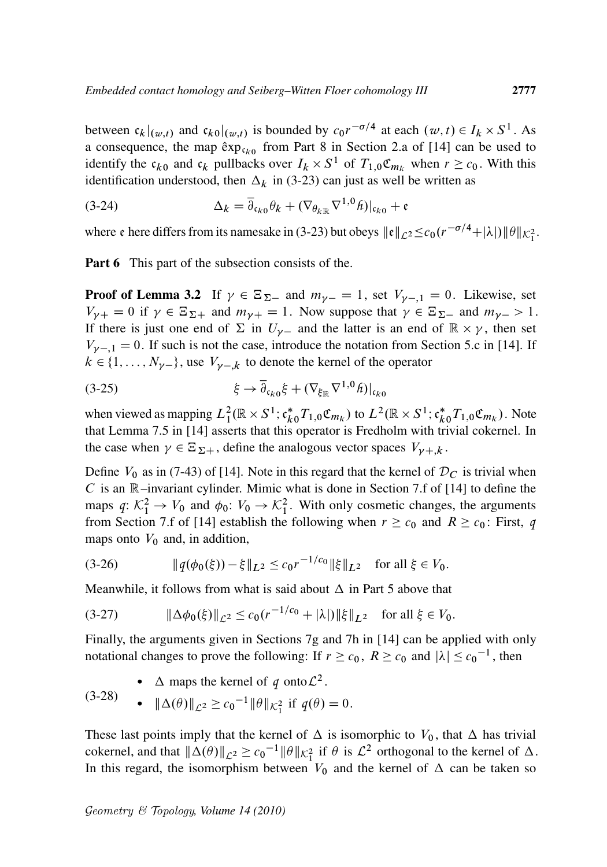between  $c_k|_{(w,t)}$  and  $c_{k0}|_{(w,t)}$  is bounded by  $c_0r^{-\sigma/4}$  at each  $(w,t) \in I_k \times S^1$ . As a consequence, the map  $\exp c_{k0}$  from Part 8 in Section 2.a of [14] can be used to identify the  $c_{k0}$  and  $c_k$  pullbacks over  $I_k \times S^1$  of  $T_{1,0}\mathfrak{C}_{m_k}$  when  $r \geq c_0$ . With this identification understood, then  $\Delta_k$  in (3-23) can just as well be written as

(3-24) 
$$
\Delta_k = \overline{\partial}_{\mathfrak{c}_{k0}} \theta_k + (\nabla_{\theta_k} \nabla^{1,0} \hat{h})|_{\mathfrak{c}_{k0}} + \mathfrak{e}
$$

where  $\mathfrak e$  here differs from its namesake in (3-23) but obeys  $\|\mathfrak e\|_{\mathcal{L}^2} \leq c_0(r^{-\sigma/4} + |\lambda|) \|\theta\|_{\mathcal{K}^2_1}$ .

Part 6 This part of the subsection consists of the.

**Proof of Lemma 3.2** If  $\gamma \in \Xi_{\Sigma^-}$  and  $m_{\gamma^-} = 1$ , set  $V_{\gamma^-} = 0$ . Likewise, set  $V_{\gamma+} = 0$  if  $\gamma \in \Xi_{\Sigma+}$  and  $m_{\gamma+} = 1$ . Now suppose that  $\gamma \in \Xi_{\Sigma-}$  and  $m_{\gamma-} > 1$ . If there is just one end of  $\Sigma$  in  $U_{\gamma-}$  and the latter is an end of  $\mathbb{R} \times \gamma$ , then set  $V_{\gamma-1} = 0$ . If such is not the case, introduce the notation from Section 5.c in [14]. If  $k \in \{1, \ldots, N_{\gamma-}\}\$ , use  $V_{\gamma-k}$  to denote the kernel of the operator

$$
(3-25) \qquad \qquad \xi \to \overline{\partial}_{c_{k0}} \xi + (\nabla_{\xi_{\mathbb{R}}} \nabla^{1,0} \hat{h})|_{c_{k0}}
$$

when viewed as mapping  $L_1^2(\mathbb{R} \times S^1; \mathfrak{c}_{k_0}^* T_{1,0} \mathfrak{C}_{m_k})$  to  $L^2(\mathbb{R} \times S^1; \mathfrak{c}_{k_0}^* T_{1,0} \mathfrak{C}_{m_k})$ . Note that Lemma 7.5 in [14] asserts that this operator is Fredholm with trivial cokernel. In the case when  $\gamma \in \Xi_{\Sigma+}$ , define the analogous vector spaces  $V_{\gamma+k}$ .

Define  $V_0$  as in (7-43) of [14]. Note in this regard that the kernel of  $\mathcal{D}_C$  is trivial when C is an  $\mathbb R$ –invariant cylinder. Mimic what is done in Section 7.f of [14] to define the maps  $q: \mathcal{K}_1^2 \to V_0$  and  $\phi_0: V_0 \to \mathcal{K}_1^2$ . With only cosmetic changes, the arguments from Section 7.f of [14] establish the following when  $r \geq c_0$  and  $R \geq c_0$ : First, *q* maps onto  $V_0$  and, in addition,

(3-26) k*q*.0.// kL<sup>2</sup> c0r 1=c<sup>0</sup> <sup>k</sup>kL<sup>2</sup> for all <sup>2</sup> <sup>V</sup>0:

Meanwhile, it follows from what is said about  $\Delta$  in Part 5 above that

$$
(3-27) \t\t\t ||\Delta\phi_0(\xi)||_{\mathcal{L}^2} \le c_0(r^{-1/c_0} + |\lambda|) \|\xi\|_{L^2} \t \text{ for all } \xi \in V_0.
$$

Finally, the arguments given in Sections 7g and 7h in [14] can be applied with only notational changes to prove the following: If  $r \ge c_0$ ,  $R \ge c_0$  and  $|\lambda| \le c_0^{-1}$ , then

•  $\Delta$  maps the kernel of *q* onto  $\mathcal{L}^2$ .

$$
(3-28) \qquad \bullet \quad ||\Delta(\theta)||_{\mathcal{L}^2} \ge c_0^{-1} ||\theta||_{\mathcal{K}_1^2} \text{ if } q(\theta) = 0.
$$

These last points imply that the kernel of  $\Delta$  is isomorphic to  $V_0$ , that  $\Delta$  has trivial cokernel, and that  $\|\Delta(\theta)\|_{\mathcal{L}^2} \ge c_0^{-1} \|\theta\|_{\mathcal{K}_1^2}$  if  $\theta$  is  $\mathcal{L}^2$  orthogonal to the kernel of  $\Delta$ . In this regard, the isomorphism between  $V_0$  and the kernel of  $\Delta$  can be taken so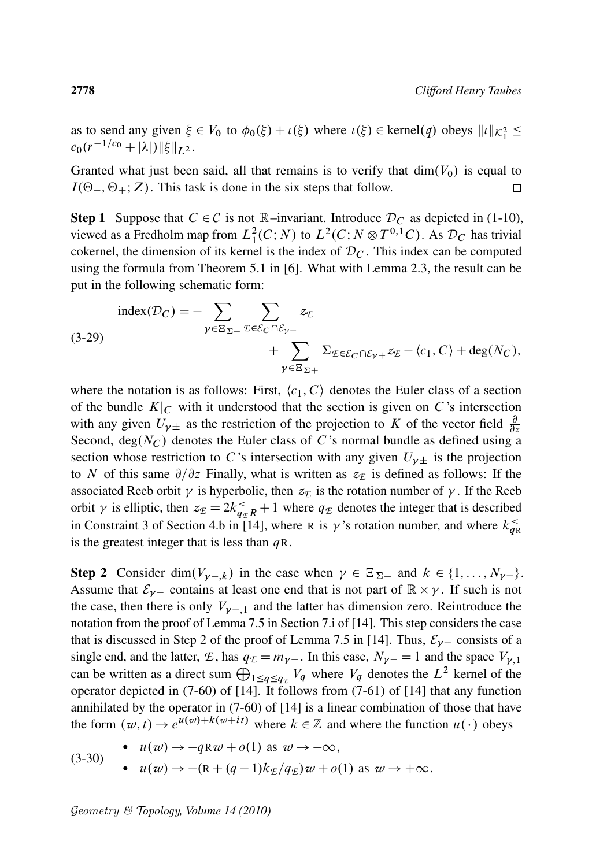as to send any given  $\xi \in V_0$  to  $\phi_0(\xi) + \iota(\xi)$  where  $\iota(\xi) \in \text{kernel}(q)$  obeys  $||\iota||_{\mathcal{K}_1^2} \le$  $c_0(r^{-1/c_0}+|\lambda|)\|\xi\|_{L^2}$ .

Granted what just been said, all that remains is to verify that  $dim(V_0)$  is equal to  $I(\Theta_-, \Theta_+; Z)$ . This task is done in the six steps that follow.  $\Box$ 

**Step 1** Suppose that  $C \in \mathcal{C}$  is not  $\mathbb{R}$ –invariant. Introduce  $\mathcal{D}_C$  as depicted in (1-10), viewed as a Fredholm map from  $L_1^2(C;N)$  to  $L^2(C;N \otimes T^{0,1}C)$ . As  $\mathcal{D}_C$  has trivial cokernel, the dimension of its kernel is the index of  $\mathcal{D}_C$ . This index can be computed using the formula from Theorem 5.1 in [6]. What with Lemma 2.3, the result can be put in the following schematic form:

$$
\text{index}(\mathcal{D}_C) = -\sum_{\gamma \in \Xi_{\Sigma -}} \sum_{\mathcal{E} \in \mathcal{E}_C \cap \mathcal{E}_{\gamma -}} z_{\mathcal{E}} \n\begin{aligned}\nz_{\mathcal{E}} \\
 &\quad + \sum_{\gamma \in \Xi_{\Sigma +}} \Sigma_{\mathcal{E} \in \mathcal{E}_C \cap \mathcal{E}_{\gamma +}} z_{\mathcal{E}} - \langle c_1, C \rangle + \text{deg}(N_C),\n\end{aligned}
$$

where the notation is as follows: First,  $\langle c_1, C \rangle$  denotes the Euler class of a section of the bundle  $K|_C$  with it understood that the section is given on C's intersection with any given  $U_{\gamma\pm}$  as the restriction of the projection to K of the vector field  $\frac{\partial}{\partial z}$ Second, deg $(N_C)$  denotes the Euler class of C's normal bundle as defined using a section whose restriction to C's intersection with any given  $U_{\nu\pm}$  is the projection to N of this same  $\partial/\partial z$  Finally, what is written as  $z_E$  is defined as follows: If the associated Reeb orbit  $\gamma$  is hyperbolic, then  $z_E$  is the rotation number of  $\gamma$ . If the Reeb orbit  $\gamma$  is elliptic, then  $z_E = 2k_{q_E}^2 R + 1$  where  $q_E$  denotes the integer that is described in Constraint 3 of Section 4.b in [14], where R is  $\gamma$ 's rotation number, and where  $k_{qR}^{\prec}$ is the greatest integer that is less than  $qR$ .

**Step 2** Consider dim $(V_{\gamma-k})$  in the case when  $\gamma \in \Xi_{\Sigma^-}$  and  $k \in \{1, ..., N_{\gamma-}\}.$ Assume that  $\mathcal{E}_{\gamma-}$  contains at least one end that is not part of  $\mathbb{R} \times \gamma$ . If such is not the case, then there is only  $V_{\gamma-1}$  and the latter has dimension zero. Reintroduce the notation from the proof of Lemma 7.5 in Section 7.i of [14]. This step considers the case that is discussed in Step 2 of the proof of Lemma 7.5 in [14]. Thus,  $\mathcal{E}_{\gamma}$  consists of a single end, and the latter, *E*, has  $q_E = m_{\gamma-}$ . In this case,  $N_{\gamma-} = 1$  and the space  $V_{\gamma,1}$ can be written as a direct sum  $\bigoplus_{1 \leq q \leq q_{\mathcal{E}}} V_q$  where  $V_q$  denotes the  $L^2$  kernel of the operator depicted in (7-60) of [14]. It follows from (7-61) of [14] that any function annihilated by the operator in (7-60) of [14] is a linear combination of those that have the form  $(w, t) \rightarrow e^{u(w) + k(w+it)}$  where  $k \in \mathbb{Z}$  and where the function  $u(\cdot)$  obeys

(3-30) •  $u(w) \rightarrow -qRw + o(1)$  as  $w \rightarrow -\infty$ , •  $u(w) \rightarrow -(R + (q-1)k_F/q_F)w + o(1)$  as  $w \rightarrow +\infty$ .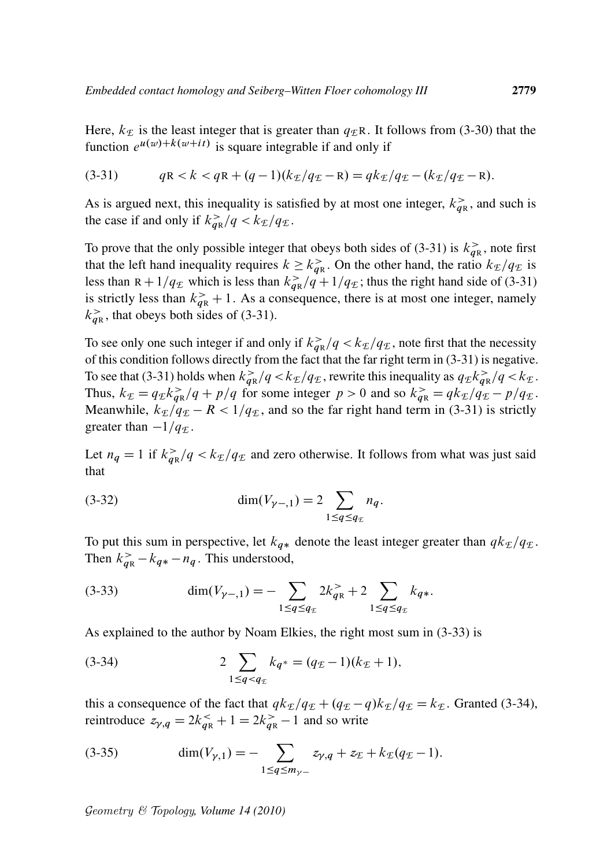Here,  $k_E$  is the least integer that is greater than  $q_E$ R. It follows from (3-30) that the function  $e^{u(w)+k(w+it)}$  is square integrable if and only if

(3-31) 
$$
qR < k < qR + (q-1)(k_{\mathcal{I}}/q_{\mathcal{I}} - R) = qk_{\mathcal{I}}/q_{\mathcal{I}} - (k_{\mathcal{I}}/q_{\mathcal{I}} - R).
$$

As is argued next, this inequality is satisfied by at most one integer,  $k_{qR}^>$ , and such is the case if and only if  $k_{qR}^>/q < k_E/q_E$ .

To prove that the only possible integer that obeys both sides of (3-31) is  $k_{qR}^>$ , note first that the left hand inequality requires  $k \geq k_{qR}^>$ . On the other hand, the ratio  $k_{\text{E}}/q_{\text{E}}$  is less than  $R + 1/q_E$  which is less than  $k_{qR} > q + 1/q_E$ ; thus the right hand side of (3-31) is strictly less than  $k_{qR}^> + 1$ . As a consequence, there is at most one integer, namely  $k_{qR}^>$ , that obeys both sides of (3-31).

To see only one such integer if and only if  $k_{qR}^>/q < k_E/q_E$ , note first that the necessity of this condition follows directly from the fact that the far right term in (3-31) is negative. To see that (3-31) holds when  $k_{qR}^>/q < k_E/q_E$ , rewrite this inequality as  $q_E k_{qR}^>/q < k_E$ . Thus,  $k_{\mathcal{E}} = q_{\mathcal{E}} k_{\mathbf{q}\mathbb{R}}^> / q + p/q$  for some integer  $p > 0$  and so  $k_{\mathbf{q}\mathbb{R}}^> = q k_{\mathcal{E}} / q_{\mathcal{E}} - p/q_{\mathcal{E}}$ . Meanwhile,  $k_E/q_E - R < 1/q_E$ , and so the far right hand term in (3-31) is strictly greater than  $-1/q$ <sub>*E*</sub>.

Let  $n_q = 1$  if  $k_{qR} > q < k_E/q_E$  and zero otherwise. It follows from what was just said that

(3-32) 
$$
\dim(V_{\gamma-1}) = 2 \sum_{1 \le q \le q_{\mathcal{E}}} n_q.
$$

To put this sum in perspective, let  $k_{q*}$  denote the least integer greater than  $q k_{\mathcal{I}}/q_{\mathcal{I}}$ . Then  $k_{qR}^> - k_{q*} - n_q$ . This understood,

(3-33) 
$$
\dim(V_{\gamma-1}) = -\sum_{1 \le q \le q_{\mathcal{I}}} 2k_{qR}^> + 2 \sum_{1 \le q \le q_{\mathcal{I}}} k_{q*}.
$$

As explained to the author by Noam Elkies, the right most sum in (3-33) is

(3-34) 
$$
2\sum_{1 \leq q < q_{\mathcal{I}}} k_{q^*} = (q_{\mathcal{I}} - 1)(k_{\mathcal{I}} + 1),
$$

this a consequence of the fact that  $qk_{\mathcal{E}}/q_{\mathcal{E}} + (q_{\mathcal{E}} - q)k_{\mathcal{E}}/q_{\mathcal{E}} = k_{\mathcal{E}}$ . Granted (3-34), reintroduce  $z_{\gamma,q} = 2k_{qR}^> + 1 = 2k_{qR}^> - 1$  and so write

(3-35) 
$$
\dim(V_{\gamma,1}) = -\sum_{1 \le q \le m_{\gamma-}} z_{\gamma,q} + z_{\mathcal{E}} + k_{\mathcal{E}}(q_{\mathcal{E}} - 1).
$$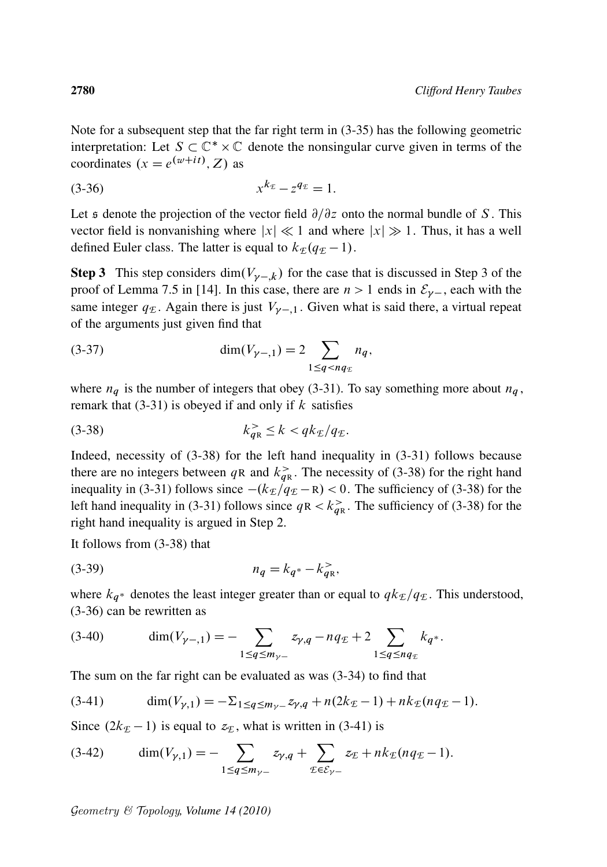Note for a subsequent step that the far right term in (3-35) has the following geometric interpretation: Let  $S \subset \mathbb{C}^* \times \mathbb{C}$  denote the nonsingular curve given in terms of the coordinates  $(x = e^{(w+it)}, Z)$  as

$$
(3-36) \t xkE - zqE = 1.
$$

Let s denote the projection of the vector field  $\partial/\partial z$  onto the normal bundle of S. This vector field is nonvanishing where  $|x| \ll 1$  and where  $|x| \gg 1$ . Thus, it has a well defined Euler class. The latter is equal to  $k_E(q_E - 1)$ .

**Step 3** This step considers dim $(V_{\gamma-k})$  for the case that is discussed in Step 3 of the proof of Lemma 7.5 in [14]. In this case, there are  $n > 1$  ends in  $\mathcal{E}_{\nu}$ , each with the same integer  $q_E$ . Again there is just  $V_{\nu-1}$ . Given what is said there, a virtual repeat of the arguments just given find that

(3-37) 
$$
\dim(V_{\gamma-1}) = 2 \sum_{1 \le q < nq_{\mathcal{E}}} n_q,
$$

where  $n_q$  is the number of integers that obey (3-31). To say something more about  $n_q$ , remark that  $(3-31)$  is obeyed if and only if k satisfies

$$
(3-38) \t\t k_{qR}^> \le k < qk_{\mathcal{I}}/q_{\mathcal{I}}.
$$

Indeed, necessity of (3-38) for the left hand inequality in (3-31) follows because there are no integers between qR and  $k_{qR}^>$ . The necessity of (3-38) for the right hand inequality in (3-31) follows since  $-(k_E/q_E - R) < 0$ . The sufficiency of (3-38) for the left hand inequality in (3-31) follows since  $qR < k_{qR}^>$ . The sufficiency of (3-38) for the right hand inequality is argued in Step 2.

It follows from (3-38) that

(3-39) 
$$
n_q = k_{q^*} - k_{qR}^>,
$$

where  $k_{q^*}$  denotes the least integer greater than or equal to  $q k_{\mathcal{I}}/q_{\mathcal{I}}$ . This understood, (3-36) can be rewritten as

(3-40) 
$$
\dim(V_{\gamma-1}) = -\sum_{1 \leq q \leq m_{\gamma-}} z_{\gamma,q} - n q_{\mathcal{I}} + 2 \sum_{1 \leq q \leq n q_{\mathcal{I}}} k_{q^*}.
$$

The sum on the far right can be evaluated as was (3-34) to find that

(3-41) 
$$
\dim(V_{\gamma,1}) = -\Sigma_{1 \leq q \leq m_{\gamma-}} z_{\gamma,q} + n(2k_{\mathcal{I}} - 1) + nk_{\mathcal{I}}(nq_{\mathcal{I}} - 1).
$$

Since  $(2k_E - 1)$  is equal to  $z_E$ , what is written in (3-41) is

(3-42) 
$$
\dim(V_{\gamma,1}) = - \sum_{1 \le q \le m_{\gamma-}} z_{\gamma,q} + \sum_{\mathcal{E} \in \mathcal{E}_{\gamma-}} z_{\mathcal{E}} + nk_{\mathcal{E}}(nq_{\mathcal{E}} - 1).
$$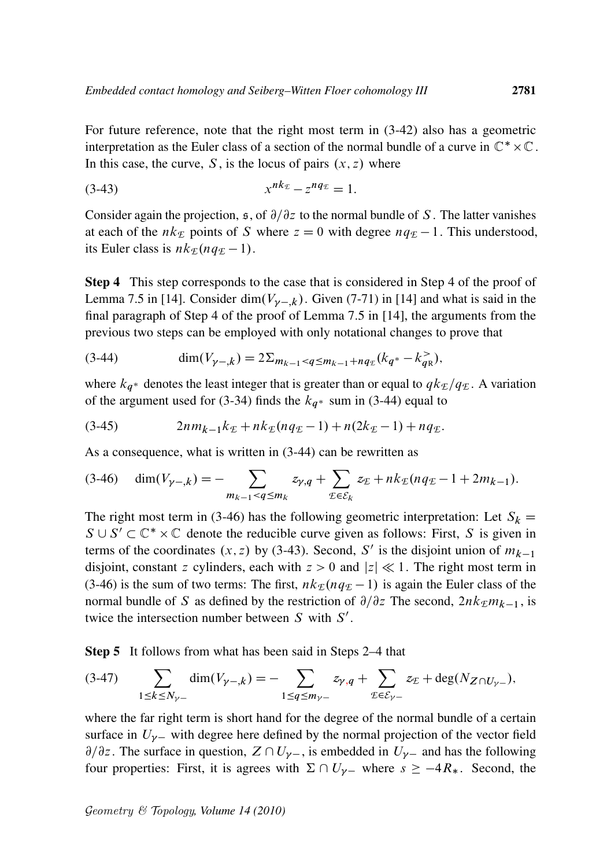For future reference, note that the right most term in (3-42) also has a geometric interpretation as the Euler class of a section of the normal bundle of a curve in  $\mathbb{C}^* \times \mathbb{C}$ . In this case, the curve, S, is the locus of pairs  $(x, z)$  where

$$
(3-43) \t x^{nk_{\mathcal{E}}}-z^{nq_{\mathcal{E}}}=1.
$$

Consider again the projection,  $\epsilon$ , of  $\partial/\partial z$  to the normal bundle of S. The latter vanishes at each of the  $nk_{\mathcal{E}}$  points of S where  $z = 0$  with degree  $nq_{\mathcal{E}} - 1$ . This understood, its Euler class is  $nk_{\mathcal{E}}(nq_{\mathcal{E}}-1)$ .

Step 4 This step corresponds to the case that is considered in Step 4 of the proof of Lemma 7.5 in [14]. Consider dim $(V_{\nu-k})$ . Given (7-71) in [14] and what is said in the final paragraph of Step 4 of the proof of Lemma 7.5 in [14], the arguments from the previous two steps can be employed with only notational changes to prove that

$$
(3-44) \qquad \dim(V_{\gamma-,k}) = 2\Sigma_{m_{k-1} < q \le m_{k-1} + nq_{\mathcal{E}}}(k_{q^*} - k_{q^k}^{\ge 0}),
$$

where  $k_{q^*}$  denotes the least integer that is greater than or equal to  $q k_{\text{E}}/q_{\text{E}}$ . A variation of the argument used for (3-34) finds the  $k_{q^*}$  sum in (3-44) equal to

(3-45) 
$$
2nm_{k-1}k_{\mathcal{I}}+nk_{\mathcal{I}}(nq_{\mathcal{I}}-1)+n(2k_{\mathcal{I}}-1)+nq_{\mathcal{I}}.
$$

As a consequence, what is written in (3-44) can be rewritten as

$$
(3-46) \quad \dim(V_{\gamma-,k}) = -\sum_{m_{k-1} < q \le m_k} z_{\gamma,q} + \sum_{\mathcal{I} \in \mathcal{E}_k} z_{\mathcal{I}} + nk_{\mathcal{I}}(nq_{\mathcal{I}} - 1 + 2m_{k-1}).
$$

The right most term in (3-46) has the following geometric interpretation: Let  $S_k$  =  $S \cup S' \subset \mathbb{C}^* \times \mathbb{C}$  denote the reducible curve given as follows: First, S is given in terms of the coordinates  $(x, z)$  by (3-43). Second, S' is the disjoint union of  $m_{k-1}$ disjoint, constant z cylinders, each with  $z > 0$  and  $|z| \ll 1$ . The right most term in (3-46) is the sum of two terms: The first,  $nk_E(nq_E - 1)$  is again the Euler class of the normal bundle of S as defined by the restriction of  $\partial/\partial z$  The second,  $2nk<sub>F</sub>m<sub>k-1</sub>$ , is twice the intersection number between  $S$  with  $S'$ .

Step 5 It follows from what has been said in Steps 2–4 that

$$
(3-47) \qquad \sum_{1 \le k \le N_{\gamma-}} \dim(V_{\gamma-,k}) = - \sum_{1 \le q \le m_{\gamma-}} z_{\gamma,q} + \sum_{\mathcal{I} \in \mathcal{E}_{\gamma-}} z_{\mathcal{I}} + \deg(N_{Z \cap U_{\gamma-}}),
$$

where the far right term is short hand for the degree of the normal bundle of a certain surface in  $U_{\nu-}$  with degree here defined by the normal projection of the vector field  $\partial/\partial z$ . The surface in question,  $Z \cap U_{\gamma-}$ , is embedded in  $U_{\gamma-}$  and has the following four properties: First, it is agrees with  $\Sigma \cap U_{\gamma-}$  where  $s \ge -4R_*$ . Second, the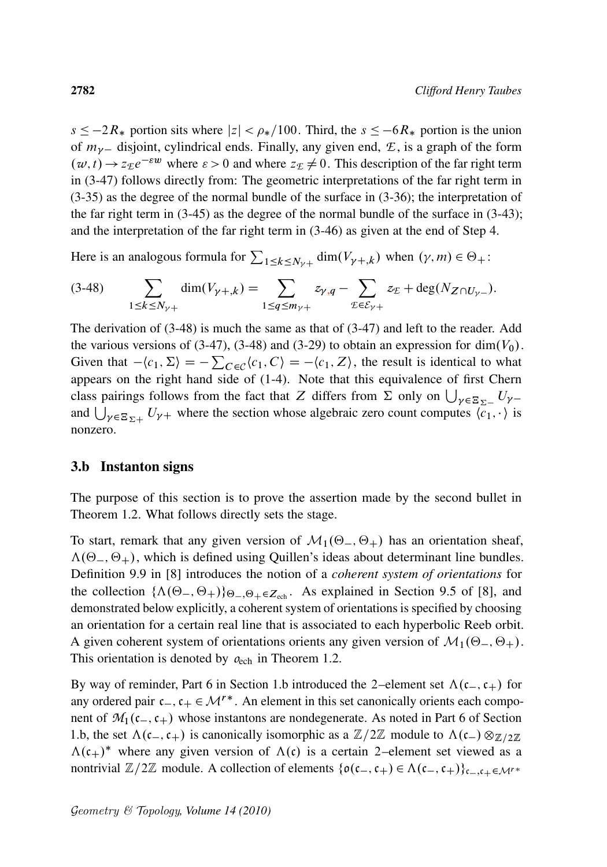$s \le -2R_*$  portion sits where  $|z| < \rho_*/100$ . Third, the  $s \le -6R_*$  portion is the union of  $m_{\gamma-}$  disjoint, cylindrical ends. Finally, any given end,  $\mathcal{E}$ , is a graph of the form  $(w, t) \rightarrow z_{\mathcal{E}} e^{-\varepsilon w}$  where  $\varepsilon > 0$  and where  $z_{\mathcal{E}} \neq 0$ . This description of the far right term in (3-47) follows directly from: The geometric interpretations of the far right term in (3-35) as the degree of the normal bundle of the surface in (3-36); the interpretation of the far right term in  $(3-45)$  as the degree of the normal bundle of the surface in  $(3-43)$ ; and the interpretation of the far right term in (3-46) as given at the end of Step 4.

Here is an analogous formula for  $\sum_{1 \leq k \leq N_{\gamma+1}} \dim(V_{\gamma+k})$  when  $(\gamma, m) \in \Theta_+$ :

$$
(3-48) \qquad \sum_{1 \le k \le N_{\gamma+}} \dim(V_{\gamma+k}) = \sum_{1 \le q \le m_{\gamma+}} z_{\gamma,q} - \sum_{\mathcal{I} \in \mathcal{E}_{\gamma+}} z_{\mathcal{I}} + \deg(N_{Z \cap U_{\gamma-}}).
$$

The derivation of  $(3-48)$  is much the same as that of  $(3-47)$  and left to the reader. Add the various versions of (3-47), (3-48) and (3-29) to obtain an expression for dim $(V_0)$ . Given that  $-\langle c_1, \Sigma \rangle = -\sum_{C \in \mathcal{C}} \langle c_1, C \rangle = -\langle c_1, Z \rangle$ , the result is identical to what appears on the right hand side of (1-4). Note that this equivalence of first Chern class pairings follows from the fact that Z differs from  $\Sigma$  only on  $\bigcup_{\gamma \in \Xi_{\Sigma^-}} U_{\gamma^-}$ and  $\bigcup_{\gamma \in \Xi_{\Sigma^+}} U_{\gamma^+}$  where the section whose algebraic zero count computes  $\langle c_1, \cdot \rangle$  is nonzero.

## 3.b Instanton signs

The purpose of this section is to prove the assertion made by the second bullet in Theorem 1.2. What follows directly sets the stage.

To start, remark that any given version of  $\mathcal{M}_1(\Theta_-, \Theta_+)$  has an orientation sheaf,  $\Lambda(\Theta_-, \Theta_+)$ , which is defined using Quillen's ideas about determinant line bundles. Definition 9.9 in [8] introduces the notion of a *coherent system of orientations* for the collection  $\{\Lambda(\Theta_-, \Theta_+)\}_{\Theta_-, \Theta_+\in Z_{\text{ech}}}$ . As explained in Section 9.5 of [8], and demonstrated below explicitly, a coherent system of orientations is specified by choosing an orientation for a certain real line that is associated to each hyperbolic Reeb orbit. A given coherent system of orientations orients any given version of  $\mathcal{M}_1(\Theta_-, \Theta_+).$ This orientation is denoted by  $\rho_{\text{ech}}$  in Theorem 1.2.

By way of reminder, Part 6 in Section 1.b introduced the 2–element set  $\Lambda(c_-,c_+)$  for any ordered pair  $c_-, c_+ \in \mathcal{M}^*$ . An element in this set canonically orients each component of  $\mathcal{M}_1(c_-,c_+)$  whose instantons are nondegenerate. As noted in Part 6 of Section 1.b, the set  $\Lambda(c_-,c_+)$  is canonically isomorphic as a  $\mathbb{Z}/2\mathbb{Z}$  module to  $\Lambda(c_-) \otimes_{\mathbb{Z}/2\mathbb{Z}}$  $\Lambda(c_+)^*$  where any given version of  $\Lambda(c)$  is a certain 2–element set viewed as a nontrivial  $\mathbb{Z}/2\mathbb{Z}$  module. A collection of elements  $\{o(c_-, c_+) \in \Lambda(c_-, c_+) \}_{c_-,c_+ \in \mathcal{M}^r}$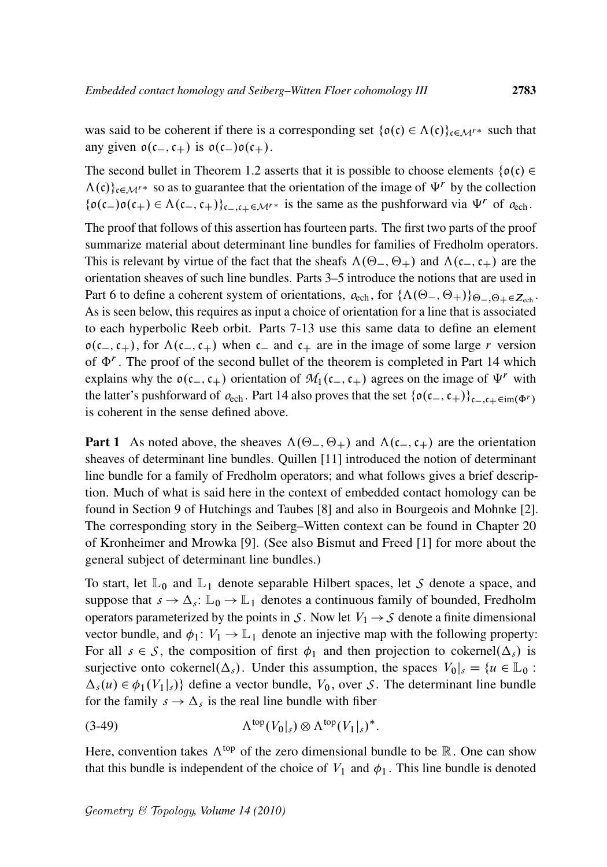was said to be coherent if there is a corresponding set  $\{\mathfrak{o}(\mathfrak{c}) \in \Lambda(\mathfrak{c})\}_{\mathfrak{c} \in \mathcal{M}^{r*}}$  such that any given  $o(c_-,c_+)$  is  $o(c_-)o(c_+).$ 

The second bullet in Theorem 1.2 asserts that it is possible to choose elements  $\{\rho(\mathfrak{c})\in$  $\Lambda(c)\}_{c\in\mathcal{M}^r}$  so as to guarantee that the orientation of the image of  $\Psi^r$  by the collection  $\{\mathfrak{o}(c_-)\mathfrak{o}(c_+) \in \Lambda(c_-,c_+) \}_{c_-,c_+\in\mathcal{M}^*}$  is the same as the pushforward via  $\Psi^r$  of  $o_{\text{ech}}$ .

The proof that follows of this assertion has fourteen parts. The first two parts of the proof summarize material about determinant line bundles for families of Fredholm operators. This is relevant by virtue of the fact that the sheafs  $\Lambda(\Theta_-, \Theta_+)$  and  $\Lambda(c_-, c_+)$  are the orientation sheaves of such line bundles. Parts 3–5 introduce the notions that are used in Part 6 to define a coherent system of orientations,  $\rho_{\text{ech}}$ , for  $\{\Lambda(\Theta_-, \Theta_+)\}_{\Theta_-, \Theta_+\in \mathbb{Z}_{\text{coh}}}$ . As is seen below, this requires as input a choice of orientation for a line that is associated to each hyperbolic Reeb orbit. Parts 7-13 use this same data to define an element  $o(c_-, c_+)$ , for  $\Lambda(c_-, c_+)$  when c and c<sub>+</sub> are in the image of some large r version of  $\Phi^r$ . The proof of the second bullet of the theorem is completed in Part 14 which explains why the  $o(c_-,c_+)$  orientation of  $M_1(c_-,c_+)$  agrees on the image of  $\Psi^r$  with the latter's pushforward of  $o_{ech}$ . Part 14 also proves that the set  $\{o(c_-,c_+)\}_{c_-,c_+\in im(\Phi^r)}$ is coherent in the sense defined above.

**Part 1** As noted above, the sheaves  $\Lambda(\Theta_-, \Theta_+)$  and  $\Lambda(\mathfrak{c}_-, \mathfrak{c}_+)$  are the orientation sheaves of determinant line bundles. Quillen [11] introduced the notion of determinant line bundle for a family of Fredholm operators; and what follows gives a brief description. Much of what is said here in the context of embedded contact homology can be found in Section 9 of Hutchings and Taubes [8] and also in Bourgeois and Mohnke [2]. The corresponding story in the Seiberg–Witten context can be found in Chapter 20 of Kronheimer and Mrowka [9]. (See also Bismut and Freed [1] for more about the general subject of determinant line bundles.)

To start, let  $\mathbb{L}_0$  and  $\mathbb{L}_1$  denote separable Hilbert spaces, let *S* denote a space, and suppose that  $s \to \Delta_s$ :  $\mathbb{L}_0 \to \mathbb{L}_1$  denotes a continuous family of bounded, Fredholm operators parameterized by the points in *S*. Now let  $V_1 \rightarrow S$  denote a finite dimensional vector bundle, and  $\phi_1: V_1 \to \mathbb{L}_1$  denote an injective map with the following property: For all  $s \in S$ , the composition of first  $\phi_1$  and then projection to cokernel( $\Delta_s$ ) is surjective onto cokernel( $\Delta_s$ ). Under this assumption, the spaces  $V_0|_s = \{u \in \mathbb{L}_0 :$  $\Delta_s(u) \in \phi_1(V_1|_s)$  define a vector bundle,  $V_0$ , over *S*. The determinant line bundle for the family  $s \to \Delta_s$  is the real line bundle with fiber

$$
\Lambda^{\text{top}}(V_0|_s) \otimes \Lambda^{\text{top}}(V_1|_s)^*.
$$

Here, convention takes  $\Lambda^{top}$  of the zero dimensional bundle to be  $\mathbb R$ . One can show that this bundle is independent of the choice of  $V_1$  and  $\phi_1$ . This line bundle is denoted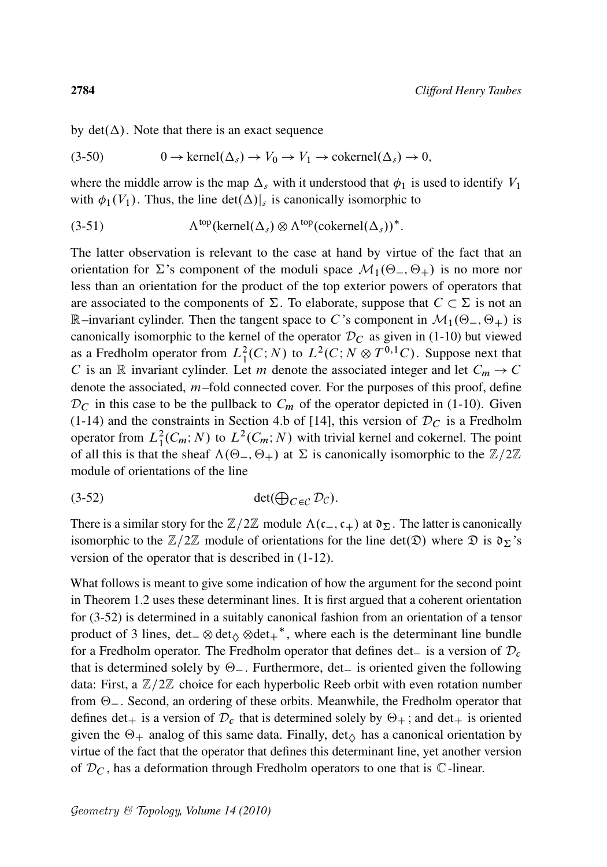by  $det(\Delta)$ . Note that there is an exact sequence

$$
(3-50) \t 0 \to \text{kernel}(\Delta_s) \to V_0 \to V_1 \to \text{cokernel}(\Delta_s) \to 0,
$$

where the middle arrow is the map  $\Delta_s$  with it understood that  $\phi_1$  is used to identify  $V_1$ with  $\phi_1(V_1)$ . Thus, the line det $(\Delta)|_s$  is canonically isomorphic to

 $(3-51)$ <sup>top</sup>(kernel( $\Delta_s$ )  $\otimes \Lambda^{top}$ (cokernel( $\Delta_s$ ))<sup>\*</sup>.

The latter observation is relevant to the case at hand by virtue of the fact that an orientation for  $\Sigma$ 's component of the moduli space  $\mathcal{M}_1(\Theta_-, \Theta_+)$  is no more nor less than an orientation for the product of the top exterior powers of operators that are associated to the components of  $\Sigma$ . To elaborate, suppose that  $C \subset \Sigma$  is not an R–invariant cylinder. Then the tangent space to C's component in  $\mathcal{M}_1(\Theta_-, \Theta_+)$  is canonically isomorphic to the kernel of the operator  $\mathcal{D}_C$  as given in (1-10) but viewed as a Fredholm operator from  $L_1^2(C;N)$  to  $L^2(C;N \otimes T^{0,1}C)$ . Suppose next that C is an R invariant cylinder. Let m denote the associated integer and let  $C_m \rightarrow C$ denote the associated, m–fold connected cover. For the purposes of this proof, define  $\mathcal{D}_C$  in this case to be the pullback to  $C_m$  of the operator depicted in (1-10). Given (1-14) and the constraints in Section 4.b of [14], this version of  $\mathcal{D}_C$  is a Fredholm operator from  $L_1^2(C_m; N)$  to  $L^2(C_m; N)$  with trivial kernel and cokernel. The point of all this is that the sheaf  $\Lambda(\Theta_-, \Theta_+)$  at  $\Sigma$  is canonically isomorphic to the  $\mathbb{Z}/2\mathbb{Z}$ module of orientations of the line

$$
(3-52) \t\t det(\bigoplus_{C \in \mathcal{C}} \mathcal{D}_{\mathcal{C}}).
$$

There is a similar story for the  $\mathbb{Z}/2\mathbb{Z}$  module  $\Lambda(c_-,c_+)$  at  $\mathfrak{d}_{\Sigma}$ . The latter is canonically isomorphic to the  $\mathbb{Z}/2\mathbb{Z}$  module of orientations for the line det( $\mathfrak{D}$ ) where  $\mathfrak{D}$  is  $\mathfrak{d}_{\Sigma}$ 's version of the operator that is described in (1-12).

What follows is meant to give some indication of how the argument for the second point in Theorem 1.2 uses these determinant lines. It is first argued that a coherent orientation for (3-52) is determined in a suitably canonical fashion from an orientation of a tensor product of 3 lines,  $det_{\alpha} \otimes det_{\beta} \otimes det_{+}^*$ , where each is the determinant line bundle for a Fredholm operator. The Fredholm operator that defines det is a version of  $\mathcal{D}_c$ that is determined solely by  $\Theta$ . Furthermore, det is oriented given the following data: First, a  $\mathbb{Z}/2\mathbb{Z}$  choice for each hyperbolic Reeb orbit with even rotation number from  $\Theta$  . Second, an ordering of these orbits. Meanwhile, the Fredholm operator that defines det<sub>+</sub> is a version of  $\mathcal{D}_c$  that is determined solely by  $\Theta_+$ ; and det<sub>+</sub> is oriented given the  $\Theta_+$  analog of this same data. Finally, det<sub> $\circ$ </sub> has a canonical orientation by virtue of the fact that the operator that defines this determinant line, yet another version of  $\mathcal{D}_C$ , has a deformation through Fredholm operators to one that is  $\mathbb C$ -linear.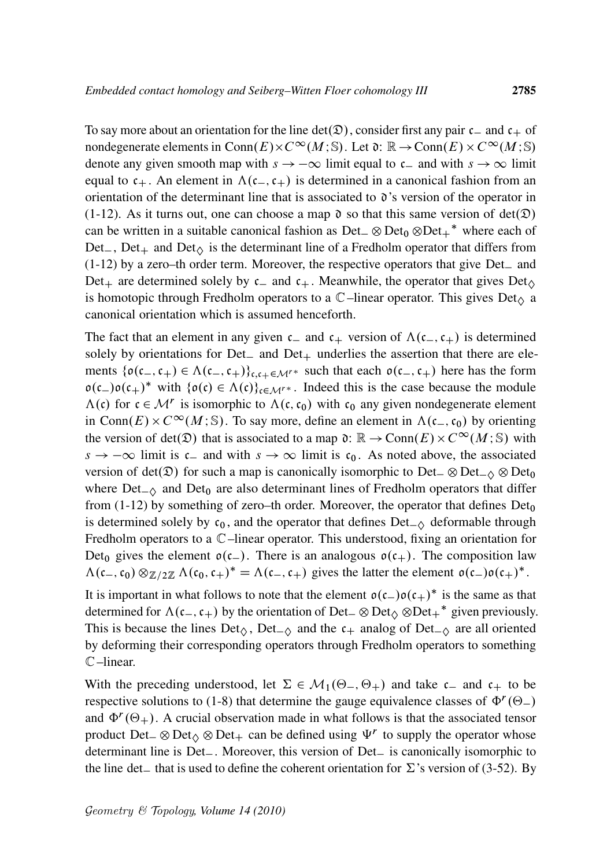To say more about an orientation for the line det( $\mathcal{D}$ ), consider first any pair  $c_{-}$  and  $c_{+}$  of nondegenerate elements in Conn $(E) \times C^{\infty}(M; \mathbb{S})$ . Let  $\mathfrak{d}: \mathbb{R} \to \text{Conn}(E) \times C^{\infty}(M; \mathbb{S})$ denote any given smooth map with  $s \to -\infty$  limit equal to  $c_-$  and with  $s \to \infty$  limit equal to  $c_+$ . An element in  $\Lambda(c_-,c_+)$  is determined in a canonical fashion from an orientation of the determinant line that is associated to  $\mathfrak{d}$ 's version of the operator in (1-12). As it turns out, one can choose a map  $\mathfrak d$  so that this same version of det $(\mathfrak D)$ can be written in a suitable canonical fashion as  $Det_{\phi} \otimes Det_{\phi} \otimes Det_{\phi}^*$  where each of Det<sub>-</sub>, Det<sub>+</sub> and Det<sub> $\Diamond$ </sub> is the determinant line of a Fredholm operator that differs from  $(1-12)$  by a zero–th order term. Moreover, the respective operators that give Det<sub>—</sub> and Det<sub>+</sub> are determined solely by  $c_$  and  $c_+$ . Meanwhile, the operator that gives Det<sub> $\lozenge$ </sub> is homotopic through Fredholm operators to a  $\mathbb{C}$ –linear operator. This gives Det<sub> $\alpha$ </sub> a canonical orientation which is assumed henceforth.

The fact that an element in any given  $c_{-}$  and  $c_{+}$  version of  $\Lambda(c_{-}, c_{+})$  is determined solely by orientations for Det<sub>-</sub> and Det<sub>+</sub> underlies the assertion that there are elements  $\{o(c_-, c_+) \in \Lambda(c_-, c_+)\}_{c,c_+\in \mathcal{M}^r}$  such that each  $o(c_-, c_+)$  here has the form  $o(c_-) o(c_+)^*$  with  $\{o(c) \in \Lambda(c)\}_{c \in \mathcal{M}^*}$ . Indeed this is the case because the module  $\Lambda(c)$  for  $c \in \mathcal{M}^r$  is isomorphic to  $\Lambda(c, c_0)$  with  $c_0$  any given nondegenerate element in Conn $(E) \times C^{\infty}(M; \mathbb{S})$ . To say more, define an element in  $\Lambda(c_-, c_0)$  by orienting the version of det( $\mathfrak{D}$ ) that is associated to a map  $\mathfrak{d}: \mathbb{R} \to \text{Conn}(E) \times C^{\infty}(M; \mathbb{S})$  with  $s \to -\infty$  limit is  $c_{-}$  and with  $s \to \infty$  limit is  $c_0$ . As noted above, the associated version of det( $\mathfrak{D}$ ) for such a map is canonically isomorphic to Det  $\otimes$  Det<sub> $\wedge$ </sub>  $\otimes$  Det<sub>0</sub> where  $Det_{-\Diamond}$  and  $Det_0$  are also determinant lines of Fredholm operators that differ from  $(1-12)$  by something of zero–th order. Moreover, the operator that defines  $Det_0$ is determined solely by  $c_0$ , and the operator that defines  $Det_{\sim} \phi$  deformable through Fredholm operators to a C–linear operator. This understood, fixing an orientation for Det<sub>0</sub> gives the element  $o(c_{-})$ . There is an analogous  $o(c_{+})$ . The composition law  $\Lambda(c_-, c_0) \otimes_{\mathbb{Z}/2\mathbb{Z}} \Lambda(c_0, c_+)^{*} = \Lambda(c_-, c_+)$  gives the latter the element  $o(c_-) o(c_+)^{*}$ .

It is important in what follows to note that the element  $o(c_-) o(c_+)^*$  is the same as that determined for  $\Lambda(c_-, c_+)$  by the orientation of Det $\_\otimes$  Det $_\diamond$   $\otimes$ Det $_+^*$  given previously. This is because the lines  $Det_{\diamondsuit}$ ,  $Det_{\diamondsuit}$  and the  $c_+$  analog of  $Det_{\diamondsuit}$  are all oriented by deforming their corresponding operators through Fredholm operators to something C–linear.

With the preceding understood, let  $\Sigma \in \mathcal{M}_1(\Theta_-, \Theta_+)$  and take  $c_-$  and  $c_+$  to be respective solutions to (1-8) that determine the gauge equivalence classes of  $\Phi^r(\Theta_-)$ and  $\Phi^r(\Theta_+)$ . A crucial observation made in what follows is that the associated tensor product Det  $\otimes$  Det $\otimes$  Det  $\downarrow$  can be defined using  $\Psi^r$  to supply the operator whose determinant line is Det<sub>-</sub>. Moreover, this version of Det<sub>-</sub> is canonically isomorphic to the line det that is used to define the coherent orientation for  $\Sigma$ 's version of (3-52). By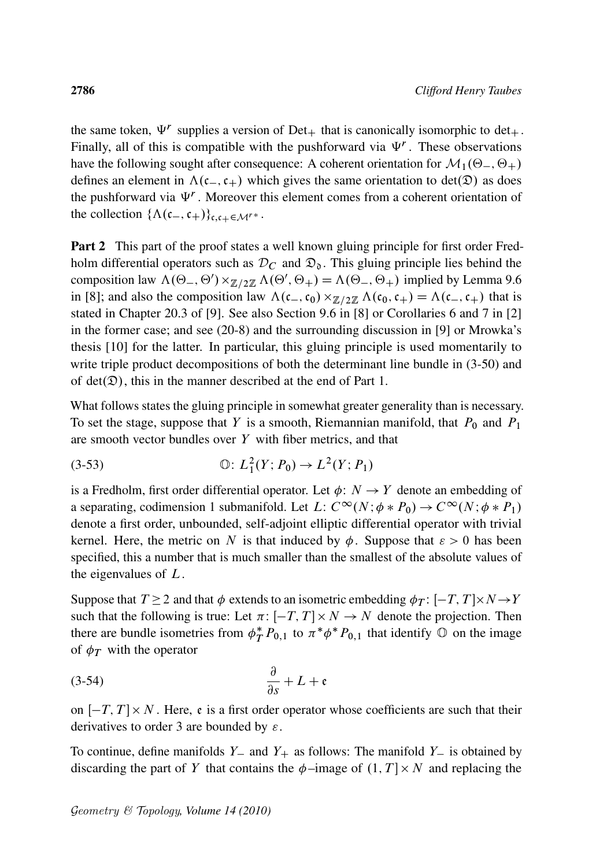the same token,  $\Psi^r$  supplies a version of Det<sub>+</sub> that is canonically isomorphic to det<sub>+</sub>. Finally, all of this is compatible with the pushforward via  $\Psi^r$ . These observations have the following sought after consequence: A coherent orientation for  $\mathcal{M}_1(\Theta_-, \Theta_+)$ defines an element in  $\Lambda(c_-,c_+)$  which gives the same orientation to det $(\mathfrak{D})$  as does the pushforward via  $\Psi^r$ . Moreover this element comes from a coherent orientation of the collection  $\{\Lambda(c_-,c_+)\}_{c,c_+\in\mathcal{M}^{r*}}$ .

**Part 2** This part of the proof states a well known gluing principle for first order Fredholm differential operators such as  $\mathcal{D}_C$  and  $\mathfrak{D}_0$ . This gluing principle lies behind the composition law  $\Lambda(\Theta_-, \Theta') \times_{\mathbb{Z}/2\mathbb{Z}} \Lambda(\Theta', \Theta_+) = \Lambda(\Theta_-, \Theta_+)$  implied by Lemma 9.6 in [8]; and also the composition law  $\Lambda(c_-, c_0) \times_{\mathbb{Z}/2\mathbb{Z}} \Lambda(c_0, c_+) = \Lambda(c_-, c_+)$  that is stated in Chapter 20.3 of [9]. See also Section 9.6 in [8] or Corollaries 6 and 7 in [2] in the former case; and see (20-8) and the surrounding discussion in [9] or Mrowka's thesis [10] for the latter. In particular, this gluing principle is used momentarily to write triple product decompositions of both the determinant line bundle in  $(3-50)$  and of det $(\mathcal{D})$ , this in the manner described at the end of Part 1.

What follows states the gluing principle in somewhat greater generality than is necessary. To set the stage, suppose that Y is a smooth, Riemannian manifold, that  $P_0$  and  $P_1$ are smooth vector bundles over  $Y$  with fiber metrics, and that

(3-53) 
$$
\mathbb{O}: L^2_1(Y; P_0) \to L^2(Y; P_1)
$$

is a Fredholm, first order differential operator. Let  $\phi: N \to Y$  denote an embedding of a separating, codimension 1 submanifold. Let L:  $C^{\infty}(N; \phi * P_0) \to C^{\infty}(N; \phi * P_1)$ denote a first order, unbounded, self-adjoint elliptic differential operator with trivial kernel. Here, the metric on N is that induced by  $\phi$ . Suppose that  $\varepsilon > 0$  has been specified, this a number that is much smaller than the smallest of the absolute values of the eigenvalues of  $L$ .

Suppose that  $T \ge 2$  and that  $\phi$  extends to an isometric embedding  $\phi_T : [-T, T] \times N \rightarrow Y$ such that the following is true: Let  $\pi: [-T, T] \times N \rightarrow N$  denote the projection. Then there are bundle isometries from  $\phi_T^*$  $*_{T}^{*}P_{0,1}$  to  $\pi^{*}\phi^{*}P_{0,1}$  that identify  $\circledcirc$  on the image of  $\phi_T$  with the operator

$$
\frac{\partial}{\partial s} + L + \mathfrak{e}
$$

on  $[-T, T] \times N$ . Here, e is a first order operator whose coefficients are such that their derivatives to order 3 are bounded by  $\varepsilon$ .

To continue, define manifolds  $Y_$  and  $Y_+$  as follows: The manifold  $Y_-$  is obtained by discarding the part of Y that contains the  $\phi$ -image of  $(1, T] \times N$  and replacing the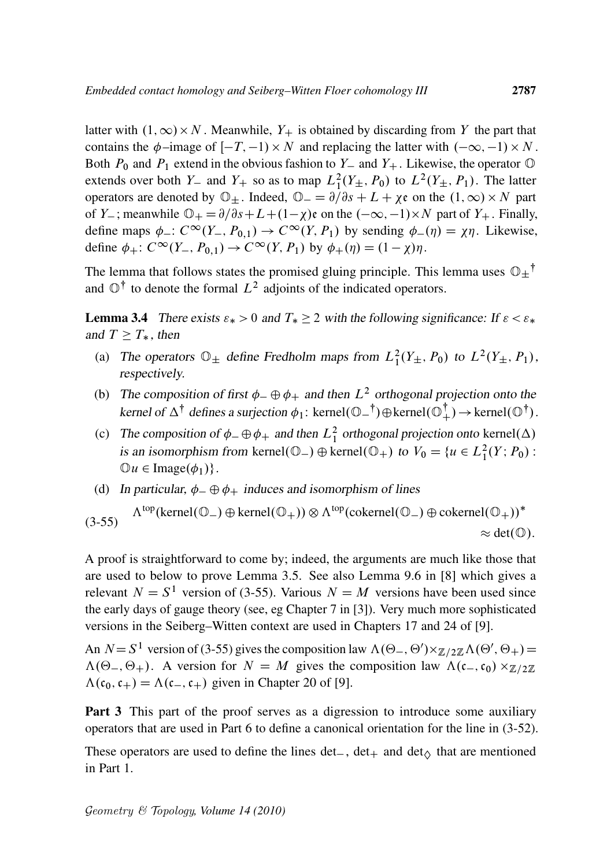latter with  $(1, \infty) \times N$ . Meanwhile,  $Y_+$  is obtained by discarding from Y the part that contains the  $\phi$ -image of  $[-T, -1) \times N$  and replacing the latter with  $(-\infty, -1) \times N$ . Both  $P_0$  and  $P_1$  extend in the obvious fashion to  $Y_$  and  $Y_+$ . Likewise, the operator  $\odot$ extends over both  $Y_-$  and  $Y_+$  so as to map  $L_1^2(Y_\pm, P_0)$  to  $L^2(Y_\pm, P_1)$ . The latter operators are denoted by  $\mathbb{O}_{\pm}$ . Indeed,  $\mathbb{O}_{-} = \partial/\partial s + L + \chi\mathfrak{e}$  on the  $(1, \infty) \times N$  part of Y<sub>-</sub>; meanwhile  $\mathbb{O}_+ = \partial/\partial s + L + (1-\chi)\varepsilon$  on the  $(-\infty, -1) \times N$  part of  $Y_+$ . Finally, define maps  $\phi_-: C^{\infty}(Y_-, P_{0,1}) \to C^{\infty}(Y, P_1)$  by sending  $\phi_-(\eta) = \chi \eta$ . Likewise, define  $\phi_+$ :  $C^{\infty}(Y_-, P_{0,1}) \to C^{\infty}(Y, P_1)$  by  $\phi_+(\eta) = (1 - \chi)\eta$ .

The lemma that follows states the promised gluing principle. This lemma uses  $\mathbb{O}_{\pm}^{\dagger}$ and  $\mathbb{O}^{\dagger}$  to denote the formal  $L^2$  adjoints of the indicated operators.

**Lemma 3.4** There exists  $\varepsilon_* > 0$  and  $T_* \ge 2$  with the following significance: If  $\varepsilon < \varepsilon_*$ and  $T \geq T_*$ , then

- (a) The operators  $\mathbb{O}_{\pm}$  define Fredholm maps from  $L_1^2(Y_{\pm}, P_0)$  to  $L^2(Y_{\pm}, P_1)$ , respectively.
- (b) The composition of first  $\phi_- \oplus \phi_+$  and then  $L^2$  orthogonal projection onto the kernel of  $\Delta^{\dagger}$  defines a surjection  $\phi_1$ : kernel $(\mathbb{O}^{-1}) \oplus \text{kernel}(\mathbb{O}^{\dagger}) \rightarrow \text{kernel}(\mathbb{O}^{\dagger})$ .
- (c) The composition of  $\phi_- \oplus \phi_+$  and then  $L^2_1$  orthogonal projection onto kernel( $\Delta$ ) is an isomorphism from kernel $(\mathbb{O}_-) \oplus \text{kernel}(\mathbb{O}_+)$  to  $V_0 = \{u \in L_1^2(Y; P_0)$ :  $\mathbb{O}u \in \text{Image}(\phi_1)\}.$
- (d) In particular,  $\phi_-\oplus \phi_+$  induces and isomorphism of lines

 $(3-55)$  $\Lambda^{top}$ (kernel $(\mathbb{O}_-) \oplus \text{kernel}(\mathbb{O}_+)) \otimes \Lambda^{top}$ (cokernel $(\mathbb{O}_-) \oplus \text{cokernel}(\mathbb{O}_+))^*$  $\approx$  det( $\circledcirc$ ).

A proof is straightforward to come by; indeed, the arguments are much like those that are used to below to prove Lemma 3.5. See also Lemma 9.6 in [8] which gives a relevant  $N = S<sup>1</sup>$  version of (3-55). Various  $N = M$  versions have been used since the early days of gauge theory (see, eg Chapter 7 in [3]). Very much more sophisticated versions in the Seiberg–Witten context are used in Chapters 17 and 24 of [9].

An  $N = S^1$  version of (3-55) gives the composition law  $\Lambda(\Theta_-, \Theta') \times_{\mathbb{Z}/2\mathbb{Z}} \Lambda(\Theta', \Theta_+) =$  $\Lambda(\Theta_-, \Theta_+)$ . A version for  $N = M$  gives the composition law  $\Lambda(c_-, c_0) \times_{\mathbb{Z}/2\mathbb{Z}}$  $\Lambda(c_0, c_+) = \Lambda(c_-, c_+)$  given in Chapter 20 of [9].

Part 3 This part of the proof serves as a digression to introduce some auxiliary operators that are used in Part 6 to define a canonical orientation for the line in (3-52).

These operators are used to define the lines det<sub>-</sub>, det<sub>+</sub> and det<sub> $\Diamond$ </sub> that are mentioned in Part 1.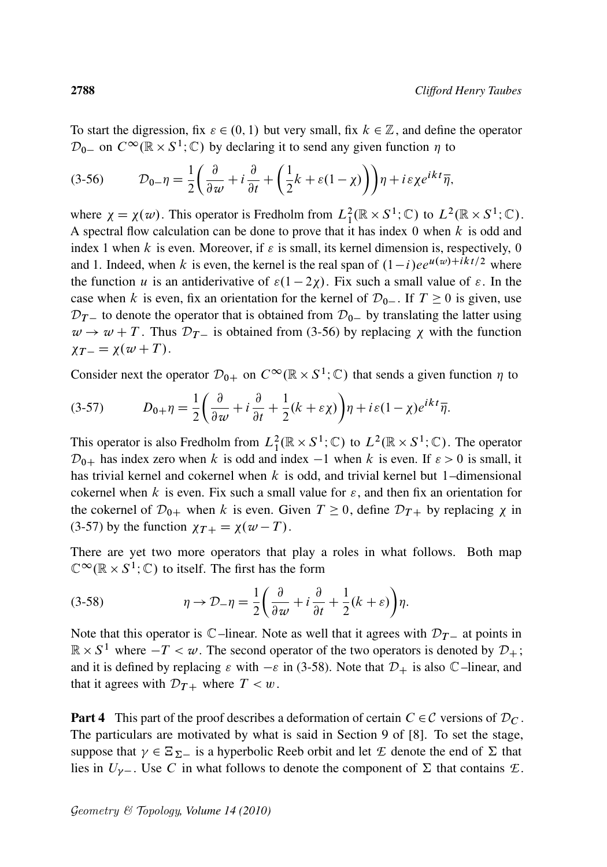To start the digression, fix  $\varepsilon \in (0, 1)$  but very small, fix  $k \in \mathbb{Z}$ , and define the operator  $\mathcal{D}_{0-}$  on  $C^{\infty}(\mathbb{R} \times S^1; \mathbb{C})$  by declaring it to send any given function  $\eta$  to

$$
(3-56) \t\t\t\t\t\mathcal{D}_{0-}\eta = \frac{1}{2}\left(\frac{\partial}{\partial w} + i\frac{\partial}{\partial t} + \left(\frac{1}{2}k + \varepsilon(1-\chi)\right)\right)\eta + i\varepsilon\chi e^{ikt}\overline{\eta},
$$

where  $\chi = \chi(w)$ . This operator is Fredholm from  $L_1^2(\mathbb{R} \times S^1; \mathbb{C})$  to  $L^2(\mathbb{R} \times S^1; \mathbb{C})$ . A spectral flow calculation can be done to prove that it has index  $0$  when  $k$  is odd and index 1 when k is even. Moreover, if  $\varepsilon$  is small, its kernel dimension is, respectively, 0 and 1. Indeed, when k is even, the kernel is the real span of  $(1-i)ee^{u(w)+\bar{i}kt/2}$  where the function u is an antiderivative of  $\varepsilon(1 - 2\chi)$ . Fix such a small value of  $\varepsilon$ . In the case when k is even, fix an orientation for the kernel of  $\mathcal{D}_{0-}$ . If  $T \ge 0$  is given, use  $\mathcal{D}_{T-}$  to denote the operator that is obtained from  $\mathcal{D}_{0-}$  by translating the latter using  $w \rightarrow w + T$ . Thus  $\mathcal{D}_{T-}$  is obtained from (3-56) by replacing  $\chi$  with the function  $\chi_{T-} = \chi(w+T)$ .

Consider next the operator  $\mathcal{D}_{0+}$  on  $C^{\infty}(\mathbb{R} \times S^1; \mathbb{C})$  that sends a given function  $\eta$  to

$$
(3-57) \tD_{0+}\eta = \frac{1}{2}\left(\frac{\partial}{\partial w} + i\frac{\partial}{\partial t} + \frac{1}{2}(k+\varepsilon\chi)\right)\eta + i\varepsilon(1-\chi)e^{ikt}\overline{\eta}.
$$

This operator is also Fredholm from  $L_1^2(\mathbb{R} \times S^1; \mathbb{C})$  to  $L^2(\mathbb{R} \times S^1; \mathbb{C})$ . The operator  $\mathcal{D}_{0+}$  has index zero when k is odd and index  $-1$  when k is even. If  $\varepsilon > 0$  is small, it has trivial kernel and cokernel when k is odd, and trivial kernel but 1–dimensional cokernel when k is even. Fix such a small value for  $\varepsilon$ , and then fix an orientation for the cokernel of  $\mathcal{D}_{0+}$  when k is even. Given  $T \ge 0$ , define  $\mathcal{D}_{T+}$  by replacing  $\chi$  in (3-57) by the function  $\chi_{T+} = \chi(w - T)$ .

There are yet two more operators that play a roles in what follows. Both map  $\mathbb{C}^{\infty}(\mathbb{R} \times S^1; \mathbb{C})$  to itself. The first has the form

(3-58) 
$$
\eta \to \mathcal{D}_{-\eta} = \frac{1}{2} \left( \frac{\partial}{\partial w} + i \frac{\partial}{\partial t} + \frac{1}{2} (k + \varepsilon) \right) \eta.
$$

Note that this operator is  $\mathbb{C}$ –linear. Note as well that it agrees with  $\mathcal{D}_{\mathcal{T}}$  at points in  $\mathbb{R} \times S^1$  where  $-T < \omega$ . The second operator of the two operators is denoted by  $\mathcal{D}_+$ ; and it is defined by replacing  $\varepsilon$  with  $-\varepsilon$  in (3-58). Note that  $\mathcal{D}_+$  is also  $\mathbb{C}$ –linear, and that it agrees with  $\mathcal{D}_{T+}$  where  $T < w$ .

**Part 4** This part of the proof describes a deformation of certain  $C \in \mathcal{C}$  versions of  $\mathcal{D}_C$ . The particulars are motivated by what is said in Section 9 of [8]. To set the stage, suppose that  $\gamma \in \Xi_{\Sigma}$  is a hyperbolic Reeb orbit and let *E* denote the end of  $\Sigma$  that lies in  $U_{\gamma-}$ . Use C in what follows to denote the component of  $\Sigma$  that contains  $\mathcal{L}$ .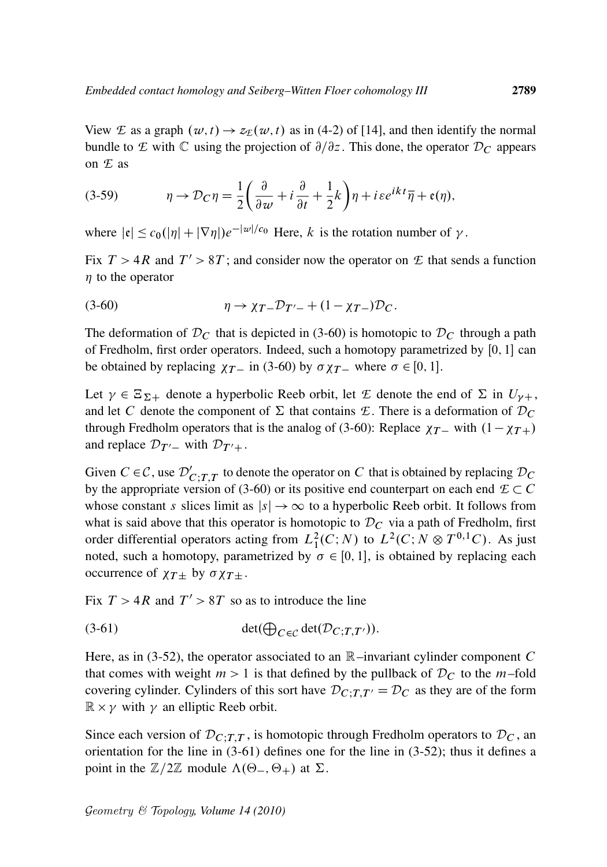View *E* as a graph  $(w, t) \rightarrow z_E(w, t)$  as in (4-2) of [14], and then identify the normal bundle to *E* with C using the projection of  $\partial/\partial z$ . This done, the operator  $\mathcal{D}_C$  appears on *E* as

(3-59) 
$$
\eta \to \mathcal{D}_C \eta = \frac{1}{2} \left( \frac{\partial}{\partial w} + i \frac{\partial}{\partial t} + \frac{1}{2} k \right) \eta + i \varepsilon e^{ikt} \overline{\eta} + \mathfrak{e}(\eta),
$$

where  $|e| \leq c_0(|\eta| + |\nabla \eta|)e^{-|\omega|/c_0}$  Here, k is the rotation number of  $\gamma$ .

Fix  $T > 4R$  and  $T' > 8T$ ; and consider now the operator on  $E$  that sends a function  $\eta$  to the operator

$$
(3-60) \t\t \eta \to \chi_{T-} \mathcal{D}_{T'-} + (1 - \chi_{T-}) \mathcal{D}_C.
$$

The deformation of  $\mathcal{D}_C$  that is depicted in (3-60) is homotopic to  $\mathcal{D}_C$  through a path of Fredholm, first order operators. Indeed, such a homotopy parametrized by  $[0, 1]$  can be obtained by replacing  $\chi_{T-}$  in (3-60) by  $\sigma \chi_{T-}$  where  $\sigma \in [0, 1]$ .

Let  $\gamma \in \Xi_{\Sigma+}$  denote a hyperbolic Reeb orbit, let *E* denote the end of  $\Sigma$  in  $U_{\gamma+}$ , and let C denote the component of  $\Sigma$  that contains *E*. There is a deformation of  $\mathcal{D}_C$ through Fredholm operators that is the analog of (3-60): Replace  $\chi_{T-}$  with  $(1-\chi_{T+})$ and replace  $\mathcal{D}_{T'}$  with  $\mathcal{D}_{T'+}$ .

Given  $C \in \mathcal{C}$ , use  $\mathcal{D}_{C;T,T}'$  to denote the operator on C that is obtained by replacing  $\mathcal{D}_C$ by the appropriate version of (3-60) or its positive end counterpart on each end  $E \subset C$ whose constant s slices limit as  $|s| \to \infty$  to a hyperbolic Reeb orbit. It follows from what is said above that this operator is homotopic to  $\mathcal{D}_C$  via a path of Fredholm, first order differential operators acting from  $L_1^2(C;N)$  to  $L^2(C;N \otimes T^{0,1}C)$ . As just noted, such a homotopy, parametrized by  $\sigma \in [0, 1]$ , is obtained by replacing each occurrence of  $\chi_{T\pm}$  by  $\sigma \chi_{T\pm}$ .

Fix  $T > 4R$  and  $T' > 8T$  so as to introduce the line

$$
(3-61) \qquad \qquad \det(\bigoplus_{C \in \mathcal{C}} \det(\mathcal{D}_{C;T,T'})).
$$

Here, as in (3-52), the operator associated to an  $\mathbb{R}$ –invariant cylinder component C that comes with weight  $m > 1$  is that defined by the pullback of  $\mathcal{D}_C$  to the m-fold covering cylinder. Cylinders of this sort have  $D_{C,T,T'} = D_C$  as they are of the form  $\mathbb{R} \times \gamma$  with  $\gamma$  an elliptic Reeb orbit.

Since each version of  $\mathcal{D}_{C;T,T}$ , is homotopic through Fredholm operators to  $\mathcal{D}_C$ , an orientation for the line in (3-61) defines one for the line in (3-52); thus it defines a point in the  $\mathbb{Z}/2\mathbb{Z}$  module  $\Lambda(\Theta_-, \Theta_+)$  at  $\Sigma$ .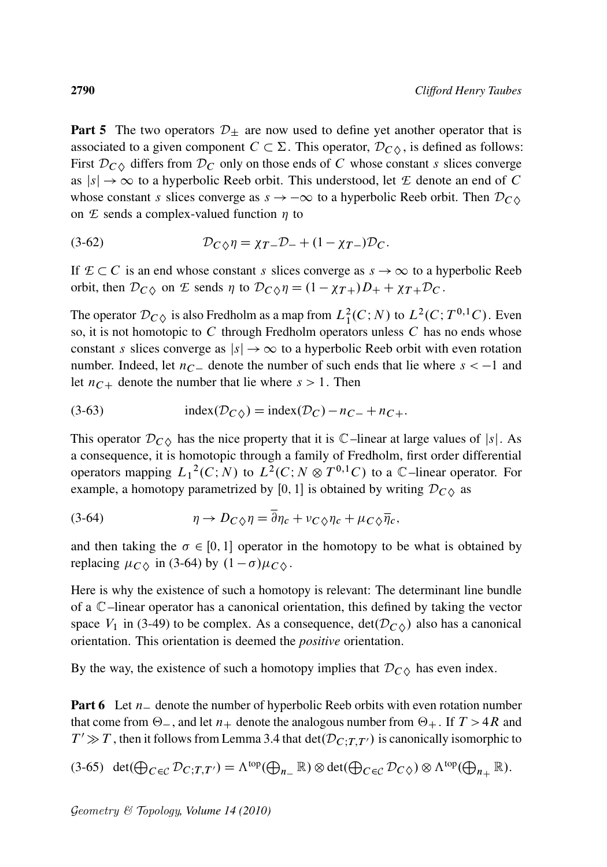**Part 5** The two operators  $\mathcal{D}_{\pm}$  are now used to define yet another operator that is associated to a given component  $C \subset \Sigma$ . This operator,  $\mathcal{D}_{C\Diamond}$ , is defined as follows: First  $\mathcal{D}_{C}$  differs from  $\mathcal{D}_{C}$  only on those ends of C whose constant s slices converge as  $|s| \to \infty$  to a hyperbolic Reeb orbit. This understood, let *E* denote an end of *C* whose constant s slices converge as  $s \to -\infty$  to a hyperbolic Reeb orbit. Then  $\mathcal{D}_{C\lozenge}$ on  $E$  sends a complex-valued function  $\eta$  to

(3-62) 
$$
\mathcal{D}_{C\Diamond}\eta = \chi_{T-}\mathcal{D}_{-} + (1-\chi_{T-})\mathcal{D}_{C}.
$$

If  $E \subset C$  is an end whose constant s slices converge as  $s \to \infty$  to a hyperbolic Reeb orbit, then  $\mathcal{D}_{C\Diamond}$  on *E* sends  $\eta$  to  $\mathcal{D}_{C\Diamond}\eta = (1 - \chi_{T+})D_+ + \chi_{T+}\mathcal{D}_C$ .

The operator  $\mathcal{D}_{C\Diamond}$  is also Fredholm as a map from  $L_1^2(C;N)$  to  $L^2(C;T^{0,1}C)$ . Even so, it is not homotopic to  $C$  through Fredholm operators unless  $C$  has no ends whose constant s slices converge as  $|s| \to \infty$  to a hyperbolic Reeb orbit with even rotation number. Indeed, let  $n_{C-}$  denote the number of such ends that lie where  $s < -1$  and let  $n_{C+}$  denote the number that lie where  $s > 1$ . Then

(3-63) 
$$
\text{index}(\mathcal{D}_{C\Diamond}) = \text{index}(\mathcal{D}_{C}) - n_{C-} + n_{C+}.
$$

This operator  $\mathcal{D}_{C\lozenge}$  has the nice property that it is  $\mathbb{C}$ –linear at large values of |s|. As a consequence, it is homotopic through a family of Fredholm, first order differential operators mapping  $L_1^2(C;N)$  to  $L^2(C;N \otimes T^{0,1}C)$  to a  $\mathbb{C}$ -linear operator. For example, a homotopy parametrized by [0, 1] is obtained by writing  $\mathcal{D}_{C\lozenge}$  as

(3-64) 
$$
\eta \to D_C \gamma \eta = \overline{\partial} \eta_c + \nu_C \gamma \eta_c + \mu_C \gamma \overline{\eta}_c,
$$

and then taking the  $\sigma \in [0, 1]$  operator in the homotopy to be what is obtained by replacing  $\mu_{C\lozenge}$  in (3-64) by  $(1 - \sigma)\mu_{C\lozenge}$ .

Here is why the existence of such a homotopy is relevant: The determinant line bundle of a C–linear operator has a canonical orientation, this defined by taking the vector space  $V_1$  in (3-49) to be complex. As a consequence,  $det(D_{C} \wedge)$  also has a canonical orientation. This orientation is deemed the *positive* orientation.

By the way, the existence of such a homotopy implies that  $\mathcal{D}_{C\Diamond}$  has even index.

**Part 6** Let  $n_{-}$  denote the number of hyperbolic Reeb orbits with even rotation number that come from  $\Theta_{-}$ , and let  $n_{+}$  denote the analogous number from  $\Theta_{+}$ . If  $T > 4R$  and  $T' \gg T$ , then it follows from Lemma 3.4 that  $\det(D_{C,T,T'})$  is canonically isomorphic to

$$
(3-65) \ \det(\bigoplus_{C \in \mathcal{C}} \mathcal{D}_{C;T,T'}) = \Lambda^{\text{top}}(\bigoplus_{n=1}^{\infty} \mathbb{R}) \otimes \det(\bigoplus_{C \in \mathcal{C}} \mathcal{D}_{C\Diamond}) \otimes \Lambda^{\text{top}}(\bigoplus_{n=1}^{\infty} \mathbb{R}).
$$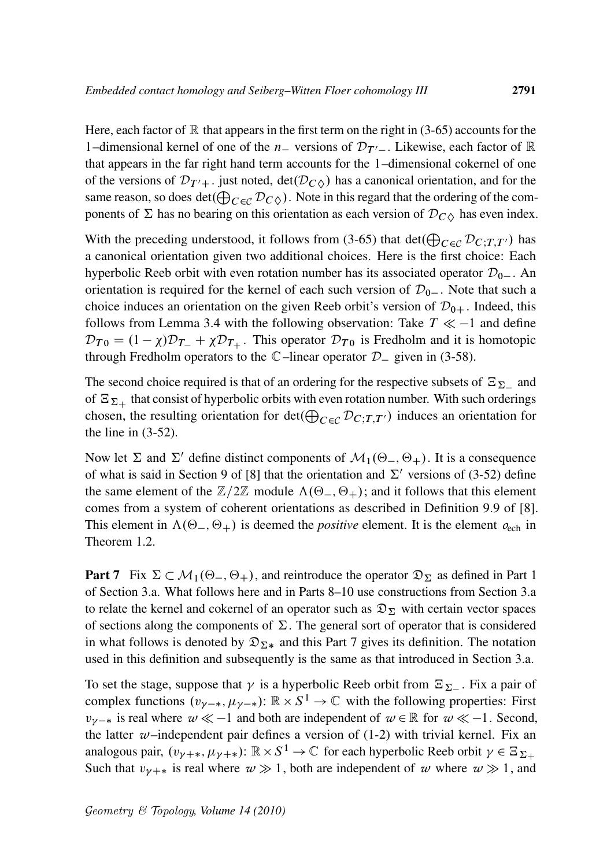Here, each factor of  $\mathbb R$  that appears in the first term on the right in (3-65) accounts for the 1–dimensional kernel of one of the  $n_{-}$  versions of  $\mathcal{D}_{T'-}$ . Likewise, each factor of  $\mathbb R$ that appears in the far right hand term accounts for the 1–dimensional cokernel of one of the versions of  $\mathcal{D}_{T'+}$ . just noted, det $(\mathcal{D}_C)$  has a canonical orientation, and for the same reason, so does det $(\bigoplus_{C \in \mathcal{C}} \mathcal{D}_{C \Diamond})$ . Note in this regard that the ordering of the components of  $\Sigma$  has no bearing on this orientation as each version of  $\mathcal{D}_{C\lozenge}$  has even index.

With the preceding understood, it follows from (3-65) that  $\det(\bigoplus_{C \in \mathcal{C}} \mathcal{D}_{C;T,T'})$  has a canonical orientation given two additional choices. Here is the first choice: Each hyperbolic Reeb orbit with even rotation number has its associated operator  $\mathcal{D}_{0-}$ . An orientation is required for the kernel of each such version of  $\mathcal{D}_{0-}$ . Note that such a choice induces an orientation on the given Reeb orbit's version of  $\mathcal{D}_{0+}$ . Indeed, this follows from Lemma 3.4 with the following observation: Take  $T \ll -1$  and define  $\mathcal{D}_{T0} = (1 - \chi)\mathcal{D}_{T-} + \chi \mathcal{D}_{T+}$ . This operator  $\mathcal{D}_{T0}$  is Fredholm and it is homotopic through Fredholm operators to the  $\mathbb{C}$ –linear operator  $\mathcal{D}_-$  given in (3-58).

The second choice required is that of an ordering for the respective subsets of  $\Xi_{\Sigma_-}$  and of  $\Xi_{\Sigma+}$  that consist of hyperbolic orbits with even rotation number. With such orderings chosen, the resulting orientation for  $\det(\bigoplus_{C \in \mathcal{C}} \mathcal{D}_{C;T,T'})$  induces an orientation for the line in (3-52).

Now let  $\Sigma$  and  $\Sigma'$  define distinct components of  $\mathcal{M}_1(\Theta_-, \Theta_+)$ . It is a consequence of what is said in Section 9 of [8] that the orientation and  $\Sigma'$  versions of (3-52) define the same element of the  $\mathbb{Z}/2\mathbb{Z}$  module  $\Lambda(\Theta_-, \Theta_+)$ ; and it follows that this element comes from a system of coherent orientations as described in Definition 9.9 of [8]. This element in  $\Lambda(\Theta_-, \Theta_+)$  is deemed the *positive* element. It is the element  $o_{\text{ech}}$  in Theorem 1.2.

**Part 7** Fix  $\Sigma \subset \mathcal{M}_1(\Theta_-, \Theta_+)$ , and reintroduce the operator  $\mathfrak{D}_{\Sigma}$  as defined in Part 1 of Section 3.a. What follows here and in Parts 8–10 use constructions from Section 3.a to relate the kernel and cokernel of an operator such as  $\mathfrak{D}_{\Sigma}$  with certain vector spaces of sections along the components of  $\Sigma$ . The general sort of operator that is considered in what follows is denoted by  $\mathfrak{D}_{\Sigma^*}$  and this Part 7 gives its definition. The notation used in this definition and subsequently is the same as that introduced in Section 3.a.

To set the stage, suppose that  $\gamma$  is a hyperbolic Reeb orbit from  $\Xi_{\Sigma_-}$ . Fix a pair of complex functions  $(v_{\gamma-*}, \mu_{\gamma-*})$ :  $\mathbb{R} \times S^1 \to \mathbb{C}$  with the following properties: First  $v_{\nu-*}$  is real where  $w \ll -1$  and both are independent of  $w \in \mathbb{R}$  for  $w \ll -1$ . Second, the latter  $w$ –independent pair defines a version of  $(1-2)$  with trivial kernel. Fix an analogous pair,  $(v_{\gamma+\ast}, \mu_{\gamma+\ast})$ :  $\mathbb{R} \times S^1 \to \mathbb{C}$  for each hyperbolic Reeb orbit  $\gamma \in \Xi_{\Sigma_+}$ Such that  $v_{\gamma+\ast}$  is real where  $w \gg 1$ , both are independent of w where  $w \gg 1$ , and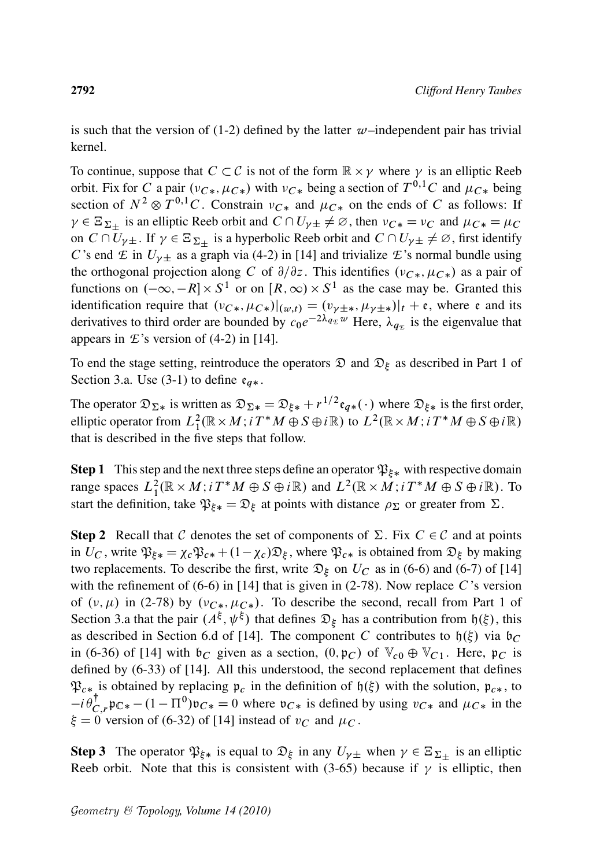is such that the version of  $(1-2)$  defined by the latter  $w$ –independent pair has trivial kernel.

To continue, suppose that  $C \subset \mathcal{C}$  is not of the form  $\mathbb{R} \times \gamma$  where  $\gamma$  is an elliptic Reeb orbit. Fix for C a pair  $(v_{C*}, \mu_{C*})$  with  $v_{C*}$  being a section of  $T^{0,1}C$  and  $\mu_{C*}$  being section of  $N^2 \otimes T^{0,1}C$ . Constrain  $\nu_{C*}$  and  $\mu_{C*}$  on the ends of C as follows: If  $\gamma \in \Xi_{\Sigma_{\pm}}$  is an elliptic Reeb orbit and  $C \cap U_{\gamma} \neq \emptyset$ , then  $\nu_{C*} = \nu_C$  and  $\mu_{C*} = \mu_C$ on  $C \cap \overline{U}_{\gamma\pm}$ . If  $\gamma \in \Xi_{\Sigma_{\pm}}$  is a hyperbolic Reeb orbit and  $C \cap U_{\gamma\pm} \neq \emptyset$ , first identify C's end  $\mathcal E$  in  $U_{\gamma\pm}$  as a graph via (4-2) in [14] and trivialize  $\mathcal E$ 's normal bundle using the orthogonal projection along C of  $\partial/\partial z$ . This identifies  $(v_{C*}, \mu_{C*})$  as a pair of functions on  $(-\infty, -R] \times S^1$  or on  $[R, \infty) \times S^1$  as the case may be. Granted this identification require that  $(v_{C*}, \mu_{C*})|_{(w,t)} = (v_{\gamma \pm *}, \mu_{\gamma \pm *})|_{t} + \epsilon$ , where  $\epsilon$  and its derivatives to third order are bounded by  $c_0e^{-2\lambda_{q_E}w}$  Here,  $\lambda_{q_E}$  is the eigenvalue that appears in  $\mathcal{L}$ 's version of (4-2) in [14].

To end the stage setting, reintroduce the operators  $\mathfrak D$  and  $\mathfrak D_{\xi}$  as described in Part 1 of Section 3.a. Use (3-1) to define  $e_{q*}$ .

The operator  $\mathfrak{D}_{\Sigma*}$  is written as  $\mathfrak{D}_{\Sigma*} = \mathfrak{D}_{\xi*} + r^{1/2} \mathfrak{e}_{q*}(\cdot)$  where  $\mathfrak{D}_{\xi*}$  is the first order, elliptic operator from  $L^2_1(\mathbb{R} \times M; i T^*M \oplus S \oplus i\mathbb{R})$  to  $L^2(\mathbb{R} \times M; i T^*M \oplus S \oplus i\mathbb{R})$ that is described in the five steps that follow.

**Step 1** This step and the next three steps define an operator  $\mathfrak{P}_{\xi*}$  with respective domain range spaces  $L_1^2(\mathbb{R} \times M; i T^*M \oplus S \oplus i\mathbb{R})$  and  $L^2(\mathbb{R} \times M; i T^*M \oplus S \oplus i\mathbb{R})$ . To start the definition, take  $\mathfrak{P}_{\xi*} = \mathfrak{D}_{\xi}$  at points with distance  $\rho_{\Sigma}$  or greater from  $\Sigma$ .

**Step 2** Recall that C denotes the set of components of  $\Sigma$ . Fix  $C \in \mathcal{C}$  and at points in  $U_C$ , write  $\mathfrak{P}_{\xi*} = \chi_c \mathfrak{P}_{c*} + (1 - \chi_c) \mathfrak{D}_{\xi}$ , where  $\mathfrak{P}_{c*}$  is obtained from  $\mathfrak{D}_{\xi}$  by making two replacements. To describe the first, write  $\mathcal{D}_{\xi}$  on  $U_C$  as in (6-6) and (6-7) of [14] with the refinement of  $(6-6)$  in [14] that is given in (2-78). Now replace C's version of  $(v, \mu)$  in (2-78) by  $(v_{C*}, \mu_{C*})$ . To describe the second, recall from Part 1 of Section 3.a that the pair  $(A^{\xi}, \psi^{\xi})$  that defines  $\mathfrak{D}_{\xi}$  has a contribution from  $\mathfrak{h}(\xi)$ , this as described in Section 6.d of [14]. The component C contributes to  $h(\xi)$  via  $b_C$ in (6-36) of [14] with  $\mathfrak{b}_C$  given as a section,  $(0, \mathfrak{p}_C)$  of  $\mathbb{V}_{c0} \oplus \mathbb{V}_{C1}$ . Here,  $\mathfrak{p}_C$  is defined by (6-33) of [14]. All this understood, the second replacement that defines  $\mathfrak{P}_{c*}$  is obtained by replacing  $\mathfrak{p}_c$  in the definition of  $\mathfrak{h}(\xi)$  with the solution,  $\mathfrak{p}_{c*}$ , to  $-i \theta_C^{\dagger}$  $C_{C,r}^{\dagger}$   $\psi_{C*}$  –  $(1 - \Pi^0)\mathfrak{v}_{C*} = 0$  where  $\mathfrak{v}_{C*}$  is defined by using  $v_{C*}$  and  $\mu_{C*}$  in the  $\xi = 0$  version of (6-32) of [14] instead of  $v_C$  and  $\mu_C$ .

**Step 3** The operator  $\mathfrak{P}_{\xi*}$  is equal to  $\mathfrak{D}_{\xi}$  in any  $U_{\gamma\pm}$  when  $\gamma \in \Xi_{\Sigma_{\pm}}$  is an elliptic Reeb orbit. Note that this is consistent with (3-65) because if  $\gamma$  is elliptic, then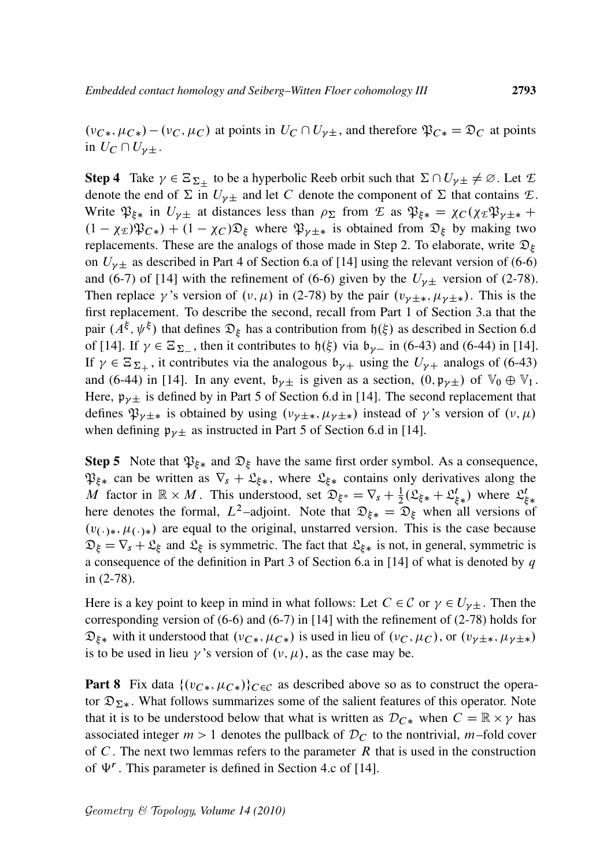$(\nu_{C*}, \mu_{C*}) - (\nu_C, \mu_C)$  at points in  $U_C \cap U_{\nu_{\pm}}$ , and therefore  $\mathfrak{P}_{C*} = \mathfrak{D}_C$  at points in  $U_C \cap U_{\gamma \pm}$ .

**Step 4** Take  $\gamma \in \Xi_{\Sigma_{\pm}}$  to be a hyperbolic Reeb orbit such that  $\Sigma \cap U_{\gamma} \neq \emptyset$ . Let  $\mathcal{E}$ denote the end of  $\Sigma$  in  $U_{\gamma\pm}$  and let C denote the component of  $\Sigma$  that contains  $\mathcal{L}$ . Write  $\mathfrak{P}_{\xi*}$  in  $U_{\gamma\pm}$  at distances less than  $\rho_{\Sigma}$  from  $\mathcal E$  as  $\mathfrak{P}_{\xi*} = \chi_C(\chi_E \mathfrak{P}_{\gamma \pm *} +$  $(1 - \chi_E)\mathfrak{P}_{C*} + (1 - \chi_C)\mathfrak{D}_E$  where  $\mathfrak{P}_{\nu \pm *}$  is obtained from  $\mathfrak{D}_E$  by making two replacements. These are the analogs of those made in Step 2. To elaborate, write  $\mathfrak{D}_{\xi}$ on  $U_{\gamma\pm}$  as described in Part 4 of Section 6.a of [14] using the relevant version of (6-6) and (6-7) of [14] with the refinement of (6-6) given by the  $U_{\gamma\pm}$  version of (2-78). Then replace  $\gamma$ 's version of  $(\nu, \mu)$  in (2-78) by the pair  $(\nu_{\gamma \pm *} , \mu_{\gamma \pm *} )$ . This is the first replacement. To describe the second, recall from Part 1 of Section 3.a that the pair  $(A^{\xi}, \psi^{\xi})$  that defines  $\mathfrak{D}_{\xi}$  has a contribution from  $\mathfrak{h}(\xi)$  as described in Section 6.d of [14]. If  $\gamma \in \Xi_{\Sigma}$ , then it contributes to  $\mathfrak{h}(\xi)$  via  $\mathfrak{b}_{\gamma-}$  in (6-43) and (6-44) in [14]. If  $\gamma \in \Xi_{\Sigma_+}$ , it contributes via the analogous  $\mathfrak{b}_{\gamma+}$  using the  $U_{\gamma+}$  analogs of (6-43) and (6-44) in [14]. In any event,  $\mathfrak{b}_{\gamma}$  is given as a section,  $(0, \mathfrak{p}_{\gamma} \pm)$  of  $\mathbb{V}_0 \oplus \mathbb{V}_1$ . Here,  $\mathfrak{p}_{\nu\pm}$  is defined by in Part 5 of Section 6.d in [14]. The second replacement that defines  $\mathfrak{P}_{\nu \pm *}$  is obtained by using  $(\nu_{\nu \pm *} , \mu_{\nu \pm *} )$  instead of  $\gamma$ 's version of  $(\nu, \mu)$ when defining  $\mathfrak{p}_{\gamma \pm}$  as instructed in Part 5 of Section 6.d in [14].

**Step 5** Note that  $\mathfrak{P}_{\xi*}$  and  $\mathfrak{D}_{\xi}$  have the same first order symbol. As a consequence,  $\mathfrak{P}_{\xi*}$  can be written as  $\nabla_s + \mathfrak{L}_{\xi*}$ , where  $\mathfrak{L}_{\xi*}$  contains only derivatives along the M factor in  $\mathbb{R} \times M$ . This understood, set  $\mathfrak{D}_{\xi^*} = \nabla_s + \frac{1}{2} (\mathfrak{L}_{\xi^*} + \mathfrak{L}_{\xi^*}^t)$  where  $\mathfrak{L}_{\xi^*}^t$ here denotes the formal,  $L^2$ -adjoint. Note that  $\mathfrak{D}_{\xi*} = \mathfrak{D}_{\xi}$  when all versions of  $(v_{(\cdot)*}, \mu_{(\cdot)*})$  are equal to the original, unstarred version. This is the case because  $\mathfrak{D}_{\xi} = \nabla_s + \mathfrak{L}_{\xi}$  and  $\mathfrak{L}_{\xi}$  is symmetric. The fact that  $\mathfrak{L}_{\xi*}$  is not, in general, symmetric is a consequence of the definition in Part 3 of Section 6.a in [14] of what is denoted by  $q$ in (2-78).

Here is a key point to keep in mind in what follows: Let  $C \in \mathcal{C}$  or  $\gamma \in U_{\gamma \pm}$ . Then the corresponding version of (6-6) and (6-7) in [14] with the refinement of (2-78) holds for  $\mathfrak{D}_{\xi*}$  with it understood that  $(v_{C*}, \mu_{C*})$  is used in lieu of  $(v_C, \mu_C)$ , or  $(v_{\gamma \pm *}, \mu_{\gamma \pm *})$ is to be used in lieu  $\gamma$ 's version of  $(\nu, \mu)$ , as the case may be.

**Part 8** Fix data  $\{(v_{C*}, \mu_{C*})\}_{C \in \mathcal{C}}$  as described above so as to construct the operator  $\mathfrak{D}_{\Sigma^*}$ . What follows summarizes some of the salient features of this operator. Note that it is to be understood below that what is written as  $\mathcal{D}_{C*}$  when  $C = \mathbb{R} \times \gamma$  has associated integer  $m > 1$  denotes the pullback of  $\mathcal{D}_C$  to the nontrivial, m-fold cover of  $C$ . The next two lemmas refers to the parameter  $R$  that is used in the construction of  $\Psi^r$ . This parameter is defined in Section 4.c of [14].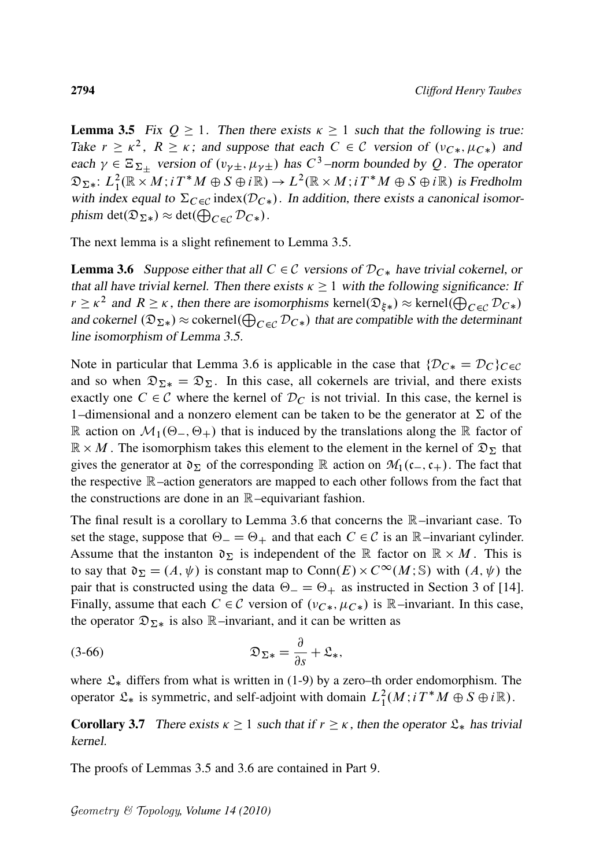**Lemma 3.5** Fix  $Q \ge 1$ . Then there exists  $\kappa \ge 1$  such that the following is true: Take  $r \ge \kappa^2$ ,  $R \ge \kappa$ ; and suppose that each  $C \in \mathcal{C}$  version of  $(v_{C*}, \mu_{C*})$  and each  $\gamma \in \Xi_{\Sigma_{\pm}}$  version of  $(v_{\gamma\pm}, \mu_{\gamma\pm})$  has  $C^3$ -norm bounded by Q. The operator  $\mathfrak{D}_{\Sigma\ast}\colon L^2_1(\mathbb{R}\times M;i\, T^*M\oplus S\oplus i\mathbb{R})\to L^2(\mathbb{R}\times M;i\, T^*M\oplus S\oplus i\mathbb{R})$  is Fredholm with index equal to  $\Sigma_{C\in\mathcal{C}}$  index $(\mathcal{D}_{C*})$ . In addition, there exists a canonical isomorphism det $(\mathfrak{D}_{\Sigma*}) \approx \det(\bigoplus_{C \in \mathcal{C}} \mathcal{D}_{C*}).$ 

The next lemma is a slight refinement to Lemma 3.5.

**Lemma 3.6** Suppose either that all  $C \in \mathcal{C}$  versions of  $D_{C*}$  have trivial cokernel, or that all have trivial kernel. Then there exists  $\kappa \ge 1$  with the following significance: If  $r \geq \kappa^2$  and  $R \geq \kappa$ , then there are isomorphisms kernel $(\mathfrak{D}_{\xi*}) \approx \text{kernel}(\bigoplus_{C \in \mathcal{C}} \mathcal{D}_{C*})$ and cokernel  $(\mathfrak{D}_{\Sigma^*}) \approx$  cokernel $(\bigoplus_{C \in \mathcal{C}} \mathcal{D}_{C^*})$  that are compatible with the determinant line isomorphism of Lemma 3.5.

Note in particular that Lemma 3.6 is applicable in the case that  $\{\mathcal{D}_{C*} = \mathcal{D}_C\}_{C \in \mathcal{C}}$ and so when  $\mathfrak{D}_{\Sigma*} = \mathfrak{D}_{\Sigma}$ . In this case, all cokernels are trivial, and there exists exactly one  $C \in \mathcal{C}$  where the kernel of  $\mathcal{D}_C$  is not trivial. In this case, the kernel is 1–dimensional and a nonzero element can be taken to be the generator at  $\Sigma$  of the R action on  $\mathcal{M}_1(\Theta_-, \Theta_+)$  that is induced by the translations along the R factor of  $\mathbb{R} \times M$ . The isomorphism takes this element to the element in the kernel of  $\mathfrak{D}_{\Sigma}$  that gives the generator at  $\mathfrak{d}_{\Sigma}$  of the corresponding R action on  $\mathcal{M}_1(c_-,c_+)$ . The fact that the respective R–action generators are mapped to each other follows from the fact that the constructions are done in an  $\mathbb{R}$ -equivariant fashion.

The final result is a corollary to Lemma 3.6 that concerns the R–invariant case. To set the stage, suppose that  $\Theta = \Theta_+$  and that each  $C \in \mathcal{C}$  is an  $\mathbb{R}$ –invariant cylinder. Assume that the instanton  $\mathfrak{d}_\Sigma$  is independent of the R factor on  $\mathbb{R} \times M$ . This is to say that  $\mathfrak{d}_\Sigma = (A, \psi)$  is constant map to  $Conn(E) \times C^\infty(M; \mathbb{S})$  with  $(A, \psi)$  the pair that is constructed using the data  $\Theta = \Theta_+$  as instructed in Section 3 of [14]. Finally, assume that each  $C \in \mathcal{C}$  version of  $(v_{C*}, \mu_{C*})$  is  $\mathbb{R}$ –invariant. In this case, the operator  $\mathfrak{D}_{\Sigma*}$  is also R–invariant, and it can be written as

$$
\mathfrak{D}_{\Sigma*} = \frac{\partial}{\partial s} + \mathfrak{L}_*,
$$

where  $\mathfrak{L}_*$  differs from what is written in (1-9) by a zero–th order endomorphism. The operator  $\mathfrak{L}_*$  is symmetric, and self-adjoint with domain  $L_1^2(M; i T^*M \oplus S \oplus i \mathbb{R})$ .

**Corollary 3.7** There exists  $\kappa \ge 1$  such that if  $r \ge \kappa$ , then the operator  $\mathfrak{L}_*$  has trivial kernel.

The proofs of Lemmas 3.5 and 3.6 are contained in Part 9.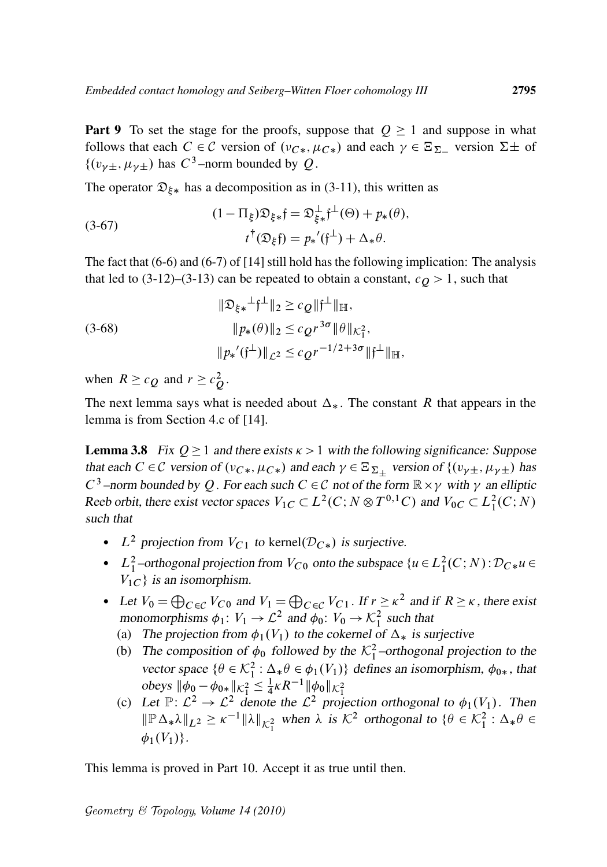**Part 9** To set the stage for the proofs, suppose that  $Q \ge 1$  and suppose in what follows that each  $C \in \mathcal{C}$  version of  $(\nu_{C_*}, \mu_{C_*})$  and each  $\gamma \in \Xi_{\Sigma^-}$  version  $\Sigma \pm$  of  $\{(v_{\gamma\pm}, \mu_{\gamma\pm}) \text{ has } C^3\text{-norm bounded by } Q.$ 

The operator  $\mathfrak{D}_{\xi*}$  has a decomposition as in (3-11), this written as

(3-67) 
$$
(1 - \Pi_{\xi})\mathfrak{D}_{\xi *} \mathfrak{f} = \mathfrak{D}_{\xi *}^{\perp} \mathfrak{f}^{\perp}(\Theta) + p_*(\theta),
$$

$$
t^{\dagger}(\mathfrak{D}_{\xi} \mathfrak{f}) = p_*(\mathfrak{f}^{\perp}) + \Delta_* \theta.
$$

The fact that (6-6) and (6-7) of [14] still hold has the following implication: The analysis that led to  $(3-12)$ – $(3-13)$  can be repeated to obtain a constant,  $c_Q > 1$ , such that

(3-68)  
\n
$$
\|\mathfrak{D}_{\xi*}^{\perp}\mathfrak{f}^{\perp}\|_{2} \geq c_{Q} \|\mathfrak{f}^{\perp}\|_{\mathbb{H}},
$$
\n
$$
\|p_{*}(\theta)\|_{2} \leq c_{Q} r^{3\sigma} \|\theta\|_{\mathcal{K}_{1}^{2}},
$$
\n
$$
\|p_{*}'(\mathfrak{f}^{\perp})\|_{\mathcal{L}^{2}} \leq c_{Q} r^{-1/2+3\sigma} \|\mathfrak{f}^{\perp}\|_{\mathbb{H}},
$$

when  $R \geq c_Q$  and  $r \geq c_Q^2$ .

The next lemma says what is needed about  $\Delta_{*}$ . The constant R that appears in the lemma is from Section 4.c of [14].

**Lemma 3.8** Fix  $Q \geq 1$  and there exists  $\kappa > 1$  with the following significance: Suppose that each  $C \in \mathcal{C}$  version of  $(v_{C*}, \mu_{C*})$  and each  $\gamma \in \Xi_{\Sigma_+}$  version of  $\{(v_{\gamma\pm}, \mu_{\gamma\pm})\}$  has  $C^3$  –norm bounded by Q. For each such  $C \in \mathcal{C}$  not of the form  $\mathbb{R} \times \gamma$  with  $\gamma$  an elliptic Reeb orbit, there exist vector spaces  $V_{1C} \subset L^2(C; N \otimes T^{0,1}C)$  and  $V_{0C} \subset L^2(C; N)$ such that

- $L^2$  projection from  $V_{C_1}$  to kernel( $\mathcal{D}_{C*}$ ) is surjective.
- $L_1^2$ -orthogonal projection from  $V_{C0}$  onto the subspace  $\{u \in L_1^2(C;N) : \mathcal{D}_{C*}u \in$  $V_{1C}$  is an isomorphism.
- Let  $V_0 = \bigoplus_{C \in \mathcal{C}} V_{C0}$  and  $V_1 = \bigoplus_{C \in \mathcal{C}} V_{C1}$ . If  $r \ge \kappa^2$  and if  $R \ge \kappa$ , there exist monomorphisms  $\phi_1: V_1 \to \mathcal{L}^2$  and  $\phi_0: V_0 \to \mathcal{K}_1^2$  such that
	- (a) The projection from  $\phi_1(V_1)$  to the cokernel of  $\Delta_*$  is surjective
	- (b) The composition of  $\phi_0$  followed by the  $\mathcal{K}_1^2$ -orthogonal projection to the vector space  $\{\theta \in \mathcal{K}_1^2 : \Delta_* \theta \in \phi_1(V_1)\}$  defines an isomorphism,  $\phi_{0*}$ , that obeys  $\|\phi_0 - \phi_{0*}\|_{\mathcal{K}_1^2} \leq \frac{1}{4}$  $\frac{1}{4} \kappa R^{-1} \|\phi_0\|_{\mathcal{K}_1^2}$
	- (c) Let  $\mathbb{P} \colon \mathcal{L}^2 \to \mathcal{L}^2$  denote the  $\mathcal{L}^2$  projection orthogonal to  $\phi_1(V_1)$ . Then  $\|\mathbb{P}\Delta_*\lambda\|_{L^2} \geq \kappa^{-1} \|\lambda\|_{\mathcal{K}_1^2}$  when  $\lambda$  is  $\mathcal{K}^2$  orthogonal to  $\{\theta \in \mathcal{K}_1^2 : \Delta_*\theta \in$  $\phi_1(V_1)$ .

This lemma is proved in Part 10. Accept it as true until then.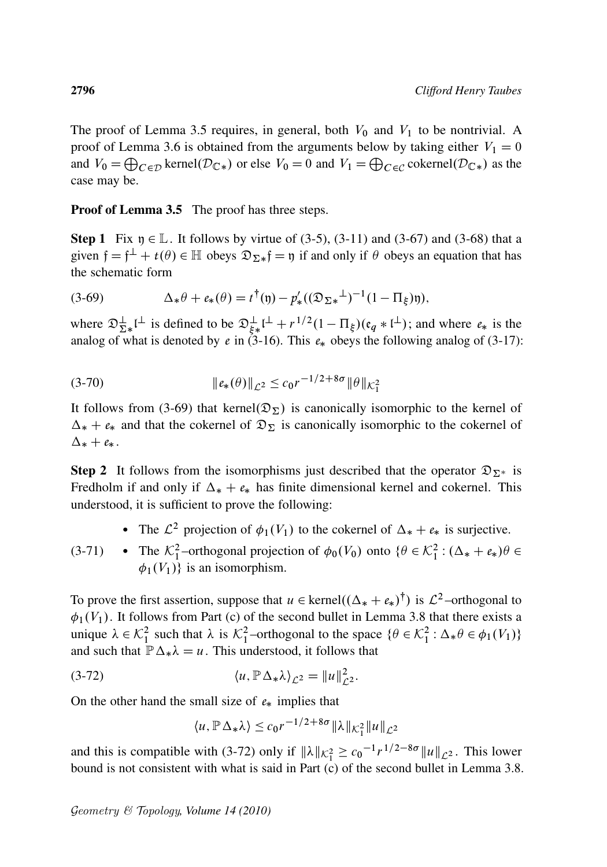The proof of Lemma 3.5 requires, in general, both  $V_0$  and  $V_1$  to be nontrivial. A proof of Lemma 3.6 is obtained from the arguments below by taking either  $V_1 = 0$ and  $V_0 = \bigoplus_{C \in \mathcal{D}} \text{kernel}(\mathcal{D}_{\mathbb{C}^*})$  or else  $V_0 = 0$  and  $V_1 = \bigoplus_{C \in \mathcal{C}} \text{cokernel}(\mathcal{D}_{\mathbb{C}^*})$  as the case may be.

### **Proof of Lemma 3.5** The proof has three steps.

**Step 1** Fix  $\eta \in \mathbb{L}$ . It follows by virtue of (3-5), (3-11) and (3-67) and (3-68) that a given  $f = f^{\perp} + t(\theta) \in \mathbb{H}$  obeys  $\mathfrak{D}_{\Sigma^*} f = \mathfrak{y}$  if and only if  $\theta$  obeys an equation that has the schematic form

(3-69) 
$$
\Delta_* \theta + e_*(\theta) = t^{\dagger}(\mathfrak{y}) - p'_*((\mathfrak{D}_{\Sigma^*}^{\perp})^{-1}(1 - \Pi_{\xi})\mathfrak{y}),
$$

where  $\mathfrak{D}_{\Sigma^*}^{\perp}$  is defined to be  $\mathfrak{D}_{\xi^*}^{\perp}$   $\mathfrak{l}^{\perp} + r^{1/2} (1 - \Pi_{\xi}) (\mathfrak{e}_q * \mathfrak{l}^{\perp})$ ; and where  $\mathfrak{e}_*$  is the analog of what is denoted by  $e$  in (3-16). This  $e_*$  obeys the following analog of (3-17):

(3-70) 
$$
\|e_*(\theta)\|_{\mathcal{L}^2} \le c_0 r^{-1/2 + 8\sigma} \|\theta\|_{\mathcal{K}^2_1}
$$

It follows from (3-69) that kernel $(\mathfrak{D}_{\Sigma})$  is canonically isomorphic to the kernel of  $\Delta_* + e_*$  and that the cokernel of  $\mathfrak{D}_{\Sigma}$  is canonically isomorphic to the cokernel of  $\Delta_* + e_*$ .

**Step 2** It follows from the isomorphisms just described that the operator  $\mathfrak{D}_{\Sigma^*}$  is Fredholm if and only if  $\Delta_* + e_*$  has finite dimensional kernel and cokernel. This understood, it is sufficient to prove the following:

- The  $\mathcal{L}^2$  projection of  $\phi_1(V_1)$  to the cokernel of  $\Delta_* + e_*$  is surjective.
- (3-71) • The  $\mathcal{K}_1^2$ -orthogonal projection of  $\phi_0(V_0)$  onto  $\{\theta \in \mathcal{K}_1^2 : (\Delta_* + e_*)\theta \in$  $\phi_1(V_1)$  is an isomorphism.

To prove the first assertion, suppose that  $u \in \text{kernel}((\Delta_* + e_*)^{\dagger})$  is  $\mathcal{L}^2$ -orthogonal to  $\phi_1(V_1)$ . It follows from Part (c) of the second bullet in Lemma 3.8 that there exists a unique  $\lambda \in \mathcal{K}_1^2$  such that  $\lambda$  is  $\mathcal{K}_1^2$ -orthogonal to the space  $\{\theta \in \mathcal{K}_1^2 : \Delta_* \theta \in \phi_1(V_1)\}\$ and such that  $\mathbb{P}\Delta_*\lambda = u$ . This understood, it follows that

(3-72) hu; PiL<sup>2</sup> D kuk 2 L<sup>2</sup> :

On the other hand the small size of  $e_*$  implies that

$$
\langle u, \mathbb{P}\Delta_*\lambda \rangle \le c_0 r^{-1/2 + 8\sigma} \|\lambda\|_{\mathcal{K}_1^2} \|u\|_{\mathcal{L}^2}
$$

and this is compatible with (3-72) only if  $\|\lambda\|_{\mathcal{K}_1^2} \ge c_0^{-1} r^{1/2 - 8\sigma} \|u\|_{\mathcal{L}^2}$ . This lower bound is not consistent with what is said in Part (c) of the second bullet in Lemma 3.8.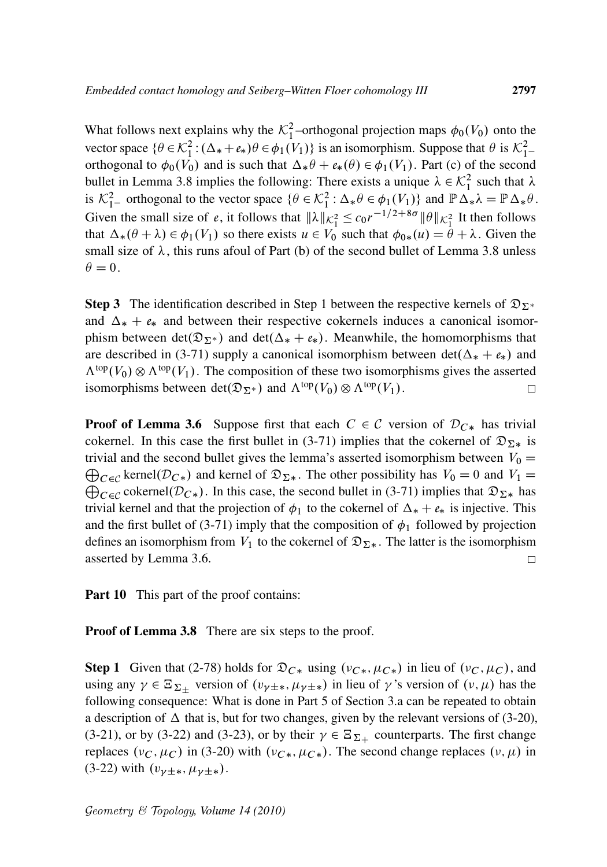What follows next explains why the  $\mathcal{K}_1^2$ -orthogonal projection maps  $\phi_0(V_0)$  onto the vector space  $\{\theta \in \mathcal{K}_1^2 : (\Delta_* + e_*)\theta \in \phi_1(V_1)\}$  is an isomorphism. Suppose that  $\theta$  is  $\mathcal{K}_1^2$ orthogonal to  $\phi_0(V_0)$  and is such that  $\Delta_* \theta + \varepsilon_*(\theta) \in \phi_1(V_1)$ . Part (c) of the second bullet in Lemma 3.8 implies the following: There exists a unique  $\lambda \in \mathcal{K}_1^2$  such that  $\lambda$ is  $\mathcal{K}_{1-}^2$  orthogonal to the vector space  $\{\theta \in \mathcal{K}_1^2 : \Delta_* \theta \in \phi_1(V_1)\}\$  and  $\mathbb{P}\Delta_* \lambda = \mathbb{P}\Delta_* \theta$ . Given the small size of *e*, it follows that  $\|\lambda\|_{K_1^2} \le c_0 r^{-1/2 + 8\sigma} \|\theta\|_{K_1^2}$  It then follows that  $\Delta_*(\theta + \lambda) \in \phi_1(V_1)$  so there exists  $u \in V_0$  such that  $\phi_{0*}(u) = \theta + \lambda$ . Given the small size of  $\lambda$ , this runs afoul of Part (b) of the second bullet of Lemma 3.8 unless  $\theta = 0.$ 

**Step 3** The identification described in Step 1 between the respective kernels of  $\mathfrak{D}_{\Sigma^*}$ and  $\Delta_* + e_*$  and between their respective cokernels induces a canonical isomorphism between det $(\mathfrak{D}_{\Sigma^*})$  and det $(\Delta_* + e_*)$ . Meanwhile, the homomorphisms that are described in (3-71) supply a canonical isomorphism between  $det(\Delta_* + e_*)$  and  $\Lambda^{top}(V_0) \otimes \Lambda^{top}(V_1)$ . The composition of these two isomorphisms gives the asserted isomorphisms between det $(\mathfrak{D}_{\Sigma^*})$  and  $\Lambda^{\text{top}}(V_0) \otimes \Lambda^{\text{top}}(V_1)$ .  $\Box$ 

**Proof of Lemma 3.6** Suppose first that each  $C \in \mathcal{C}$  version of  $\mathcal{D}_{C*}$  has trivial cokernel. In this case the first bullet in (3-71) implies that the cokernel of  $\mathfrak{D}_{\Sigma^*}$  is trivial and the second bullet gives the lemma's asserted isomorphism between  $V_0 =$  $\bigoplus_{C \in \mathcal{C}}$  kernel $(\mathcal{D}_{C*})$  and kernel of  $\mathfrak{D}_{\Sigma*}$ . The other possibility has  $V_0 = 0$  and  $V_1 =$  $\bigoplus_{C \in \mathcal{C}} \text{cokernel}(\mathcal{D}_{C*})$ . In this case, the second bullet in (3-71) implies that  $\mathfrak{D}_{\Sigma*}$  has trivial kernel and that the projection of  $\phi_1$  to the cokernel of  $\Delta_* + e_*$  is injective. This and the first bullet of (3-71) imply that the composition of  $\phi_1$  followed by projection defines an isomorphism from  $V_1$  to the cokernel of  $\mathfrak{D}_{\Sigma^*}$ . The latter is the isomorphism asserted by Lemma 3.6.  $\Box$ 

**Part 10** This part of the proof contains:

**Proof of Lemma 3.8** There are six steps to the proof.

**Step 1** Given that (2-78) holds for  $\mathfrak{D}_{C*}$  using  $(v_{C*}, \mu_{C*})$  in lieu of  $(v_C, \mu_C)$ , and using any  $\gamma \in \Xi_{\Sigma_{\pm}}$  version of  $(v_{\gamma \pm *}, \mu_{\gamma \pm *})$  in lieu of  $\gamma$ 's version of  $(v, \mu)$  has the following consequence: What is done in Part 5 of Section 3.a can be repeated to obtain a description of  $\Delta$  that is, but for two changes, given by the relevant versions of (3-20), (3-21), or by (3-22) and (3-23), or by their  $\gamma \in \Xi_{\Sigma_+}$  counterparts. The first change replaces  $(v_C, \mu_C)$  in (3-20) with  $(v_{C*}, \mu_{C*})$ . The second change replaces  $(v, \mu)$  in  $(3-22)$  with  $(v_{\gamma\pm *}, \mu_{\gamma\pm *})$ .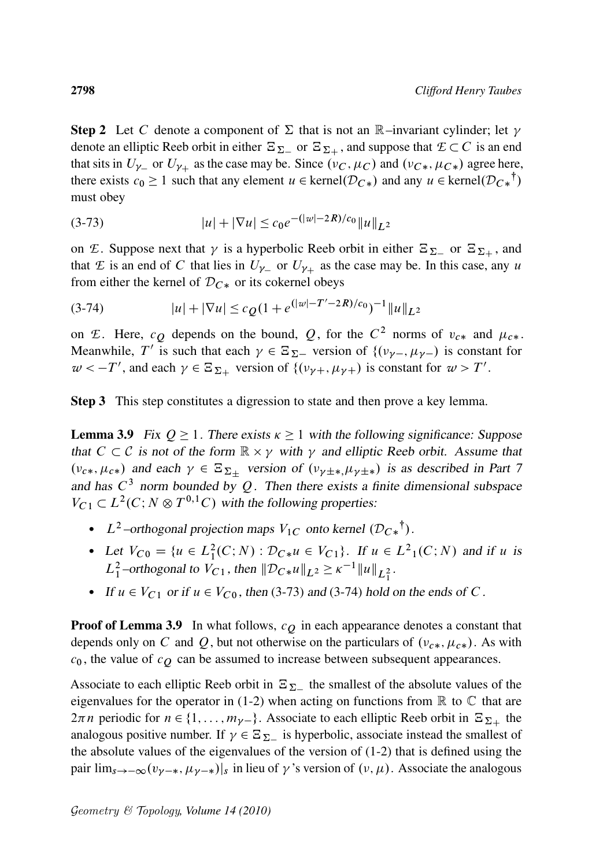**Step 2** Let C denote a component of  $\Sigma$  that is not an R-invariant cylinder; let  $\gamma$ denote an elliptic Reeb orbit in either  $\Xi_{\Sigma_-}$  or  $\Xi_{\Sigma_+}$ , and suppose that  $\mathcal{E} \subset C$  is an end that sits in  $U_{\gamma_-}$  or  $U_{\gamma_+}$  as the case may be. Since  $(\nu_C, \mu_C)$  and  $(\nu_{C*}, \mu_{C*})$  agree here, there exists  $c_0 \ge 1$  such that any element  $u \in \text{kernel}(\mathcal{D}_{C*})$  and any  $u \in \text{kernel}(\mathcal{D}_{C*}^{\dagger})$ must obey

(3-73) 
$$
|u| + |\nabla u| \le c_0 e^{-(|w|-2R)/c_0} ||u||_{L^2}
$$

on *E*. Suppose next that  $\gamma$  is a hyperbolic Reeb orbit in either  $\mathbb{E}_{\Sigma}$  or  $\mathbb{E}_{\Sigma_+}$ , and that *E* is an end of *C* that lies in  $U_{\gamma-}$  or  $U_{\gamma+}$  as the case may be. In this case, any u from either the kernel of  $D_{C*}$  or its cokernel obeys

$$
(3-74) \t\t |u| + |\nabla u| \le c_Q (1 + e^{(|w|-T'-2R)/c_0})^{-1} ||u||_{L^2}
$$

on *E*. Here,  $c_Q$  depends on the bound, Q, for the  $C^2$  norms of  $v_{c*}$  and  $\mu_{c*}$ . Meanwhile, T' is such that each  $\gamma \in \Xi_{\Sigma-}$  version of  $\{(\nu_{\gamma-}, \mu_{\gamma-})\}$  is constant for  $w < -T'$ , and each  $\gamma \in \Xi_{\Sigma_+}$  version of  $\{(\nu_{\gamma+}, \mu_{\gamma+})$  is constant for  $w > T'$ .

Step 3 This step constitutes a digression to state and then prove a key lemma.

**Lemma 3.9** Fix  $Q \ge 1$ . There exists  $\kappa \ge 1$  with the following significance: Suppose that  $C \subset \mathcal{C}$  is not of the form  $\mathbb{R} \times \gamma$  with  $\gamma$  and elliptic Reeb orbit. Assume that  $(\nu_{c*}, \mu_{c*})$  and each  $\gamma \in \Xi_{\Sigma_+}$  version of  $(\nu_{\gamma \pm *}, \mu_{\gamma \pm *})$  is as described in Part 7 and has  $C^3$  norm bounded by Q. Then there exists a finite dimensional subspace  $V_{C1} \subset L^2(C; N \otimes T^{0,1}C)$  with the following properties:

- L<sup>2</sup>-orthogonal projection maps  $V_{1C}$  onto kernel  $(D_{C*}^{\dagger})$ .
- Let  $V_{C0} = \{u \in L_1^2(C;N) : \mathcal{D}_{C*}u \in V_{C1}\}\.$  If  $u \in L^2_1(C;N)$  and if u is  $L_1^2$ -orthogonal to  $V_{C_1}$ , then  $||D_{C*}u||_{L^2} \ge \kappa^{-1}||u||_{L_1^2}$ .
- If  $u \in V_{C_1}$  or if  $u \in V_{C_0}$ , then (3-73) and (3-74) hold on the ends of C.

**Proof of Lemma 3.9** In what follows,  $c<sub>O</sub>$  in each appearance denotes a constant that depends only on C and Q, but not otherwise on the particulars of  $(v_{c*}, \mu_{c*})$ . As with  $c_0$ , the value of  $c<sub>O</sub>$  can be assumed to increase between subsequent appearances.

Associate to each elliptic Reeb orbit in  $\Xi_{\Sigma_{-}}$  the smallest of the absolute values of the eigenvalues for the operator in (1-2) when acting on functions from  $\mathbb R$  to  $\mathbb C$  that are  $2\pi n$  periodic for  $n \in \{1, \ldots, m_{\gamma-}\}\$ . Associate to each elliptic Reeb orbit in  $\Xi_{\Sigma+}$  the analogous positive number. If  $\gamma \in \Xi_{\Sigma_{-}}$  is hyperbolic, associate instead the smallest of the absolute values of the eigenvalues of the version of (1-2) that is defined using the pair  $\lim_{s\to-\infty} (v_{\gamma-*}, \mu_{\gamma-*})|_s$  in lieu of  $\gamma$ 's version of  $(\nu, \mu)$ . Associate the analogous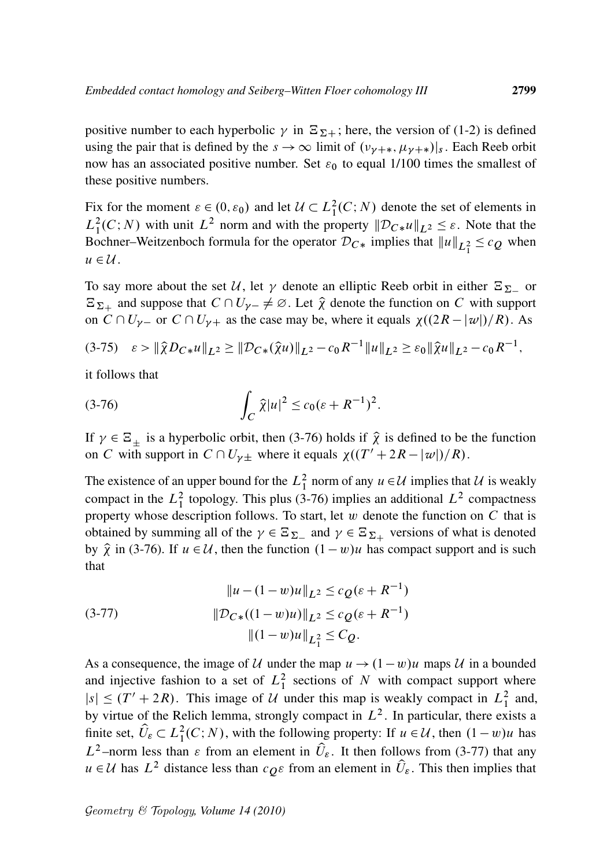positive number to each hyperbolic  $\gamma$  in  $\Xi_{\Sigma+}$ ; here, the version of (1-2) is defined using the pair that is defined by the  $s \to \infty$  limit of  $(\nu_{\gamma+\ast}, \mu_{\gamma+\ast})|_s$ . Each Reeb orbit now has an associated positive number. Set  $\varepsilon_0$  to equal 1/100 times the smallest of these positive numbers.

Fix for the moment  $\varepsilon \in (0, \varepsilon_0)$  and let  $\mathcal{U} \subset L^2_1(C; N)$  denote the set of elements in  $L_1^2(C; N)$  with unit  $L^2$  norm and with the property  $\|\mathcal{D}_{C*}u\|_{L^2} \leq \varepsilon$ . Note that the Bochner–Weitzenboch formula for the operator  $\mathcal{D}_{C*}$  implies that  $||u||_{L_1^2} \leq c_Q$  when  $u \in \mathcal{U}$ .

To say more about the set U, let  $\gamma$  denote an elliptic Reeb orbit in either  $\Xi_{\Sigma_-}$  or  $\Xi_{\Sigma_+}$  and suppose that  $C \cap U_{\gamma-} \neq \emptyset$ . Let  $\hat{\chi}$  denote the function on C with support on  $C \cap U_{\gamma-}$  or  $C \cap U_{\gamma+}$  as the case may be, where it equals  $\chi((2R - |\omega|)/R)$ . As

$$
(3-75) \quad \varepsilon > \|\hat{\chi}D_{C*}u\|_{L^2} \geq \|D_{C*}(\hat{\chi}u)\|_{L^2} - c_0 R^{-1}\|u\|_{L^2} \geq \varepsilon_0 \|\hat{\chi}u\|_{L^2} - c_0 R^{-1},
$$

it follows that

(3-76) 
$$
\int_C \hat{\chi}|u|^2 \leq c_0(\varepsilon + R^{-1})^2.
$$

If  $\gamma \in \Xi_{\pm}$  is a hyperbolic orbit, then (3-76) holds if  $\hat{\chi}$  is defined to be the function on C with support in  $C \cap U_{\gamma}$  where it equals  $\chi((T' + 2R - |\omega|)/R)$ .

The existence of an upper bound for the  $L_1^2$  norm of any  $u \in \mathcal{U}$  implies that  $\mathcal{U}$  is weakly compact in the  $L_1^2$  topology. This plus (3-76) implies an additional  $L^2$  compactness property whose description follows. To start, let  $w$  denote the function on  $C$  that is obtained by summing all of the  $\gamma \in \Xi_{\Sigma}$  and  $\gamma \in \Xi_{\Sigma+}$  versions of what is denoted by  $\hat{\chi}$  in (3-76). If  $u \in \mathcal{U}$ , then the function  $(1 - w)u$  has compact support and is such that

(3-77) 
$$
||u - (1 - w)u||_{L^{2}} \leq c_{Q}(\varepsilon + R^{-1})
$$

$$
||\mathcal{D}_{C*}((1 - w)u)||_{L^{2}} \leq c_{Q}(\varepsilon + R^{-1})
$$

$$
||(1 - w)u||_{L^{2}_{1}} \leq C_{Q}.
$$

As a consequence, the image of U under the map  $u \rightarrow (1-w)u$  maps U in a bounded and injective fashion to a set of  $L_1^2$  sections of N with compact support where  $|s| \le (T' + 2R)$ . This image of U under this map is weakly compact in  $L_1^2$  and, by virtue of the Relich lemma, strongly compact in  $L^2$ . In particular, there exists a finite set,  $\hat{U}_{\varepsilon} \subset L_1^2(C;N)$ , with the following property: If  $u \in \mathcal{U}$ , then  $(1-w)u$  has  $L^2$ -norm less than  $\varepsilon$  from an element in  $\hat{U}_{\varepsilon}$ . It then follows from (3-77) that any  $u \in \mathcal{U}$  has  $L^2$  distance less than  $c_{\mathcal{O}^E}$  from an element in  $\hat{U}_{\varepsilon}$ . This then implies that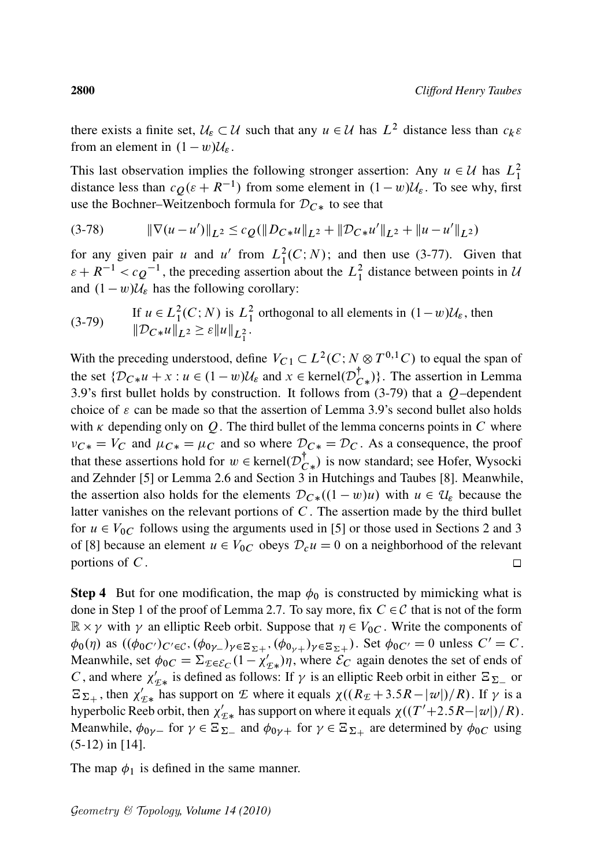there exists a finite set,  $U_{\varepsilon} \subset U$  such that any  $u \in U$  has  $L^2$  distance less than  $c_k \varepsilon$ from an element in  $(1 - w)\mathcal{U}_{\varepsilon}$ .

This last observation implies the following stronger assertion: Any  $u \in U$  has  $L_1^2$ distance less than  $cQ(\varepsilon + R^{-1})$  from some element in  $(1 - w)U_{\varepsilon}$ . To see why, first use the Bochner–Weitzenboch formula for  $D_{C*}$  to see that

$$
(3-78) \t\t\t\t \|\nabla(u-u')\|_{L^2} \leq c_Q(\|D_{C*}u\|_{L^2} + \|D_{C*}u'\|_{L^2} + \|u-u'\|_{L^2})
$$

for any given pair u and u' from  $L_1^2(C;N)$ ; and then use (3-77). Given that  $\varepsilon + R^{-1} < c \rho^{-1}$ , the preceding assertion about the  $L_1^2$  distance between points in U and  $(1 - w)\mathcal{U}_{\varepsilon}$  has the following corollary:

(3-79) If 
$$
u \in L_1^2(C; N)
$$
 is  $L_1^2$  orthogonal to all elements in  $(1 - w)U_{\varepsilon}$ , then  

$$
\|\mathcal{D}_{C*}u\|_{L^2} \ge \varepsilon \|u\|_{L_1^2}.
$$

With the preceding understood, define  $V_{C_1} \subset L^2(C; N \otimes T^{0,1}C)$  to equal the span of the set  $\{\mathcal{D}_{C*}u + x : u \in (1-w)\mathcal{U}_{\varepsilon} \text{ and } x \in \text{kernel}(\mathcal{D}_{C*}^{\dagger})\}\.$  The assertion in Lemma 3.9's first bullet holds by construction. It follows from  $(3-79)$  that a  $Q$ -dependent choice of  $\varepsilon$  can be made so that the assertion of Lemma 3.9's second bullet also holds with  $\kappa$  depending only on Q. The third bullet of the lemma concerns points in C where  $v_{C*} = V_C$  and  $\mu_{C*} = \mu_C$  and so where  $\mathcal{D}_{C*} = \mathcal{D}_C$ . As a consequence, the proof that these assertions hold for  $w \in \text{kernel}(\mathcal{D}_{C*}^{\dagger})$  is now standard; see Hofer, Wysocki and Zehnder [5] or Lemma 2.6 and Section 3 in Hutchings and Taubes [8]. Meanwhile, the assertion also holds for the elements  $\mathcal{D}_{C*}((1 - w)u)$  with  $u \in \mathcal{U}_{\varepsilon}$  because the latter vanishes on the relevant portions of  $C$ . The assertion made by the third bullet for  $u \in V_{0C}$  follows using the arguments used in [5] or those used in Sections 2 and 3 of [8] because an element  $u \in V_{0C}$  obeys  $\mathcal{D}_c u = 0$  on a neighborhood of the relevant portions of  $C$ .  $\Box$ 

**Step 4** But for one modification, the map  $\phi_0$  is constructed by mimicking what is done in Step 1 of the proof of Lemma 2.7. To say more, fix  $C \in \mathcal{C}$  that is not of the form  $\mathbb{R} \times \gamma$  with  $\gamma$  an elliptic Reeb orbit. Suppose that  $\eta \in V_{0C}$ . Write the components of  $\phi_0(\eta)$  as  $((\phi_{0C'})_{C'\in\mathcal{C}}, (\phi_{0\gamma})_{\gamma\in\Sigma_{\Sigma+}}, (\phi_{0\gamma})_{\gamma\in\Sigma_{\Sigma+}})$ . Set  $\phi_{0C'}=0$  unless  $C'=C$ . Meanwhile, set  $\phi_{0C} = \sum_{\mathcal{L}} \epsilon \epsilon_C (1 - \chi'_{\mathcal{L}*}) \eta$ , where  $\mathcal{E}_C$  again denotes the set of ends of C, and where  $\chi'_{\mathcal{I}*}$  is defined as follows: If  $\gamma$  is an elliptic Reeb orbit in either  $\Xi_{\Sigma}$  or  $E_{\Sigma_{+}}$ , then  $\chi'_{\Sigma_{*}}$  has support on *E* where it equals  $\chi((R_{\Sigma}+3.5R-|\omega|)/R)$ . If  $\gamma$  is a hyperbolic Reeb orbit, then  $\chi'_{E*}$  has support on where it equals  $\chi((T'+2.5R-|w|)/R)$ . Meanwhile,  $\phi_{0\gamma-}$  for  $\gamma \in \Xi_{\Sigma-}$  and  $\phi_{0\gamma+}$  for  $\gamma \in \Xi_{\Sigma+}$  are determined by  $\phi_{0C}$  using (5-12) in [14].

The map  $\phi_1$  is defined in the same manner.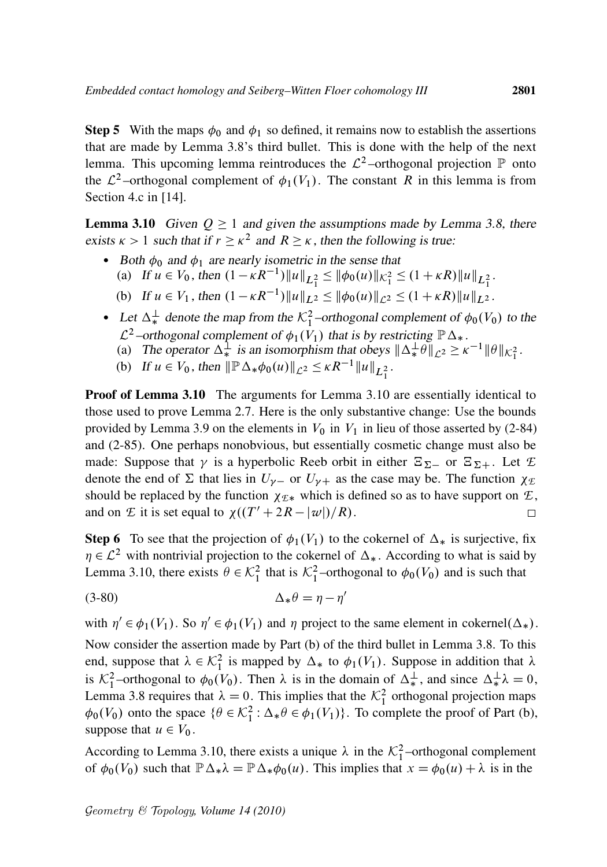**Step 5** With the maps  $\phi_0$  and  $\phi_1$  so defined, it remains now to establish the assertions that are made by Lemma 3.8's third bullet. This is done with the help of the next lemma. This upcoming lemma reintroduces the  $\mathcal{L}^2$ -orthogonal projection  $\mathbb P$  onto the  $\mathcal{L}^2$ -orthogonal complement of  $\phi_1(V_1)$ . The constant R in this lemma is from Section 4.c in [14].

**Lemma 3.10** Given  $Q \ge 1$  and given the assumptions made by Lemma 3.8, there exists  $\kappa > 1$  such that if  $r \ge \kappa^2$  and  $R \ge \kappa$ , then the following is true:

- Both  $\phi_0$  and  $\phi_1$  are nearly isometric in the sense that (a) If  $u \in V_0$ , then  $(1 - \kappa R^{-1}) ||u||_{L_1^2} \le ||\phi_0(u)||_{\mathcal{K}_1^2} \le (1 + \kappa R) ||u||_{L_1^2}$ .
	- (b) If  $u \in V_1$ , then  $(1 \kappa R^{-1}) ||u||_{L^2} \le ||\phi_0(u)||_{\mathcal{L}^2} \le (1 + \kappa R)||u||_{L^2}$ .
- Let  $\Delta^{\perp}_{*}$  denote the map from the  $\mathcal{K}_{1}^{2}$ -orthogonal complement of  $\phi_{0}(V_{0})$  to the  $\mathcal{L}^2$ -orthogonal complement of  $\phi_1(V_1)$  that is by restricting  $\mathbb{P}\Delta_*$ .
	- (a) The operator  $\Delta^{\frac{1}{k}}$  is an isomorphism that obeys  $\|\Delta^{\frac{1}{k}}\theta\|_{\mathcal{L}^2} \ge \kappa^{-1} \|\theta\|_{\mathcal{K}_1^2}$ .
	- (b) If  $u \in V_0$ , then  $\|\mathbb{P}\Delta_*\phi_0(u)\|_{\mathcal{L}^2} \leq \kappa R^{-1} \|u\|_{L_1^2}$ .

Proof of Lemma 3.10 The arguments for Lemma 3.10 are essentially identical to those used to prove Lemma 2.7. Here is the only substantive change: Use the bounds provided by Lemma 3.9 on the elements in  $V_0$  in  $V_1$  in lieu of those asserted by (2-84) and (2-85). One perhaps nonobvious, but essentially cosmetic change must also be made: Suppose that  $\gamma$  is a hyperbolic Reeb orbit in either  $\Xi_{\Sigma}$  or  $\Xi_{\Sigma+}$ . Let  $\mathcal{E}$ denote the end of  $\Sigma$  that lies in  $U_{\gamma-}$  or  $U_{\gamma+}$  as the case may be. The function  $\chi_{\mathcal{E}}$ should be replaced by the function  $\chi_{\mathcal{E}*}$  which is defined so as to have support on  $\mathcal{E}$ , and on *E* it is set equal to  $\chi((T' + 2R - |\omega|)/R)$ .  $\Box$ 

**Step 6** To see that the projection of  $\phi_1(V_1)$  to the cokernel of  $\Delta_*$  is surjective, fix  $\eta \in \mathcal{L}^2$  with nontrivial projection to the cokernel of  $\Delta_*$ . According to what is said by Lemma 3.10, there exists  $\theta \in \mathcal{K}_1^2$  that is  $\mathcal{K}_1^2$ -orthogonal to  $\phi_0(V_0)$  and is such that

$$
\Delta_* \theta = \eta - \eta
$$

with  $\eta' \in \phi_1(V_1)$ . So  $\eta' \in \phi_1(V_1)$  and  $\eta$  project to the same element in cokernel( $\Delta_*$ ).

 $\overline{ }$ 

Now consider the assertion made by Part (b) of the third bullet in Lemma 3.8. To this end, suppose that  $\lambda \in \mathcal{K}_1^2$  is mapped by  $\Delta_*$  to  $\phi_1(V_1)$ . Suppose in addition that  $\lambda$ is  $\mathcal{K}_1^2$ -orthogonal to  $\phi_0(V_0)$ . Then  $\lambda$  is in the domain of  $\Delta_*^{\perp}$ , and since  $\Delta_*^{\perp} \lambda = 0$ , Lemma 3.8 requires that  $\lambda = 0$ . This implies that the  $\mathcal{K}_1^2$  orthogonal projection maps  $\phi_0(V_0)$  onto the space  $\{\theta \in \mathcal{K}_1^2 : \Delta_* \theta \in \phi_1(V_1)\}$ . To complete the proof of Part (b), suppose that  $u \in V_0$ .

According to Lemma 3.10, there exists a unique  $\lambda$  in the  $\mathcal{K}_1^2$ -orthogonal complement of  $\phi_0(V_0)$  such that  $\mathbb{P}\Delta_*\lambda = \mathbb{P}\Delta_*\phi_0(u)$ . This implies that  $x = \phi_0(u) + \lambda$  is in the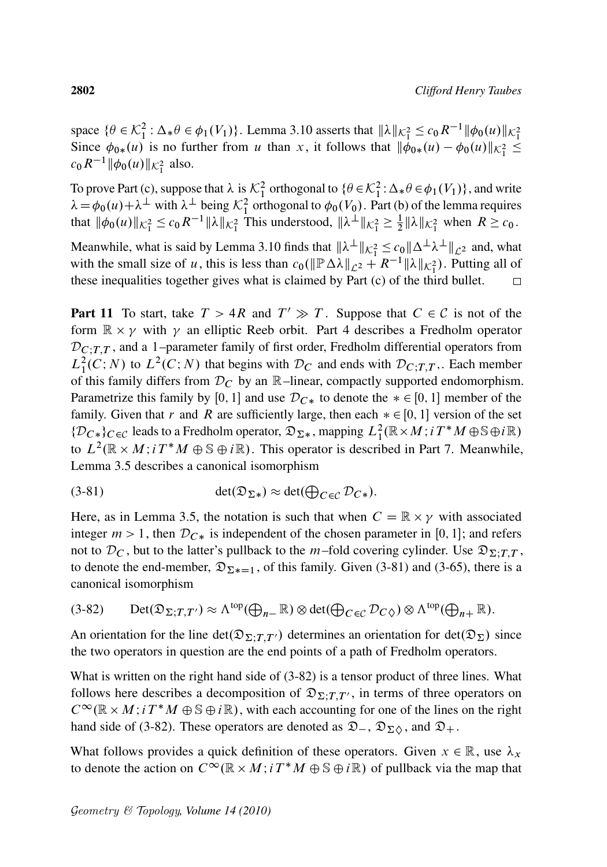space  $\{\theta \in \mathcal{K}_1^2 : \Delta_* \theta \in \phi_1(V_1)\}$ . Lemma 3.10 asserts that  $\|\lambda\|_{\mathcal{K}_1^2} \le c_0 R^{-1} \|\phi_0(u)\|_{\mathcal{K}_1^2}$ Since  $\phi_{0*}(u)$  is no further from u than x, it follows that  $\|\dot{\phi}_{0*}(u) - \phi_0(u)\|_{\mathcal{K}_1^2} \leq$  $c_0 R^{-1} \|\phi_0(u)\|_{\mathcal{K}_1^2}$  also.

To prove Part (c), suppose that  $\lambda$  is  $\mathcal{K}_1^2$  orthogonal to  $\{\theta \in \mathcal{K}_1^2 : \Delta_* \theta \in \phi_1(V_1)\}$ , and write  $\lambda = \phi_0(u) + \lambda^{\perp}$  with  $\lambda^{\perp}$  being  $\mathcal{K}_1^2$  orthogonal to  $\phi_0(V_0)$ . Part (b) of the lemma requires that  $\|\phi_0(u)\|_{K_1^2} \le c_0 R^{-1} \|\lambda\|_{K_1^2}$  This understood,  $\|\lambda^{\perp}\|_{K_1^2} \ge \frac{1}{2}$  $\frac{1}{2}$   $\|\lambda\|_{\mathcal{K}_{1}^{2}}$  when  $R \geq c_{0}$ .

Meanwhile, what is said by Lemma 3.10 finds that  $\|\lambda^{\perp}\|_{\mathcal{K}_1^2} \le c_0 \|\Delta^{\perp}\lambda^{\perp}\|_{\mathcal{L}^2}$  and, what with the small size of u, this is less than  $c_0(\Vert P \Delta \lambda \Vert_{\mathcal{L}^2} + R^{-1} \Vert \lambda \Vert_{\mathcal{K}^2_1})$ . Putting all of these inequalities together gives what is claimed by Part (c) of the third bullet.  $\Box$ 

**Part 11** To start, take  $T > 4R$  and  $T' \gg T$ . Suppose that  $C \in \mathcal{C}$  is not of the form  $\mathbb{R} \times \gamma$  with  $\gamma$  an elliptic Reeb orbit. Part 4 describes a Fredholm operator  $D_{C,T,T}$ , and a 1–parameter family of first order, Fredholm differential operators from  $L_1^2(C;N)$  to  $L^2(C;N)$  that begins with  $\mathcal{D}_C$  and ends with  $\mathcal{D}_{C;T,T}$ . Each member of this family differs from  $D<sub>C</sub>$  by an  $\mathbb{R}$ –linear, compactly supported endomorphism. Parametrize this family by [0, 1] and use  $D_{C*}$  to denote the  $* \in [0, 1]$  member of the family. Given that r and R are sufficiently large, then each  $* \in [0, 1]$  version of the set  $\{D_{C*}\}_{C\in\mathcal{C}}$  leads to a Fredholm operator,  $\mathfrak{D}_{\Sigma*}$ , mapping  $L^2_1(\mathbb{R}\times M; i\,T^*M\oplus \mathbb{S} \oplus i\mathbb{R})$ to  $L^2(\mathbb{R} \times M; i T^*M \oplus \mathbb{S} \oplus i\mathbb{R})$ . This operator is described in Part 7. Meanwhile, Lemma 3.5 describes a canonical isomorphism

(3-81) 
$$
\det(\mathfrak{D}_{\Sigma*}) \approx \det(\bigoplus_{C \in \mathcal{C}} \mathcal{D}_{C*}).
$$

Here, as in Lemma 3.5, the notation is such that when  $C = \mathbb{R} \times \gamma$  with associated integer  $m > 1$ , then  $\mathcal{D}_{C*}$  is independent of the chosen parameter in [0, 1]; and refers not to  $\mathcal{D}_C$ , but to the latter's pullback to the m–fold covering cylinder. Use  $\mathfrak{D}_{\Sigma:T}$ , to denote the end-member,  $\mathfrak{D}_{\Sigma*=1}$ , of this family. Given (3-81) and (3-65), there is a canonical isomorphism

$$
(3-82) \qquad \mathrm{Det}(\mathfrak{D}_{\Sigma;T,T'}) \approx \Lambda^{\mathrm{top}}(\bigoplus_{n=1}^{\infty} \mathbb{R}) \otimes \mathrm{det}(\bigoplus_{C \in \mathcal{C}} \mathcal{D}_{C\Diamond}) \otimes \Lambda^{\mathrm{top}}(\bigoplus_{n+1}^{\infty} \mathbb{R}).
$$

An orientation for the line det $(\mathfrak{D}_{\Sigma;TT})$  determines an orientation for det $(\mathfrak{D}_{\Sigma})$  since the two operators in question are the end points of a path of Fredholm operators.

What is written on the right hand side of (3-82) is a tensor product of three lines. What follows here describes a decomposition of  $\mathfrak{D}_{\Sigma;T,T'}$ , in terms of three operators on  $C^{\infty}(\mathbb{R} \times M; i T^*M \oplus \mathbb{S} \oplus i\mathbb{R})$ , with each accounting for one of the lines on the right hand side of (3-82). These operators are denoted as  $\mathfrak{D}_{-}$ ,  $\mathfrak{D}_{\Sigma}$ , and  $\mathfrak{D}_{+}$ .

What follows provides a quick definition of these operators. Given  $x \in \mathbb{R}$ , use  $\lambda_x$ to denote the action on  $C^{\infty}(\mathbb{R} \times M; i T^*M \oplus \mathbb{S} \oplus i\mathbb{R})$  of pullback via the map that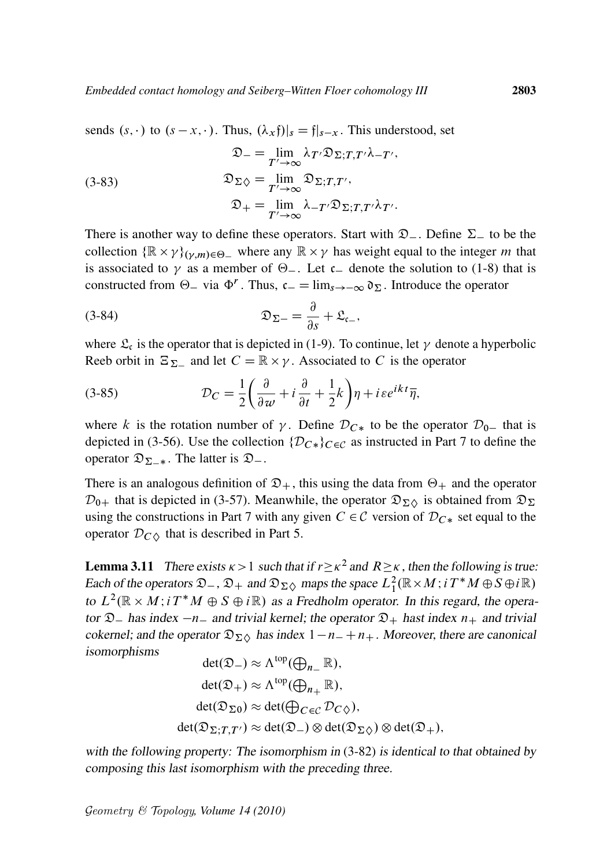sends  $(s, \cdot)$  to  $(s - x, \cdot)$ . Thus,  $(\lambda_x f)|_s = f|_{s-x}$ . This understood, set

(3-83)  
\n
$$
\mathfrak{D}_{-} = \lim_{T' \to \infty} \lambda_{T'} \mathfrak{D}_{\Sigma; T, T'} \lambda_{-T'},
$$
\n
$$
\mathfrak{D}_{\Sigma \diamondsuit} = \lim_{T' \to \infty} \mathfrak{D}_{\Sigma; T, T'},
$$
\n
$$
\mathfrak{D}_{+} = \lim_{T' \to \infty} \lambda_{-T'} \mathfrak{D}_{\Sigma; T, T'} \lambda_{T'}.
$$

There is another way to define these operators. Start with  $\mathfrak{D}_{-}$ . Define  $\Sigma_{-}$  to be the collection  $\{ \mathbb{R} \times \gamma \}_{(\gamma,m) \in \Theta_-}$  where any  $\mathbb{R} \times \gamma$  has weight equal to the integer m that is associated to  $\gamma$  as a member of  $\Theta$ . Let  $c$  denote the solution to (1-8) that is constructed from  $\Theta$  via  $\Phi^r$ . Thus,  $c = \lim_{s \to \infty} \mathfrak{d}_{\Sigma}$ . Introduce the operator

$$
\mathfrak{D}_{\Sigma-} = \frac{\partial}{\partial s} + \mathfrak{L}_{\mathfrak{c}_-},
$$

where  $\mathfrak{L}_{\mathfrak{c}}$  is the operator that is depicted in (1-9). To continue, let  $\gamma$  denote a hyperbolic Reeb orbit in  $\Xi_{\Sigma_-}$  and let  $C = \mathbb{R} \times \gamma$ . Associated to C is the operator

(3-85) 
$$
\mathcal{D}_C = \frac{1}{2} \left( \frac{\partial}{\partial w} + i \frac{\partial}{\partial t} + \frac{1}{2} k \right) \eta + i \varepsilon e^{ikt} \overline{\eta},
$$

where k is the rotation number of y. Define  $D_{C*}$  to be the operator  $D_{0-}$  that is depicted in (3-56). Use the collection  $\{\mathcal{D}_{C*}\}_C \in \mathcal{C}$  as instructed in Part 7 to define the operator  $\mathfrak{D}_{\Sigma-*}$ . The latter is  $\mathfrak{D}_-$ .

There is an analogous definition of  $\mathfrak{D}_+$ , this using the data from  $\Theta_+$  and the operator  $\mathcal{D}_{0+}$  that is depicted in (3-57). Meanwhile, the operator  $\mathfrak{D}_{\Sigma}$  is obtained from  $\mathfrak{D}_{\Sigma}$ using the constructions in Part 7 with any given  $C \in \mathcal{C}$  version of  $\mathcal{D}_{C*}$  set equal to the operator  $\mathcal{D}_{C\Diamond}$  that is described in Part 5.

**Lemma 3.11** There exists  $\kappa > 1$  such that if  $r \ge \kappa^2$  and  $R \ge \kappa$ , then the following is true: Each of the operators  $\mathfrak{D}_-, \mathfrak{D}_+$  and  $\mathfrak{D}_{\Sigma\Diamond}$  maps the space  $L^2_1(\mathbb{R} \times M; i T^*M \oplus S \oplus i \mathbb{R})$ to  $L^2(\mathbb{R} \times M; i T^*M \oplus S \oplus i\mathbb{R})$  as a Fredholm operator. In this regard, the operator  $\mathfrak{D}_-$  has index  $-n_-$  and trivial kernel; the operator  $\mathfrak{D}_+$  hast index  $n_+$  and trivial cokernel; and the operator  $\mathfrak{D}_{\Sigma}$  has index  $1-n_-+n_+$ . Moreover, there are canonical isomorphisms

$$
det(\mathfrak{D}_{-}) \approx \Lambda^{top}(\bigoplus_{n_{-}} \mathbb{R}),
$$
  
\n
$$
det(\mathfrak{D}_{+}) \approx \Lambda^{top}(\bigoplus_{n_{+}} \mathbb{R}),
$$
  
\n
$$
det(\mathfrak{D}_{\Sigma 0}) \approx det(\bigoplus_{C \in \mathcal{C}} \mathcal{D}_{C\Diamond}),
$$
  
\n
$$
det(\mathfrak{D}_{\Sigma;T,T'}) \approx det(\mathfrak{D}_{-}) \otimes det(\mathfrak{D}_{\Sigma \Diamond}) \otimes det(\mathfrak{D}_{+}),
$$

with the following property: The isomorphism in  $(3-82)$  is identical to that obtained by composing this last isomorphism with the preceding three.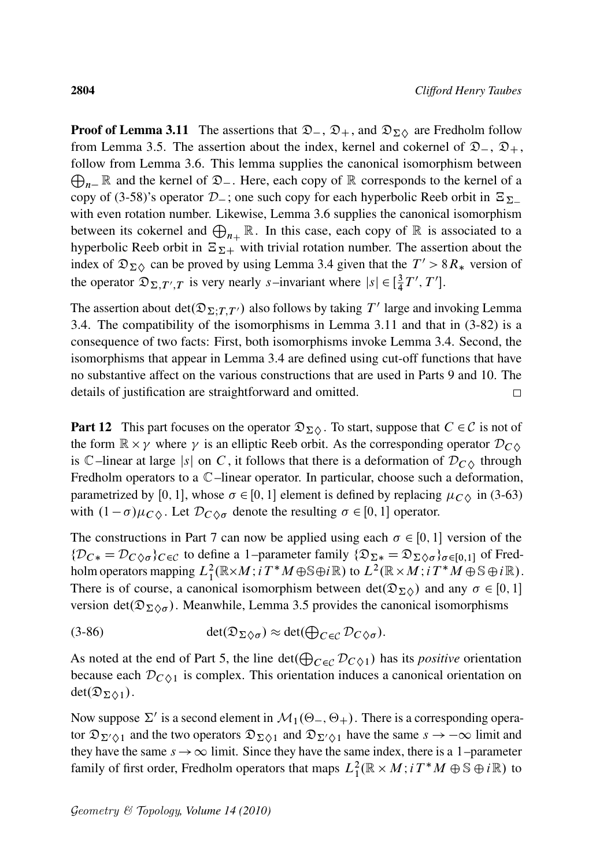**Proof of Lemma 3.11** The assertions that  $\mathfrak{D}_{-}$ ,  $\mathfrak{D}_{+}$ , and  $\mathfrak{D}_{\Sigma\Diamond}$  are Fredholm follow from Lemma 3.5. The assertion about the index, kernel and cokernel of  $\mathfrak{D}_{-}$ ,  $\mathfrak{D}_{+}$ , follow from Lemma 3.6. This lemma supplies the canonical isomorphism between  $\bigoplus_{n=1}^{\infty} \mathbb{R}$  and the kernel of  $\mathfrak{D}_{-}$ . Here, each copy of  $\mathbb{R}$  corresponds to the kernel of a copy of (3-58)'s operator  $D_{-}$ ; one such copy for each hyperbolic Reeb orbit in  $\Xi_{\Sigma_{-}}$ with even rotation number. Likewise, Lemma 3.6 supplies the canonical isomorphism between its cokernel and  $\bigoplus_{n_{+}} \mathbb{R}$ . In this case, each copy of  $\mathbb{R}$  is associated to a hyperbolic Reeb orbit in  $\mathbb{E}_{\Sigma+}$  with trivial rotation number. The assertion about the index of  $\mathfrak{D}_{\Sigma\Diamond}$  can be proved by using Lemma 3.4 given that the  $T' > 8R_*$  version of the operator  $\mathfrak{D}_{\Sigma,T',T}$  is very nearly s–invariant where  $|s| \in [\frac{3}{4}]$  $\frac{3}{4}T', T']$ .

The assertion about  $det(\mathfrak{D}_{\Sigma;T,T'})$  also follows by taking  $T'$  large and invoking Lemma 3.4. The compatibility of the isomorphisms in Lemma 3.11 and that in (3-82) is a consequence of two facts: First, both isomorphisms invoke Lemma 3.4. Second, the isomorphisms that appear in Lemma 3.4 are defined using cut-off functions that have no substantive affect on the various constructions that are used in Parts 9 and 10. The details of justification are straightforward and omitted.  $\Box$ 

**Part 12** This part focuses on the operator  $\mathfrak{D}_{\Sigma} \Diamond$ . To start, suppose that  $C \in \mathcal{C}$  is not of the form  $\mathbb{R} \times \gamma$  where  $\gamma$  is an elliptic Reeb orbit. As the corresponding operator  $\mathcal{D}_{C\Diamond}$ is  $\mathbb{C}$ –linear at large |s| on C, it follows that there is a deformation of  $\mathcal{D}_{C\lozenge}$  through Fredholm operators to a C–linear operator. In particular, choose such a deformation, parametrized by [0, 1], whose  $\sigma \in [0, 1]$  element is defined by replacing  $\mu_{C\lozenge}$  in (3-63) with  $(1 - \sigma)\mu_{C\Diamond}$ . Let  $\mathcal{D}_{C\Diamond \sigma}$  denote the resulting  $\sigma \in [0, 1]$  operator.

The constructions in Part 7 can now be applied using each  $\sigma \in [0, 1]$  version of the  $\{\mathcal{D}_{C*} = \mathcal{D}_{C\Diamond \sigma}\}_{{C} \in \mathcal{C}}$  to define a 1–parameter family  $\{\mathfrak{D}_{\Sigma *} = \mathfrak{D}_{\Sigma \Diamond \sigma}\}_{{\sigma \in [0,1]}}$  of Fredholm operators mapping  $L^2_1(\mathbb{R}\times M; i\,T^*M\oplus \mathbb{S}\oplus i\mathbb{R})$  to  $L^2(\mathbb{R}\times M; i\,T^*M\oplus \mathbb{S}\oplus i\mathbb{R})$ . There is of course, a canonical isomorphism between  $det(\mathfrak{D}_{\Sigma \Diamond})$  and any  $\sigma \in [0, 1]$ version det $(\mathfrak{D}_{\Sigma \Diamond \sigma})$ . Meanwhile, Lemma 3.5 provides the canonical isomorphisms

(3-86) 
$$
\det(\mathfrak{D}_{\Sigma\Diamond\sigma}) \approx \det(\bigoplus_{C\in\mathcal{C}} \mathcal{D}_{C\Diamond\sigma}).
$$

As noted at the end of Part 5, the line  $\det(\bigoplus_{C \in \mathcal{C}} \mathcal{D}_{C \diamondsuit 1})$  has its *positive* orientation because each  $\mathcal{D}_{C\Diamond 1}$  is complex. This orientation induces a canonical orientation on  $det(\mathfrak{D}_{\Sigma \wedge 1}).$ 

Now suppose  $\Sigma'$  is a second element in  $\mathcal{M}_1(\Theta_-, \Theta_+)$ . There is a corresponding operator  $\mathfrak{D}_{\Sigma/\lozenge 1}$  and the two operators  $\mathfrak{D}_{\Sigma/\lozenge 1}$  and  $\mathfrak{D}_{\Sigma/\lozenge 1}$  have the same  $s \to -\infty$  limit and they have the same  $s \rightarrow \infty$  limit. Since they have the same index, there is a 1–parameter family of first order, Fredholm operators that maps  $L_1^2(\mathbb{R} \times M; i T^*M \oplus \mathbb{S} \oplus i\mathbb{R})$  to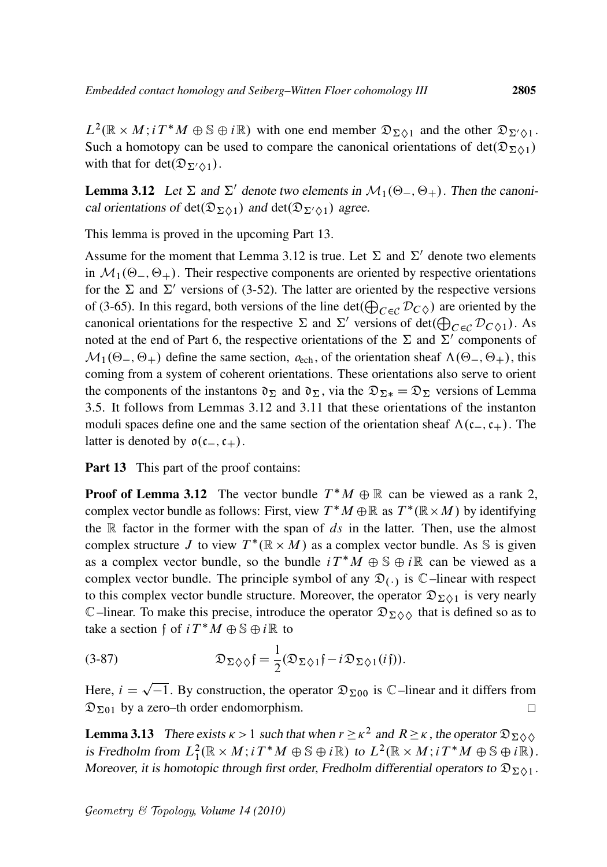$L^2(\mathbb{R} \times M; i T^*M \oplus \mathbb{S} \oplus i\mathbb{R})$  with one end member  $\mathfrak{D}_{\Sigma \lozenge 1}$  and the other  $\mathfrak{D}_{\Sigma' \lozenge 1}$ . Such a homotopy can be used to compare the canonical orientations of  $det(\mathfrak{D}_{\Sigma \Delta 1})$ with that for det $(\mathfrak{D}_{\Sigma'\lozenge 1})$ .

**Lemma 3.12** Let  $\Sigma$  and  $\Sigma'$  denote two elements in  $\mathcal{M}_1(\Theta_-, \Theta_+)$ . Then the canonical orientations of det $(\mathfrak{D}_{\Sigma\Diamond 1})$  and det $(\mathfrak{D}_{\Sigma'\Diamond 1})$  agree.

This lemma is proved in the upcoming Part 13.

Assume for the moment that Lemma 3.12 is true. Let  $\Sigma$  and  $\Sigma'$  denote two elements in  $\mathcal{M}_1(\Theta_-, \Theta_+)$ . Their respective components are oriented by respective orientations for the  $\Sigma$  and  $\Sigma'$  versions of (3-52). The latter are oriented by the respective versions of (3-65). In this regard, both versions of the line  $\det(\bigoplus_{C \in \mathcal{C}} \mathcal{D}_{C\Diamond})$  are oriented by the canonical orientations for the respective  $\Sigma$  and  $\Sigma'$  versions of det $(\bigoplus_{C \in \mathcal{C}} \mathcal{D}_{C \cdot \Diamond 1})$ . As noted at the end of Part 6, the respective orientations of the  $\Sigma$  and  $\Sigma'$  components of  $\mathcal{M}_1(\Theta_-, \Theta_+)$  define the same section,  $o_{\text{ech}}$ , of the orientation sheaf  $\Lambda(\Theta_-, \Theta_+)$ , this coming from a system of coherent orientations. These orientations also serve to orient the components of the instantons  $\mathfrak{d}_{\Sigma}$  and  $\mathfrak{d}_{\Sigma}$ , via the  $\mathfrak{D}_{\Sigma^*} = \mathfrak{D}_{\Sigma}$  versions of Lemma 3.5. It follows from Lemmas 3.12 and 3.11 that these orientations of the instanton moduli spaces define one and the same section of the orientation sheaf  $\Lambda(c_-, c_+)$ . The latter is denoted by  $o(c_-,c_+).$ 

Part 13 This part of the proof contains:

**Proof of Lemma 3.12** The vector bundle  $T^*M \oplus \mathbb{R}$  can be viewed as a rank 2, complex vector bundle as follows: First, view  $T^*M \oplus \mathbb{R}$  as  $T^*(\mathbb{R} \times M)$  by identifying the  $\mathbb R$  factor in the former with the span of  $ds$  in the latter. Then, use the almost complex structure J to view  $T^*(\mathbb{R} \times M)$  as a complex vector bundle. As S is given as a complex vector bundle, so the bundle  $i T^* M \oplus \mathbb{S} \oplus i \mathbb{R}$  can be viewed as a complex vector bundle. The principle symbol of any  $\mathfrak{D}_{(\cdot)}$  is  $\mathbb{C}$ -linear with respect to this complex vector bundle structure. Moreover, the operator  $\mathfrak{D}_{\Sigma \lozenge 1}$  is very nearly C–linear. To make this precise, introduce the operator  $\mathfrak{D}_{\Sigma}\Diamond\Diamond$  that is defined so as to take a section f of  $i T^* M \oplus \mathbb{S} \oplus i \mathbb{R}$  to

(3-87) 
$$
\mathfrak{D}_{\Sigma\Diamond\Diamond}\mathfrak{f}=\frac{1}{2}(\mathfrak{D}_{\Sigma\Diamond 1}\mathfrak{f}-i\mathfrak{D}_{\Sigma\Diamond 1}(i\mathfrak{f})).
$$

Here,  $i = \sqrt{-1}$ . By construction, the operator  $\mathfrak{D}_{\Sigma 00}$  is  $\mathbb{C}$ –linear and it differs from  $\mathfrak{D}_{\Sigma01}$  by a zero–th order endomorphism.  $\Box$ 

**Lemma 3.13** There exists  $\kappa > 1$  such that when  $r \ge \kappa^2$  and  $R \ge \kappa$ , the operator  $\mathfrak{D}_{\Sigma} \otimes \mathfrak{D}$ is Fredholm from  $L_1^2(\mathbb{R} \times M; i T^*M \oplus \mathbb{S} \oplus i\mathbb{R})$  to  $L^2(\mathbb{R} \times M; i T^*M \oplus \mathbb{S} \oplus i\mathbb{R})$ . Moreover, it is homotopic through first order, Fredholm differential operators to  $\mathfrak{D}_{\Sigma\Diamond 1}$ .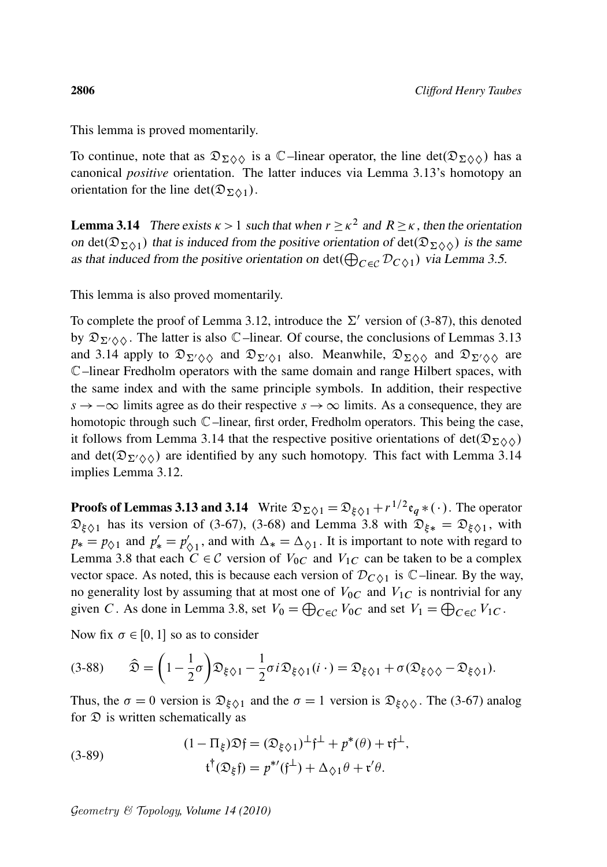This lemma is proved momentarily.

To continue, note that as  $\mathfrak{D}_{\Sigma \Diamond \Diamond}$  is a C–linear operator, the line det $(\mathfrak{D}_{\Sigma \Diamond \Diamond})$  has a canonical *positive* orientation. The latter induces via Lemma 3.13's homotopy an orientation for the line det $(\mathfrak{D}_{\Sigma\wedge 1})$ .

**Lemma 3.14** There exists  $\kappa > 1$  such that when  $r \ge \kappa^2$  and  $R \ge \kappa$ , then the orientation on det $(\mathfrak{D}_{\Sigma \Diamond 1})$  that is induced from the positive orientation of det $(\mathfrak{D}_{\Sigma \Diamond \Diamond})$  is the same as that induced from the positive orientation on  $\det(\bigoplus_{C \in \mathcal{C}} \mathcal{D}_{C \diamondsuit 1})$  via Lemma 3.5.

This lemma is also proved momentarily.

To complete the proof of Lemma 3.12, introduce the  $\Sigma'$  version of (3-87), this denoted by  $\mathfrak{D}_{\Sigma/\Diamond\Diamond}$ . The latter is also C–linear. Of course, the conclusions of Lemmas 3.13 and 3.14 apply to  $\mathfrak{D}_{\Sigma/\Diamond\Diamond}$  and  $\mathfrak{D}_{\Sigma/\Diamond 1}$  also. Meanwhile,  $\mathfrak{D}_{\Sigma/\Diamond\Diamond}$  and  $\mathfrak{D}_{\Sigma/\Diamond\Diamond}$  are C–linear Fredholm operators with the same domain and range Hilbert spaces, with the same index and with the same principle symbols. In addition, their respective  $s \to -\infty$  limits agree as do their respective  $s \to \infty$  limits. As a consequence, they are homotopic through such  $\mathbb C$ –linear, first order, Fredholm operators. This being the case, it follows from Lemma 3.14 that the respective positive orientations of det $(\mathfrak{D}_{\Sigma}\otimes\Diamond)$ and det( $\mathfrak{D}_{\Sigma' \Diamond \Diamond}$ ) are identified by any such homotopy. This fact with Lemma 3.14 implies Lemma 3.12.

**Proofs of Lemmas 3.13 and 3.14** Write  $\mathfrak{D}_{\Sigma \diamondsuit 1} = \mathfrak{D}_{\xi \diamondsuit 1} + r^{1/2} \mathfrak{e}_q * (\cdot)$ . The operator  $\mathfrak{D}_{\xi\Diamond 1}$  has its version of (3-67), (3-68) and Lemma 3.8 with  $\mathfrak{D}_{\xi*} = \mathfrak{D}_{\xi\Diamond 1}$ , with  $p_* = p_{\diamondsuit 1}$  and  $p'_* = p'_{\diamondsuit}$  $\psi_{\diamond 1}$ , and with  $\Delta_* = \Delta_{\diamond 1}$ . It is important to note with regard to Lemma 3.8 that each  $C \in \mathcal{C}$  version of  $V_{0C}$  and  $V_{1C}$  can be taken to be a complex vector space. As noted, this is because each version of  $\mathcal{D}_{C\lozenge 1}$  is  $\mathbb{C}$ –linear. By the way, no generality lost by assuming that at most one of  $V_{0C}$  and  $V_{1C}$  is nontrivial for any given C. As done in Lemma 3.8, set  $V_0 = \bigoplus_{C \in \mathcal{C}} V_{0C}$  and set  $V_1 = \bigoplus_{C \in \mathcal{C}} V_{1C}$ .

Now fix  $\sigma \in [0, 1]$  so as to consider

$$
(3-88) \qquad \widehat{\mathfrak{D}} = \left(1 - \frac{1}{2}\sigma\right) \mathfrak{D}_{\xi\Diamond 1} - \frac{1}{2}\sigma i \mathfrak{D}_{\xi\Diamond 1}(i\cdot) = \mathfrak{D}_{\xi\Diamond 1} + \sigma (\mathfrak{D}_{\xi\Diamond \Diamond} - \mathfrak{D}_{\xi\Diamond 1}).
$$

Thus, the  $\sigma = 0$  version is  $\mathfrak{D}_{\xi \diamond 1}$  and the  $\sigma = 1$  version is  $\mathfrak{D}_{\xi \diamond 0}$ . The (3-67) analog for  $\mathfrak D$  is written schematically as

(3-89) 
$$
(1 - \Pi_{\xi}) \mathfrak{D} \mathfrak{f} = (\mathfrak{D}_{\xi \Diamond 1})^{\perp} \mathfrak{f}^{\perp} + p^*(\theta) + \mathfrak{r} \mathfrak{f}^{\perp},
$$

$$
\mathfrak{t}^{\dagger}(\mathfrak{D}_{\xi} \mathfrak{f}) = p^{*'}(\mathfrak{f}^{\perp}) + \Delta_{\Diamond 1} \theta + \mathfrak{r}' \theta.
$$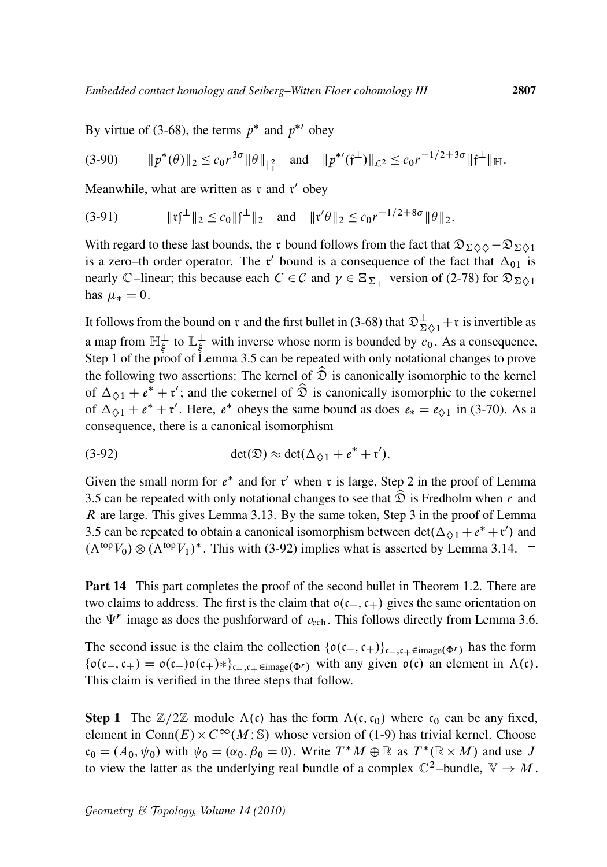By virtue of (3-68), the terms  $p^*$  and  $p^{*'}$  obey

$$
(3-90) \t ||p^*(\theta)||_2 \leq c_0 r^{3\sigma} ||\theta||_{\mathcal{H}^2} \t and \t ||p^{*'}(\mathfrak{f}^{\perp})||_{\mathcal{L}^2} \leq c_0 r^{-1/2+3\sigma} ||\mathfrak{f}^{\perp}||_{\mathbb{H}}.
$$

Meanwhile, what are written as  $\mathfrak r$  and  $\mathfrak r'$  obey

$$
(3-91) \t\t ||\mathfrak{rf}^{\perp}||_2 \le c_0 ||\mathfrak{f}^{\perp}||_2 \text{ and } ||\mathfrak{r}'\theta||_2 \le c_0 r^{-1/2+8\sigma} ||\theta||_2.
$$

With regard to these last bounds, the r bound follows from the fact that  $\mathfrak{D}_{\Sigma}\otimes\Diamond-\mathfrak{D}_{\Sigma}\otimes\Box$ is a zero–th order operator. The r' bound is a consequence of the fact that  $\Delta_{01}$  is nearly C–linear; this because each  $C \in \mathcal{C}$  and  $\gamma \in \Xi_{\Sigma_{\pm}}$  version of (2-78) for  $\mathfrak{D}_{\Sigma \lozenge 1}$ has  $\mu_* = 0$ .

It follows from the bound on r and the first bullet in (3-68) that  $\mathfrak{D}^{\perp}_{\Sigma \Diamond 1} + \mathfrak{r}$  is invertible as a map from  $\mathbb{H}_{\xi}^{\perp}$  to  $\mathbb{L}_{\xi}^{\perp}$  $\frac{1}{\xi}$  with inverse whose norm is bounded by  $c_0$ . As a consequence, Step 1 of the proof of Lemma 3.5 can be repeated with only notational changes to prove the following two assertions: The kernel of  $\hat{\mathfrak{D}}$  is canonically isomorphic to the kernel of  $\Delta_{\diamondsuit 1} + e^* + \mathfrak{r}'$ ; and the cokernel of  $\widehat{\mathfrak{D}}$  is canonically isomorphic to the cokernel of  $\Delta_{\Diamond 1} + e^* + r'$ . Here,  $e^*$  obeys the same bound as does  $e_* = e_{\Diamond 1}$  in (3-70). As a consequence, there is a canonical isomorphism

$$
(3-92) \qquad \qquad \det(\mathfrak{D}) \approx \det(\Delta_{\Diamond 1} + e^* + \mathfrak{r}').
$$

Given the small norm for  $e^*$  and for  $t'$  when  $t$  is large, Step 2 in the proof of Lemma 3.5 can be repeated with only notational changes to see that  $\hat{\mathfrak{D}}$  is Fredholm when r and R are large. This gives Lemma 3.13. By the same token, Step 3 in the proof of Lemma 3.5 can be repeated to obtain a canonical isomorphism between  $\det(\Delta_{\hat{Q}1} + e^* + \mathfrak{r}')$  and  $(\Lambda^{top}V_0) \otimes (\Lambda^{top}V_1)^*$ . This with (3-92) implies what is asserted by Lemma 3.14.

**Part 14** This part completes the proof of the second bullet in Theorem 1.2. There are two claims to address. The first is the claim that  $\mathfrak{o}(c_-,c_+)$  gives the same orientation on the  $\Psi^r$  image as does the pushforward of  $o_{\text{ech}}$ . This follows directly from Lemma 3.6.

The second issue is the claim the collection  $\{\mathfrak{o}(c_-,c_+)\}_{c_-,c_+\in \text{image}(\Phi^r)}$  has the form  $\{\mathfrak{o}(\mathfrak{c}_-,\mathfrak{c}_+) = \mathfrak{o}(\mathfrak{c}_-) \mathfrak{o}(\mathfrak{c}_+) * \}_{\mathfrak{c}_-, \mathfrak{c}_+ \in \text{image}(\Phi^r)}$  with any given  $\mathfrak{o}(\mathfrak{c})$  an element in  $\Lambda(\mathfrak{c})$ . This claim is verified in the three steps that follow.

**Step 1** The  $\mathbb{Z}/2\mathbb{Z}$  module  $\Lambda(c)$  has the form  $\Lambda(c,c_0)$  where  $c_0$  can be any fixed, element in Conn $(E) \times C^{\infty}(M; S)$  whose version of (1-9) has trivial kernel. Choose  $c_0 = (A_0, \psi_0)$  with  $\psi_0 = (\alpha_0, \beta_0 = 0)$ . Write  $T^*M \oplus \mathbb{R}$  as  $T^* (\mathbb{R} \times M)$  and use J to view the latter as the underlying real bundle of a complex  $\mathbb{C}^2$ -bundle,  $\mathbb{V} \to M$ .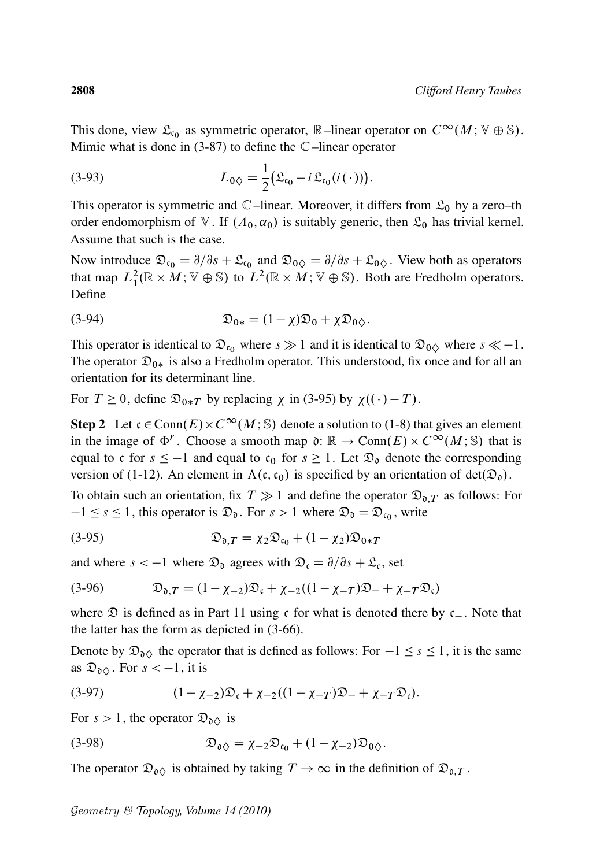This done, view  $\mathfrak{L}_{c_0}$  as symmetric operator, R-linear operator on  $C^{\infty}(M; V \oplus \mathbb{S})$ . Mimic what is done in  $(3-87)$  to define the  $\mathbb{C}$ -linear operator

(3-93) 
$$
L_{0\Diamond} = \frac{1}{2} (\mathfrak{L}_{\mathfrak{c}_0} - i \mathfrak{L}_{\mathfrak{c}_0} (i (\cdot))).
$$

This operator is symmetric and  $\mathbb{C}$ –linear. Moreover, it differs from  $\mathfrak{L}_0$  by a zero–th order endomorphism of V. If  $(A_0, \alpha_0)$  is suitably generic, then  $\mathfrak{L}_0$  has trivial kernel. Assume that such is the case.

Now introduce  $\mathfrak{D}_{\mathfrak{c}_0} = \partial/\partial s + \mathfrak{L}_{\mathfrak{c}_0}$  and  $\mathfrak{D}_{0\Diamond} = \partial/\partial s + \mathfrak{L}_{0\Diamond}$ . View both as operators that map  $L_1^2(\mathbb{R} \times M; \mathbb{V} \oplus \mathbb{S})$  to  $L^2(\mathbb{R} \times M; \mathbb{V} \oplus \mathbb{S})$ . Both are Fredholm operators. Define

(3-94) 
$$
\mathfrak{D}_{0*} = (1 - \chi)\mathfrak{D}_0 + \chi\mathfrak{D}_{0\Diamond}.
$$

This operator is identical to  $\mathfrak{D}_{\mathfrak{c}_0}$  where  $s \gg 1$  and it is identical to  $\mathfrak{D}_{0\Diamond}$  where  $s \ll -1$ . The operator  $\mathfrak{D}_{0*}$  is also a Fredholm operator. This understood, fix once and for all an orientation for its determinant line.

For  $T \ge 0$ , define  $\mathfrak{D}_{0*T}$  by replacing  $\chi$  in (3-95) by  $\chi((\cdot) - T)$ .

**Step 2** Let  $c \in \text{Conn}(E) \times C^{\infty}(M; \mathbb{S})$  denote a solution to (1-8) that gives an element in the image of  $\Phi^r$ . Choose a smooth map  $\mathfrak{d}: \mathbb{R} \to \text{Conn}(E) \times C^{\infty}(M; \mathbb{S})$  that is equal to c for  $s \le -1$  and equal to  $c_0$  for  $s \ge 1$ . Let  $\mathfrak{D}_0$  denote the corresponding version of (1-12). An element in  $\Lambda(c, c_0)$  is specified by an orientation of det $(\mathfrak{D}_0)$ .

To obtain such an orientation, fix  $T \gg 1$  and define the operator  $\mathfrak{D}_{\mathfrak{d},T}$  as follows: For  $-1 \leq s \leq 1$ , this operator is  $\mathfrak{D}_{\mathfrak{d}}$ . For  $s > 1$  where  $\mathfrak{D}_{\mathfrak{d}} = \mathfrak{D}_{\mathfrak{c}_0}$ , write

$$
(3-95) \t\t\t\t\mathfrak{D}_{\mathfrak{d},T} = \chi_2 \mathfrak{D}_{\mathfrak{c}_0} + (1 - \chi_2) \mathfrak{D}_{0 \ast T}
$$

and where  $s < -1$  where  $\mathfrak{D}_{\mathfrak{d}}$  agrees with  $\mathfrak{D}_{\mathfrak{c}} = \partial/\partial s + \mathfrak{L}_{\mathfrak{c}}$ , set

$$
(3-96) \t\t\t\t\mathfrak{D}_{\mathfrak{d},T} = (1 - \chi_{-2})\mathfrak{D}_{\mathfrak{c}} + \chi_{-2}((1 - \chi_{-T})\mathfrak{D}_{-} + \chi_{-T}\mathfrak{D}_{\mathfrak{c}})
$$

where  $\mathfrak D$  is defined as in Part 11 using c for what is denoted there by  $c_-\$ . Note that the latter has the form as depicted in (3-66).

Denote by  $\mathfrak{D}_{\mathfrak{d}}$  the operator that is defined as follows: For  $-1 \leq s \leq 1$ , it is the same as  $\mathfrak{D}_{\mathfrak{d}}$ . For  $s < -1$ , it is

(3-97) 
$$
(1 - \chi_{-2}) \mathfrak{D}_{\mathfrak{c}} + \chi_{-2} ((1 - \chi_{-T}) \mathfrak{D}_{-} + \chi_{-T} \mathfrak{D}_{\mathfrak{c}}).
$$

For  $s > 1$ , the operator  $\mathfrak{D}_{\mathfrak{d}}$  is

(3-98) 
$$
\mathfrak{D}_{\mathfrak{d}} = \chi_{-2} \mathfrak{D}_{\mathfrak{c}_0} + (1 - \chi_{-2}) \mathfrak{D}_{\mathfrak{d}}.
$$

The operator  $\mathfrak{D}_{\mathfrak{d}}$  is obtained by taking  $T \to \infty$  in the definition of  $\mathfrak{D}_{\mathfrak{d}}$ .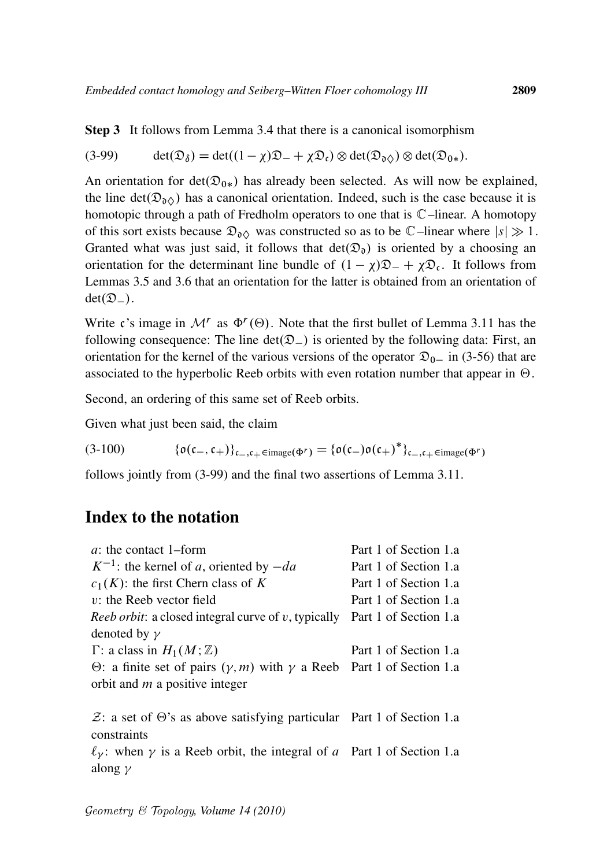$$
(3-99) \qquad \det(\mathfrak{D}_{\delta}) = \det((1-\chi)\mathfrak{D}_{-} + \chi\mathfrak{D}_{\mathfrak{c}}) \otimes \det(\mathfrak{D}_{\mathfrak{d}\diamondsuit}) \otimes \det(\mathfrak{D}_{0*}).
$$

An orientation for  $det(\mathfrak{D}_{0*})$  has already been selected. As will now be explained, the line det( $\mathfrak{D}_{\mathfrak{d}}(X)$ ) has a canonical orientation. Indeed, such is the case because it is homotopic through a path of Fredholm operators to one that is C–linear. A homotopy of this sort exists because  $\mathfrak{D}_{\delta\Diamond}$  was constructed so as to be  $\mathbb{C}-$ linear where  $|s|\gg 1$ . Granted what was just said, it follows that  $det(\mathfrak{D}_0)$  is oriented by a choosing an orientation for the determinant line bundle of  $(1 - \chi)\mathfrak{D} - + \chi\mathfrak{D}_c$ . It follows from Lemmas 3.5 and 3.6 that an orientation for the latter is obtained from an orientation of  $det(\mathfrak{D}_-)$ .

Write c's image in  $\mathcal{M}^r$  as  $\Phi^r(\Theta)$ . Note that the first bullet of Lemma 3.11 has the following consequence: The line  $det(\mathfrak{D}_-)$  is oriented by the following data: First, an orientation for the kernel of the various versions of the operator  $\mathfrak{D}_{0-}$  in (3-56) that are associated to the hyperbolic Reeb orbits with even rotation number that appear in  $\Theta$ .

Second, an ordering of this same set of Reeb orbits.

Given what just been said, the claim

(3-100)  $\{o(c_-, c_+)\}_{c_-,c_+\in \text{image}(\Phi^r)} = \{o(c_-)o(c_+)^*\}_{c_-,c_+\in \text{image}(\Phi^r)}$ 

follows jointly from (3-99) and the final two assertions of Lemma 3.11.

# Index to the notation

| <i>a</i> : the contact 1-form                                                             | Part 1 of Section 1.a |
|-------------------------------------------------------------------------------------------|-----------------------|
| $K^{-1}$ : the kernel of a, oriented by $-da$                                             | Part 1 of Section 1.a |
| $c_1(K)$ : the first Chern class of K                                                     | Part 1 of Section 1.a |
| $v$ : the Reeb vector field                                                               | Part 1 of Section 1.a |
| <i>Reeb orbit:</i> a closed integral curve of v, typically                                | Part 1 of Section 1.a |
| denoted by $\gamma$                                                                       |                       |
| $\Gamma$ : a class in $H_1(M;\mathbb{Z})$                                                 | Part 1 of Section 1.a |
| $\Theta$ : a finite set of pairs $(\gamma, m)$ with $\gamma$ a Reeb Part 1 of Section 1.a |                       |
| orbit and $m$ a positive integer                                                          |                       |
|                                                                                           |                       |
| $\mathcal{Z}$ : a set of $\Theta$ 's as above satisfying particular Part 1 of Section 1.a |                       |
| constraints                                                                               |                       |
| $\ell_{\gamma}$ : when $\gamma$ is a Reeb orbit, the integral of a Part 1 of Section 1.a  |                       |
| along $\gamma$                                                                            |                       |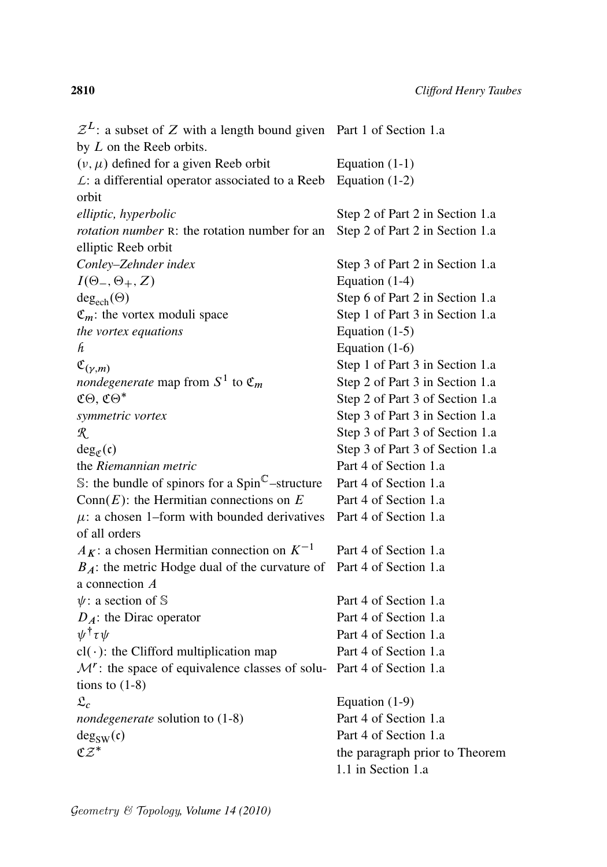$\mathcal{Z}^L$ : a subset of Z with a length bound given Part 1 of Section 1.a by L on the Reeb orbits.  $(v, \mu)$  defined for a given Reeb orbit Equation (1-1) *L*: a differential operator associated to a Reeb orbit Equation (1-2) *elliptic, hyperbolic* Step 2 of Part 2 in Section 1.a *rotation number* R: the rotation number for an elliptic Reeb orbit Step 2 of Part 2 in Section 1.a *Conley–Zehnder index* Step 3 of Part 2 in Section 1.a  $I(\Theta_-, \Theta_+, Z)$  Equation (1-4)  $deg_{ech}(\Theta)$  Step 6 of Part 2 in Section 1.a  $\mathfrak{C}_m$ : the vortex moduli space Step 1 of Part 3 in Section 1.a *the vortex equations* Equation (1-5)  $h$  Equation (1-6)  $\mathfrak{C}_{(\nu,m)}$  Step 1 of Part 3 in Section 1.a *nondegenerate* map from S 1 Step 2 of Part 3 in Section 1.a  $\mathfrak{C}\Theta$ ,  $\mathfrak{C}\Theta^*$  Step 2 of Part 3 of Section 1.a *symmetric vortex* Step 3 of Part 3 in Section 1.a *R* Step 3 of Part 3 of Section 1.a  $deg_{\sigma}(\mathfrak{c})$ Step 3 of Part 3 of Section 1.a the *Riemannian metric* Part 4 of Section 1.a S: the bundle of spinors for a  $Spin^{\mathbb{C}}$ -structure Part 4 of Section 1.a Conn $(E)$ : the Hermitian connections on  $E$  Part 4 of Section 1.a  $\mu$ : a chosen 1–form with bounded derivatives of all orders Part 4 of Section 1.a  $A_K$ : a chosen Hermitian connection on  $K^{-1}$  Part 4 of Section 1.a  $B_A$ : the metric Hodge dual of the curvature of Part 4 of Section 1.a a connection A  $\psi$ : a section of S Part 4 of Section 1.a  $D_A$ : the Dirac operator Part 4 of Section 1.a  $\psi^{\dagger}$  Part 4 of Section 1.a  $cl(\cdot)$ : the Clifford multiplication map Part 4 of Section 1.a  $M^r$ : the space of equivalence classes of solu- Part 4 of Section 1.a tions to  $(1-8)$  $\mathfrak{L}_c$  Equation (1-9) *nondegenerate* solution to (1-8) Part 4 of Section 1.a  $deg_{SW}(c)$  Part 4 of Section 1.a  $\mathfrak{CZ}^*$ the paragraph prior to Theorem 1.1 in Section 1.a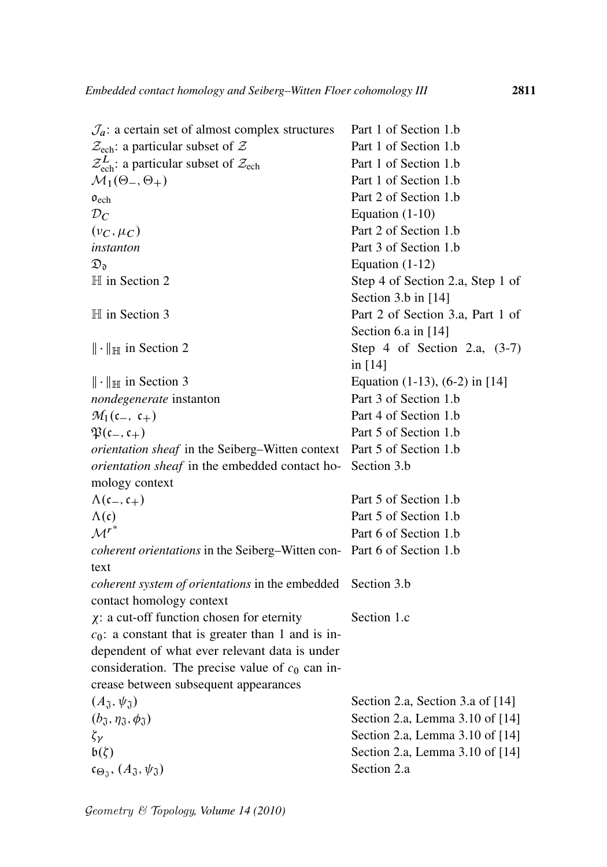| $\mathcal{J}_a$ : a certain set of almost complex structures                       | Part 1 of Section 1.b               |
|------------------------------------------------------------------------------------|-------------------------------------|
| $\mathcal{Z}_{\text{ech}}$ : a particular subset of $\mathcal{Z}$                  | Part 1 of Section 1.b               |
| $\mathcal{Z}_{\text{ech}}^{L}$ : a particular subset of $\mathcal{Z}_{\text{ech}}$ | Part 1 of Section 1.b               |
| $\mathcal{M}_1(\Theta_-, \Theta_+)$                                                | Part 1 of Section 1.b               |
| $\mathfrak{o}_{ech}$                                                               | Part 2 of Section 1.b               |
| $\mathcal{D}_C$                                                                    | Equation $(1-10)$                   |
| $(\nu_C, \mu_C)$                                                                   | Part 2 of Section 1.b               |
| instanton                                                                          | Part 3 of Section 1.b               |
| $\mathfrak{D}_\mathfrak{d}$                                                        | Equation $(1-12)$                   |
| $H$ in Section 2                                                                   | Step 4 of Section 2.a, Step 1 of    |
|                                                                                    | Section 3.b in [14]                 |
| $\mathbb H$ in Section 3                                                           | Part 2 of Section 3.a, Part 1 of    |
|                                                                                    | Section 6.a in [14]                 |
| $\ \cdot\ _{\mathbb{H}}$ in Section 2                                              | Step 4 of Section 2.a, $(3-7)$      |
|                                                                                    | in [14]                             |
| $\ \cdot\ _{\mathbb{H}}$ in Section 3                                              | Equation $(1-13)$ , $(6-2)$ in [14] |
| nondegenerate instanton                                                            | Part 3 of Section 1.b               |
| $M_1(\mathfrak{c}_-,\mathfrak{c}_+)$                                               | Part 4 of Section 1.b               |
| $\mathfrak{P}(\mathfrak{c}_-,\mathfrak{c}_+)$                                      | Part 5 of Section 1.b               |
| <i>orientation sheaf</i> in the Seiberg–Witten context Part 5 of Section 1.b       |                                     |
| orientation sheaf in the embedded contact ho-                                      | Section 3.b                         |
| mology context                                                                     |                                     |
| $\Lambda(\mathfrak{c}_-,\mathfrak{c}_+)$                                           | Part 5 of Section 1.b               |
| $\Lambda(\mathfrak{c})$                                                            | Part 5 of Section 1.b               |
| $\mathcal{M}^{r^*}$                                                                | Part 6 of Section 1.b               |
| coherent orientations in the Seiberg-Witten con- Part 6 of Section 1.b             |                                     |
| text                                                                               |                                     |
| coherent system of orientations in the embedded                                    | Section 3.b                         |
| contact homology context                                                           |                                     |
| $\chi$ : a cut-off function chosen for eternity                                    | Section 1.c                         |
| $c_0$ : a constant that is greater than 1 and is in-                               |                                     |
| dependent of what ever relevant data is under                                      |                                     |
| consideration. The precise value of $c_0$ can in-                                  |                                     |
| crease between subsequent appearances                                              |                                     |
| $(A_{\mathfrak{J}}, \psi_{\mathfrak{J}})$                                          | Section 2.a, Section 3.a of [14]    |
| $(b_{\mathfrak{J}}, \eta_{\mathfrak{J}}, \phi_{\mathfrak{J}})$                     | Section 2.a, Lemma 3.10 of [14]     |
| $\zeta_{\gamma}$                                                                   | Section 2.a, Lemma 3.10 of [14]     |
| $b(\zeta)$                                                                         | Section 2.a, Lemma 3.10 of [14]     |
| $\mathfrak{c}_{\Theta_{\mathfrak{J}}}, (A_{\mathfrak{J}}, \psi_{\mathfrak{J}})$    | Section 2.a                         |
|                                                                                    |                                     |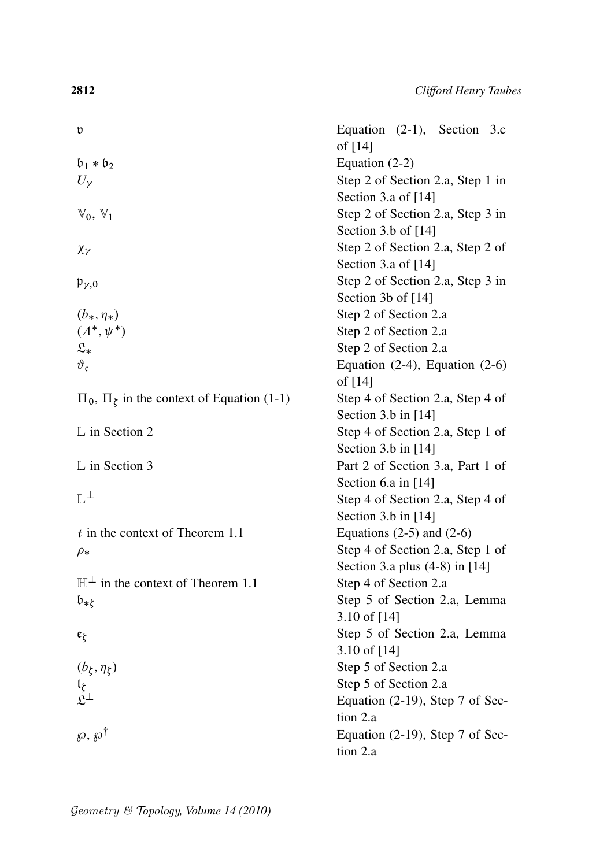| v                                                      | Equation $(2-1)$ , Section 3.c<br>of [14] |
|--------------------------------------------------------|-------------------------------------------|
| $\mathfrak{b}_1 * \mathfrak{b}_2$                      | Equation $(2-2)$                          |
| $U_{\nu}$                                              | Step 2 of Section 2.a, Step 1 in          |
|                                                        | Section 3.a of [14]                       |
| $\mathbb{V}_0, \mathbb{V}_1$                           | Step 2 of Section 2.a, Step 3 in          |
|                                                        | Section 3.b of [14]                       |
|                                                        | Step 2 of Section 2.a, Step 2 of          |
| $\chi_{\gamma}$                                        | Section 3.a of [14]                       |
|                                                        | Step 2 of Section 2.a, Step 3 in          |
| $\mathfrak{p}_{\gamma,0}$                              | Section 3b of [14]                        |
| $(b_*, \eta_*)$                                        | Step 2 of Section 2.a                     |
| $(A^*, \psi^*)$                                        | Step 2 of Section 2.a                     |
| $\mathfrak{L}_*$                                       | Step 2 of Section 2.a                     |
| $\vartheta_{\mathfrak{c}}$                             | Equation $(2-4)$ , Equation $(2-6)$       |
|                                                        | of [14]                                   |
| $\Pi_0$ , $\Pi_{\xi}$ in the context of Equation (1-1) | Step 4 of Section 2.a, Step 4 of          |
|                                                        | Section 3.b in [14]                       |
| $\mathbb L$ in Section 2                               | Step 4 of Section 2.a, Step 1 of          |
|                                                        | Section 3.b in [14]                       |
| $\mathbb L$ in Section 3                               | Part 2 of Section 3.a, Part 1 of          |
|                                                        | Section 6.a in [14]                       |
| $\mathbb{L}^{\perp}$                                   | Step 4 of Section 2.a, Step 4 of          |
|                                                        | Section $3.b$ in $[14]$                   |
| $t$ in the context of Theorem 1.1                      | Equations $(2-5)$ and $(2-6)$             |
| $\rho_*$                                               | Step 4 of Section 2.a, Step 1 of          |
|                                                        | Section 3.a plus $(4-8)$ in [14]          |
| $\mathbb{H}^{\perp}$ in the context of Theorem 1.1     | Step 4 of Section 2.a                     |
| $\mathfrak{b}_{*\zeta}$                                | Step 5 of Section 2.a, Lemma              |
|                                                        | 3.10 of $[14]$                            |
| $\mathfrak{e}_{\zeta}$                                 | Step 5 of Section 2.a, Lemma              |
|                                                        | 3.10 of [14]                              |
| $(b_\xi,\eta_\xi)$                                     | Step 5 of Section 2.a                     |
|                                                        | Step 5 of Section 2.a                     |
| $t_{\zeta}$<br>$\mathfrak{L}^{\perp}$                  | Equation $(2-19)$ , Step 7 of Sec-        |
|                                                        | tion 2.a                                  |
| $\wp, \wp^{\dagger}$                                   | Equation (2-19), Step 7 of Sec-           |
|                                                        | tion 2.a                                  |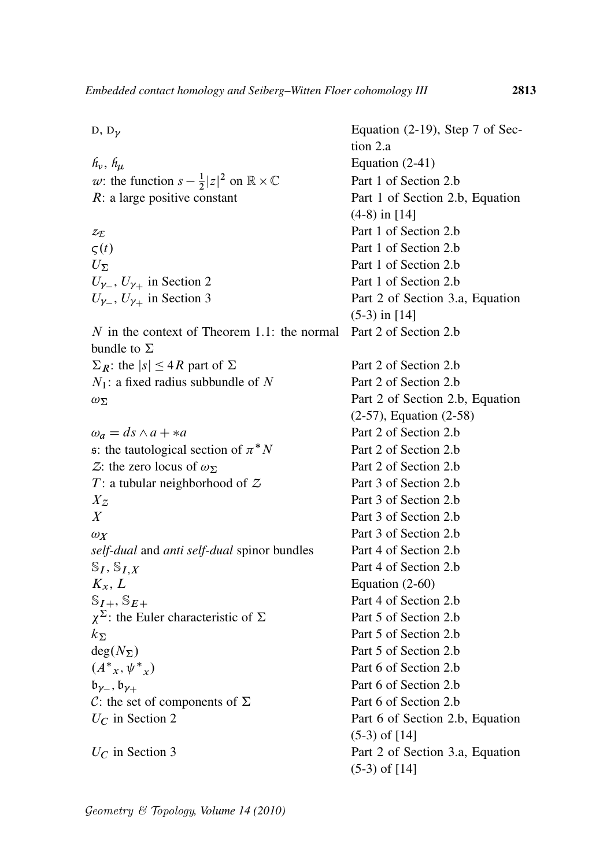| $D, D_{\gamma}$                                                          | Equation $(2-19)$ , Step 7 of Sec- |
|--------------------------------------------------------------------------|------------------------------------|
|                                                                          | tion 2.a                           |
| $h_\nu$ , $h_\mu$                                                        | Equation $(2-41)$                  |
| w: the function $s - \frac{1}{2} z ^2$ on $\mathbb{R} \times \mathbb{C}$ | Part 1 of Section 2.b              |
| $R$ : a large positive constant                                          | Part 1 of Section 2.b, Equation    |
|                                                                          | $(4-8)$ in [14]                    |
| $z_{\rm \mathcal{I}}$                                                    | Part 1 of Section 2.b              |
| $\varsigma(t)$                                                           | Part 1 of Section 2.b              |
| $U_{\Sigma}$                                                             | Part 1 of Section 2.b              |
| $U_{\gamma_-}, U_{\gamma_+}$ in Section 2                                | Part 1 of Section 2.b              |
| $U_{\gamma_-}, U_{\gamma_+}$ in Section 3                                | Part 2 of Section 3.a, Equation    |
|                                                                          | $(5-3)$ in [14]                    |
| N in the context of Theorem 1.1: the normal<br>bundle to $\Sigma$        | Part 2 of Section 2.b              |
| $\Sigma_R$ : the $ s  \leq 4R$ part of $\Sigma$                          | Part 2 of Section 2.b              |
| $N_1$ : a fixed radius subbundle of N                                    | Part 2 of Section 2.b              |
| $\omega_{\Sigma}$                                                        | Part 2 of Section 2.b, Equation    |
|                                                                          | $(2-57)$ , Equation $(2-58)$       |
| $\omega_a = ds \wedge a + * a$                                           | Part 2 of Section 2.b              |
| s: the tautological section of $\pi^* N$                                 | Part 2 of Section 2.b              |
| Z: the zero locus of $\omega_{\Sigma}$                                   | Part 2 of Section 2.b              |
| $T$ : a tubular neighborhood of $Z$                                      | Part 3 of Section 2.b              |
| $X_{\mathcal{Z}}$                                                        | Part 3 of Section 2.b              |
| X                                                                        | Part 3 of Section 2.b              |
| $\omega_X$                                                               | Part 3 of Section 2.b              |
| self-dual and anti self-dual spinor bundles                              | Part 4 of Section 2.b              |
| $\mathbb{S}_I, \mathbb{S}_{I,X}$                                         | Part 4 of Section 2.b              |
| $K_x, L$                                                                 | Equation $(2-60)$                  |
| $\mathbb{S}_{I+}, \mathbb{S}_{E+}$                                       | Part 4 of Section 2.b              |
| $\chi^{\Sigma}$ : the Euler characteristic of $\Sigma$                   | Part 5 of Section 2.b              |
|                                                                          | Part 5 of Section 2.b              |
| $k_{\Sigma}$                                                             |                                    |
| $deg(N_{\Sigma})$                                                        | Part 5 of Section 2.b              |
| $(A^*_{x}, \psi^*_{x})$                                                  | Part 6 of Section 2.b              |
| $\mathfrak{b}_{\gamma_-}, \mathfrak{b}_{\gamma_+}$                       | Part 6 of Section 2.b              |
| C: the set of components of $\Sigma$                                     | Part 6 of Section 2.b              |
| $U_C$ in Section 2                                                       | Part 6 of Section 2.b, Equation    |
|                                                                          | $(5-3)$ of [14]                    |
| $U_C$ in Section 3                                                       | Part 2 of Section 3.a, Equation    |
|                                                                          | $(5-3)$ of $[14]$                  |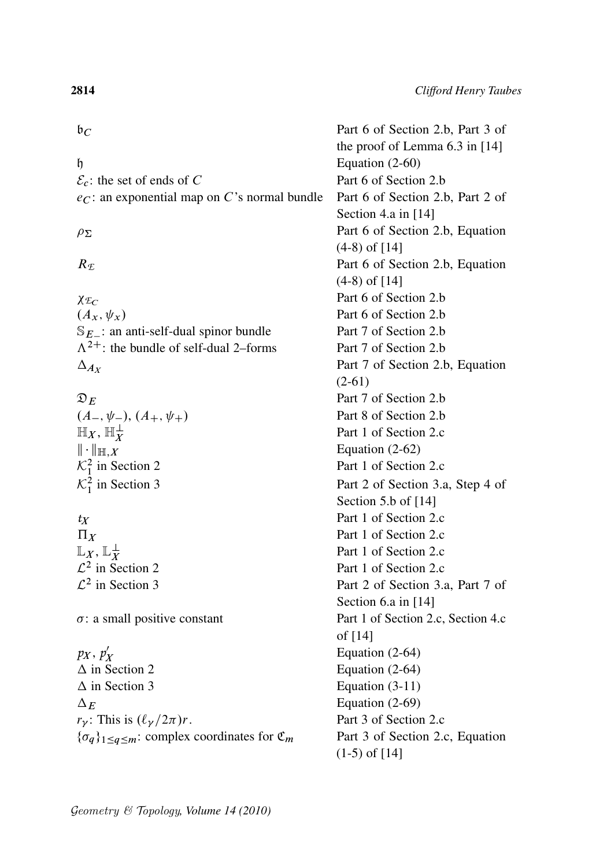

 $\mathcal{E}_c$ : the set of ends of C Part 6 of Section 2.b  $ec$ : an exponential map on C's normal bundle Part 6 of Section 2.b, Part 2 of

 $\chi_{\mathcal{F}_C}$  Part 6 of Section 2.b  $(A_x, \psi_x)$  Part 6 of Section 2.b  $S_{E}$ : an anti-self-dual spinor bundle Part 7 of Section 2.b  $\Lambda^{2+}$ : the bundle of self-dual 2–forms Part 7 of Section 2.b  $\Delta_{A_X}$ 

$$
\mathfrak{D}_E
$$
\n
$$
(A_-, \psi_-), (A_+, \psi_-)
$$
\n
$$
\mathbb{H}_X, \mathbb{H}_X^{\perp}
$$
\n
$$
\|\cdot\|_{\mathbb{H},X}
$$
\n
$$
\mathcal{K}_1^2
$$
 in Section 2\n
$$
\mathcal{K}_1^2
$$
 in Section 3

 $\mathbb{L}_X$ ,  $\mathbb{L}_X^\perp$  $\mathcal{L}^2$  in Set  $\mathcal{L}^2$ 

*p*<sub>X</sub>, *p*<sup>'</sup><sub>1</sub> X  $\Delta$  in Section 2 Equation (2-64)  $\Delta$  in Section 3 Equation (3-11)  $\Delta_F$  Equation (2-69)  $r_{\gamma}$ : This is  $(\ell_{\gamma}/2\pi)r$ . Part 3 of Section 2.c  $\{\sigma_q\}_{1 \leq q \leq m}$ : complex coordinates for  $\mathfrak{C}_m$  Part 3 of Section 2.c, Equation

 $\mathfrak{b}_C$  Part 6 of Section 2.b, Part 3 of the proof of Lemma 6.3 in [14]  $h \rightarrow$  Equation (2-60) Section 4.a in [14]  $\rho_{\Sigma}$  Part 6 of Section 2.b, Equation (4-8) of [14] R<sub>F</sub> Part 6 of Section 2.b, Equation (4-8) of [14] Part 7 of Section 2.b, Equation (2-61) Part 7 of Section 2.b  $\mathsf{Part}\, 8$  of Section 2.b Part 1 of Section 2.c Equation  $(2-62)$ Part 1 of Section 2.c Part 2 of Section 3.a, Step 4 of Section 5.b of [14] *tx* Part 1 of Section 2.c  $\Pi_X$  Part 1 of Section 2.c Part 1 of Section 2.c Part 1 of Section 2.c Part 2 of Section 3.a, Part 7 of Section 6.a in [14]  $\sigma$ : a small positive constant Part 1 of Section 2.c, Section 4.c of [14] Equation (2-64) (1-5) of [14]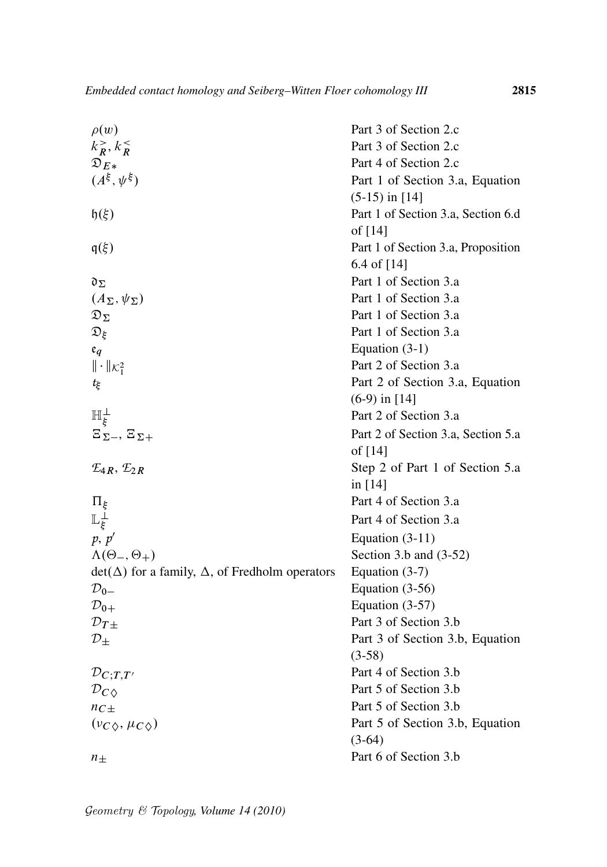| $\rho(w)$                                                    | Part 3 of Section 2.c              |
|--------------------------------------------------------------|------------------------------------|
| $k_R^>$ , $k_R^<$                                            | Part 3 of Section 2.c              |
| $\mathfrak{D}_{E*}$                                          | Part 4 of Section 2.c              |
| $(A^{\xi}, \psi^{\xi})$                                      | Part 1 of Section 3.a, Equation    |
|                                                              | $(5-15)$ in [14]                   |
| $\mathfrak{h}(\xi)$                                          | Part 1 of Section 3.a, Section 6.d |
|                                                              | of [14]                            |
| $q(\xi)$                                                     | Part 1 of Section 3.a, Proposition |
|                                                              | 6.4 of [14]                        |
| $\mathfrak{d}_\Sigma$                                        | Part 1 of Section 3.a              |
| $(A_{\Sigma}, \psi_{\Sigma})$                                | Part 1 of Section 3.a              |
| $\mathfrak{D}_{\Sigma}$                                      | Part 1 of Section 3.a              |
| $\mathfrak{D}_\xi$                                           | Part 1 of Section 3.a              |
| ${\mathfrak e}_q$                                            | Equation $(3-1)$                   |
| $\ \cdot\ _{\mathcal{K}_{1}^{2}}$                            | Part 2 of Section 3.a              |
| tξ                                                           | Part 2 of Section 3.a, Equation    |
|                                                              | $(6-9)$ in [14]                    |
| $\mathbb{H}^{\perp}_{\xi}$                                   | Part 2 of Section 3.a              |
| $E_{\Sigma-}$ , $E_{\Sigma+}$                                | Part 2 of Section 3.a, Section 5.a |
|                                                              | of [14]                            |
| $\mathcal{L}_{4R}, \mathcal{L}_{2R}$                         | Step 2 of Part 1 of Section 5.a    |
|                                                              | in $[14]$                          |
| $\Pi_{\xi}$                                                  | Part 4 of Section 3.a              |
| $\mathbb{L}^{\perp}_{\xi}$                                   | Part 4 of Section 3.a              |
| p, p'                                                        | Equation $(3-11)$                  |
| $\Lambda(\Theta_-, \Theta_+)$                                | Section 3.b and (3-52)             |
| $det(\Delta)$ for a family, $\Delta$ , of Fredholm operators | Equation $(3-7)$                   |
| $\mathcal{D}_{0-}$                                           | Equation $(3-56)$                  |
| $\mathcal{D}_{0+}$                                           | Equation $(3-57)$                  |
| $\mathcal{D}_{T\pm}$                                         | Part 3 of Section 3.b              |
| $\mathcal{D}_\pm$                                            | Part 3 of Section 3.b, Equation    |
|                                                              | $(3-58)$                           |
| $\mathcal{D}_{C;T,T'}$                                       | Part 4 of Section 3.b              |
| $\mathcal{D}_{C\,lozenge}$                                   | Part 5 of Section 3.b              |
| $nc_{\pm}$                                                   | Part 5 of Section 3.b              |
| $(\nu_{C\Diamond}, \mu_{C\Diamond})$                         | Part 5 of Section 3.b, Equation    |
|                                                              | $(3-64)$                           |
| $n_{\pm}$                                                    | Part 6 of Section 3.b              |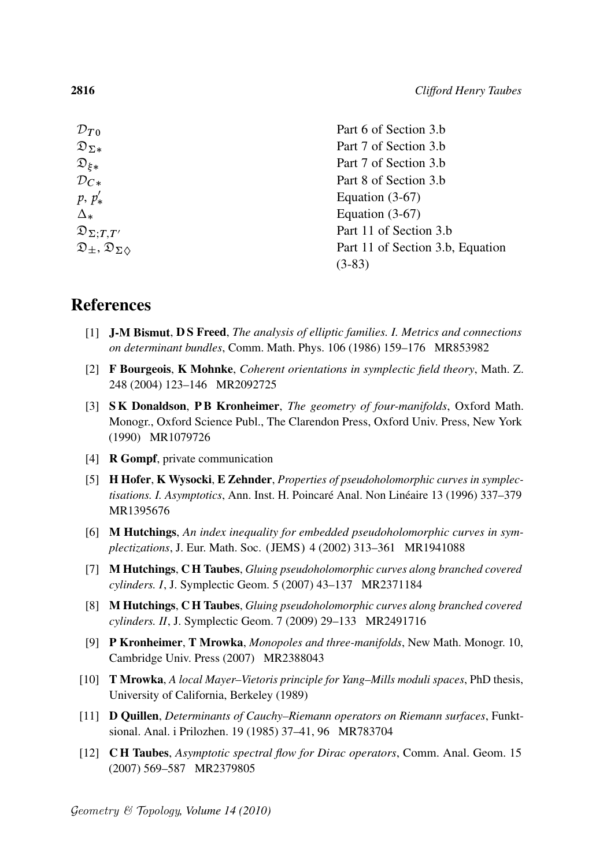| ${\cal D}_{T0}$                                    | Part 6 of Section 3.b            |
|----------------------------------------------------|----------------------------------|
| $\mathfrak{D}_{\Sigma*}$                           | Part 7 of Section 3.b            |
| $\mathfrak{D}_{\xi*}$                              | Part 7 of Section 3.b            |
| $\mathcal{D}_{\bm{C}\bm{*}}$                       | Part 8 of Section 3.b            |
| $p, p'_*$                                          | Equation $(3-67)$                |
| $\Delta_*$                                         | Equation $(3-67)$                |
| $\mathfrak{D}_{\Sigma;T,T'}$                       | Part 11 of Section 3.b           |
| $\mathfrak{D}_\pm, \mathfrak{D}_{\Sigma \Diamond}$ | Part 11 of Section 3.b, Equation |
|                                                    | $(3-83)$                         |
|                                                    |                                  |

## References

- [1] J-M Bismut, D S Freed, *The analysis of elliptic families. I. Metrics and connections on determinant bundles*, Comm. Math. Phys. 106 (1986) 159–176 MR853982
- [2] F Bourgeois, K Mohnke, *Coherent orientations in symplectic field theory*, Math. Z. 248 (2004) 123–146 MR2092725
- [3] S K Donaldson, P B Kronheimer, *The geometry of four-manifolds*, Oxford Math. Monogr., Oxford Science Publ., The Clarendon Press, Oxford Univ. Press, New York (1990) MR1079726
- [4] R Gompf, private communication
- [5] H Hofer, K Wysocki, E Zehnder, *Properties of pseudoholomorphic curves in symplec*tisations. I. Asymptotics, Ann. Inst. H. Poincaré Anal. Non Linéaire 13 (1996) 337-379 MR1395676
- [6] M Hutchings, *An index inequality for embedded pseudoholomorphic curves in symplectizations*, J. Eur. Math. Soc. (JEMS) 4 (2002) 313-361 MR1941088
- [7] M Hutchings, C H Taubes, *Gluing pseudoholomorphic curves along branched covered cylinders. I*, J. Symplectic Geom. 5 (2007) 43–137 MR2371184
- [8] M Hutchings, C H Taubes, *Gluing pseudoholomorphic curves along branched covered cylinders. II*, J. Symplectic Geom. 7 (2009) 29–133 MR2491716
- [9] P Kronheimer, T Mrowka, *Monopoles and three-manifolds*, New Math. Monogr. 10, Cambridge Univ. Press (2007) MR2388043
- [10] T Mrowka, *A local Mayer–Vietoris principle for Yang–Mills moduli spaces*, PhD thesis, University of California, Berkeley (1989)
- [11] D Quillen, *Determinants of Cauchy–Riemann operators on Riemann surfaces*, Funktsional. Anal. i Prilozhen. 19 (1985) 37–41, 96 MR783704
- [12] C H Taubes, *Asymptotic spectral flow for Dirac operators*, Comm. Anal. Geom. 15 (2007) 569–587 MR2379805